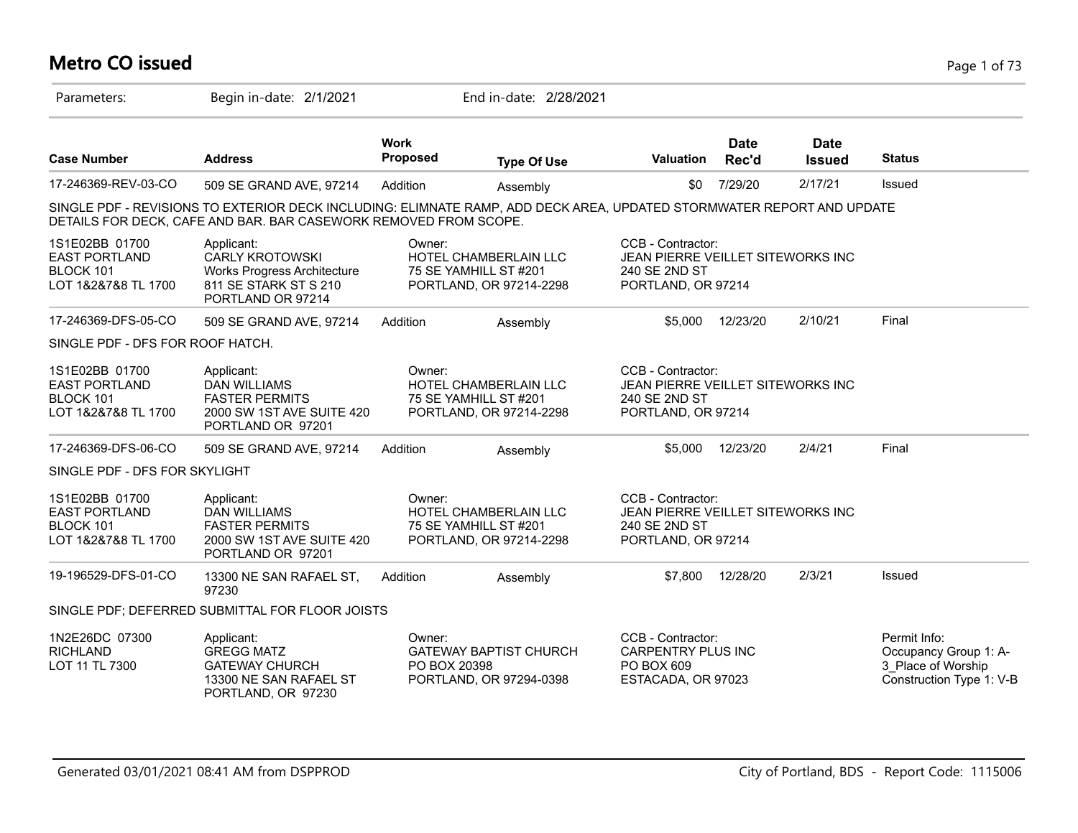# **Metro CO issued** Page 1 of 73

| Parameters:                                                                | Begin in-date: 2/1/2021                                                                                                                                                                   |                                | End in-date: 2/28/2021                                                           |                                                                                               |                      |                              |                                                                                         |
|----------------------------------------------------------------------------|-------------------------------------------------------------------------------------------------------------------------------------------------------------------------------------------|--------------------------------|----------------------------------------------------------------------------------|-----------------------------------------------------------------------------------------------|----------------------|------------------------------|-----------------------------------------------------------------------------------------|
| <b>Case Number</b>                                                         | <b>Address</b>                                                                                                                                                                            | <b>Work</b><br><b>Proposed</b> | <b>Type Of Use</b>                                                               | <b>Valuation</b>                                                                              | <b>Date</b><br>Rec'd | <b>Date</b><br><b>Issued</b> | <b>Status</b>                                                                           |
| 17-246369-REV-03-CO                                                        | 509 SE GRAND AVE, 97214                                                                                                                                                                   | Addition                       | Assembly                                                                         | \$0                                                                                           | 7/29/20              | 2/17/21                      | Issued                                                                                  |
|                                                                            | SINGLE PDF - REVISIONS TO EXTERIOR DECK INCLUDING: ELIMNATE RAMP, ADD DECK AREA, UPDATED STORMWATER REPORT AND UPDATE<br>DETAILS FOR DECK, CAFE AND BAR. BAR CASEWORK REMOVED FROM SCOPE. |                                |                                                                                  |                                                                                               |                      |                              |                                                                                         |
| 1S1E02BB 01700<br><b>EAST PORTLAND</b><br>BLOCK 101<br>LOT 1&2&7&8 TL 1700 | Applicant:<br><b>CARLY KROTOWSKI</b><br><b>Works Progress Architecture</b><br>811 SE STARK ST S 210<br>PORTLAND OR 97214                                                                  | Owner:                         | HOTEL CHAMBERLAIN LLC<br>75 SE YAMHILL ST #201<br>PORTLAND, OR 97214-2298        | CCB - Contractor:<br>JEAN PIERRE VEILLET SITEWORKS INC<br>240 SE 2ND ST<br>PORTLAND, OR 97214 |                      |                              |                                                                                         |
| 17-246369-DFS-05-CO                                                        | 509 SE GRAND AVE, 97214                                                                                                                                                                   | Addition                       | Assembly                                                                         | \$5,000                                                                                       | 12/23/20             | 2/10/21                      | Final                                                                                   |
| SINGLE PDF - DFS FOR ROOF HATCH.                                           |                                                                                                                                                                                           |                                |                                                                                  |                                                                                               |                      |                              |                                                                                         |
| 1S1E02BB 01700<br><b>EAST PORTLAND</b><br>BLOCK 101<br>LOT 1&2&7&8 TL 1700 | Applicant:<br><b>DAN WILLIAMS</b><br><b>FASTER PERMITS</b><br>2000 SW 1ST AVE SUITE 420<br>PORTLAND OR 97201                                                                              | Owner:                         | HOTEL CHAMBERLAIN LLC<br>75 SE YAMHILL ST #201<br>PORTLAND, OR 97214-2298        | CCB - Contractor:<br>JEAN PIERRE VEILLET SITEWORKS INC<br>240 SE 2ND ST<br>PORTLAND, OR 97214 |                      |                              |                                                                                         |
| 17-246369-DFS-06-CO                                                        | 509 SE GRAND AVE, 97214                                                                                                                                                                   | Addition                       | Assembly                                                                         | \$5,000                                                                                       | 12/23/20             | 2/4/21                       | Final                                                                                   |
| SINGLE PDF - DFS FOR SKYLIGHT                                              |                                                                                                                                                                                           |                                |                                                                                  |                                                                                               |                      |                              |                                                                                         |
| 1S1E02BB 01700<br><b>EAST PORTLAND</b><br>BLOCK 101<br>LOT 1&2&7&8 TL 1700 | Applicant:<br><b>DAN WILLIAMS</b><br><b>FASTER PERMITS</b><br>2000 SW 1ST AVE SUITE 420<br>PORTLAND OR 97201                                                                              | Owner:                         | <b>HOTEL CHAMBERLAIN LLC</b><br>75 SE YAMHILL ST #201<br>PORTLAND, OR 97214-2298 | CCB - Contractor:<br>JEAN PIERRE VEILLET SITEWORKS INC<br>240 SE 2ND ST<br>PORTLAND, OR 97214 |                      |                              |                                                                                         |
| 19-196529-DFS-01-CO                                                        | 13300 NE SAN RAFAEL ST,<br>97230                                                                                                                                                          | Addition                       | Assembly                                                                         | \$7.800                                                                                       | 12/28/20             | 2/3/21                       | Issued                                                                                  |
|                                                                            | SINGLE PDF; DEFERRED SUBMITTAL FOR FLOOR JOISTS                                                                                                                                           |                                |                                                                                  |                                                                                               |                      |                              |                                                                                         |
| 1N2E26DC 07300<br><b>RICHLAND</b><br>LOT 11 TL 7300                        | Applicant:<br><b>GREGG MATZ</b><br><b>GATEWAY CHURCH</b><br>13300 NE SAN RAFAEL ST<br>PORTLAND, OR 97230                                                                                  | Owner:<br>PO BOX 20398         | <b>GATEWAY BAPTIST CHURCH</b><br>PORTLAND, OR 97294-0398                         | CCB - Contractor:<br><b>CARPENTRY PLUS INC</b><br>PO BOX 609<br>ESTACADA, OR 97023            |                      |                              | Permit Info:<br>Occupancy Group 1: A-<br>3 Place of Worship<br>Construction Type 1: V-B |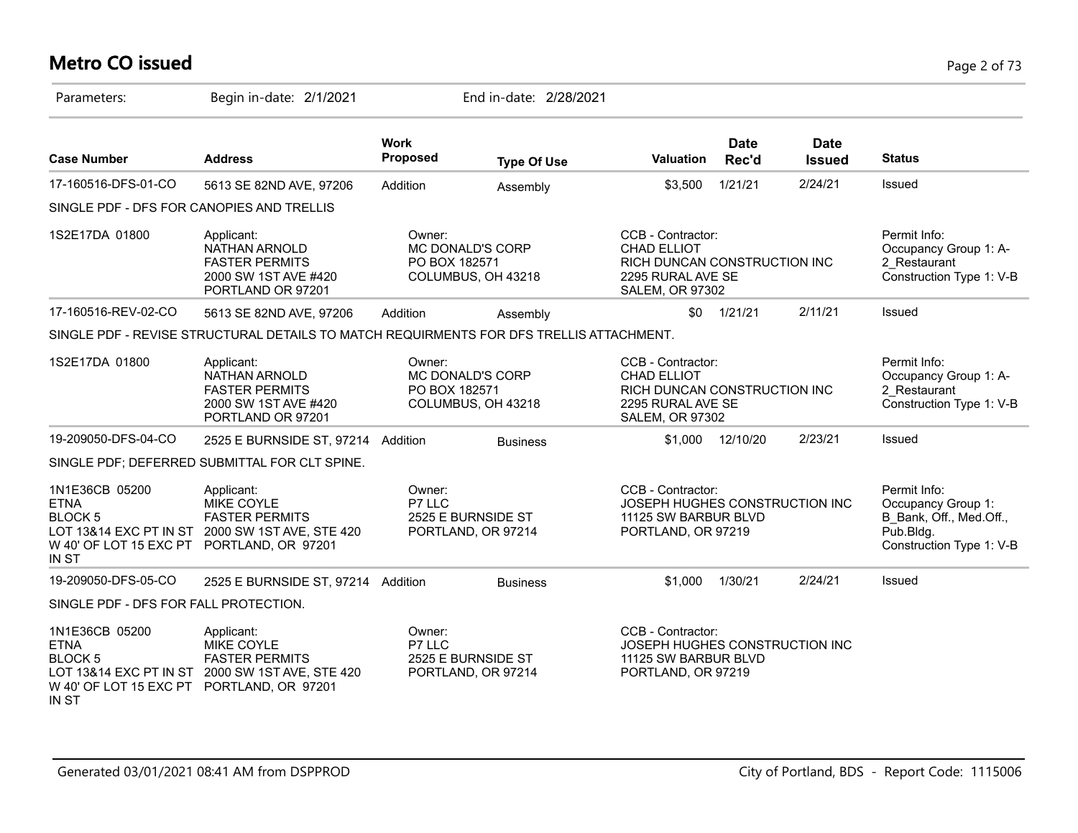# **Metro CO issued** Page 2 of 73

| Parameters:                                                                                                  | Begin in-date: 2/1/2021                                                                              |                                | End in-date: 2/28/2021                        |                                                                                                                        |                      |                              |                                                                                                        |
|--------------------------------------------------------------------------------------------------------------|------------------------------------------------------------------------------------------------------|--------------------------------|-----------------------------------------------|------------------------------------------------------------------------------------------------------------------------|----------------------|------------------------------|--------------------------------------------------------------------------------------------------------|
| <b>Case Number</b>                                                                                           | <b>Address</b>                                                                                       | <b>Work</b><br><b>Proposed</b> | <b>Type Of Use</b>                            | <b>Valuation</b>                                                                                                       | <b>Date</b><br>Rec'd | <b>Date</b><br><b>Issued</b> | <b>Status</b>                                                                                          |
| 17-160516-DFS-01-CO                                                                                          | 5613 SE 82ND AVE, 97206                                                                              | Addition                       | Assembly                                      | \$3,500                                                                                                                | 1/21/21              | 2/24/21                      | Issued                                                                                                 |
| SINGLE PDF - DFS FOR CANOPIES AND TRELLIS                                                                    |                                                                                                      |                                |                                               |                                                                                                                        |                      |                              |                                                                                                        |
| 1S2E17DA 01800                                                                                               | Applicant:<br>NATHAN ARNOLD<br><b>FASTER PERMITS</b><br>2000 SW 1ST AVE #420<br>PORTLAND OR 97201    | Owner:<br>PO BOX 182571        | <b>MC DONALD'S CORP</b><br>COLUMBUS, OH 43218 | CCB - Contractor:<br><b>CHAD ELLIOT</b><br>RICH DUNCAN CONSTRUCTION INC<br>2295 RURAL AVE SE<br><b>SALEM, OR 97302</b> |                      |                              | Permit Info:<br>Occupancy Group 1: A-<br>2 Restaurant<br>Construction Type 1: V-B                      |
| 17-160516-REV-02-CO                                                                                          | 5613 SE 82ND AVE, 97206                                                                              | Addition                       | Assembly                                      |                                                                                                                        | $$0$ $1/21/21$       | 2/11/21                      | Issued                                                                                                 |
|                                                                                                              | SINGLE PDF - REVISE STRUCTURAL DETAILS TO MATCH REQUIRMENTS FOR DFS TRELLIS ATTACHMENT.              |                                |                                               |                                                                                                                        |                      |                              |                                                                                                        |
| 1S2E17DA 01800                                                                                               | Applicant:<br>NATHAN ARNOLD<br><b>FASTER PERMITS</b><br>2000 SW 1ST AVE #420<br>PORTLAND OR 97201    | Owner:<br>PO BOX 182571        | MC DONALD'S CORP<br>COLUMBUS, OH 43218        | CCB - Contractor:<br><b>CHAD ELLIOT</b><br>RICH DUNCAN CONSTRUCTION INC<br>2295 RURAL AVE SE<br><b>SALEM, OR 97302</b> |                      |                              | Permit Info:<br>Occupancy Group 1: A-<br>2 Restaurant<br>Construction Type 1: V-B                      |
| 19-209050-DFS-04-CO                                                                                          | 2525 E BURNSIDE ST, 97214 Addition                                                                   |                                | <b>Business</b>                               | \$1,000                                                                                                                | 12/10/20             | 2/23/21                      | Issued                                                                                                 |
|                                                                                                              | SINGLE PDF; DEFERRED SUBMITTAL FOR CLT SPINE.                                                        |                                |                                               |                                                                                                                        |                      |                              |                                                                                                        |
| 1N1E36CB 05200<br><b>ETNA</b><br><b>BLOCK 5</b><br>W 40' OF LOT 15 EXC PT PORTLAND, OR 97201<br>IN ST        | Applicant:<br>MIKE COYLE<br><b>FASTER PERMITS</b><br>LOT 13&14 EXC PT IN ST 2000 SW 1ST AVE, STE 420 | Owner:<br>P7 LLC               | 2525 E BURNSIDE ST<br>PORTLAND, OR 97214      | CCB - Contractor:<br>JOSEPH HUGHES CONSTRUCTION INC<br>11125 SW BARBUR BLVD<br>PORTLAND, OR 97219                      |                      |                              | Permit Info:<br>Occupancy Group 1:<br>B Bank, Off., Med.Off.,<br>Pub.Bldg.<br>Construction Type 1: V-B |
| 19-209050-DFS-05-CO                                                                                          | 2525 E BURNSIDE ST, 97214 Addition                                                                   |                                | <b>Business</b>                               | \$1,000                                                                                                                | 1/30/21              | 2/24/21                      | Issued                                                                                                 |
| SINGLE PDF - DFS FOR FALL PROTECTION.                                                                        |                                                                                                      |                                |                                               |                                                                                                                        |                      |                              |                                                                                                        |
| 1N1E36CB 05200<br><b>ETNA</b><br><b>BLOCK 5</b><br>W 40' OF LOT 15 EXC PT PORTLAND, OR 97201<br><b>IN ST</b> | Applicant:<br>MIKE COYLE<br><b>FASTER PERMITS</b><br>LOT 13&14 EXC PT IN ST 2000 SW 1ST AVE, STE 420 | Owner:<br>P7 LLC               | 2525 E BURNSIDE ST<br>PORTLAND, OR 97214      | CCB - Contractor:<br>JOSEPH HUGHES CONSTRUCTION INC<br>11125 SW BARBUR BLVD<br>PORTLAND, OR 97219                      |                      |                              |                                                                                                        |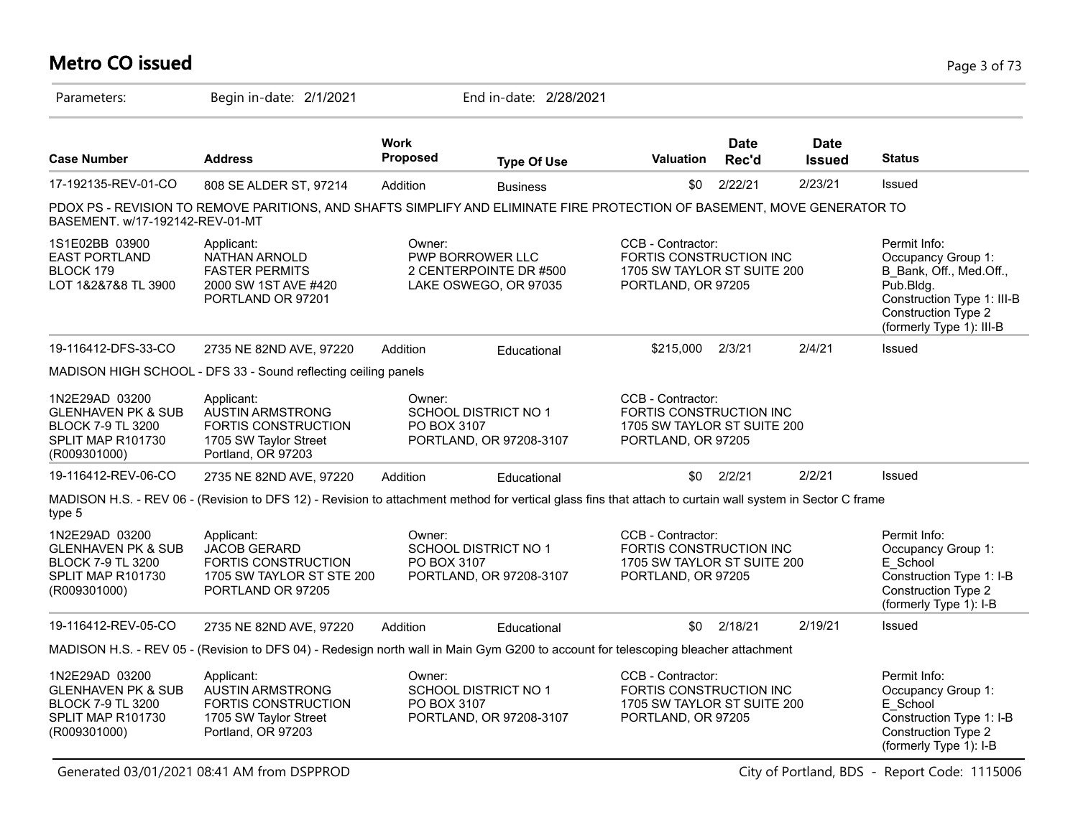# **Metro CO issued** Page 3 of 73

| Parameters:                                                                                                      | Begin in-date: 2/1/2021                                                                                                                                   |                       | End in-date: 2/28/2021                                              |                                                                                                   |                      |                              |                                                                                                                                                                |
|------------------------------------------------------------------------------------------------------------------|-----------------------------------------------------------------------------------------------------------------------------------------------------------|-----------------------|---------------------------------------------------------------------|---------------------------------------------------------------------------------------------------|----------------------|------------------------------|----------------------------------------------------------------------------------------------------------------------------------------------------------------|
| <b>Case Number</b>                                                                                               | <b>Address</b>                                                                                                                                            | Work<br>Proposed      | <b>Type Of Use</b>                                                  | <b>Valuation</b>                                                                                  | <b>Date</b><br>Rec'd | <b>Date</b><br><b>Issued</b> | <b>Status</b>                                                                                                                                                  |
| 17-192135-REV-01-CO                                                                                              | 808 SE ALDER ST, 97214                                                                                                                                    | Addition              | <b>Business</b>                                                     | \$0                                                                                               | 2/22/21              | 2/23/21                      | Issued                                                                                                                                                         |
| BASEMENT. w/17-192142-REV-01-MT                                                                                  | PDOX PS - REVISION TO REMOVE PARITIONS, AND SHAFTS SIMPLIFY AND ELIMINATE FIRE PROTECTION OF BASEMENT, MOVE GENERATOR TO                                  |                       |                                                                     |                                                                                                   |                      |                              |                                                                                                                                                                |
| 1S1E02BB 03900<br><b>EAST PORTLAND</b><br>BLOCK 179<br>LOT 1&2&7&8 TL 3900                                       | Applicant:<br>NATHAN ARNOLD<br><b>FASTER PERMITS</b><br>2000 SW 1ST AVE #420<br>PORTLAND OR 97201                                                         | Owner:                | PWP BORROWER LLC<br>2 CENTERPOINTE DR #500<br>LAKE OSWEGO, OR 97035 | CCB - Contractor:<br>FORTIS CONSTRUCTION INC<br>1705 SW TAYLOR ST SUITE 200<br>PORTLAND, OR 97205 |                      |                              | Permit Info:<br>Occupancy Group 1:<br>B_Bank, Off., Med.Off.,<br>$P$ ub.Bldg.<br>Construction Type 1: III-B<br>Construction Type 2<br>(formerly Type 1): III-B |
| 19-116412-DFS-33-CO                                                                                              | 2735 NE 82ND AVE, 97220                                                                                                                                   | Addition              | Educational                                                         | \$215,000                                                                                         | 2/3/21               | 2/4/21                       | Issued                                                                                                                                                         |
|                                                                                                                  | MADISON HIGH SCHOOL - DFS 33 - Sound reflecting ceiling panels                                                                                            |                       |                                                                     |                                                                                                   |                      |                              |                                                                                                                                                                |
| 1N2E29AD 03200<br><b>GLENHAVEN PK &amp; SUB</b><br><b>BLOCK 7-9 TL 3200</b><br>SPLIT MAP R101730<br>(R009301000) | Applicant:<br><b>AUSTIN ARMSTRONG</b><br><b>FORTIS CONSTRUCTION</b><br>1705 SW Taylor Street<br>Portland, OR 97203                                        | Owner:<br>PO BOX 3107 | SCHOOL DISTRICT NO 1<br>PORTLAND, OR 97208-3107                     | CCB - Contractor:<br>FORTIS CONSTRUCTION INC<br>1705 SW TAYLOR ST SUITE 200<br>PORTLAND, OR 97205 |                      |                              |                                                                                                                                                                |
| 19-116412-REV-06-CO                                                                                              | 2735 NE 82ND AVE, 97220                                                                                                                                   | Addition              | Educational                                                         | \$0                                                                                               | 2/2/21               | 2/2/21                       | Issued                                                                                                                                                         |
| type 5                                                                                                           | MADISON H.S. - REV 06 - (Revision to DFS 12) - Revision to attachment method for vertical glass fins that attach to curtain wall system in Sector C frame |                       |                                                                     |                                                                                                   |                      |                              |                                                                                                                                                                |
| 1N2E29AD 03200<br><b>GLENHAVEN PK &amp; SUB</b><br><b>BLOCK 7-9 TL 3200</b><br>SPLIT MAP R101730<br>(R009301000) | Applicant:<br><b>JACOB GERARD</b><br><b>FORTIS CONSTRUCTION</b><br>1705 SW TAYLOR ST STE 200<br>PORTLAND OR 97205                                         | Owner:<br>PO BOX 3107 | SCHOOL DISTRICT NO 1<br>PORTLAND, OR 97208-3107                     | CCB - Contractor:<br>FORTIS CONSTRUCTION INC<br>1705 SW TAYLOR ST SUITE 200<br>PORTLAND, OR 97205 |                      |                              | Permit Info:<br>Occupancy Group 1:<br>E School<br>Construction Type 1: I-B<br>Construction Type 2<br>(formerly Type 1): I-B                                    |
| 19-116412-REV-05-CO                                                                                              | 2735 NE 82ND AVE, 97220                                                                                                                                   | Addition              | Educational                                                         | \$0                                                                                               | 2/18/21              | 2/19/21                      | Issued                                                                                                                                                         |
|                                                                                                                  | MADISON H.S. - REV 05 - (Revision to DFS 04) - Redesign north wall in Main Gym G200 to account for telescoping bleacher attachment                        |                       |                                                                     |                                                                                                   |                      |                              |                                                                                                                                                                |
| 1N2E29AD 03200<br><b>GLENHAVEN PK &amp; SUB</b><br><b>BLOCK 7-9 TL 3200</b><br>SPLIT MAP R101730<br>(R009301000) | Applicant:<br><b>AUSTIN ARMSTRONG</b><br>FORTIS CONSTRUCTION<br>1705 SW Taylor Street<br>Portland, OR 97203                                               | Owner:<br>PO BOX 3107 | SCHOOL DISTRICT NO 1<br>PORTLAND, OR 97208-3107                     | CCB - Contractor:<br>FORTIS CONSTRUCTION INC<br>1705 SW TAYLOR ST SUITE 200<br>PORTLAND, OR 97205 |                      |                              | Permit Info:<br>Occupancy Group 1:<br>E School<br>Construction Type 1: I-B<br>Construction Type 2<br>(formerly Type 1): I-B                                    |

Generated 03/01/2021 08:41 AM from DSPPROD City of Portland, BDS - Report Code: 1115006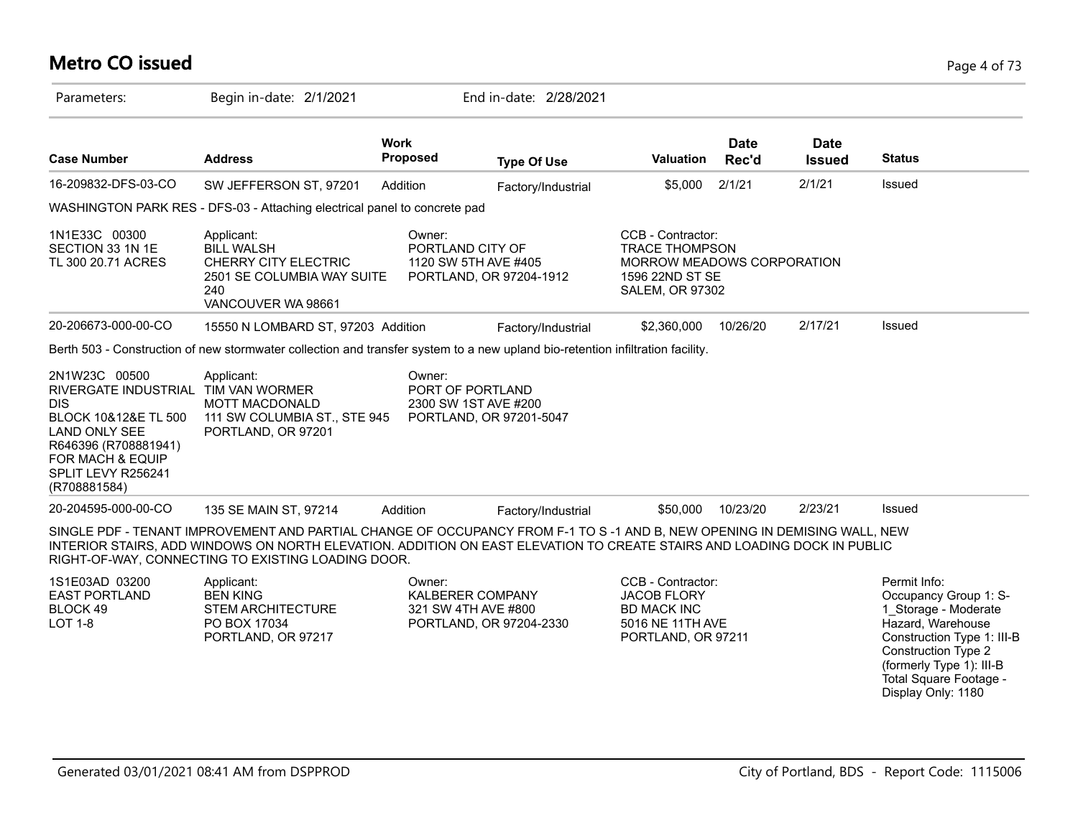### **Metro CO issued** Page 4 of 73

| Parameters:                                                                                                                                                                         | Begin in-date: 2/1/2021                                                                                                                                                                                                                                                                                   |                                | End in-date: 2/28/2021                                              |                                                                                                                       |                      |                              |                                                                                                                                                                                                                            |
|-------------------------------------------------------------------------------------------------------------------------------------------------------------------------------------|-----------------------------------------------------------------------------------------------------------------------------------------------------------------------------------------------------------------------------------------------------------------------------------------------------------|--------------------------------|---------------------------------------------------------------------|-----------------------------------------------------------------------------------------------------------------------|----------------------|------------------------------|----------------------------------------------------------------------------------------------------------------------------------------------------------------------------------------------------------------------------|
| <b>Case Number</b>                                                                                                                                                                  | <b>Address</b>                                                                                                                                                                                                                                                                                            | <b>Work</b><br><b>Proposed</b> | <b>Type Of Use</b>                                                  | Valuation                                                                                                             | <b>Date</b><br>Rec'd | <b>Date</b><br><b>Issued</b> | <b>Status</b>                                                                                                                                                                                                              |
| 16-209832-DFS-03-CO                                                                                                                                                                 | SW JEFFERSON ST, 97201                                                                                                                                                                                                                                                                                    | Addition                       | Factory/Industrial                                                  | \$5,000                                                                                                               | 2/1/21               | 2/1/21                       | Issued                                                                                                                                                                                                                     |
|                                                                                                                                                                                     | WASHINGTON PARK RES - DFS-03 - Attaching electrical panel to concrete pad                                                                                                                                                                                                                                 |                                |                                                                     |                                                                                                                       |                      |                              |                                                                                                                                                                                                                            |
| 1N1E33C 00300<br>SECTION 33 1N 1E<br>TL 300 20.71 ACRES                                                                                                                             | Applicant:<br><b>BILL WALSH</b><br><b>CHERRY CITY ELECTRIC</b><br>2501 SE COLUMBIA WAY SUITE<br>240<br>VANCOUVER WA 98661                                                                                                                                                                                 | Owner:<br>PORTLAND CITY OF     | 1120 SW 5TH AVE #405<br>PORTLAND, OR 97204-1912                     | CCB - Contractor:<br><b>TRACE THOMPSON</b><br>MORROW MEADOWS CORPORATION<br>1596 22ND ST SE<br><b>SALEM, OR 97302</b> |                      |                              |                                                                                                                                                                                                                            |
| 20-206673-000-00-CO                                                                                                                                                                 | 15550 N LOMBARD ST, 97203 Addition                                                                                                                                                                                                                                                                        |                                | Factory/Industrial                                                  | \$2,360,000                                                                                                           | 10/26/20             | 2/17/21                      | Issued                                                                                                                                                                                                                     |
| RIVERGATE INDUSTRIAL TIM VAN WORMER<br><b>DIS</b><br>BLOCK 10&12&E TL 500<br><b>LAND ONLY SEE</b><br>R646396 (R708881941)<br>FOR MACH & EQUIP<br>SPLIT LEVY R256241<br>(R708881584) | <b>MOTT MACDONALD</b><br>111 SW COLUMBIA ST., STE 945<br>PORTLAND, OR 97201                                                                                                                                                                                                                               |                                | PORT OF PORTLAND<br>2300 SW 1ST AVE #200<br>PORTLAND, OR 97201-5047 |                                                                                                                       |                      |                              |                                                                                                                                                                                                                            |
| 20-204595-000-00-CO                                                                                                                                                                 | 135 SE MAIN ST, 97214                                                                                                                                                                                                                                                                                     | Addition                       | Factory/Industrial                                                  | \$50,000                                                                                                              | 10/23/20             | 2/23/21                      | Issued                                                                                                                                                                                                                     |
|                                                                                                                                                                                     | SINGLE PDF - TENANT IMPROVEMENT AND PARTIAL CHANGE OF OCCUPANCY FROM F-1 TO S-1 AND B, NEW OPENING IN DEMISING WALL, NEW<br>INTERIOR STAIRS, ADD WINDOWS ON NORTH ELEVATION. ADDITION ON EAST ELEVATION TO CREATE STAIRS AND LOADING DOCK IN PUBLIC<br>RIGHT-OF-WAY, CONNECTING TO EXISTING LOADING DOOR. |                                |                                                                     |                                                                                                                       |                      |                              |                                                                                                                                                                                                                            |
| 1S1E03AD 03200<br><b>EAST PORTLAND</b><br>BLOCK 49<br><b>LOT 1-8</b>                                                                                                                | Applicant:<br><b>BEN KING</b><br><b>STEM ARCHITECTURE</b><br>PO BOX 17034<br>PORTLAND, OR 97217                                                                                                                                                                                                           | Owner:                         | KALBERER COMPANY<br>321 SW 4TH AVE #800<br>PORTLAND, OR 97204-2330  | CCB - Contractor:<br><b>JACOB FLORY</b><br><b>BD MACK INC</b><br>5016 NE 11TH AVE<br>PORTLAND, OR 97211               |                      |                              | Permit Info:<br>Occupancy Group 1: S-<br>1 Storage - Moderate<br>Hazard, Warehouse<br>Construction Type 1: III-B<br><b>Construction Type 2</b><br>(formerly Type 1): III-B<br>Total Square Footage -<br>Display Only: 1180 |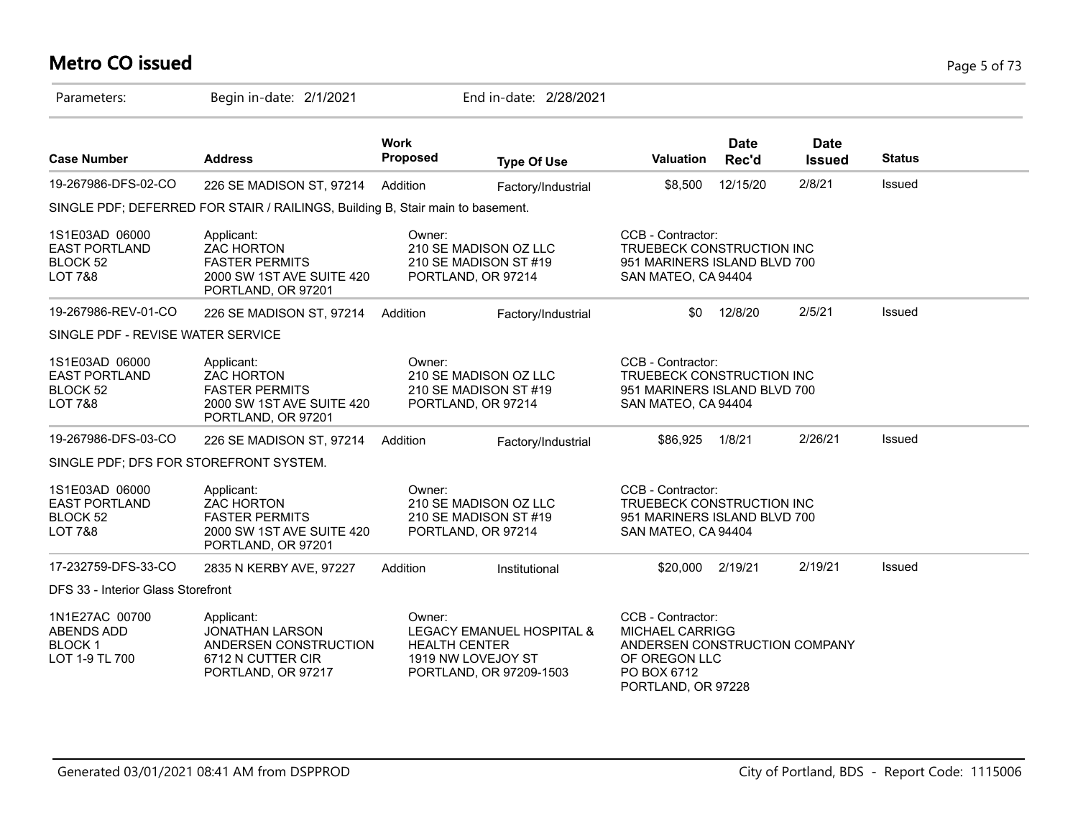# **Metro CO issued** Page 5 of 73

| Parameters:                                                              | Begin in-date: 2/1/2021                                                                                     |                                | End in-date: 2/28/2021                                                     |                                                                                                                                    |                      |                              |               |  |
|--------------------------------------------------------------------------|-------------------------------------------------------------------------------------------------------------|--------------------------------|----------------------------------------------------------------------------|------------------------------------------------------------------------------------------------------------------------------------|----------------------|------------------------------|---------------|--|
| <b>Case Number</b>                                                       | <b>Address</b>                                                                                              | <b>Work</b><br>Proposed        | <b>Type Of Use</b>                                                         | <b>Valuation</b>                                                                                                                   | <b>Date</b><br>Rec'd | <b>Date</b><br><b>Issued</b> | <b>Status</b> |  |
| 19-267986-DFS-02-CO                                                      | 226 SE MADISON ST, 97214                                                                                    | Addition                       | Factory/Industrial                                                         | \$8,500                                                                                                                            | 12/15/20             | 2/8/21                       | Issued        |  |
|                                                                          | SINGLE PDF; DEFERRED FOR STAIR / RAILINGS, Building B, Stair main to basement.                              |                                |                                                                            |                                                                                                                                    |                      |                              |               |  |
| 1S1E03AD 06000<br><b>EAST PORTLAND</b><br>BLOCK 52<br><b>LOT 7&amp;8</b> | Applicant:<br><b>ZAC HORTON</b><br><b>FASTER PERMITS</b><br>2000 SW 1ST AVE SUITE 420<br>PORTLAND, OR 97201 | Owner:                         | 210 SE MADISON OZ LLC<br>210 SE MADISON ST #19<br>PORTLAND, OR 97214       | CCB - Contractor:<br>TRUEBECK CONSTRUCTION INC<br>951 MARINERS ISLAND BLVD 700<br>SAN MATEO, CA 94404                              |                      |                              |               |  |
| 19-267986-REV-01-CO                                                      | 226 SE MADISON ST, 97214                                                                                    | Addition                       | Factory/Industrial                                                         | \$0                                                                                                                                | 12/8/20              | 2/5/21                       | Issued        |  |
| SINGLE PDF - REVISE WATER SERVICE                                        |                                                                                                             |                                |                                                                            |                                                                                                                                    |                      |                              |               |  |
| 1S1E03AD 06000<br><b>EAST PORTLAND</b><br>BLOCK 52<br><b>LOT 7&amp;8</b> | Applicant:<br><b>ZAC HORTON</b><br><b>FASTER PERMITS</b><br>2000 SW 1ST AVE SUITE 420<br>PORTLAND, OR 97201 | Owner:                         | 210 SE MADISON OZ LLC<br>210 SE MADISON ST #19<br>PORTLAND, OR 97214       | CCB - Contractor:<br>TRUEBECK CONSTRUCTION INC<br>951 MARINERS ISLAND BLVD 700<br>SAN MATEO, CA 94404                              |                      |                              |               |  |
| 19-267986-DFS-03-CO                                                      | 226 SE MADISON ST, 97214                                                                                    | Addition                       | Factory/Industrial                                                         | \$86,925                                                                                                                           | 1/8/21               | 2/26/21                      | Issued        |  |
| SINGLE PDF; DFS FOR STOREFRONT SYSTEM.                                   |                                                                                                             |                                |                                                                            |                                                                                                                                    |                      |                              |               |  |
| 1S1E03AD 06000<br><b>EAST PORTLAND</b><br>BLOCK 52<br><b>LOT 7&amp;8</b> | Applicant:<br><b>ZAC HORTON</b><br><b>FASTER PERMITS</b><br>2000 SW 1ST AVE SUITE 420<br>PORTLAND, OR 97201 | Owner:                         | 210 SE MADISON OZ LLC<br>210 SE MADISON ST #19<br>PORTLAND, OR 97214       | CCB - Contractor:<br>TRUEBECK CONSTRUCTION INC<br>951 MARINERS ISLAND BLVD 700<br>SAN MATEO, CA 94404                              |                      |                              |               |  |
| 17-232759-DFS-33-CO                                                      | 2835 N KERBY AVE, 97227                                                                                     | Addition                       | Institutional                                                              | \$20,000                                                                                                                           | 2/19/21              | 2/19/21                      | Issued        |  |
| DFS 33 - Interior Glass Storefront                                       |                                                                                                             |                                |                                                                            |                                                                                                                                    |                      |                              |               |  |
| 1N1E27AC 00700<br><b>ABENDS ADD</b><br><b>BLOCK1</b><br>LOT 1-9 TL 700   | Applicant:<br><b>JONATHAN LARSON</b><br>ANDERSEN CONSTRUCTION<br>6712 N CUTTER CIR<br>PORTLAND, OR 97217    | Owner:<br><b>HEALTH CENTER</b> | LEGACY EMANUEL HOSPITAL &<br>1919 NW LOVEJOY ST<br>PORTLAND, OR 97209-1503 | CCB - Contractor:<br><b>MICHAEL CARRIGG</b><br>ANDERSEN CONSTRUCTION COMPANY<br>OF OREGON LLC<br>PO BOX 6712<br>PORTLAND, OR 97228 |                      |                              |               |  |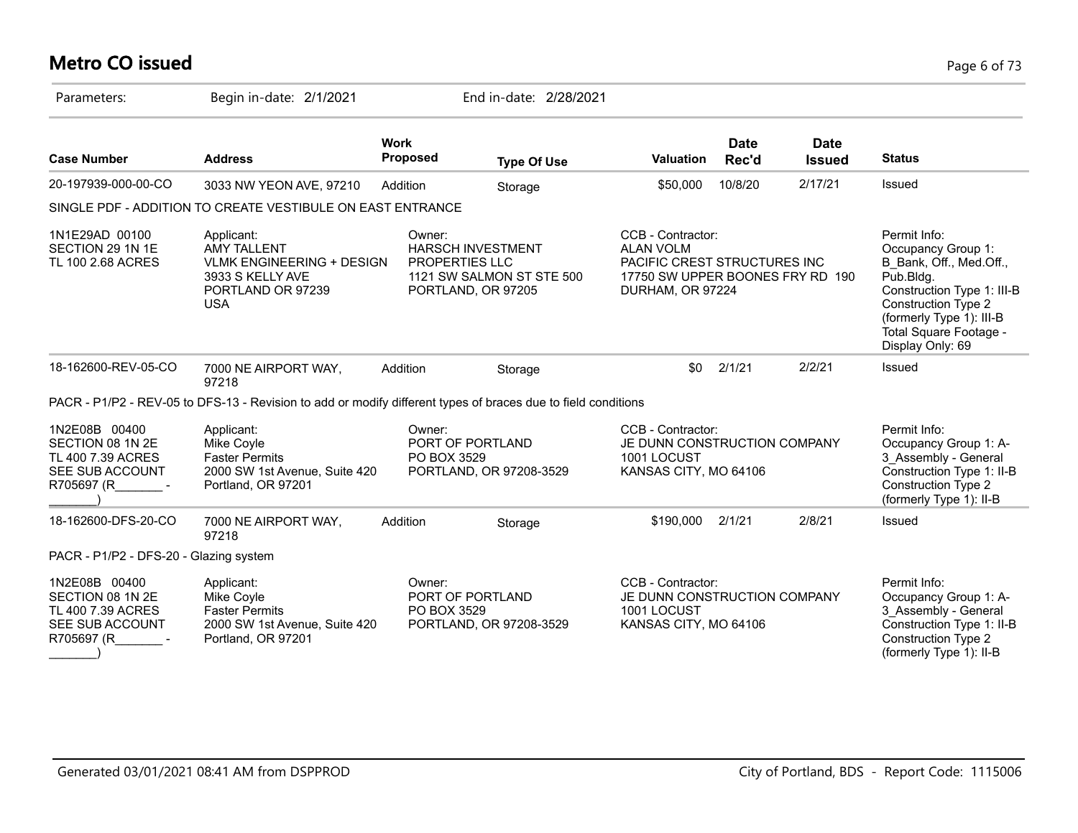# **Metro CO issued** Page 6 of 73

| Parameters:                                                                               | Begin in-date: 2/1/2021                                                                                                     |                                 | End in-date: 2/28/2021                                                      |                                                                                                                               |                      |                              |                                                                                                                                                                                                                  |
|-------------------------------------------------------------------------------------------|-----------------------------------------------------------------------------------------------------------------------------|---------------------------------|-----------------------------------------------------------------------------|-------------------------------------------------------------------------------------------------------------------------------|----------------------|------------------------------|------------------------------------------------------------------------------------------------------------------------------------------------------------------------------------------------------------------|
| <b>Case Number</b>                                                                        | <b>Address</b>                                                                                                              | <b>Work</b><br><b>Proposed</b>  | <b>Type Of Use</b>                                                          | Valuation                                                                                                                     | <b>Date</b><br>Rec'd | <b>Date</b><br><b>Issued</b> | <b>Status</b>                                                                                                                                                                                                    |
| 20-197939-000-00-CO                                                                       | 3033 NW YEON AVE, 97210                                                                                                     | Addition                        | Storage                                                                     | \$50,000                                                                                                                      | 10/8/20              | 2/17/21                      | Issued                                                                                                                                                                                                           |
|                                                                                           | SINGLE PDF - ADDITION TO CREATE VESTIBULE ON EAST ENTRANCE                                                                  |                                 |                                                                             |                                                                                                                               |                      |                              |                                                                                                                                                                                                                  |
| 1N1E29AD 00100<br>SECTION 29 1N 1E<br>TL 100 2.68 ACRES                                   | Applicant:<br><b>AMY TALLENT</b><br><b>VLMK ENGINEERING + DESIGN</b><br>3933 S KELLY AVE<br>PORTLAND OR 97239<br><b>USA</b> | Owner:<br><b>PROPERTIES LLC</b> | <b>HARSCH INVESTMENT</b><br>1121 SW SALMON ST STE 500<br>PORTLAND, OR 97205 | CCB - Contractor:<br><b>ALAN VOLM</b><br>PACIFIC CREST STRUCTURES INC<br>17750 SW UPPER BOONES FRY RD 190<br>DURHAM, OR 97224 |                      |                              | Permit Info:<br>Occupancy Group 1:<br>B Bank, Off., Med.Off.,<br>Pub.Bldg.<br>Construction Type 1: III-B<br><b>Construction Type 2</b><br>(formerly Type 1): III-B<br>Total Square Footage -<br>Display Only: 69 |
| 18-162600-REV-05-CO                                                                       | 7000 NE AIRPORT WAY,<br>97218                                                                                               | Addition                        | Storage                                                                     | \$0                                                                                                                           | 2/1/21               | 2/2/21                       | Issued                                                                                                                                                                                                           |
|                                                                                           | PACR - P1/P2 - REV-05 to DFS-13 - Revision to add or modify different types of braces due to field conditions               |                                 |                                                                             |                                                                                                                               |                      |                              |                                                                                                                                                                                                                  |
| 1N2E08B 00400<br>SECTION 08 1N 2E<br>TL 400 7.39 ACRES<br>SEE SUB ACCOUNT<br>R705697 (R - | Applicant:<br>Mike Coyle<br><b>Faster Permits</b><br>2000 SW 1st Avenue, Suite 420<br>Portland, OR 97201                    | Owner:<br>PO BOX 3529           | PORT OF PORTLAND<br>PORTLAND, OR 97208-3529                                 | CCB - Contractor:<br>JE DUNN CONSTRUCTION COMPANY<br>1001 LOCUST<br>KANSAS CITY, MO 64106                                     |                      |                              | Permit Info:<br>Occupancy Group 1: A-<br>3 Assembly - General<br>Construction Type 1: II-B<br><b>Construction Type 2</b><br>(formerly Type 1): II-B                                                              |
| 18-162600-DFS-20-CO                                                                       | 7000 NE AIRPORT WAY,<br>97218                                                                                               | Addition                        | Storage                                                                     | \$190,000                                                                                                                     | 2/1/21               | 2/8/21                       | Issued                                                                                                                                                                                                           |
| PACR - P1/P2 - DFS-20 - Glazing system                                                    |                                                                                                                             |                                 |                                                                             |                                                                                                                               |                      |                              |                                                                                                                                                                                                                  |
| 1N2E08B 00400<br>SECTION 08 1N 2E<br>TL 400 7.39 ACRES<br>SEE SUB ACCOUNT                 | Applicant:<br>Mike Coyle<br><b>Faster Permits</b><br>2000 SW 1st Avenue, Suite 420<br>Portland, OR 97201                    | Owner:<br>PO BOX 3529           | PORT OF PORTLAND<br>PORTLAND, OR 97208-3529                                 | CCB - Contractor:<br>JE DUNN CONSTRUCTION COMPANY<br>1001 LOCUST<br>KANSAS CITY, MO 64106                                     |                      |                              | Permit Info:<br>Occupancy Group 1: A-<br>3_Assembly - General<br>Construction Type 1: II-B<br>Construction Type 2<br>(formerly Type 1): II-B                                                                     |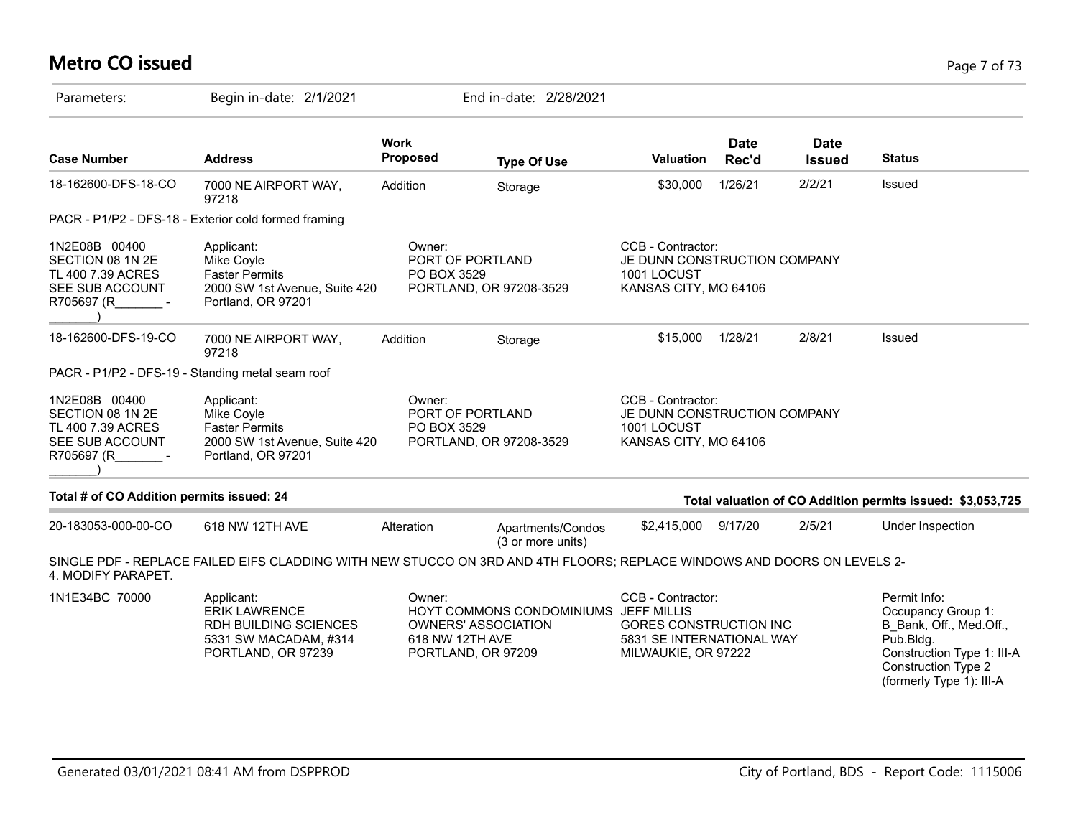### **Metro CO issued** Page 7 of 73

| Parameters:                                                                               | Begin in-date: 2/1/2021                                                                                                 |                           | End in-date: 2/28/2021                                                             |                                                                                                 |                      |                              |                                                                                                                                                                    |
|-------------------------------------------------------------------------------------------|-------------------------------------------------------------------------------------------------------------------------|---------------------------|------------------------------------------------------------------------------------|-------------------------------------------------------------------------------------------------|----------------------|------------------------------|--------------------------------------------------------------------------------------------------------------------------------------------------------------------|
| <b>Case Number</b>                                                                        | <b>Address</b>                                                                                                          | <b>Work</b><br>Proposed   | <b>Type Of Use</b>                                                                 | Valuation                                                                                       | <b>Date</b><br>Rec'd | <b>Date</b><br><b>Issued</b> | <b>Status</b>                                                                                                                                                      |
| 18-162600-DFS-18-CO                                                                       | 7000 NE AIRPORT WAY,<br>97218                                                                                           | Addition                  | Storage                                                                            | \$30,000                                                                                        | 1/26/21              | 2/2/21                       | Issued                                                                                                                                                             |
|                                                                                           | PACR - P1/P2 - DFS-18 - Exterior cold formed framing                                                                    |                           |                                                                                    |                                                                                                 |                      |                              |                                                                                                                                                                    |
| 1N2E08B 00400<br>SECTION 08 1N 2E<br>TL 400 7.39 ACRES<br>SEE SUB ACCOUNT<br>R705697 (R   | Applicant:<br>Mike Coyle<br><b>Faster Permits</b><br>2000 SW 1st Avenue, Suite 420<br>Portland, OR 97201                | Owner:<br>PO BOX 3529     | PORT OF PORTLAND<br>PORTLAND, OR 97208-3529                                        | CCB - Contractor:<br>JE DUNN CONSTRUCTION COMPANY<br>1001 LOCUST<br>KANSAS CITY, MO 64106       |                      |                              |                                                                                                                                                                    |
| 18-162600-DFS-19-CO                                                                       | 7000 NE AIRPORT WAY,<br>97218                                                                                           | Addition                  | Storage                                                                            | \$15,000                                                                                        | 1/28/21              | 2/8/21                       | <b>Issued</b>                                                                                                                                                      |
|                                                                                           | PACR - P1/P2 - DFS-19 - Standing metal seam roof                                                                        |                           |                                                                                    |                                                                                                 |                      |                              |                                                                                                                                                                    |
| 1N2E08B 00400<br>SECTION 08 1N 2E<br>TL 400 7.39 ACRES<br>SEE SUB ACCOUNT<br>R705697 (R - | Applicant:<br>Mike Coyle<br><b>Faster Permits</b><br>2000 SW 1st Avenue, Suite 420<br>Portland, OR 97201                | Owner:<br>PO BOX 3529     | PORT OF PORTLAND<br>PORTLAND, OR 97208-3529                                        | CCB - Contractor:<br>JE DUNN CONSTRUCTION COMPANY<br>1001 LOCUST<br>KANSAS CITY, MO 64106       |                      |                              |                                                                                                                                                                    |
| Total # of CO Addition permits issued: 24                                                 |                                                                                                                         |                           |                                                                                    |                                                                                                 |                      |                              | Total valuation of CO Addition permits issued: \$3,053,725                                                                                                         |
| 20-183053-000-00-CO                                                                       | 618 NW 12TH AVE                                                                                                         | Alteration                | Apartments/Condos<br>(3 or more units)                                             | \$2,415,000                                                                                     | 9/17/20              | 2/5/21                       | Under Inspection                                                                                                                                                   |
| 4. MODIFY PARAPET.                                                                        | SINGLE PDF - REPLACE FAILED EIFS CLADDING WITH NEW STUCCO ON 3RD AND 4TH FLOORS; REPLACE WINDOWS AND DOORS ON LEVELS 2- |                           |                                                                                    |                                                                                                 |                      |                              |                                                                                                                                                                    |
| 1N1E34BC 70000                                                                            | Applicant:<br><b>ERIK LAWRENCE</b><br>RDH BUILDING SCIENCES<br>5331 SW MACADAM, #314<br>PORTLAND, OR 97239              | Owner:<br>618 NW 12TH AVE | HOYT COMMONS CONDOMINIUMS JEFF MILLIS<br>OWNERS' ASSOCIATION<br>PORTLAND, OR 97209 | CCB - Contractor:<br>GORES CONSTRUCTION INC<br>5831 SE INTERNATIONAL WAY<br>MILWAUKIE, OR 97222 |                      |                              | Permit Info:<br>Occupancy Group 1:<br>B Bank, Off., Med.Off.,<br>Pub.Bldg.<br>Construction Type 1: III-A<br><b>Construction Type 2</b><br>(formerly Type 1): III-A |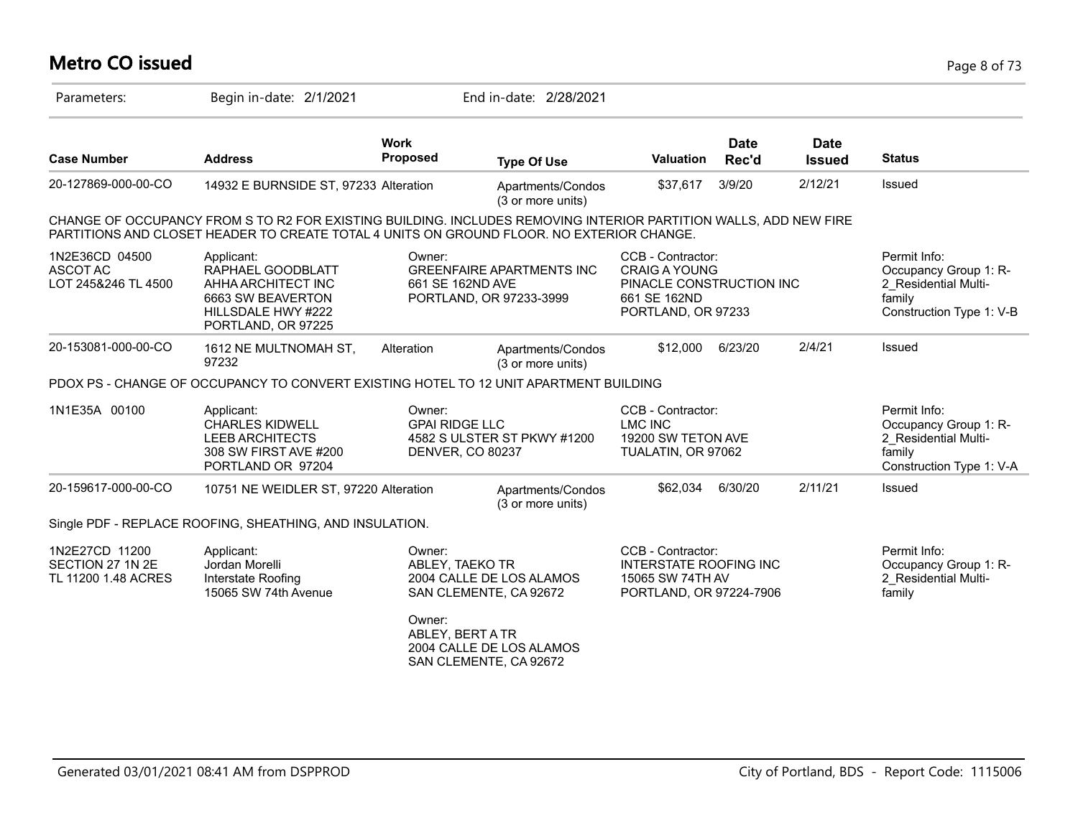# **Metro CO issued** Page 8 of 73

| Parameters:                                               | Begin in-date: 2/1/2021                                                                                                                                                                                       |                                                     | End in-date: 2/28/2021                                      |                                                                                                             |                      |                              |                                                                                                     |
|-----------------------------------------------------------|---------------------------------------------------------------------------------------------------------------------------------------------------------------------------------------------------------------|-----------------------------------------------------|-------------------------------------------------------------|-------------------------------------------------------------------------------------------------------------|----------------------|------------------------------|-----------------------------------------------------------------------------------------------------|
| <b>Case Number</b>                                        | <b>Address</b>                                                                                                                                                                                                | <b>Work</b><br>Proposed                             | <b>Type Of Use</b>                                          | <b>Valuation</b>                                                                                            | <b>Date</b><br>Rec'd | <b>Date</b><br><b>Issued</b> | <b>Status</b>                                                                                       |
| 20-127869-000-00-CO                                       | 14932 E BURNSIDE ST, 97233 Alteration                                                                                                                                                                         |                                                     | Apartments/Condos<br>(3 or more units)                      | \$37,617                                                                                                    | 3/9/20               | 2/12/21                      | Issued                                                                                              |
|                                                           | CHANGE OF OCCUPANCY FROM S TO R2 FOR EXISTING BUILDING. INCLUDES REMOVING INTERIOR PARTITION WALLS, ADD NEW FIRE<br>PARTITIONS AND CLOSET HEADER TO CREATE TOTAL 4 UNITS ON GROUND FLOOR. NO EXTERIOR CHANGE. |                                                     |                                                             |                                                                                                             |                      |                              |                                                                                                     |
| 1N2E36CD 04500<br>ASCOT AC<br>LOT 245&246 TL 4500         | Applicant:<br>RAPHAEL GOODBLATT<br>AHHA ARCHITECT INC<br>6663 SW BEAVERTON<br>HILLSDALE HWY #222<br>PORTLAND, OR 97225                                                                                        | Owner:<br>661 SE 162ND AVE                          | <b>GREENFAIRE APARTMENTS INC</b><br>PORTLAND, OR 97233-3999 | CCB - Contractor:<br><b>CRAIG A YOUNG</b><br>PINACLE CONSTRUCTION INC<br>661 SE 162ND<br>PORTLAND, OR 97233 |                      |                              | Permit Info:<br>Occupancy Group 1: R-<br>2 Residential Multi-<br>family<br>Construction Type 1: V-B |
| 20-153081-000-00-CO                                       | 1612 NE MULTNOMAH ST,<br>97232                                                                                                                                                                                | Alteration                                          | Apartments/Condos<br>(3 or more units)                      | \$12,000                                                                                                    | 6/23/20              | 2/4/21                       | Issued                                                                                              |
|                                                           | PDOX PS - CHANGE OF OCCUPANCY TO CONVERT EXISTING HOTEL TO 12 UNIT APARTMENT BUILDING                                                                                                                         |                                                     |                                                             |                                                                                                             |                      |                              |                                                                                                     |
| 1N1E35A 00100                                             | Applicant:<br><b>CHARLES KIDWELL</b><br><b>LEEB ARCHITECTS</b><br>308 SW FIRST AVE #200<br>PORTLAND OR 97204                                                                                                  | Owner:<br><b>GPAI RIDGE LLC</b><br>DENVER, CO 80237 | 4582 S ULSTER ST PKWY #1200                                 | CCB - Contractor:<br><b>LMC INC</b><br>19200 SW TETON AVE<br>TUALATIN, OR 97062                             |                      |                              | Permit Info:<br>Occupancy Group 1: R-<br>2 Residential Multi-<br>family<br>Construction Type 1: V-A |
| 20-159617-000-00-CO                                       | 10751 NE WEIDLER ST, 97220 Alteration                                                                                                                                                                         |                                                     | Apartments/Condos<br>(3 or more units)                      | \$62,034                                                                                                    | 6/30/20              | 2/11/21                      | Issued                                                                                              |
|                                                           | Single PDF - REPLACE ROOFING, SHEATHING, AND INSULATION.                                                                                                                                                      |                                                     |                                                             |                                                                                                             |                      |                              |                                                                                                     |
| 1N2E27CD 11200<br>SECTION 27 1N 2E<br>TL 11200 1.48 ACRES | Applicant:<br>Jordan Morelli<br>Interstate Roofing<br>15065 SW 74th Avenue                                                                                                                                    | Owner:<br>ABLEY, TAEKO TR                           | 2004 CALLE DE LOS ALAMOS<br>SAN CLEMENTE, CA 92672          | CCB - Contractor:<br><b>INTERSTATE ROOFING INC</b><br>15065 SW 74TH AV<br>PORTLAND, OR 97224-7906           |                      |                              | Permit Info:<br>Occupancy Group 1: R-<br>2 Residential Multi-<br>family                             |
|                                                           |                                                                                                                                                                                                               | Owner:<br>ABLEY, BERT A TR                          | 2004 CALLE DE LOS ALAMOS<br>SAN CLEMENTE, CA 92672          |                                                                                                             |                      |                              |                                                                                                     |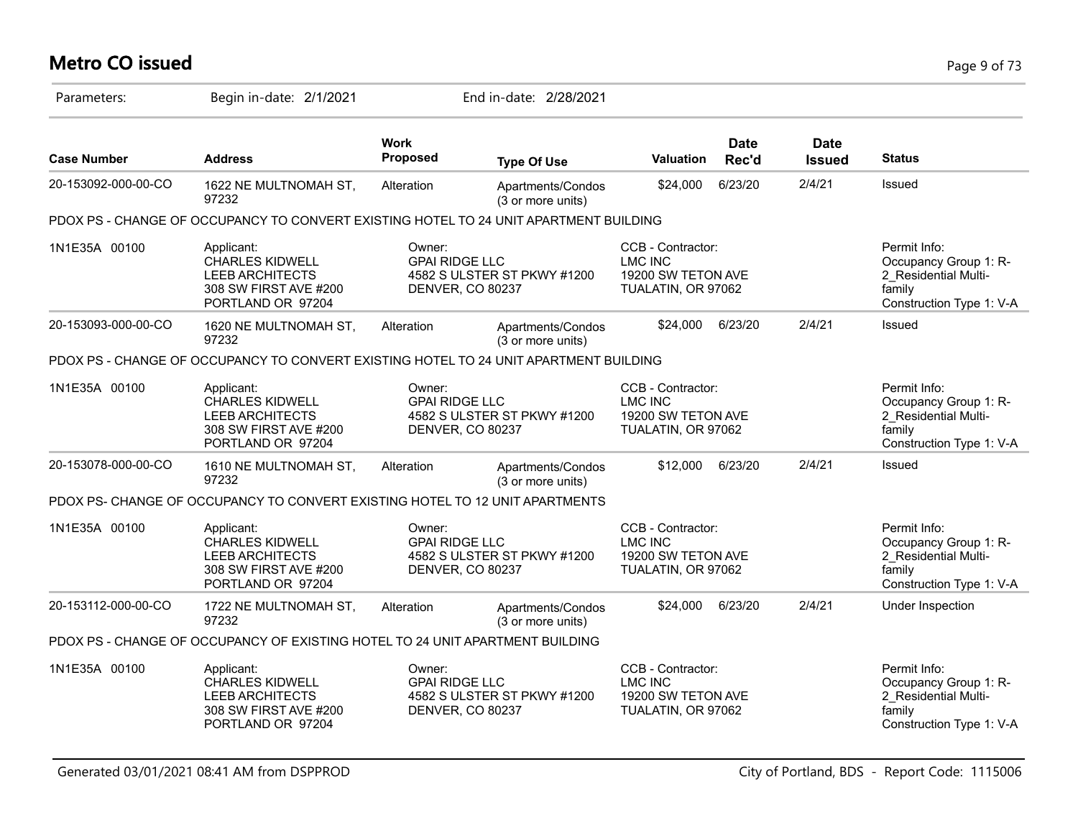# **Metro CO issued** Page 9 of 73

| Parameters:         | Begin in-date: 2/1/2021                                                                                      |                                                     | End in-date: 2/28/2021                 |                                                                                 |                      |                              |                                                                                                     |
|---------------------|--------------------------------------------------------------------------------------------------------------|-----------------------------------------------------|----------------------------------------|---------------------------------------------------------------------------------|----------------------|------------------------------|-----------------------------------------------------------------------------------------------------|
| <b>Case Number</b>  | <b>Address</b>                                                                                               | <b>Work</b><br>Proposed                             | <b>Type Of Use</b>                     | Valuation                                                                       | <b>Date</b><br>Rec'd | <b>Date</b><br><b>Issued</b> | <b>Status</b>                                                                                       |
| 20-153092-000-00-CO | 1622 NE MULTNOMAH ST,<br>97232                                                                               | Alteration                                          | Apartments/Condos<br>(3 or more units) | \$24,000                                                                        | 6/23/20              | 2/4/21                       | Issued                                                                                              |
|                     | PDOX PS - CHANGE OF OCCUPANCY TO CONVERT EXISTING HOTEL TO 24 UNIT APARTMENT BUILDING                        |                                                     |                                        |                                                                                 |                      |                              |                                                                                                     |
| 1N1E35A 00100       | Applicant:<br><b>CHARLES KIDWELL</b><br><b>LEEB ARCHITECTS</b><br>308 SW FIRST AVE #200<br>PORTLAND OR 97204 | Owner:<br><b>GPAI RIDGE LLC</b><br>DENVER, CO 80237 | 4582 S ULSTER ST PKWY #1200            | CCB - Contractor:<br><b>LMC INC</b><br>19200 SW TETON AVE<br>TUALATIN, OR 97062 |                      |                              | Permit Info:<br>Occupancy Group 1: R-<br>2 Residential Multi-<br>family<br>Construction Type 1: V-A |
| 20-153093-000-00-CO | 1620 NE MULTNOMAH ST,<br>97232                                                                               | Alteration                                          | Apartments/Condos<br>(3 or more units) | \$24,000                                                                        | 6/23/20              | 2/4/21                       | Issued                                                                                              |
|                     | PDOX PS - CHANGE OF OCCUPANCY TO CONVERT EXISTING HOTEL TO 24 UNIT APARTMENT BUILDING                        |                                                     |                                        |                                                                                 |                      |                              |                                                                                                     |
| 1N1E35A 00100       | Applicant:<br><b>CHARLES KIDWELL</b><br><b>LEEB ARCHITECTS</b><br>308 SW FIRST AVE #200<br>PORTLAND OR 97204 | Owner:<br><b>GPAI RIDGE LLC</b><br>DENVER, CO 80237 | 4582 S ULSTER ST PKWY #1200            | CCB - Contractor:<br><b>LMC INC</b><br>19200 SW TETON AVE<br>TUALATIN, OR 97062 |                      |                              | Permit Info:<br>Occupancy Group 1: R-<br>2 Residential Multi-<br>family<br>Construction Type 1: V-A |
| 20-153078-000-00-CO | 1610 NE MULTNOMAH ST,<br>97232                                                                               | Alteration                                          | Apartments/Condos<br>(3 or more units) | \$12,000                                                                        | 6/23/20              | 2/4/21                       | Issued                                                                                              |
|                     | PDOX PS- CHANGE OF OCCUPANCY TO CONVERT EXISTING HOTEL TO 12 UNIT APARTMENTS                                 |                                                     |                                        |                                                                                 |                      |                              |                                                                                                     |
| 1N1E35A 00100       | Applicant:<br><b>CHARLES KIDWELL</b><br><b>LEEB ARCHITECTS</b><br>308 SW FIRST AVE #200<br>PORTLAND OR 97204 | Owner:<br><b>GPAI RIDGE LLC</b><br>DENVER, CO 80237 | 4582 S ULSTER ST PKWY #1200            | CCB - Contractor:<br><b>LMC INC</b><br>19200 SW TETON AVE<br>TUALATIN, OR 97062 |                      |                              | Permit Info:<br>Occupancy Group 1: R-<br>2_Residential Multi-<br>family<br>Construction Type 1: V-A |
| 20-153112-000-00-CO | 1722 NE MULTNOMAH ST,<br>97232                                                                               | Alteration                                          | Apartments/Condos<br>(3 or more units) | \$24,000                                                                        | 6/23/20              | 2/4/21                       | Under Inspection                                                                                    |
|                     | PDOX PS - CHANGE OF OCCUPANCY OF EXISTING HOTEL TO 24 UNIT APARTMENT BUILDING                                |                                                     |                                        |                                                                                 |                      |                              |                                                                                                     |
| 1N1E35A 00100       | Applicant:<br><b>CHARLES KIDWELL</b><br><b>LEEB ARCHITECTS</b><br>308 SW FIRST AVE #200<br>PORTLAND OR 97204 | Owner:<br><b>GPAI RIDGE LLC</b><br>DENVER, CO 80237 | 4582 S ULSTER ST PKWY #1200            | CCB - Contractor:<br><b>LMC INC</b><br>19200 SW TETON AVE<br>TUALATIN, OR 97062 |                      |                              | Permit Info:<br>Occupancy Group 1: R-<br>2 Residential Multi-<br>family<br>Construction Type 1: V-A |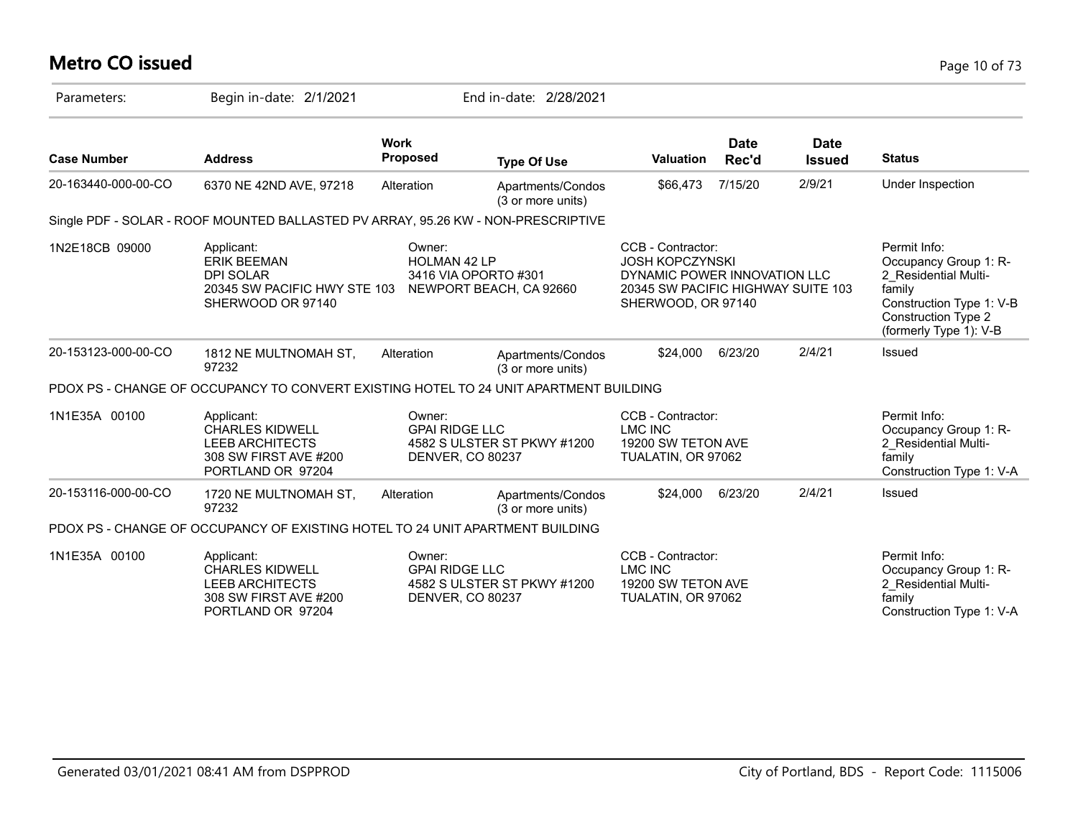# **Metro CO issued** Page 10 of 73

| Parameters:         | Begin in-date: 2/1/2021                                                                                      |                                                            | End in-date: 2/28/2021                 |                                                                                                                                         |                      |                              |                                                                                                                                                             |
|---------------------|--------------------------------------------------------------------------------------------------------------|------------------------------------------------------------|----------------------------------------|-----------------------------------------------------------------------------------------------------------------------------------------|----------------------|------------------------------|-------------------------------------------------------------------------------------------------------------------------------------------------------------|
| <b>Case Number</b>  | <b>Address</b>                                                                                               | <b>Work</b><br>Proposed                                    | <b>Type Of Use</b>                     | <b>Valuation</b>                                                                                                                        | <b>Date</b><br>Rec'd | <b>Date</b><br><b>Issued</b> | <b>Status</b>                                                                                                                                               |
| 20-163440-000-00-CO | 6370 NE 42ND AVE, 97218                                                                                      | Alteration                                                 | Apartments/Condos<br>(3 or more units) | \$66,473                                                                                                                                | 7/15/20              | 2/9/21                       | Under Inspection                                                                                                                                            |
|                     | Single PDF - SOLAR - ROOF MOUNTED BALLASTED PV ARRAY, 95.26 KW - NON-PRESCRIPTIVE                            |                                                            |                                        |                                                                                                                                         |                      |                              |                                                                                                                                                             |
| 1N2E18CB 09000      | Applicant:<br><b>ERIK BEEMAN</b><br><b>DPI SOLAR</b><br>20345 SW PACIFIC HWY STE 103<br>SHERWOOD OR 97140    | Owner:<br>HOLMAN 42 LP<br>3416 VIA OPORTO #301             | NEWPORT BEACH, CA 92660                | CCB - Contractor:<br><b>JOSH KOPCZYNSKI</b><br>DYNAMIC POWER INNOVATION LLC<br>20345 SW PACIFIC HIGHWAY SUITE 103<br>SHERWOOD, OR 97140 |                      |                              | Permit Info:<br>Occupancy Group 1: R-<br>2 Residential Multi-<br>family<br>Construction Type 1: V-B<br><b>Construction Type 2</b><br>(formerly Type 1): V-B |
| 20-153123-000-00-CO | 1812 NE MULTNOMAH ST,<br>97232                                                                               | Alteration                                                 | Apartments/Condos<br>(3 or more units) | \$24,000                                                                                                                                | 6/23/20              | 2/4/21                       | <b>Issued</b>                                                                                                                                               |
|                     | PDOX PS - CHANGE OF OCCUPANCY TO CONVERT EXISTING HOTEL TO 24 UNIT APARTMENT BUILDING                        |                                                            |                                        |                                                                                                                                         |                      |                              |                                                                                                                                                             |
| 1N1E35A 00100       | Applicant:<br><b>CHARLES KIDWELL</b><br><b>LEEB ARCHITECTS</b><br>308 SW FIRST AVE #200<br>PORTLAND OR 97204 | Owner:<br><b>GPAI RIDGE LLC</b><br>DENVER, CO 80237        | 4582 S ULSTER ST PKWY #1200            | CCB - Contractor:<br>LMC INC<br>19200 SW TETON AVE<br>TUALATIN, OR 97062                                                                |                      |                              | Permit Info:<br>Occupancy Group 1: R-<br>2 Residential Multi-<br>family<br>Construction Type 1: V-A                                                         |
| 20-153116-000-00-CO | 1720 NE MULTNOMAH ST.<br>97232                                                                               | Alteration                                                 | Apartments/Condos<br>(3 or more units) | \$24,000                                                                                                                                | 6/23/20              | 2/4/21                       | <b>Issued</b>                                                                                                                                               |
|                     | PDOX PS - CHANGE OF OCCUPANCY OF EXISTING HOTEL TO 24 UNIT APARTMENT BUILDING                                |                                                            |                                        |                                                                                                                                         |                      |                              |                                                                                                                                                             |
| 1N1E35A 00100       | Applicant:<br><b>CHARLES KIDWELL</b><br><b>LEEB ARCHITECTS</b><br>308 SW FIRST AVE #200<br>PORTLAND OR 97204 | Owner:<br><b>GPAI RIDGE LLC</b><br><b>DENVER, CO 80237</b> | 4582 S ULSTER ST PKWY #1200            | CCB - Contractor:<br><b>LMC INC</b><br>19200 SW TETON AVE<br>TUALATIN, OR 97062                                                         |                      |                              | Permit Info:<br>Occupancy Group 1: R-<br>2 Residential Multi-<br>family<br>Construction Type 1: V-A                                                         |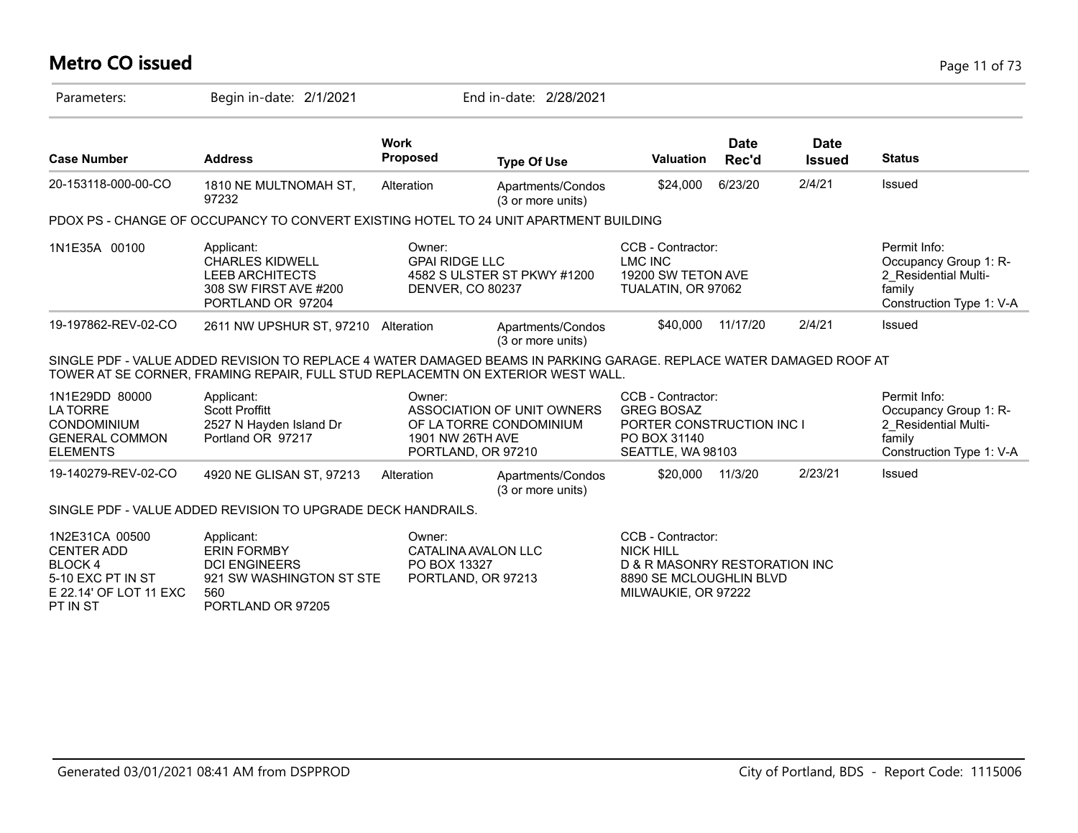### **Metro CO issued** Page 11 of 73

| Parameters:                                                                                                     | Begin in-date: 2/1/2021                                                                                                                                                                                |                                                                     | End in-date: 2/28/2021                                |                                                                                                                          |                      |                              |                                                                                                     |
|-----------------------------------------------------------------------------------------------------------------|--------------------------------------------------------------------------------------------------------------------------------------------------------------------------------------------------------|---------------------------------------------------------------------|-------------------------------------------------------|--------------------------------------------------------------------------------------------------------------------------|----------------------|------------------------------|-----------------------------------------------------------------------------------------------------|
| <b>Case Number</b>                                                                                              | <b>Address</b>                                                                                                                                                                                         | <b>Work</b><br><b>Proposed</b>                                      | <b>Type Of Use</b>                                    | <b>Valuation</b>                                                                                                         | <b>Date</b><br>Rec'd | <b>Date</b><br><b>Issued</b> | <b>Status</b>                                                                                       |
| 20-153118-000-00-CO                                                                                             | 1810 NE MULTNOMAH ST,<br>97232                                                                                                                                                                         | Alteration                                                          | Apartments/Condos<br>(3 or more units)                | \$24,000                                                                                                                 | 6/23/20              | 2/4/21                       | <b>Issued</b>                                                                                       |
|                                                                                                                 | PDOX PS - CHANGE OF OCCUPANCY TO CONVERT EXISTING HOTEL TO 24 UNIT APARTMENT BUILDING                                                                                                                  |                                                                     |                                                       |                                                                                                                          |                      |                              |                                                                                                     |
| 1N1E35A 00100                                                                                                   | Applicant:<br><b>CHARLES KIDWELL</b><br><b>LEEB ARCHITECTS</b><br>308 SW FIRST AVE #200<br>PORTLAND OR 97204                                                                                           | Owner:<br><b>GPAI RIDGE LLC</b><br><b>DENVER, CO 80237</b>          | 4582 S ULSTER ST PKWY #1200                           | CCB - Contractor:<br><b>LMC INC</b><br>19200 SW TETON AVE<br>TUALATIN, OR 97062                                          |                      |                              | Permit Info:<br>Occupancy Group 1: R-<br>2 Residential Multi-<br>family<br>Construction Type 1: V-A |
| 19-197862-REV-02-CO                                                                                             | 2611 NW UPSHUR ST, 97210 Alteration                                                                                                                                                                    |                                                                     | Apartments/Condos<br>(3 or more units)                | \$40,000                                                                                                                 | 11/17/20             | 2/4/21                       | Issued                                                                                              |
|                                                                                                                 | SINGLE PDF - VALUE ADDED REVISION TO REPLACE 4 WATER DAMAGED BEAMS IN PARKING GARAGE. REPLACE WATER DAMAGED ROOF AT<br>TOWER AT SE CORNER, FRAMING REPAIR, FULL STUD REPLACEMTN ON EXTERIOR WEST WALL. |                                                                     |                                                       |                                                                                                                          |                      |                              |                                                                                                     |
| 1N1E29DD 80000<br><b>LATORRE</b><br><b>CONDOMINIUM</b><br><b>GENERAL COMMON</b><br><b>ELEMENTS</b>              | Applicant:<br><b>Scott Proffitt</b><br>2527 N Hayden Island Dr<br>Portland OR 97217                                                                                                                    | Owner:<br>1901 NW 26TH AVE<br>PORTLAND, OR 97210                    | ASSOCIATION OF UNIT OWNERS<br>OF LA TORRE CONDOMINIUM | CCB - Contractor:<br><b>GREG BOSAZ</b><br>PORTER CONSTRUCTION INC I<br>PO BOX 31140<br>SEATTLE, WA 98103                 |                      |                              | Permit Info:<br>Occupancy Group 1: R-<br>2_Residential Multi-<br>family<br>Construction Type 1: V-A |
| 19-140279-REV-02-CO                                                                                             | 4920 NE GLISAN ST, 97213                                                                                                                                                                               | Alteration                                                          | Apartments/Condos<br>(3 or more units)                | \$20,000                                                                                                                 | 11/3/20              | 2/23/21                      | Issued                                                                                              |
|                                                                                                                 | SINGLE PDF - VALUE ADDED REVISION TO UPGRADE DECK HANDRAILS.                                                                                                                                           |                                                                     |                                                       |                                                                                                                          |                      |                              |                                                                                                     |
| 1N2E31CA 00500<br><b>CENTER ADD</b><br><b>BLOCK4</b><br>5-10 EXC PT IN ST<br>E 22.14' OF LOT 11 EXC<br>PT IN ST | Applicant:<br><b>ERIN FORMBY</b><br><b>DCI ENGINEERS</b><br>921 SW WASHINGTON ST STE<br>560<br>PORTLAND OR 97205                                                                                       | Owner:<br>CATALINA AVALON LLC<br>PO BOX 13327<br>PORTLAND, OR 97213 |                                                       | CCB - Contractor:<br><b>NICK HILL</b><br>D & R MASONRY RESTORATION INC<br>8890 SE MCLOUGHLIN BLVD<br>MILWAUKIE, OR 97222 |                      |                              |                                                                                                     |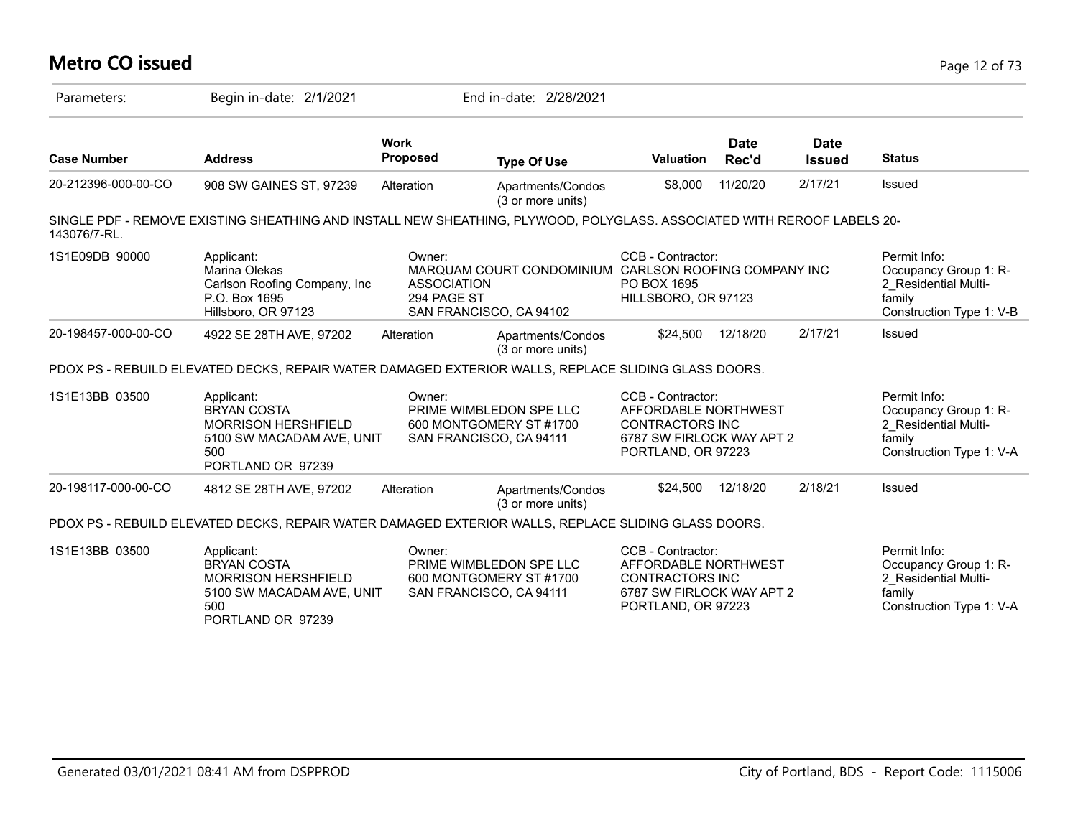# **Metro CO issued** Page 12 of 73

| Parameters:         | Begin in-date: 2/1/2021                                                                                                 |                                             | End in-date: 2/28/2021                                                           |                                                                                                                        |                      |                              |                                                                                                     |
|---------------------|-------------------------------------------------------------------------------------------------------------------------|---------------------------------------------|----------------------------------------------------------------------------------|------------------------------------------------------------------------------------------------------------------------|----------------------|------------------------------|-----------------------------------------------------------------------------------------------------|
| <b>Case Number</b>  | <b>Address</b>                                                                                                          | <b>Work</b><br>Proposed                     | <b>Type Of Use</b>                                                               | <b>Valuation</b>                                                                                                       | <b>Date</b><br>Rec'd | <b>Date</b><br><b>Issued</b> | <b>Status</b>                                                                                       |
| 20-212396-000-00-CO | 908 SW GAINES ST, 97239                                                                                                 | Alteration                                  | Apartments/Condos<br>(3 or more units)                                           | \$8,000                                                                                                                | 11/20/20             | 2/17/21                      | Issued                                                                                              |
| 143076/7-RL.        | SINGLE PDF - REMOVE EXISTING SHEATHING AND INSTALL NEW SHEATHING, PLYWOOD, POLYGLASS. ASSOCIATED WITH REROOF LABELS 20- |                                             |                                                                                  |                                                                                                                        |                      |                              |                                                                                                     |
| 1S1E09DB 90000      | Applicant:<br>Marina Olekas<br>Carlson Roofing Company, Inc.<br>P.O. Box 1695<br>Hillsboro, OR 97123                    | Owner:<br><b>ASSOCIATION</b><br>294 PAGE ST | MARQUAM COURT CONDOMINIUM CARLSON ROOFING COMPANY INC<br>SAN FRANCISCO, CA 94102 | CCB - Contractor:<br>PO BOX 1695<br>HILLSBORO, OR 97123                                                                |                      |                              | Permit Info:<br>Occupancy Group 1: R-<br>2 Residential Multi-<br>family<br>Construction Type 1: V-B |
| 20-198457-000-00-CO | 4922 SE 28TH AVE, 97202                                                                                                 | Alteration                                  | Apartments/Condos<br>(3 or more units)                                           | \$24,500                                                                                                               | 12/18/20             | 2/17/21                      | Issued                                                                                              |
|                     | PDOX PS - REBUILD ELEVATED DECKS, REPAIR WATER DAMAGED EXTERIOR WALLS, REPLACE SLIDING GLASS DOORS.                     |                                             |                                                                                  |                                                                                                                        |                      |                              |                                                                                                     |
| 1S1E13BB 03500      | Applicant:<br><b>BRYAN COSTA</b><br>MORRISON HERSHFIELD<br>5100 SW MACADAM AVE, UNIT<br>500<br>PORTLAND OR 97239        | Owner:                                      | PRIME WIMBLEDON SPE LLC<br>600 MONTGOMERY ST #1700<br>SAN FRANCISCO, CA 94111    | CCB - Contractor:<br>AFFORDABLE NORTHWEST<br><b>CONTRACTORS INC</b><br>6787 SW FIRLOCK WAY APT 2<br>PORTLAND, OR 97223 |                      |                              | Permit Info:<br>Occupancy Group 1: R-<br>2 Residential Multi-<br>family<br>Construction Type 1: V-A |
| 20-198117-000-00-CO | 4812 SE 28TH AVE, 97202                                                                                                 | Alteration                                  | Apartments/Condos<br>(3 or more units)                                           | \$24,500                                                                                                               | 12/18/20             | 2/18/21                      | Issued                                                                                              |
|                     | PDOX PS - REBUILD ELEVATED DECKS, REPAIR WATER DAMAGED EXTERIOR WALLS, REPLACE SLIDING GLASS DOORS.                     |                                             |                                                                                  |                                                                                                                        |                      |                              |                                                                                                     |
| 1S1E13BB 03500      | Applicant:<br><b>BRYAN COSTA</b><br><b>MORRISON HERSHFIELD</b><br>5100 SW MACADAM AVE, UNIT<br>500<br>PORTLAND OR 97239 | Owner:                                      | PRIME WIMBLEDON SPE LLC<br>600 MONTGOMERY ST #1700<br>SAN FRANCISCO, CA 94111    | CCB - Contractor:<br>AFFORDABLE NORTHWEST<br><b>CONTRACTORS INC</b><br>6787 SW FIRLOCK WAY APT 2<br>PORTLAND, OR 97223 |                      |                              | Permit Info:<br>Occupancy Group 1: R-<br>2 Residential Multi-<br>family<br>Construction Type 1: V-A |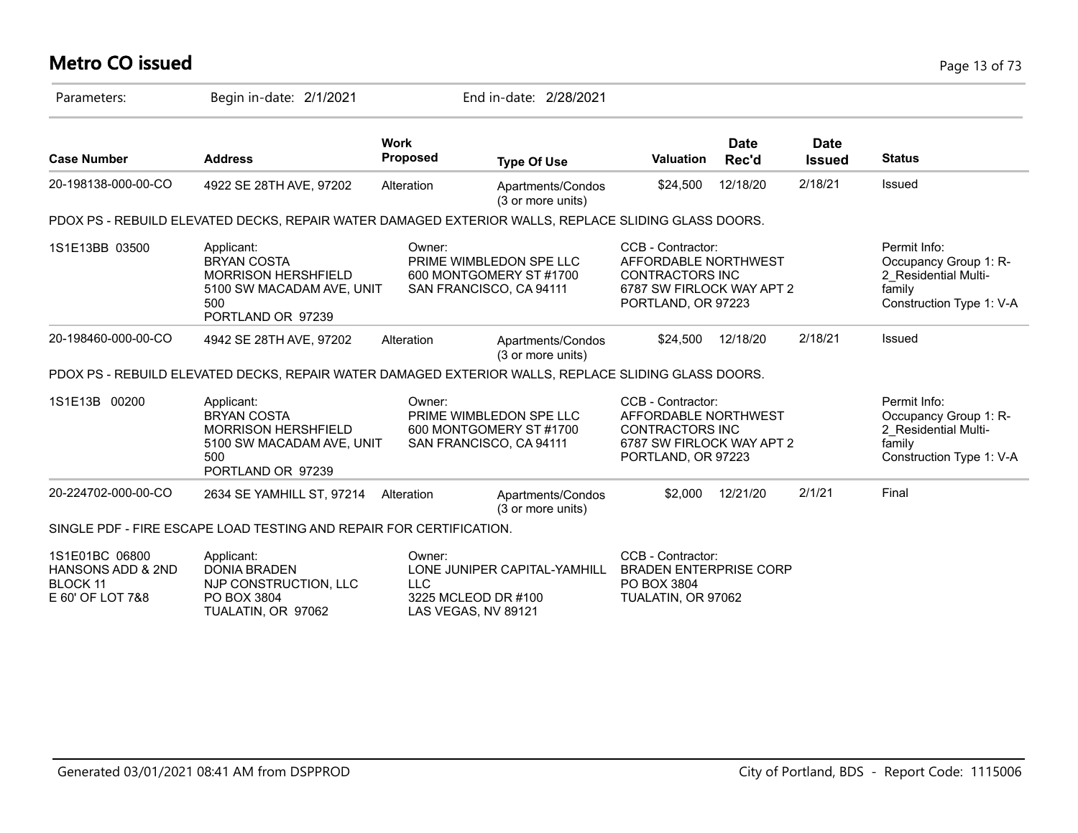# **Metro CO issued** Page 13 of 73

| Parameters:                                                         | Begin in-date: 2/1/2021                                                                                                 |                                                                    | End in-date: 2/28/2021                             |                                                                                                                        |                      |                              |                                                                                                     |
|---------------------------------------------------------------------|-------------------------------------------------------------------------------------------------------------------------|--------------------------------------------------------------------|----------------------------------------------------|------------------------------------------------------------------------------------------------------------------------|----------------------|------------------------------|-----------------------------------------------------------------------------------------------------|
| <b>Case Number</b>                                                  | <b>Address</b>                                                                                                          | <b>Work</b><br>Proposed                                            | <b>Type Of Use</b>                                 | <b>Valuation</b>                                                                                                       | <b>Date</b><br>Rec'd | <b>Date</b><br><b>Issued</b> | <b>Status</b>                                                                                       |
| 20-198138-000-00-CO                                                 | 4922 SE 28TH AVE, 97202                                                                                                 | Alteration                                                         | Apartments/Condos<br>(3 or more units)             | \$24,500                                                                                                               | 12/18/20             | 2/18/21                      | Issued                                                                                              |
|                                                                     | PDOX PS - REBUILD ELEVATED DECKS, REPAIR WATER DAMAGED EXTERIOR WALLS, REPLACE SLIDING GLASS DOORS.                     |                                                                    |                                                    |                                                                                                                        |                      |                              |                                                                                                     |
| 1S1E13BB 03500                                                      | Applicant:<br><b>BRYAN COSTA</b><br><b>MORRISON HERSHFIELD</b><br>5100 SW MACADAM AVE, UNIT<br>500<br>PORTLAND OR 97239 | Owner:<br>SAN FRANCISCO, CA 94111                                  | PRIME WIMBLEDON SPE LLC<br>600 MONTGOMERY ST #1700 | CCB - Contractor:<br>AFFORDABLE NORTHWEST<br><b>CONTRACTORS INC</b><br>6787 SW FIRLOCK WAY APT 2<br>PORTLAND, OR 97223 |                      |                              | Permit Info:<br>Occupancy Group 1: R-<br>2 Residential Multi-<br>family<br>Construction Type 1: V-A |
| 20-198460-000-00-CO                                                 | 4942 SE 28TH AVE, 97202                                                                                                 | Alteration                                                         | Apartments/Condos<br>(3 or more units)             | \$24,500                                                                                                               | 12/18/20             | 2/18/21                      | Issued                                                                                              |
|                                                                     | PDOX PS - REBUILD ELEVATED DECKS, REPAIR WATER DAMAGED EXTERIOR WALLS, REPLACE SLIDING GLASS DOORS.                     |                                                                    |                                                    |                                                                                                                        |                      |                              |                                                                                                     |
| 1S1E13B 00200                                                       | Applicant:<br><b>BRYAN COSTA</b><br><b>MORRISON HERSHFIELD</b><br>5100 SW MACADAM AVE, UNIT<br>500<br>PORTLAND OR 97239 | Owner:<br>SAN FRANCISCO, CA 94111                                  | PRIME WIMBLEDON SPE LLC<br>600 MONTGOMERY ST #1700 | CCB - Contractor:<br>AFFORDABLE NORTHWEST<br><b>CONTRACTORS INC</b><br>6787 SW FIRLOCK WAY APT 2<br>PORTLAND, OR 97223 |                      |                              | Permit Info:<br>Occupancy Group 1: R-<br>2 Residential Multi-<br>family<br>Construction Type 1: V-A |
| 20-224702-000-00-CO                                                 | 2634 SE YAMHILL ST, 97214                                                                                               | Alteration                                                         | Apartments/Condos<br>(3 or more units)             | \$2,000                                                                                                                | 12/21/20             | 2/1/21                       | Final                                                                                               |
|                                                                     | SINGLE PDF - FIRE ESCAPE LOAD TESTING AND REPAIR FOR CERTIFICATION.                                                     |                                                                    |                                                    |                                                                                                                        |                      |                              |                                                                                                     |
| 1S1E01BC 06800<br>HANSONS ADD & 2ND<br>BLOCK 11<br>E 60' OF LOT 7&8 | Applicant:<br><b>DONIA BRADEN</b><br>NJP CONSTRUCTION, LLC<br>PO BOX 3804<br>TUALATIN, OR 97062                         | Owner:<br><b>LLC</b><br>3225 MCLEOD DR #100<br>LAS VEGAS, NV 89121 | LONE JUNIPER CAPITAL-YAMHILL                       | CCB - Contractor:<br><b>BRADEN ENTERPRISE CORP</b><br>PO BOX 3804<br>TUALATIN, OR 97062                                |                      |                              |                                                                                                     |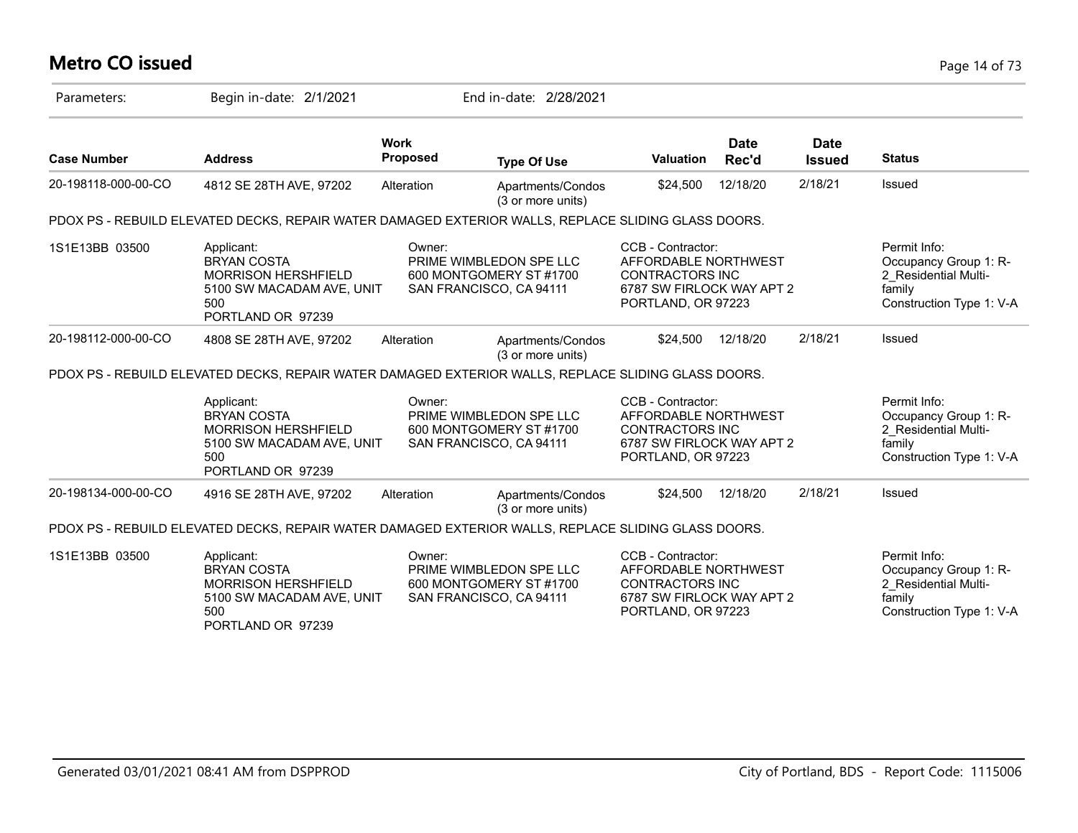# **Metro CO issued** Page 14 of 73

| Parameters:         | Begin in-date: 2/1/2021                                                                                                 |                                   | End in-date: 2/28/2021                             |                                                                                                                        |                      |                              |                                                                                                     |
|---------------------|-------------------------------------------------------------------------------------------------------------------------|-----------------------------------|----------------------------------------------------|------------------------------------------------------------------------------------------------------------------------|----------------------|------------------------------|-----------------------------------------------------------------------------------------------------|
| <b>Case Number</b>  | <b>Address</b>                                                                                                          | <b>Work</b><br><b>Proposed</b>    | <b>Type Of Use</b>                                 | Valuation                                                                                                              | <b>Date</b><br>Rec'd | <b>Date</b><br><b>Issued</b> | <b>Status</b>                                                                                       |
| 20-198118-000-00-CO | 4812 SE 28TH AVE, 97202                                                                                                 | Alteration                        | Apartments/Condos<br>(3 or more units)             | \$24,500                                                                                                               | 12/18/20             | 2/18/21                      | <b>Issued</b>                                                                                       |
|                     | PDOX PS - REBUILD ELEVATED DECKS, REPAIR WATER DAMAGED EXTERIOR WALLS, REPLACE SLIDING GLASS DOORS.                     |                                   |                                                    |                                                                                                                        |                      |                              |                                                                                                     |
| 1S1E13BB 03500      | Applicant:<br><b>BRYAN COSTA</b><br><b>MORRISON HERSHFIELD</b><br>5100 SW MACADAM AVE, UNIT<br>500<br>PORTLAND OR 97239 | Owner:<br>SAN FRANCISCO, CA 94111 | PRIME WIMBLEDON SPE LLC<br>600 MONTGOMERY ST #1700 | CCB - Contractor:<br>AFFORDABLE NORTHWEST<br><b>CONTRACTORS INC</b><br>6787 SW FIRLOCK WAY APT 2<br>PORTLAND, OR 97223 |                      |                              | Permit Info:<br>Occupancy Group 1: R-<br>2 Residential Multi-<br>family<br>Construction Type 1: V-A |
| 20-198112-000-00-CO | 4808 SE 28TH AVE, 97202                                                                                                 | Alteration                        | Apartments/Condos<br>(3 or more units)             | \$24,500                                                                                                               | 12/18/20             | 2/18/21                      | Issued                                                                                              |
|                     | PDOX PS - REBUILD ELEVATED DECKS, REPAIR WATER DAMAGED EXTERIOR WALLS, REPLACE SLIDING GLASS DOORS.                     |                                   |                                                    |                                                                                                                        |                      |                              |                                                                                                     |
|                     | Applicant:<br><b>BRYAN COSTA</b><br><b>MORRISON HERSHFIELD</b><br>5100 SW MACADAM AVE, UNIT<br>500<br>PORTLAND OR 97239 | Owner:<br>SAN FRANCISCO, CA 94111 | PRIME WIMBLEDON SPE LLC<br>600 MONTGOMERY ST #1700 | CCB - Contractor:<br>AFFORDABLE NORTHWEST<br><b>CONTRACTORS INC</b><br>6787 SW FIRLOCK WAY APT 2<br>PORTLAND, OR 97223 |                      |                              | Permit Info:<br>Occupancy Group 1: R-<br>2 Residential Multi-<br>family<br>Construction Type 1: V-A |
| 20-198134-000-00-CO | 4916 SE 28TH AVE, 97202                                                                                                 | Alteration                        | Apartments/Condos<br>(3 or more units)             | \$24,500                                                                                                               | 12/18/20             | 2/18/21                      | Issued                                                                                              |
|                     | PDOX PS - REBUILD ELEVATED DECKS, REPAIR WATER DAMAGED EXTERIOR WALLS, REPLACE SLIDING GLASS DOORS.                     |                                   |                                                    |                                                                                                                        |                      |                              |                                                                                                     |
| 1S1E13BB 03500      | Applicant:<br><b>BRYAN COSTA</b><br><b>MORRISON HERSHFIELD</b><br>5100 SW MACADAM AVE, UNIT<br>500<br>PORTLAND OR 97239 | Owner:<br>SAN FRANCISCO, CA 94111 | PRIME WIMBLEDON SPE LLC<br>600 MONTGOMERY ST #1700 | CCB - Contractor:<br>AFFORDABLE NORTHWEST<br><b>CONTRACTORS INC</b><br>6787 SW FIRLOCK WAY APT 2<br>PORTLAND, OR 97223 |                      |                              | Permit Info:<br>Occupancy Group 1: R-<br>2 Residential Multi-<br>family<br>Construction Type 1: V-A |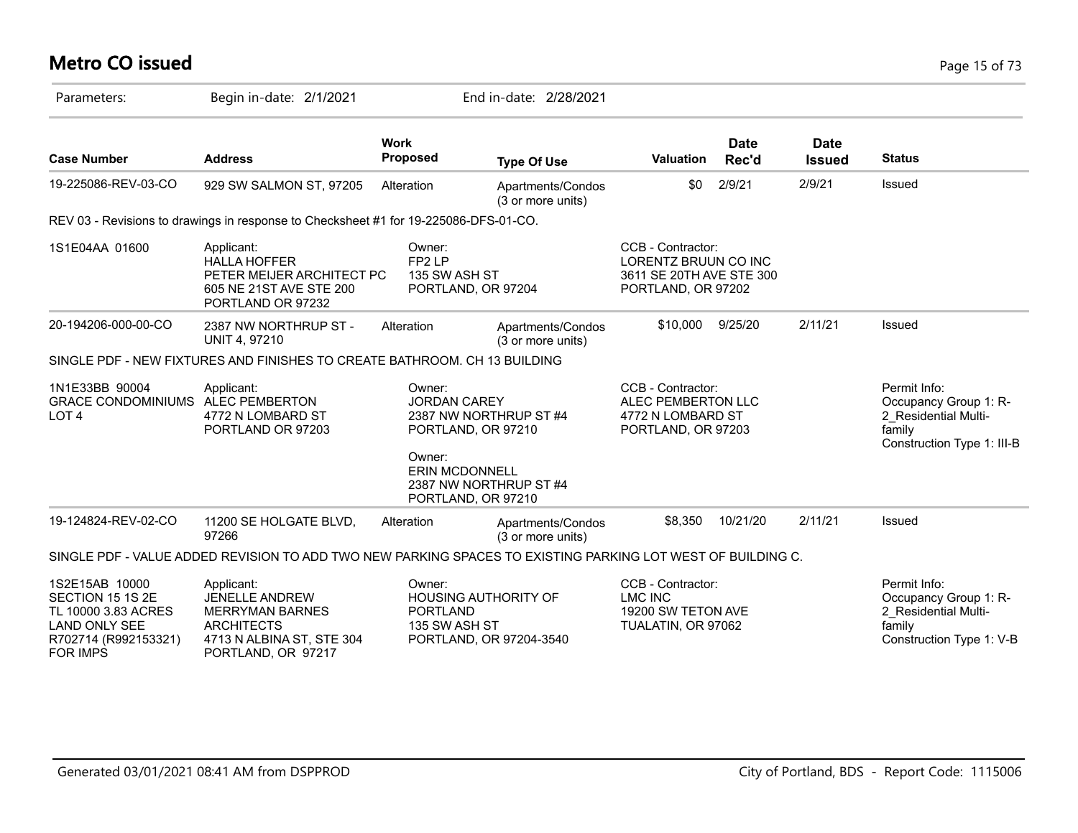# **Metro CO issued** Page 15 of 73

| Parameters:                                                                                                                  | Begin in-date: 2/1/2021                                                                                                               |                                                                           | End in-date: 2/28/2021                 |                                                                                             |                      |                              |                                                                                                       |
|------------------------------------------------------------------------------------------------------------------------------|---------------------------------------------------------------------------------------------------------------------------------------|---------------------------------------------------------------------------|----------------------------------------|---------------------------------------------------------------------------------------------|----------------------|------------------------------|-------------------------------------------------------------------------------------------------------|
| <b>Case Number</b>                                                                                                           | <b>Address</b>                                                                                                                        | <b>Work</b><br><b>Proposed</b>                                            | <b>Type Of Use</b>                     | Valuation                                                                                   | <b>Date</b><br>Rec'd | <b>Date</b><br><b>Issued</b> | <b>Status</b>                                                                                         |
| 19-225086-REV-03-CO                                                                                                          | 929 SW SALMON ST, 97205                                                                                                               | Alteration                                                                | Apartments/Condos<br>(3 or more units) | \$0                                                                                         | 2/9/21               | 2/9/21                       | Issued                                                                                                |
|                                                                                                                              | REV 03 - Revisions to drawings in response to Checksheet #1 for 19-225086-DFS-01-CO.                                                  |                                                                           |                                        |                                                                                             |                      |                              |                                                                                                       |
| 1S1E04AA 01600                                                                                                               | Applicant:<br><b>HALLA HOFFER</b><br>PETER MEIJER ARCHITECT PC<br>605 NE 21ST AVE STE 200<br>PORTLAND OR 97232                        | Owner:<br>FP2 LP<br>135 SW ASH ST<br>PORTLAND, OR 97204                   |                                        | CCB - Contractor:<br>LORENTZ BRUUN CO INC<br>3611 SE 20TH AVE STE 300<br>PORTLAND, OR 97202 |                      |                              |                                                                                                       |
| 20-194206-000-00-CO                                                                                                          | 2387 NW NORTHRUP ST -<br><b>UNIT 4, 97210</b>                                                                                         | Alteration                                                                | Apartments/Condos<br>(3 or more units) | \$10,000                                                                                    | 9/25/20              | 2/11/21                      | Issued                                                                                                |
|                                                                                                                              | SINGLE PDF - NEW FIXTURES AND FINISHES TO CREATE BATHROOM. CH 13 BUILDING                                                             |                                                                           |                                        |                                                                                             |                      |                              |                                                                                                       |
| 1N1E33BB 90004<br><b>GRACE CONDOMINIUMS</b><br>LOT <sub>4</sub>                                                              | Applicant:<br><b>ALEC PEMBERTON</b><br>4772 N LOMBARD ST<br>PORTLAND OR 97203                                                         | Owner:<br><b>JORDAN CAREY</b><br>PORTLAND, OR 97210<br>Owner:             | 2387 NW NORTHRUP ST #4                 | CCB - Contractor:<br>ALEC PEMBERTON LLC<br>4772 N LOMBARD ST<br>PORTLAND, OR 97203          |                      |                              | Permit Info:<br>Occupancy Group 1: R-<br>2 Residential Multi-<br>family<br>Construction Type 1: III-B |
|                                                                                                                              |                                                                                                                                       | <b>ERIN MCDONNELL</b><br>PORTLAND, OR 97210                               | 2387 NW NORTHRUP ST #4                 |                                                                                             |                      |                              |                                                                                                       |
| 19-124824-REV-02-CO                                                                                                          | 11200 SE HOLGATE BLVD,<br>97266                                                                                                       | Alteration                                                                | Apartments/Condos<br>(3 or more units) | \$8,350                                                                                     | 10/21/20             | 2/11/21                      | Issued                                                                                                |
|                                                                                                                              | SINGLE PDF - VALUE ADDED REVISION TO ADD TWO NEW PARKING SPACES TO EXISTING PARKING LOT WEST OF BUILDING C.                           |                                                                           |                                        |                                                                                             |                      |                              |                                                                                                       |
| 1S2E15AB 10000<br>SECTION 15 1S 2E<br>TL 10000 3.83 ACRES<br><b>LAND ONLY SEE</b><br>R702714 (R992153321)<br><b>FOR IMPS</b> | Applicant:<br><b>JENELLE ANDREW</b><br><b>MERRYMAN BARNES</b><br><b>ARCHITECTS</b><br>4713 N ALBINA ST, STE 304<br>PORTLAND, OR 97217 | Owner:<br><b>HOUSING AUTHORITY OF</b><br><b>PORTLAND</b><br>135 SW ASH ST | PORTLAND, OR 97204-3540                | CCB - Contractor:<br><b>LMC INC</b><br>19200 SW TETON AVE<br>TUALATIN, OR 97062             |                      |                              | Permit Info:<br>Occupancy Group 1: R-<br>2 Residential Multi-<br>family<br>Construction Type 1: V-B   |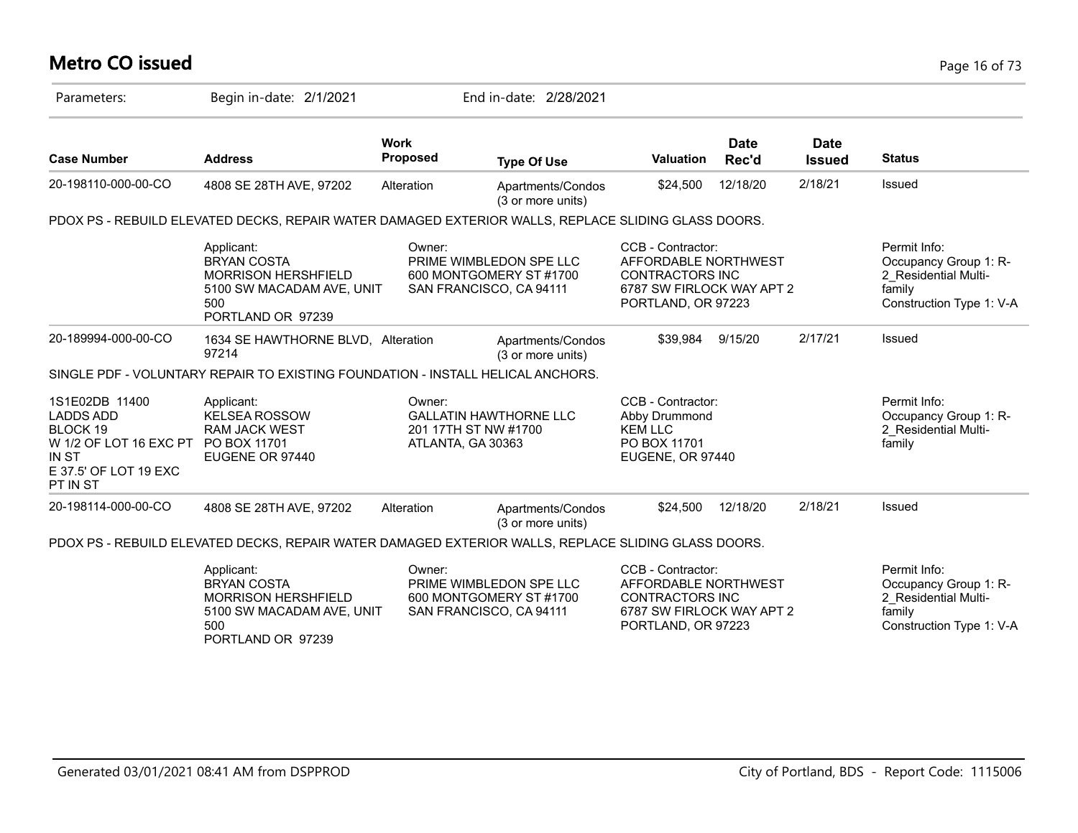# **Metro CO issued** Page 16 of 73

| Parameters:                                                                                                                         | Begin in-date: 2/1/2021                                                                                                 |                                                     | End in-date: 2/28/2021                             |                                                                                                                        |                      |                              |                                                                                                     |
|-------------------------------------------------------------------------------------------------------------------------------------|-------------------------------------------------------------------------------------------------------------------------|-----------------------------------------------------|----------------------------------------------------|------------------------------------------------------------------------------------------------------------------------|----------------------|------------------------------|-----------------------------------------------------------------------------------------------------|
| <b>Case Number</b>                                                                                                                  | <b>Address</b>                                                                                                          | <b>Work</b><br>Proposed                             | <b>Type Of Use</b>                                 | <b>Valuation</b>                                                                                                       | <b>Date</b><br>Rec'd | <b>Date</b><br><b>Issued</b> | <b>Status</b>                                                                                       |
| 20-198110-000-00-CO                                                                                                                 | 4808 SE 28TH AVE, 97202                                                                                                 | Alteration                                          | Apartments/Condos<br>(3 or more units)             | \$24,500                                                                                                               | 12/18/20             | 2/18/21                      | Issued                                                                                              |
|                                                                                                                                     | PDOX PS - REBUILD ELEVATED DECKS, REPAIR WATER DAMAGED EXTERIOR WALLS, REPLACE SLIDING GLASS DOORS.                     |                                                     |                                                    |                                                                                                                        |                      |                              |                                                                                                     |
|                                                                                                                                     | Applicant:<br><b>BRYAN COSTA</b><br><b>MORRISON HERSHFIELD</b><br>5100 SW MACADAM AVE, UNIT<br>500<br>PORTLAND OR 97239 | Owner:<br>SAN FRANCISCO, CA 94111                   | PRIME WIMBLEDON SPE LLC<br>600 MONTGOMERY ST #1700 | CCB - Contractor:<br>AFFORDABLE NORTHWEST<br><b>CONTRACTORS INC</b><br>6787 SW FIRLOCK WAY APT 2<br>PORTLAND, OR 97223 |                      |                              | Permit Info:<br>Occupancy Group 1: R-<br>2 Residential Multi-<br>family<br>Construction Type 1: V-A |
| 20-189994-000-00-CO                                                                                                                 | 1634 SE HAWTHORNE BLVD, Alteration<br>97214                                                                             |                                                     | Apartments/Condos<br>(3 or more units)             | \$39.984                                                                                                               | 9/15/20              | 2/17/21                      | Issued                                                                                              |
|                                                                                                                                     | SINGLE PDF - VOLUNTARY REPAIR TO EXISTING FOUNDATION - INSTALL HELICAL ANCHORS.                                         |                                                     |                                                    |                                                                                                                        |                      |                              |                                                                                                     |
| 1S1E02DB 11400<br><b>LADDS ADD</b><br>BLOCK 19<br>W 1/2 OF LOT 16 EXC PT PO BOX 11701<br>IN ST<br>E 37.5' OF LOT 19 EXC<br>PT IN ST | Applicant:<br><b>KELSEA ROSSOW</b><br><b>RAM JACK WEST</b><br>EUGENE OR 97440                                           | Owner:<br>201 17TH ST NW #1700<br>ATLANTA, GA 30363 | <b>GALLATIN HAWTHORNE LLC</b>                      | CCB - Contractor:<br>Abby Drummond<br><b>KEM LLC</b><br>PO BOX 11701<br>EUGENE, OR 97440                               |                      |                              | Permit Info:<br>Occupancy Group 1: R-<br>2 Residential Multi-<br>family                             |
| 20-198114-000-00-CO                                                                                                                 | 4808 SE 28TH AVE, 97202                                                                                                 | Alteration                                          | Apartments/Condos<br>(3 or more units)             | \$24,500                                                                                                               | 12/18/20             | 2/18/21                      | Issued                                                                                              |
|                                                                                                                                     | PDOX PS - REBUILD ELEVATED DECKS, REPAIR WATER DAMAGED EXTERIOR WALLS, REPLACE SLIDING GLASS DOORS.                     |                                                     |                                                    |                                                                                                                        |                      |                              |                                                                                                     |
|                                                                                                                                     | Applicant:<br><b>BRYAN COSTA</b><br><b>MORRISON HERSHFIELD</b><br>5100 SW MACADAM AVE, UNIT<br>500<br>PORTLAND OR 97239 | Owner:<br>SAN FRANCISCO, CA 94111                   | PRIME WIMBLEDON SPE LLC<br>600 MONTGOMERY ST #1700 | CCB - Contractor:<br>AFFORDABLE NORTHWEST<br><b>CONTRACTORS INC</b><br>6787 SW FIRLOCK WAY APT 2<br>PORTLAND, OR 97223 |                      |                              | Permit Info:<br>Occupancy Group 1: R-<br>2 Residential Multi-<br>family<br>Construction Type 1: V-A |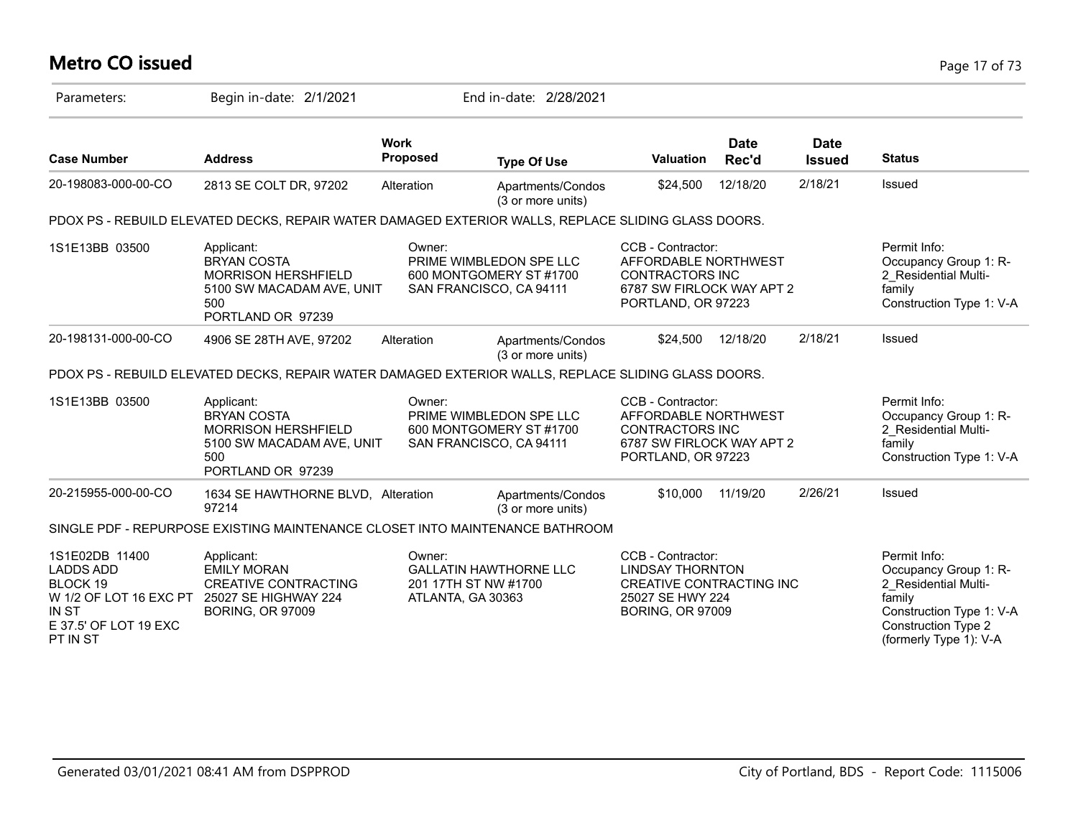# **Metro CO issued** Page 17 of 73

| Parameters:                                                                                                                   | Begin in-date: 2/1/2021                                                                                                 |                                                     | End in-date: 2/28/2021                             |                                                                                                                         |                      |                              |                                                                                                                                                             |
|-------------------------------------------------------------------------------------------------------------------------------|-------------------------------------------------------------------------------------------------------------------------|-----------------------------------------------------|----------------------------------------------------|-------------------------------------------------------------------------------------------------------------------------|----------------------|------------------------------|-------------------------------------------------------------------------------------------------------------------------------------------------------------|
| <b>Case Number</b>                                                                                                            | <b>Address</b>                                                                                                          | <b>Work</b><br><b>Proposed</b>                      | <b>Type Of Use</b>                                 | <b>Valuation</b>                                                                                                        | <b>Date</b><br>Rec'd | <b>Date</b><br><b>Issued</b> | <b>Status</b>                                                                                                                                               |
| 20-198083-000-00-CO                                                                                                           | 2813 SE COLT DR, 97202                                                                                                  | Alteration                                          | Apartments/Condos<br>(3 or more units)             | \$24,500                                                                                                                | 12/18/20             | 2/18/21                      | Issued                                                                                                                                                      |
|                                                                                                                               | PDOX PS - REBUILD ELEVATED DECKS, REPAIR WATER DAMAGED EXTERIOR WALLS, REPLACE SLIDING GLASS DOORS.                     |                                                     |                                                    |                                                                                                                         |                      |                              |                                                                                                                                                             |
| 1S1E13BB 03500                                                                                                                | Applicant:<br><b>BRYAN COSTA</b><br><b>MORRISON HERSHFIELD</b><br>5100 SW MACADAM AVE, UNIT<br>500<br>PORTLAND OR 97239 | Owner:<br>SAN FRANCISCO, CA 94111                   | PRIME WIMBLEDON SPE LLC<br>600 MONTGOMERY ST #1700 | CCB - Contractor:<br>AFFORDABLE NORTHWEST<br><b>CONTRACTORS INC</b><br>6787 SW FIRLOCK WAY APT 2<br>PORTLAND, OR 97223  |                      |                              | Permit Info:<br>Occupancy Group 1: R-<br>2 Residential Multi-<br>family<br>Construction Type 1: V-A                                                         |
| 20-198131-000-00-CO                                                                                                           | 4906 SE 28TH AVE, 97202                                                                                                 | Alteration                                          | Apartments/Condos<br>(3 or more units)             | \$24,500                                                                                                                | 12/18/20             | 2/18/21                      | Issued                                                                                                                                                      |
|                                                                                                                               | PDOX PS - REBUILD ELEVATED DECKS, REPAIR WATER DAMAGED EXTERIOR WALLS, REPLACE SLIDING GLASS DOORS.                     |                                                     |                                                    |                                                                                                                         |                      |                              |                                                                                                                                                             |
| 1S1E13BB 03500                                                                                                                | Applicant:<br><b>BRYAN COSTA</b><br>MORRISON HERSHFIELD<br>5100 SW MACADAM AVE, UNIT<br>500<br>PORTLAND OR 97239        | Owner:<br>SAN FRANCISCO, CA 94111                   | PRIME WIMBLEDON SPE LLC<br>600 MONTGOMERY ST #1700 | CCB - Contractor:<br>AFFORDABLE NORTHWEST<br>CONTRACTORS INC<br>6787 SW FIRLOCK WAY APT 2<br>PORTLAND, OR 97223         |                      |                              | Permit Info:<br>Occupancy Group 1: R-<br>2 Residential Multi-<br>family<br>Construction Type 1: V-A                                                         |
| 20-215955-000-00-CO                                                                                                           | 1634 SE HAWTHORNE BLVD, Alteration<br>97214                                                                             |                                                     | Apartments/Condos<br>(3 or more units)             | \$10,000                                                                                                                | 11/19/20             | 2/26/21                      | Issued                                                                                                                                                      |
|                                                                                                                               | SINGLE PDF - REPURPOSE EXISTING MAINTENANCE CLOSET INTO MAINTENANCE BATHROOM                                            |                                                     |                                                    |                                                                                                                         |                      |                              |                                                                                                                                                             |
| 1S1E02DB 11400<br><b>LADDS ADD</b><br>BLOCK 19<br>W 1/2 OF LOT 16 EXC PT<br><b>IN ST</b><br>E 37.5' OF LOT 19 EXC<br>PT IN ST | Applicant:<br><b>EMILY MORAN</b><br><b>CREATIVE CONTRACTING</b><br>25027 SE HIGHWAY 224<br><b>BORING, OR 97009</b>      | Owner:<br>201 17TH ST NW #1700<br>ATLANTA, GA 30363 | <b>GALLATIN HAWTHORNE LLC</b>                      | CCB - Contractor:<br><b>LINDSAY THORNTON</b><br>CREATIVE CONTRACTING INC<br>25027 SE HWY 224<br><b>BORING, OR 97009</b> |                      |                              | Permit Info:<br>Occupancy Group 1: R-<br>2 Residential Multi-<br>family<br>Construction Type 1: V-A<br><b>Construction Type 2</b><br>(formerly Type 1): V-A |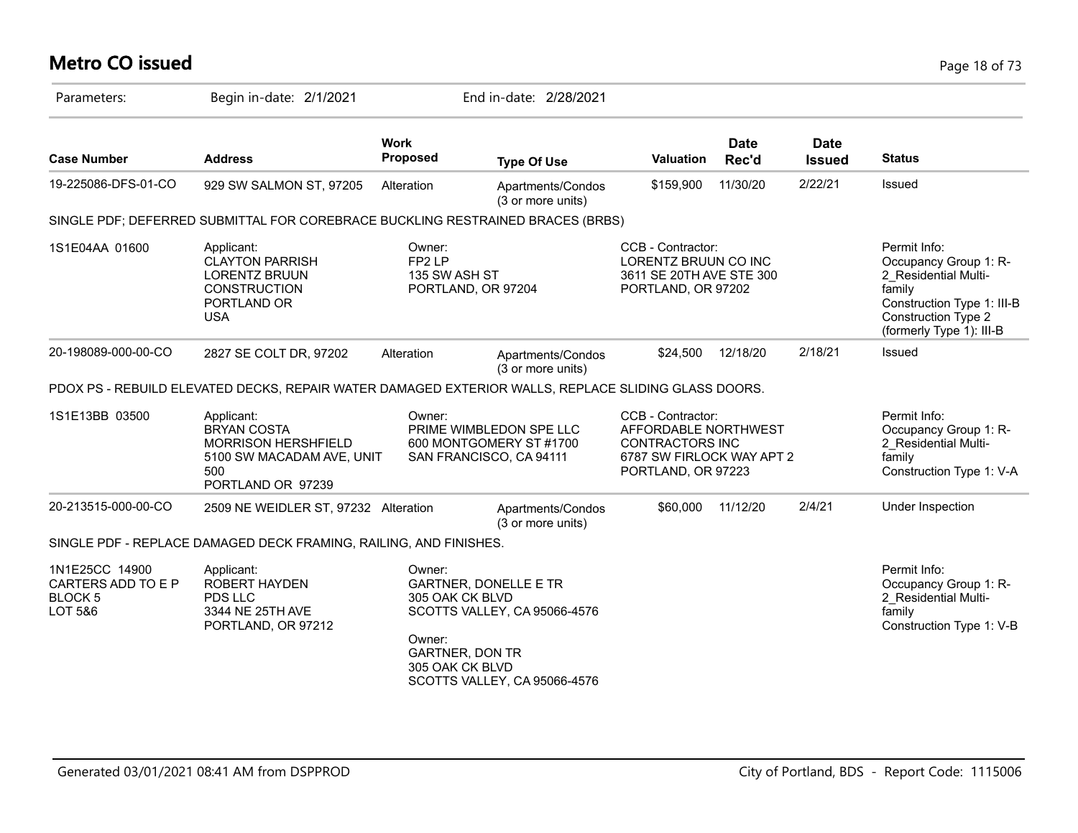# **Metro CO issued** Page 18 of 73

| Parameters:                                                       | Begin in-date: 2/1/2021                                                                                                 |                                                                                  | End in-date: 2/28/2021                                                                       |                                                                                                                        |                      |                              |                                                                                                                                                                 |
|-------------------------------------------------------------------|-------------------------------------------------------------------------------------------------------------------------|----------------------------------------------------------------------------------|----------------------------------------------------------------------------------------------|------------------------------------------------------------------------------------------------------------------------|----------------------|------------------------------|-----------------------------------------------------------------------------------------------------------------------------------------------------------------|
| <b>Case Number</b>                                                | <b>Address</b>                                                                                                          | <b>Work</b><br><b>Proposed</b>                                                   | <b>Type Of Use</b>                                                                           | Valuation                                                                                                              | <b>Date</b><br>Rec'd | <b>Date</b><br><b>Issued</b> | <b>Status</b>                                                                                                                                                   |
| 19-225086-DFS-01-CO                                               | 929 SW SALMON ST, 97205                                                                                                 | Alteration                                                                       | Apartments/Condos<br>(3 or more units)                                                       | \$159,900                                                                                                              | 11/30/20             | 2/22/21                      | Issued                                                                                                                                                          |
|                                                                   | SINGLE PDF; DEFERRED SUBMITTAL FOR COREBRACE BUCKLING RESTRAINED BRACES (BRBS)                                          |                                                                                  |                                                                                              |                                                                                                                        |                      |                              |                                                                                                                                                                 |
| 1S1E04AA 01600                                                    | Applicant:<br><b>CLAYTON PARRISH</b><br><b>LORENTZ BRUUN</b><br><b>CONSTRUCTION</b><br>PORTLAND OR<br><b>USA</b>        | Owner:<br>FP <sub>2</sub> LP<br>135 SW ASH ST<br>PORTLAND, OR 97204              |                                                                                              | CCB - Contractor:<br>LORENTZ BRUUN CO INC<br>3611 SE 20TH AVE STE 300<br>PORTLAND, OR 97202                            |                      |                              | Permit Info:<br>Occupancy Group 1: R-<br>2 Residential Multi-<br>family<br>Construction Type 1: III-B<br><b>Construction Type 2</b><br>(formerly Type 1): III-B |
| 20-198089-000-00-CO                                               | 2827 SE COLT DR, 97202                                                                                                  | Alteration                                                                       | Apartments/Condos<br>(3 or more units)                                                       | \$24,500                                                                                                               | 12/18/20             | 2/18/21                      | <b>Issued</b>                                                                                                                                                   |
|                                                                   | PDOX PS - REBUILD ELEVATED DECKS, REPAIR WATER DAMAGED EXTERIOR WALLS, REPLACE SLIDING GLASS DOORS.                     |                                                                                  |                                                                                              |                                                                                                                        |                      |                              |                                                                                                                                                                 |
| 1S1E13BB 03500                                                    | Applicant:<br><b>BRYAN COSTA</b><br><b>MORRISON HERSHFIELD</b><br>5100 SW MACADAM AVE, UNIT<br>500<br>PORTLAND OR 97239 | Owner:                                                                           | PRIME WIMBLEDON SPE LLC<br>600 MONTGOMERY ST #1700<br>SAN FRANCISCO, CA 94111                | CCB - Contractor:<br>AFFORDABLE NORTHWEST<br><b>CONTRACTORS INC</b><br>6787 SW FIRLOCK WAY APT 2<br>PORTLAND, OR 97223 |                      |                              | Permit Info:<br>Occupancy Group 1: R-<br>2_Residential Multi-<br>family<br>Construction Type 1: V-A                                                             |
| 20-213515-000-00-CO                                               | 2509 NE WEIDLER ST, 97232 Alteration                                                                                    |                                                                                  | Apartments/Condos<br>(3 or more units)                                                       | \$60,000                                                                                                               | 11/12/20             | 2/4/21                       | Under Inspection                                                                                                                                                |
|                                                                   | SINGLE PDF - REPLACE DAMAGED DECK FRAMING, RAILING, AND FINISHES.                                                       |                                                                                  |                                                                                              |                                                                                                                        |                      |                              |                                                                                                                                                                 |
| 1N1E25CC 14900<br>CARTERS ADD TO E P<br><b>BLOCK 5</b><br>LOT 5&6 | Applicant:<br><b>ROBERT HAYDEN</b><br><b>PDS LLC</b><br>3344 NE 25TH AVE<br>PORTLAND, OR 97212                          | Owner:<br>305 OAK CK BLVD<br>Owner:<br><b>GARTNER, DON TR</b><br>305 OAK CK BLVD | <b>GARTNER, DONELLE E TR</b><br>SCOTTS VALLEY, CA 95066-4576<br>SCOTTS VALLEY, CA 95066-4576 |                                                                                                                        |                      |                              | Permit Info:<br>Occupancy Group 1: R-<br>2 Residential Multi-<br>family<br>Construction Type 1: V-B                                                             |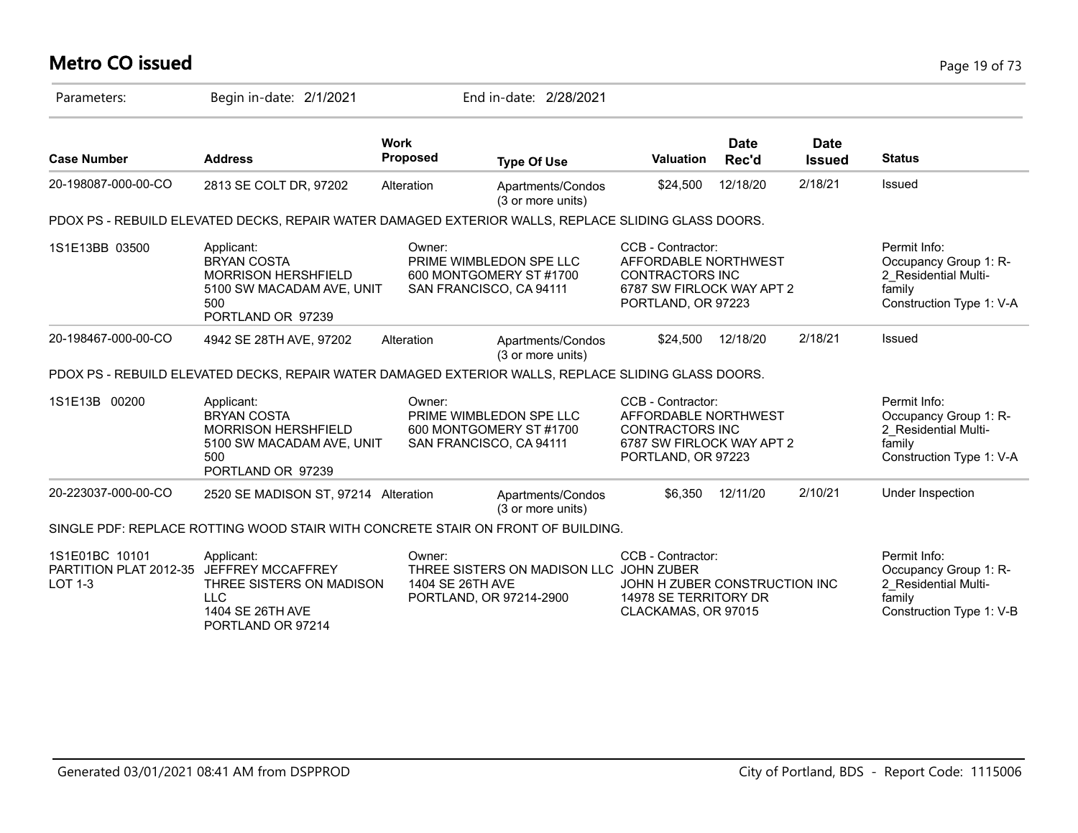# **Metro CO issued** Page 19 of 73

| Parameters:                                                                  | Begin in-date: 2/1/2021                                                                                                 |                                                       | End in-date: 2/28/2021                             |                                                                                                                        |                      |                              |                                                                                                     |
|------------------------------------------------------------------------------|-------------------------------------------------------------------------------------------------------------------------|-------------------------------------------------------|----------------------------------------------------|------------------------------------------------------------------------------------------------------------------------|----------------------|------------------------------|-----------------------------------------------------------------------------------------------------|
| <b>Case Number</b>                                                           | <b>Address</b>                                                                                                          | <b>Work</b><br><b>Proposed</b>                        | <b>Type Of Use</b>                                 | Valuation                                                                                                              | <b>Date</b><br>Rec'd | <b>Date</b><br><b>Issued</b> | <b>Status</b>                                                                                       |
| 20-198087-000-00-CO                                                          | 2813 SE COLT DR, 97202                                                                                                  | Alteration                                            | Apartments/Condos<br>(3 or more units)             | \$24,500                                                                                                               | 12/18/20             | 2/18/21                      | Issued                                                                                              |
|                                                                              | PDOX PS - REBUILD ELEVATED DECKS, REPAIR WATER DAMAGED EXTERIOR WALLS, REPLACE SLIDING GLASS DOORS.                     |                                                       |                                                    |                                                                                                                        |                      |                              |                                                                                                     |
| 1S1E13BB 03500                                                               | Applicant:<br><b>BRYAN COSTA</b><br><b>MORRISON HERSHFIELD</b><br>5100 SW MACADAM AVE, UNIT<br>500<br>PORTLAND OR 97239 | Owner:<br>SAN FRANCISCO, CA 94111                     | PRIME WIMBLEDON SPE LLC<br>600 MONTGOMERY ST #1700 | CCB - Contractor:<br>AFFORDABLE NORTHWEST<br><b>CONTRACTORS INC</b><br>6787 SW FIRLOCK WAY APT 2<br>PORTLAND, OR 97223 |                      |                              | Permit Info:<br>Occupancy Group 1: R-<br>2 Residential Multi-<br>family<br>Construction Type 1: V-A |
| 20-198467-000-00-CO                                                          | 4942 SE 28TH AVE, 97202                                                                                                 | Alteration                                            | Apartments/Condos<br>(3 or more units)             | \$24,500                                                                                                               | 12/18/20             | 2/18/21                      | Issued                                                                                              |
|                                                                              | PDOX PS - REBUILD ELEVATED DECKS, REPAIR WATER DAMAGED EXTERIOR WALLS, REPLACE SLIDING GLASS DOORS.                     |                                                       |                                                    |                                                                                                                        |                      |                              |                                                                                                     |
| 1S1E13B 00200                                                                | Applicant:<br><b>BRYAN COSTA</b><br><b>MORRISON HERSHFIELD</b><br>5100 SW MACADAM AVE, UNIT<br>500<br>PORTLAND OR 97239 | Owner:<br>SAN FRANCISCO, CA 94111                     | PRIME WIMBLEDON SPE LLC<br>600 MONTGOMERY ST #1700 | CCB - Contractor:<br>AFFORDABLE NORTHWEST<br><b>CONTRACTORS INC</b><br>6787 SW FIRLOCK WAY APT 2<br>PORTLAND, OR 97223 |                      |                              | Permit Info:<br>Occupancy Group 1: R-<br>2 Residential Multi-<br>family<br>Construction Type 1: V-A |
| 20-223037-000-00-CO                                                          | 2520 SE MADISON ST, 97214 Alteration                                                                                    |                                                       | Apartments/Condos<br>(3 or more units)             | \$6.350                                                                                                                | 12/11/20             | 2/10/21                      | Under Inspection                                                                                    |
|                                                                              | SINGLE PDF: REPLACE ROTTING WOOD STAIR WITH CONCRETE STAIR ON FRONT OF BUILDING.                                        |                                                       |                                                    |                                                                                                                        |                      |                              |                                                                                                     |
| 1S1E01BC 10101<br>PARTITION PLAT 2012-35 JEFFREY MCCAFFREY<br><b>LOT 1-3</b> | Applicant:<br>THREE SISTERS ON MADISON<br><b>LLC</b><br>1404 SE 26TH AVE<br>PORTLAND OR 97214                           | Owner:<br>1404 SE 26TH AVE<br>PORTLAND, OR 97214-2900 | THREE SISTERS ON MADISON LLC JOHN ZUBER            | CCB - Contractor:<br>JOHN H ZUBER CONSTRUCTION INC<br>14978 SE TERRITORY DR<br>CLACKAMAS, OR 97015                     |                      |                              | Permit Info:<br>Occupancy Group 1: R-<br>2 Residential Multi-<br>family<br>Construction Type 1: V-B |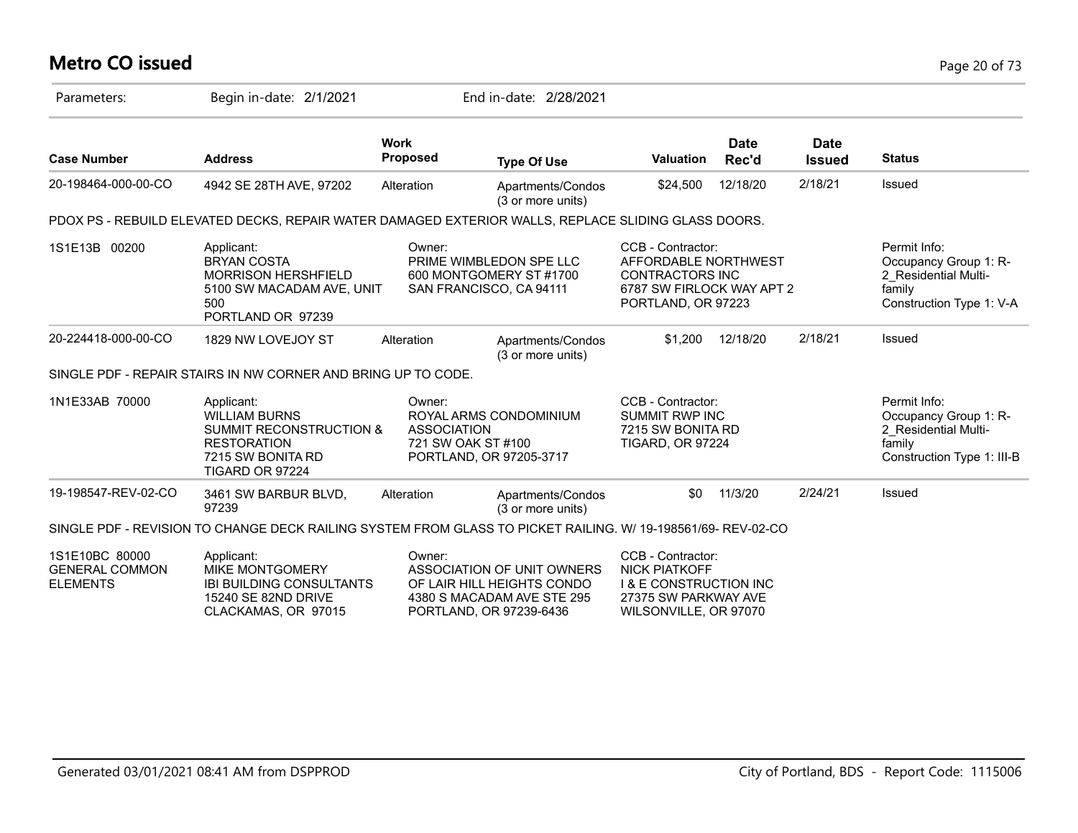# **Metro CO issued** Page 20 of 73

| Parameters:                                                | Begin in-date: 2/1/2021                                                                                                                |                                                                               | End in-date: 2/28/2021                                                                 |                                                                                                                                 |                      |                              |                                                                                                       |
|------------------------------------------------------------|----------------------------------------------------------------------------------------------------------------------------------------|-------------------------------------------------------------------------------|----------------------------------------------------------------------------------------|---------------------------------------------------------------------------------------------------------------------------------|----------------------|------------------------------|-------------------------------------------------------------------------------------------------------|
| <b>Case Number</b>                                         | <b>Address</b>                                                                                                                         | <b>Work</b><br><b>Proposed</b>                                                | <b>Type Of Use</b>                                                                     | <b>Valuation</b>                                                                                                                | <b>Date</b><br>Rec'd | <b>Date</b><br><b>Issued</b> | <b>Status</b>                                                                                         |
| 20-198464-000-00-CO                                        | 4942 SE 28TH AVE, 97202                                                                                                                | Alteration                                                                    | Apartments/Condos<br>(3 or more units)                                                 | \$24,500                                                                                                                        | 12/18/20             | 2/18/21                      | Issued                                                                                                |
|                                                            | PDOX PS - REBUILD ELEVATED DECKS, REPAIR WATER DAMAGED EXTERIOR WALLS, REPLACE SLIDING GLASS DOORS.                                    |                                                                               |                                                                                        |                                                                                                                                 |                      |                              |                                                                                                       |
| 1S1E13B 00200                                              | Applicant:<br><b>BRYAN COSTA</b><br><b>MORRISON HERSHFIELD</b><br>5100 SW MACADAM AVE, UNIT<br>500<br>PORTLAND OR 97239                | Owner:<br>SAN FRANCISCO, CA 94111                                             | PRIME WIMBLEDON SPE LLC<br>600 MONTGOMERY ST #1700                                     | CCB - Contractor:<br>AFFORDABLE NORTHWEST<br><b>CONTRACTORS INC</b><br>6787 SW FIRLOCK WAY APT 2<br>PORTLAND, OR 97223          |                      |                              | Permit Info:<br>Occupancy Group 1: R-<br>2 Residential Multi-<br>family<br>Construction Type 1: V-A   |
| 20-224418-000-00-CO                                        | 1829 NW LOVEJOY ST                                                                                                                     | Alteration                                                                    | Apartments/Condos<br>(3 or more units)                                                 | \$1,200                                                                                                                         | 12/18/20             | 2/18/21                      | Issued                                                                                                |
|                                                            | SINGLE PDF - REPAIR STAIRS IN NW CORNER AND BRING UP TO CODE.                                                                          |                                                                               |                                                                                        |                                                                                                                                 |                      |                              |                                                                                                       |
| 1N1E33AB 70000                                             | Applicant:<br><b>WILLIAM BURNS</b><br><b>SUMMIT RECONSTRUCTION &amp;</b><br><b>RESTORATION</b><br>7215 SW BONITA RD<br>TIGARD OR 97224 | Owner:<br><b>ASSOCIATION</b><br>721 SW OAK ST #100<br>PORTLAND, OR 97205-3717 | ROYAL ARMS CONDOMINIUM                                                                 | CCB - Contractor:<br><b>SUMMIT RWP INC</b><br>7215 SW BONITA RD<br><b>TIGARD, OR 97224</b>                                      |                      |                              | Permit Info:<br>Occupancy Group 1: R-<br>2 Residential Multi-<br>family<br>Construction Type 1: III-B |
| 19-198547-REV-02-CO                                        | 3461 SW BARBUR BLVD,<br>97239                                                                                                          | Alteration                                                                    | Apartments/Condos<br>(3 or more units)                                                 | \$0                                                                                                                             | 11/3/20              | 2/24/21                      | Issued                                                                                                |
|                                                            | SINGLE PDF - REVISION TO CHANGE DECK RAILING SYSTEM FROM GLASS TO PICKET RAILING. W/ 19-198561/69-REV-02-CO                            |                                                                               |                                                                                        |                                                                                                                                 |                      |                              |                                                                                                       |
| 1S1E10BC 80000<br><b>GENERAL COMMON</b><br><b>ELEMENTS</b> | Applicant:<br>MIKE MONTGOMERY<br><b>IBI BUILDING CONSULTANTS</b><br><b>15240 SE 82ND DRIVE</b><br>CLACKAMAS, OR 97015                  | Owner:<br>PORTLAND, OR 97239-6436                                             | ASSOCIATION OF UNIT OWNERS<br>OF LAIR HILL HEIGHTS CONDO<br>4380 S MACADAM AVE STE 295 | CCB - Contractor:<br><b>NICK PIATKOFF</b><br><b>I &amp; E CONSTRUCTION INC</b><br>27375 SW PARKWAY AVE<br>WILSONVILLE, OR 97070 |                      |                              |                                                                                                       |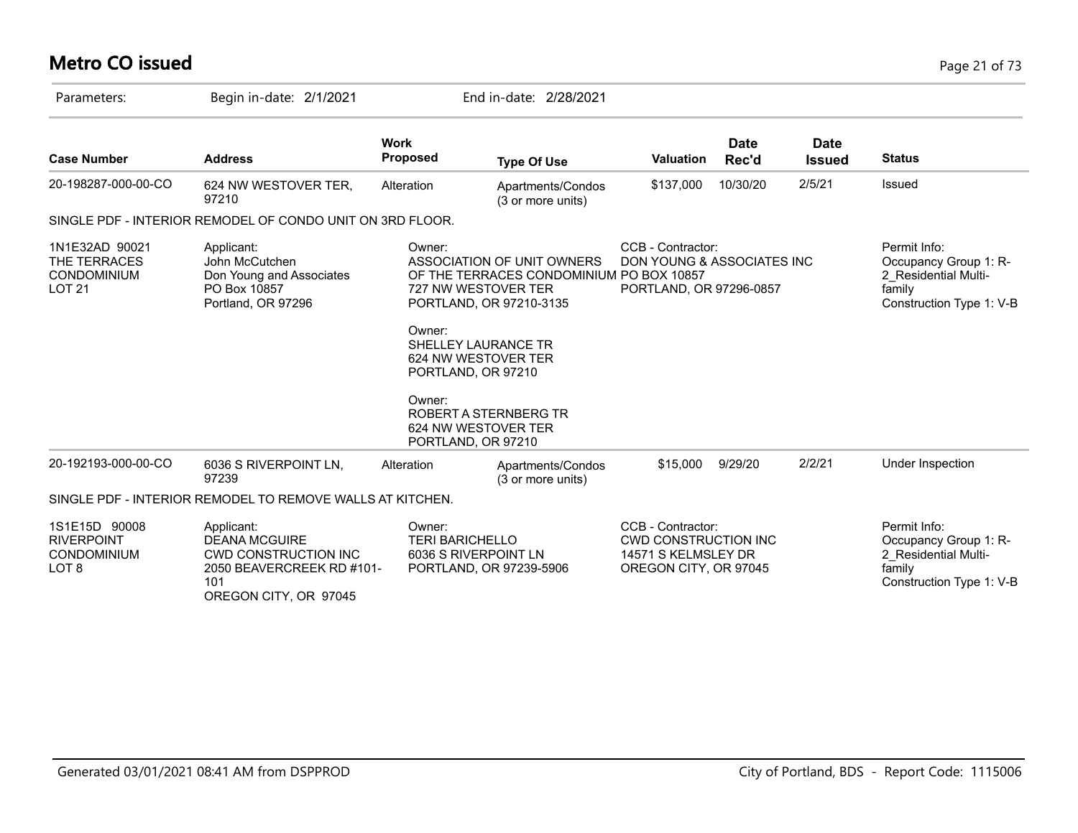# **Metro CO issued** Page 21 of 73

| Parameters:                                                               | Begin in-date: 2/1/2021                                                                                                        |                                                                                                                              | End in-date: 2/28/2021                                                                            |                                                                                                  |                      |                              |                                                                                                     |
|---------------------------------------------------------------------------|--------------------------------------------------------------------------------------------------------------------------------|------------------------------------------------------------------------------------------------------------------------------|---------------------------------------------------------------------------------------------------|--------------------------------------------------------------------------------------------------|----------------------|------------------------------|-----------------------------------------------------------------------------------------------------|
| <b>Case Number</b>                                                        | <b>Address</b>                                                                                                                 | <b>Work</b><br><b>Proposed</b>                                                                                               | <b>Type Of Use</b>                                                                                | <b>Valuation</b>                                                                                 | <b>Date</b><br>Rec'd | <b>Date</b><br><b>Issued</b> | <b>Status</b>                                                                                       |
| 20-198287-000-00-CO                                                       | 624 NW WESTOVER TER,<br>97210                                                                                                  | Alteration                                                                                                                   | Apartments/Condos<br>(3 or more units)                                                            | \$137,000                                                                                        | 10/30/20             | 2/5/21                       | Issued                                                                                              |
|                                                                           | SINGLE PDF - INTERIOR REMODEL OF CONDO UNIT ON 3RD FLOOR.                                                                      |                                                                                                                              |                                                                                                   |                                                                                                  |                      |                              |                                                                                                     |
| 1N1E32AD 90021<br>THE TERRACES<br><b>CONDOMINIUM</b><br>LOT <sub>21</sub> | Applicant:<br>John McCutchen<br>Don Young and Associates<br>PO Box 10857<br>Portland, OR 97296                                 | Owner:<br>727 NW WESTOVER TER<br>Owner:<br><b>SHELLEY LAURANCE TR</b><br>624 NW WESTOVER TER<br>PORTLAND, OR 97210<br>Owner: | ASSOCIATION OF UNIT OWNERS<br>OF THE TERRACES CONDOMINIUM PO BOX 10857<br>PORTLAND, OR 97210-3135 | CCB - Contractor:<br>DON YOUNG & ASSOCIATES INC<br>PORTLAND, OR 97296-0857                       |                      |                              | Permit Info:<br>Occupancy Group 1: R-<br>2 Residential Multi-<br>family<br>Construction Type 1: V-B |
|                                                                           |                                                                                                                                | 624 NW WESTOVER TER<br>PORTLAND, OR 97210                                                                                    | ROBERT A STERNBERG TR                                                                             |                                                                                                  |                      |                              |                                                                                                     |
| 20-192193-000-00-CO                                                       | 6036 S RIVERPOINT LN,<br>97239                                                                                                 | Alteration                                                                                                                   | Apartments/Condos<br>(3 or more units)                                                            | \$15,000                                                                                         | 9/29/20              | 2/2/21                       | Under Inspection                                                                                    |
|                                                                           | SINGLE PDF - INTERIOR REMODEL TO REMOVE WALLS AT KITCHEN.                                                                      |                                                                                                                              |                                                                                                   |                                                                                                  |                      |                              |                                                                                                     |
| 1S1E15D 90008<br><b>RIVERPOINT</b><br><b>CONDOMINIUM</b><br>LOT 8         | Applicant:<br><b>DEANA MCGUIRE</b><br><b>CWD CONSTRUCTION INC</b><br>2050 BEAVERCREEK RD #101-<br>101<br>OREGON CITY, OR 97045 | Owner:<br><b>TERI BARICHELLO</b><br>6036 S RIVERPOINT LN                                                                     | PORTLAND, OR 97239-5906                                                                           | CCB - Contractor:<br><b>CWD CONSTRUCTION INC</b><br>14571 S KELMSLEY DR<br>OREGON CITY, OR 97045 |                      |                              | Permit Info:<br>Occupancy Group 1: R-<br>2 Residential Multi-<br>family<br>Construction Type 1: V-B |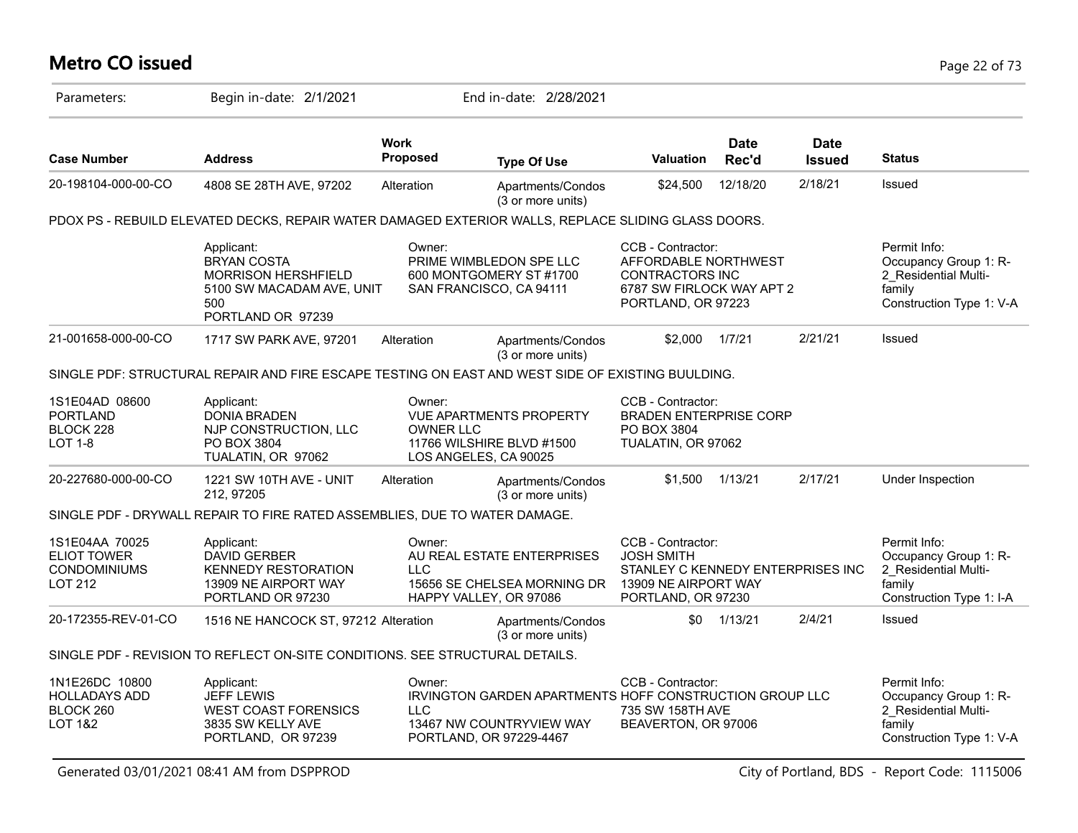# **Metro CO issued** Page 22 of 73

| Parameters:                                                               | Begin in-date: 2/1/2021                                                                                          |                            | End in-date: 2/28/2021                                                                                                |                                                                                                                           |                      |                       |                                                                                                     |
|---------------------------------------------------------------------------|------------------------------------------------------------------------------------------------------------------|----------------------------|-----------------------------------------------------------------------------------------------------------------------|---------------------------------------------------------------------------------------------------------------------------|----------------------|-----------------------|-----------------------------------------------------------------------------------------------------|
| <b>Case Number</b>                                                        | <b>Address</b>                                                                                                   | Work<br>Proposed           | <b>Type Of Use</b>                                                                                                    | <b>Valuation</b>                                                                                                          | <b>Date</b><br>Rec'd | Date<br><b>Issued</b> | <b>Status</b>                                                                                       |
| 20-198104-000-00-CO                                                       | 4808 SE 28TH AVE, 97202                                                                                          | Alteration                 | Apartments/Condos<br>(3 or more units)                                                                                | \$24,500                                                                                                                  | 12/18/20             | 2/18/21               | <b>Issued</b>                                                                                       |
|                                                                           | PDOX PS - REBUILD ELEVATED DECKS, REPAIR WATER DAMAGED EXTERIOR WALLS, REPLACE SLIDING GLASS DOORS.              |                            |                                                                                                                       |                                                                                                                           |                      |                       |                                                                                                     |
|                                                                           | Applicant:<br><b>BRYAN COSTA</b><br>MORRISON HERSHFIELD<br>5100 SW MACADAM AVE, UNIT<br>500<br>PORTLAND OR 97239 | Owner:                     | PRIME WIMBLEDON SPE LLC<br>600 MONTGOMERY ST #1700<br>SAN FRANCISCO, CA 94111                                         | CCB - Contractor:<br>AFFORDABLE NORTHWEST<br><b>CONTRACTORS INC</b><br>6787 SW FIRLOCK WAY APT 2<br>PORTLAND, OR 97223    |                      |                       | Permit Info:<br>Occupancy Group 1: R-<br>2 Residential Multi-<br>family<br>Construction Type 1: V-A |
| 21-001658-000-00-CO                                                       | 1717 SW PARK AVE, 97201                                                                                          | Alteration                 | Apartments/Condos<br>(3 or more units)                                                                                | \$2.000                                                                                                                   | 1/7/21               | 2/21/21               | Issued                                                                                              |
|                                                                           | SINGLE PDF: STRUCTURAL REPAIR AND FIRE ESCAPE TESTING ON EAST AND WEST SIDE OF EXISTING BUULDING.                |                            |                                                                                                                       |                                                                                                                           |                      |                       |                                                                                                     |
| 1S1E04AD 08600<br><b>PORTLAND</b><br>BLOCK 228<br><b>LOT 1-8</b>          | Applicant:<br><b>DONIA BRADEN</b><br>NJP CONSTRUCTION, LLC<br>PO BOX 3804<br>TUALATIN, OR 97062                  | Owner:<br><b>OWNER LLC</b> | <b>VUE APARTMENTS PROPERTY</b><br>11766 WILSHIRE BLVD #1500<br>LOS ANGELES, CA 90025                                  | CCB - Contractor:<br><b>BRADEN ENTERPRISE CORP</b><br>PO BOX 3804<br>TUALATIN, OR 97062                                   |                      |                       |                                                                                                     |
| 20-227680-000-00-CO                                                       | 1221 SW 10TH AVE - UNIT<br>212, 97205                                                                            | Alteration                 | Apartments/Condos<br>(3 or more units)                                                                                | \$1.500                                                                                                                   | 1/13/21              | 2/17/21               | Under Inspection                                                                                    |
|                                                                           | SINGLE PDF - DRYWALL REPAIR TO FIRE RATED ASSEMBLIES, DUE TO WATER DAMAGE.                                       |                            |                                                                                                                       |                                                                                                                           |                      |                       |                                                                                                     |
| 1S1E04AA 70025<br><b>ELIOT TOWER</b><br><b>CONDOMINIUMS</b><br>LOT 212    | Applicant:<br><b>DAVID GERBER</b><br><b>KENNEDY RESTORATION</b><br>13909 NE AIRPORT WAY<br>PORTLAND OR 97230     | Owner:<br><b>LLC</b>       | AU REAL ESTATE ENTERPRISES<br>15656 SE CHELSEA MORNING DR<br>HAPPY VALLEY, OR 97086                                   | CCB - Contractor:<br><b>JOSH SMITH</b><br>STANLEY C KENNEDY ENTERPRISES INC<br>13909 NE AIRPORT WAY<br>PORTLAND, OR 97230 |                      |                       | Permit Info:<br>Occupancy Group 1: R-<br>2 Residential Multi-<br>family<br>Construction Type 1: I-A |
| 20-172355-REV-01-CO                                                       | 1516 NE HANCOCK ST, 97212 Alteration                                                                             |                            | Apartments/Condos<br>(3 or more units)                                                                                | \$0                                                                                                                       | 1/13/21              | 2/4/21                | <b>Issued</b>                                                                                       |
|                                                                           | SINGLE PDF - REVISION TO REFLECT ON-SITE CONDITIONS. SEE STRUCTURAL DETAILS.                                     |                            |                                                                                                                       |                                                                                                                           |                      |                       |                                                                                                     |
| 1N1E26DC 10800<br><b>HOLLADAYS ADD</b><br>BLOCK 260<br><b>LOT 1&amp;2</b> | Applicant:<br><b>JEFF LEWIS</b><br><b>WEST COAST FORENSICS</b><br>3835 SW KELLY AVE<br>PORTLAND, OR 97239        | Owner:<br><b>LLC</b>       | <b>IRVINGTON GARDEN APARTMENTS HOFF CONSTRUCTION GROUP LLC</b><br>13467 NW COUNTRYVIEW WAY<br>PORTLAND, OR 97229-4467 | CCB - Contractor:<br>735 SW 158TH AVE<br>BEAVERTON, OR 97006                                                              |                      |                       | Permit Info:<br>Occupancy Group 1: R-<br>2 Residential Multi-<br>family<br>Construction Type 1: V-A |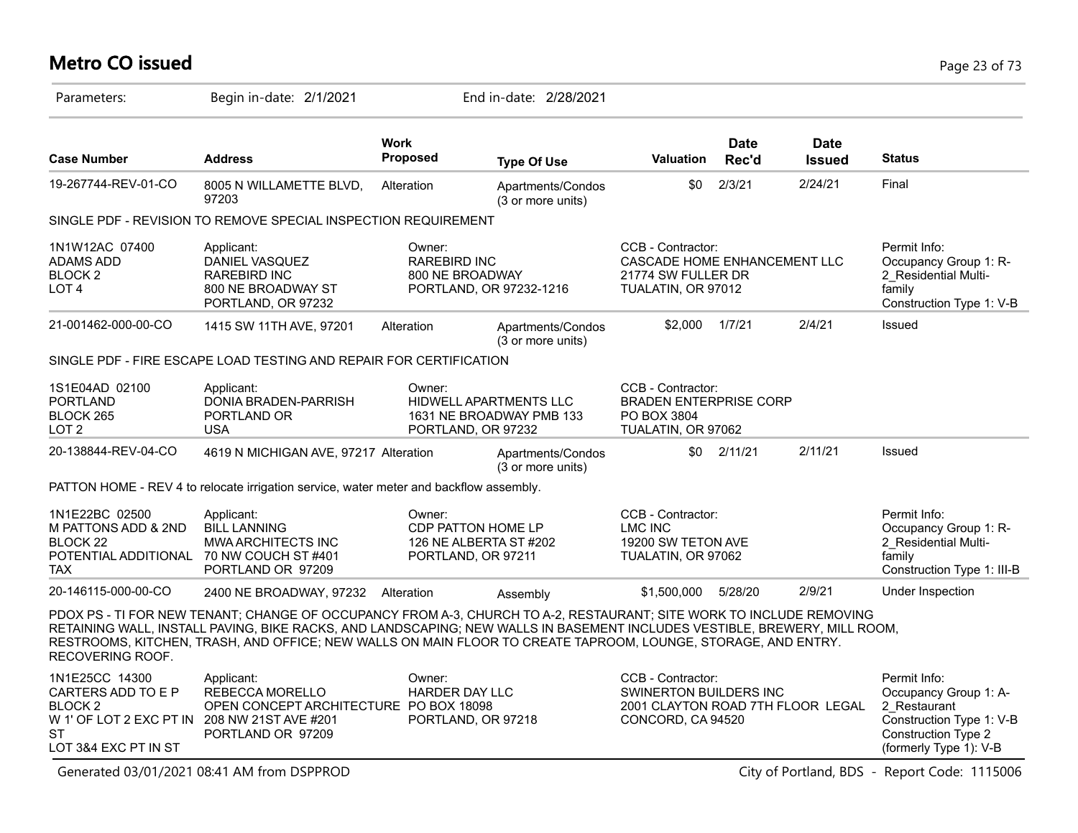# **Metro CO issued** Page 23 of 73

| Parameters:                                                                                                                                     | Begin in-date: 2/1/2021                                                                                                                                                                                                                                                                                                                                           |                                                  | End in-date: 2/28/2021                                                   |                                                                                                       |                      |                              |                                                                                                                                           |
|-------------------------------------------------------------------------------------------------------------------------------------------------|-------------------------------------------------------------------------------------------------------------------------------------------------------------------------------------------------------------------------------------------------------------------------------------------------------------------------------------------------------------------|--------------------------------------------------|--------------------------------------------------------------------------|-------------------------------------------------------------------------------------------------------|----------------------|------------------------------|-------------------------------------------------------------------------------------------------------------------------------------------|
| <b>Case Number</b>                                                                                                                              | <b>Address</b>                                                                                                                                                                                                                                                                                                                                                    | <b>Work</b><br>Proposed                          | <b>Type Of Use</b>                                                       | <b>Valuation</b>                                                                                      | <b>Date</b><br>Rec'd | <b>Date</b><br><b>Issued</b> | <b>Status</b>                                                                                                                             |
| 19-267744-REV-01-CO                                                                                                                             | 8005 N WILLAMETTE BLVD,<br>97203                                                                                                                                                                                                                                                                                                                                  | Alteration                                       | Apartments/Condos<br>(3 or more units)                                   | \$0                                                                                                   | 2/3/21               | 2/24/21                      | Final                                                                                                                                     |
|                                                                                                                                                 | SINGLE PDF - REVISION TO REMOVE SPECIAL INSPECTION REQUIREMENT                                                                                                                                                                                                                                                                                                    |                                                  |                                                                          |                                                                                                       |                      |                              |                                                                                                                                           |
| 1N1W12AC 07400<br>ADAMS ADD<br><b>BLOCK2</b><br>LOT <sub>4</sub>                                                                                | Applicant:<br>DANIEL VASQUEZ<br><b>RAREBIRD INC</b><br>800 NE BROADWAY ST<br>PORTLAND, OR 97232                                                                                                                                                                                                                                                                   | Owner:<br><b>RAREBIRD INC</b><br>800 NE BROADWAY | PORTLAND, OR 97232-1216                                                  | CCB - Contractor:<br>CASCADE HOME ENHANCEMENT LLC<br>21774 SW FULLER DR<br>TUALATIN, OR 97012         |                      |                              | Permit Info:<br>Occupancy Group 1: R-<br>2 Residential Multi-<br>family<br>Construction Type 1: V-B                                       |
| 21-001462-000-00-CO                                                                                                                             | 1415 SW 11TH AVE, 97201                                                                                                                                                                                                                                                                                                                                           | Alteration                                       | Apartments/Condos<br>(3 or more units)                                   | \$2,000                                                                                               | 1/7/21               | 2/4/21                       | Issued                                                                                                                                    |
|                                                                                                                                                 | SINGLE PDF - FIRE ESCAPE LOAD TESTING AND REPAIR FOR CERTIFICATION                                                                                                                                                                                                                                                                                                |                                                  |                                                                          |                                                                                                       |                      |                              |                                                                                                                                           |
| 1S1E04AD 02100<br><b>PORTLAND</b><br>BLOCK 265<br>LOT <sub>2</sub>                                                                              | Applicant:<br>DONIA BRADEN-PARRISH<br>PORTLAND OR<br><b>USA</b>                                                                                                                                                                                                                                                                                                   | Owner:                                           | HIDWELL APARTMENTS LLC<br>1631 NE BROADWAY PMB 133<br>PORTLAND, OR 97232 | CCB - Contractor:<br><b>BRADEN ENTERPRISE CORP</b><br>PO BOX 3804<br>TUALATIN, OR 97062               |                      |                              |                                                                                                                                           |
| 20-138844-REV-04-CO                                                                                                                             | 4619 N MICHIGAN AVE, 97217 Alteration                                                                                                                                                                                                                                                                                                                             |                                                  | Apartments/Condos<br>(3 or more units)                                   | \$0                                                                                                   | 2/11/21              | 2/11/21                      | Issued                                                                                                                                    |
|                                                                                                                                                 | PATTON HOME - REV 4 to relocate irrigation service, water meter and backflow assembly.                                                                                                                                                                                                                                                                            |                                                  |                                                                          |                                                                                                       |                      |                              |                                                                                                                                           |
| 1N1E22BC 02500<br>M PATTONS ADD & 2ND<br>BLOCK 22<br>POTENTIAL ADDITIONAL 70 NW COUCH ST #401<br><b>TAX</b>                                     | Applicant:<br><b>BILL LANNING</b><br>MWA ARCHITECTS INC<br>PORTLAND OR 97209                                                                                                                                                                                                                                                                                      | Owner:                                           | CDP PATTON HOME LP<br>126 NE ALBERTA ST #202<br>PORTLAND, OR 97211       | CCB - Contractor:<br><b>LMC INC</b><br>19200 SW TETON AVE<br>TUALATIN, OR 97062                       |                      |                              | Permit Info:<br>Occupancy Group 1: R-<br>2_Residential Multi-<br>family<br>Construction Type 1: III-B                                     |
| 20-146115-000-00-CO                                                                                                                             | 2400 NE BROADWAY, 97232 Alteration                                                                                                                                                                                                                                                                                                                                |                                                  | Assembly                                                                 | \$1,500,000                                                                                           | 5/28/20              | 2/9/21                       | Under Inspection                                                                                                                          |
| RECOVERING ROOF.                                                                                                                                | PDOX PS - TI FOR NEW TENANT; CHANGE OF OCCUPANCY FROM A-3, CHURCH TO A-2, RESTAURANT; SITE WORK TO INCLUDE REMOVING<br>RETAINING WALL, INSTALL PAVING, BIKE RACKS, AND LANDSCAPING; NEW WALLS IN BASEMENT INCLUDES VESTIBLE, BREWERY, MILL ROOM,<br>RESTROOMS, KITCHEN, TRASH, AND OFFICE; NEW WALLS ON MAIN FLOOR TO CREATE TAPROOM, LOUNGE, STORAGE, AND ENTRY. |                                                  |                                                                          |                                                                                                       |                      |                              |                                                                                                                                           |
| 1N1E25CC 14300<br>CARTERS ADD TO E P<br>BLOCK <sub>2</sub><br>W 1' OF LOT 2 EXC PT IN 208 NW 21ST AVE #201<br><b>ST</b><br>LOT 3&4 EXC PT IN ST | Applicant:<br>REBECCA MORELLO<br>OPEN CONCEPT ARCHITECTURE PO BOX 18098<br>PORTLAND OR 97209                                                                                                                                                                                                                                                                      | Owner:<br><b>HARDER DAY LLC</b>                  | PORTLAND, OR 97218                                                       | CCB - Contractor:<br>SWINERTON BUILDERS INC<br>2001 CLAYTON ROAD 7TH FLOOR LEGAL<br>CONCORD, CA 94520 |                      |                              | Permit Info:<br>Occupancy Group 1: A-<br>2 Restaurant<br>Construction Type 1: V-B<br><b>Construction Type 2</b><br>(formerly Type 1): V-B |

Generated 03/01/2021 08:41 AM from DSPPROD City of Portland, BDS - Report Code: 1115006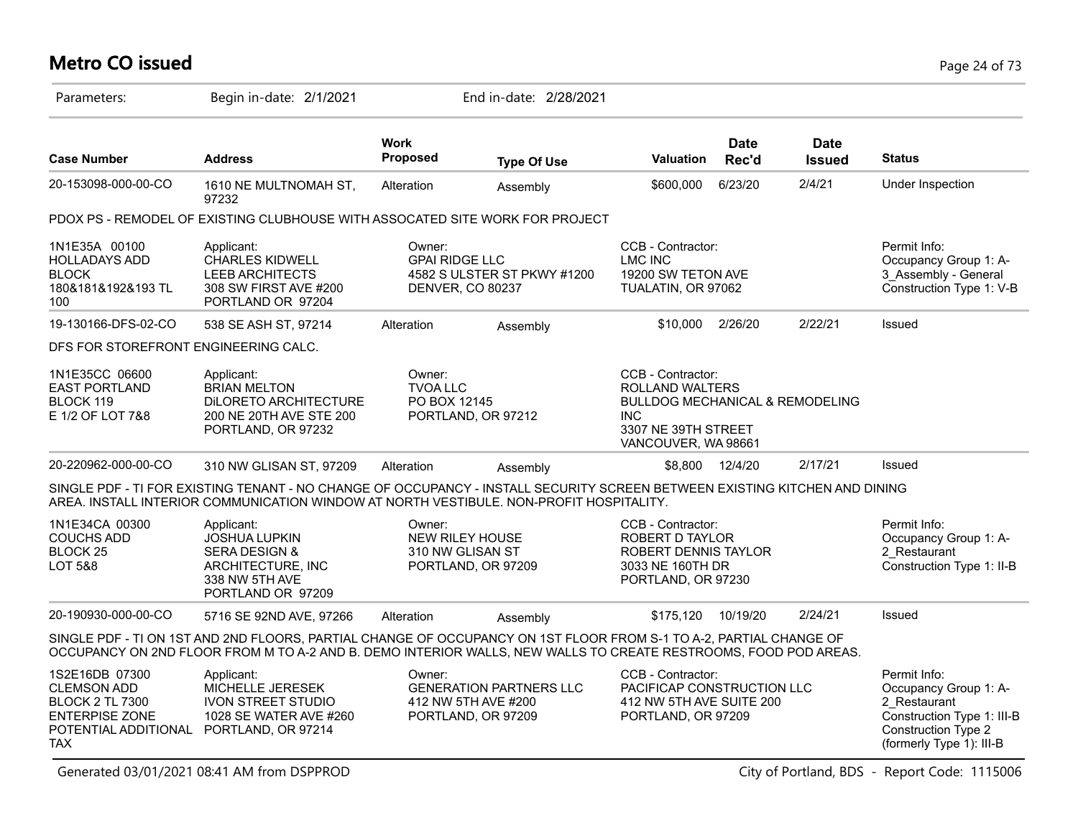# **Metro CO issued** Page 24 of 73

| Parameters:                                                                                                                                      | Begin in-date: 2/1/2021                                                                                                                                                                                                               |                                                      | End in-date: 2/28/2021                                                      |                                                                                                                                                |                      |                              |                                                                                                                                               |
|--------------------------------------------------------------------------------------------------------------------------------------------------|---------------------------------------------------------------------------------------------------------------------------------------------------------------------------------------------------------------------------------------|------------------------------------------------------|-----------------------------------------------------------------------------|------------------------------------------------------------------------------------------------------------------------------------------------|----------------------|------------------------------|-----------------------------------------------------------------------------------------------------------------------------------------------|
| <b>Case Number</b>                                                                                                                               | <b>Address</b>                                                                                                                                                                                                                        | <b>Work</b><br>Proposed                              | <b>Type Of Use</b>                                                          | <b>Valuation</b>                                                                                                                               | <b>Date</b><br>Rec'd | <b>Date</b><br><b>Issued</b> | <b>Status</b>                                                                                                                                 |
| 20-153098-000-00-CO                                                                                                                              | 1610 NE MULTNOMAH ST,<br>97232                                                                                                                                                                                                        | Alteration                                           | Assembly                                                                    | \$600,000                                                                                                                                      | 6/23/20              | 2/4/21                       | Under Inspection                                                                                                                              |
|                                                                                                                                                  | PDOX PS - REMODEL OF EXISTING CLUBHOUSE WITH ASSOCATED SITE WORK FOR PROJECT                                                                                                                                                          |                                                      |                                                                             |                                                                                                                                                |                      |                              |                                                                                                                                               |
| 1N1E35A 00100<br><b>HOLLADAYS ADD</b><br><b>BLOCK</b><br>180&181&192&193 TL<br>100                                                               | Applicant:<br><b>CHARLES KIDWELL</b><br><b>LEEB ARCHITECTS</b><br>308 SW FIRST AVE #200<br>PORTLAND OR 97204                                                                                                                          | Owner:<br><b>GPAI RIDGE LLC</b><br>DENVER, CO 80237  | 4582 S ULSTER ST PKWY #1200                                                 | CCB - Contractor:<br><b>LMC INC</b><br>19200 SW TETON AVE<br>TUALATIN, OR 97062                                                                |                      |                              | Permit Info:<br>Occupancy Group 1: A-<br>3 Assembly - General<br>Construction Type 1: V-B                                                     |
| 19-130166-DFS-02-CO                                                                                                                              | 538 SE ASH ST, 97214                                                                                                                                                                                                                  | Alteration                                           | Assembly                                                                    | \$10,000                                                                                                                                       | 2/26/20              | 2/22/21                      | Issued                                                                                                                                        |
| DFS FOR STOREFRONT ENGINEERING CALC.                                                                                                             |                                                                                                                                                                                                                                       |                                                      |                                                                             |                                                                                                                                                |                      |                              |                                                                                                                                               |
| 1N1E35CC 06600<br><b>EAST PORTLAND</b><br>BLOCK 119<br>E 1/2 OF LOT 7&8                                                                          | Applicant:<br><b>BRIAN MELTON</b><br>DILORETO ARCHITECTURE<br>200 NE 20TH AVE STE 200<br>PORTLAND, OR 97232                                                                                                                           | Owner:<br><b>TVOA LLC</b><br>PO BOX 12145            | PORTLAND, OR 97212                                                          | CCB - Contractor:<br>ROLLAND WALTERS<br><b>BULLDOG MECHANICAL &amp; REMODELING</b><br><b>INC</b><br>3307 NE 39TH STREET<br>VANCOUVER, WA 98661 |                      |                              |                                                                                                                                               |
| 20-220962-000-00-CO                                                                                                                              | 310 NW GLISAN ST, 97209                                                                                                                                                                                                               | Alteration                                           | Assembly                                                                    | \$8,800                                                                                                                                        | 12/4/20              | 2/17/21                      | Issued                                                                                                                                        |
|                                                                                                                                                  | SINGLE PDF - TI FOR EXISTING TENANT - NO CHANGE OF OCCUPANCY - INSTALL SECURITY SCREEN BETWEEN EXISTING KITCHEN AND DINING<br>AREA. INSTALL INTERIOR COMMUNICATION WINDOW AT NORTH VESTIBULE. NON-PROFIT HOSPITALITY.                 |                                                      |                                                                             |                                                                                                                                                |                      |                              |                                                                                                                                               |
| 1N1E34CA 00300<br><b>COUCHS ADD</b><br>BLOCK <sub>25</sub><br><b>LOT 5&amp;8</b>                                                                 | Applicant:<br><b>JOSHUA LUPKIN</b><br><b>SERA DESIGN &amp;</b><br>ARCHITECTURE, INC<br>338 NW 5TH AVE<br>PORTLAND OR 97209                                                                                                            | Owner:<br><b>NEW RILEY HOUSE</b><br>310 NW GLISAN ST | PORTLAND, OR 97209                                                          | CCB - Contractor:<br>ROBERT D TAYLOR<br>ROBERT DENNIS TAYLOR<br>3033 NE 160TH DR<br>PORTLAND, OR 97230                                         |                      |                              | Permit Info:<br>Occupancy Group 1: A-<br>2 Restaurant<br>Construction Type 1: II-B                                                            |
| 20-190930-000-00-CO                                                                                                                              | 5716 SE 92ND AVE, 97266                                                                                                                                                                                                               | Alteration                                           | Assembly                                                                    | \$175,120                                                                                                                                      | 10/19/20             | 2/24/21                      | Issued                                                                                                                                        |
|                                                                                                                                                  | SINGLE PDF - TI ON 1ST AND 2ND FLOORS, PARTIAL CHANGE OF OCCUPANCY ON 1ST FLOOR FROM S-1 TO A-2, PARTIAL CHANGE OF<br>OCCUPANCY ON 2ND FLOOR FROM M TO A-2 AND B. DEMO INTERIOR WALLS, NEW WALLS TO CREATE RESTROOMS, FOOD POD AREAS. |                                                      |                                                                             |                                                                                                                                                |                      |                              |                                                                                                                                               |
| 1S2E16DB 07300<br><b>CLEMSON ADD</b><br><b>BLOCK 2 TL 7300</b><br><b>ENTERPISE ZONE</b><br>POTENTIAL ADDITIONAL PORTLAND, OR 97214<br><b>TAX</b> | Applicant:<br><b>MICHELLE JERESEK</b><br><b>IVON STREET STUDIO</b><br>1028 SE WATER AVE #260                                                                                                                                          | Owner:                                               | <b>GENERATION PARTNERS LLC</b><br>412 NW 5TH AVE #200<br>PORTLAND, OR 97209 | CCB - Contractor:<br>PACIFICAP CONSTRUCTION LLC<br>412 NW 5TH AVE SUITE 200<br>PORTLAND, OR 97209                                              |                      |                              | Permit Info:<br>Occupancy Group 1: A-<br>2 Restaurant<br>Construction Type 1: III-B<br><b>Construction Type 2</b><br>(formerly Type 1): III-B |

Generated 03/01/2021 08:41 AM from DSPPROD City of Portland, BDS - Report Code: 1115006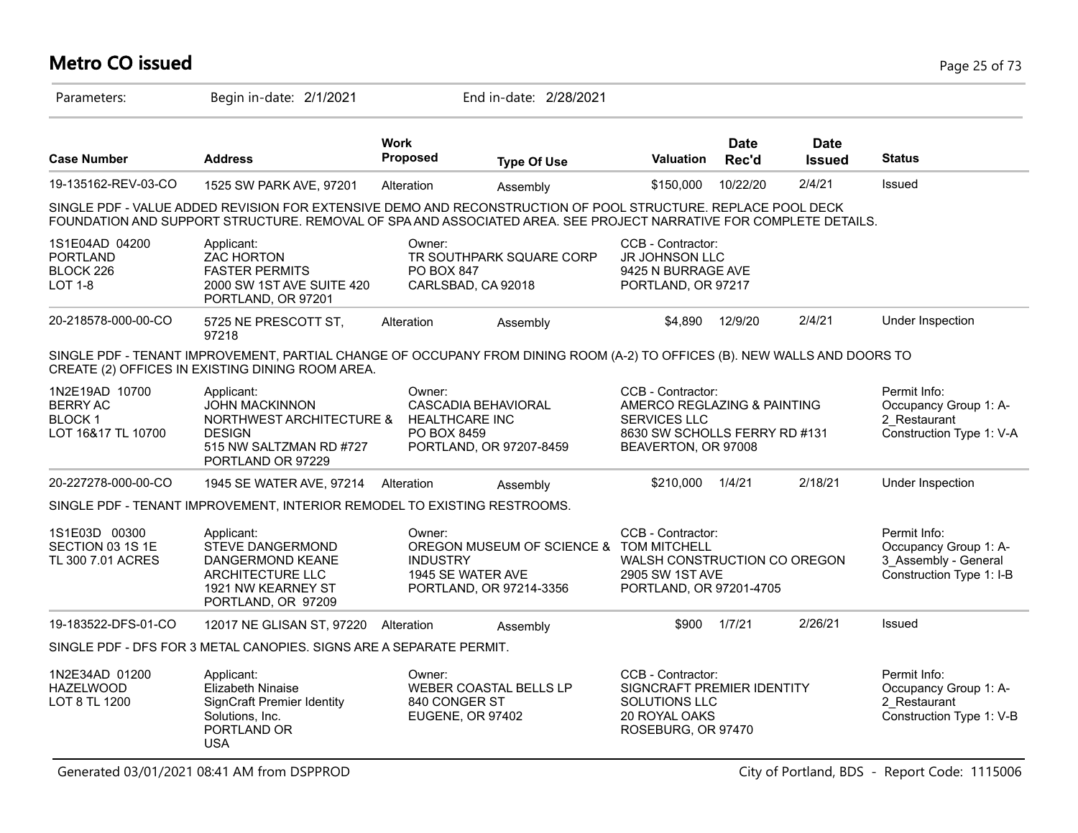# **Metro CO issued** Page 25 of 73

| Parameters:                                                               | Begin in-date: 2/1/2021                                                                                                                                                                                                           |                                                | End in-date: 2/28/2021                                                     |                                                                                                                                 |                      |                              |                                                                                           |
|---------------------------------------------------------------------------|-----------------------------------------------------------------------------------------------------------------------------------------------------------------------------------------------------------------------------------|------------------------------------------------|----------------------------------------------------------------------------|---------------------------------------------------------------------------------------------------------------------------------|----------------------|------------------------------|-------------------------------------------------------------------------------------------|
| <b>Case Number</b>                                                        | <b>Address</b>                                                                                                                                                                                                                    | <b>Work</b><br>Proposed                        | <b>Type Of Use</b>                                                         | <b>Valuation</b>                                                                                                                | <b>Date</b><br>Rec'd | <b>Date</b><br><b>Issued</b> | <b>Status</b>                                                                             |
| 19-135162-REV-03-CO                                                       | 1525 SW PARK AVE, 97201                                                                                                                                                                                                           | Alteration                                     | Assembly                                                                   | \$150,000                                                                                                                       | 10/22/20             | 2/4/21                       | Issued                                                                                    |
|                                                                           | SINGLE PDF - VALUE ADDED REVISION FOR EXTENSIVE DEMO AND RECONSTRUCTION OF POOL STRUCTURE. REPLACE POOL DECK<br>FOUNDATION AND SUPPORT STRUCTURE. REMOVAL OF SPA AND ASSOCIATED AREA. SEE PROJECT NARRATIVE FOR COMPLETE DETAILS. |                                                |                                                                            |                                                                                                                                 |                      |                              |                                                                                           |
| 1S1E04AD 04200<br>PORTLAND<br>BLOCK 226<br><b>LOT 1-8</b>                 | Applicant:<br>ZAC HORTON<br><b>FASTER PERMITS</b><br>2000 SW 1ST AVE SUITE 420<br>PORTLAND, OR 97201                                                                                                                              | Owner:<br>PO BOX 847                           | TR SOUTHPARK SQUARE CORP<br>CARLSBAD, CA 92018                             | CCB - Contractor:<br>JR JOHNSON LLC<br>9425 N BURRAGE AVE<br>PORTLAND, OR 97217                                                 |                      |                              |                                                                                           |
| 20-218578-000-00-CO                                                       | 5725 NE PRESCOTT ST,<br>97218                                                                                                                                                                                                     | Alteration                                     | Assembly                                                                   | \$4,890                                                                                                                         | 12/9/20              | 2/4/21                       | Under Inspection                                                                          |
|                                                                           | SINGLE PDF - TENANT IMPROVEMENT, PARTIAL CHANGE OF OCCUPANY FROM DINING ROOM (A-2) TO OFFICES (B). NEW WALLS AND DOORS TO<br>CREATE (2) OFFICES IN EXISTING DINING ROOM AREA.                                                     |                                                |                                                                            |                                                                                                                                 |                      |                              |                                                                                           |
| 1N2E19AD 10700<br><b>BERRY AC</b><br><b>BLOCK 1</b><br>LOT 16&17 TL 10700 | Applicant:<br><b>JOHN MACKINNON</b><br>NORTHWEST ARCHITECTURE &<br><b>DESIGN</b><br>515 NW SALTZMAN RD #727<br>PORTLAND OR 97229                                                                                                  | Owner:<br><b>HEALTHCARE INC</b><br>PO BOX 8459 | CASCADIA BEHAVIORAL<br>PORTLAND, OR 97207-8459                             | CCB - Contractor:<br>AMERCO REGLAZING & PAINTING<br><b>SERVICES LLC</b><br>8630 SW SCHOLLS FERRY RD #131<br>BEAVERTON, OR 97008 |                      |                              | Permit Info:<br>Occupancy Group 1: A-<br>2 Restaurant<br>Construction Type 1: V-A         |
| 20-227278-000-00-CO                                                       | 1945 SE WATER AVE, 97214                                                                                                                                                                                                          | Alteration                                     | Assembly                                                                   | \$210,000                                                                                                                       | 1/4/21               | 2/18/21                      | Under Inspection                                                                          |
|                                                                           | SINGLE PDF - TENANT IMPROVEMENT, INTERIOR REMODEL TO EXISTING RESTROOMS.                                                                                                                                                          |                                                |                                                                            |                                                                                                                                 |                      |                              |                                                                                           |
| 1S1E03D 00300<br>SECTION 03 1S 1E<br>TL 300 7.01 ACRES                    | Applicant:<br>STEVE DANGERMOND<br>DANGERMOND KEANE<br>ARCHITECTURE LLC<br>1921 NW KEARNEY ST<br>PORTLAND, OR 97209                                                                                                                | Owner:<br><b>INDUSTRY</b>                      | OREGON MUSEUM OF SCIENCE &<br>1945 SE WATER AVE<br>PORTLAND, OR 97214-3356 | CCB - Contractor:<br><b>TOM MITCHELL</b><br>WALSH CONSTRUCTION CO OREGON<br>2905 SW 1ST AVE<br>PORTLAND, OR 97201-4705          |                      |                              | Permit Info:<br>Occupancy Group 1: A-<br>3 Assembly - General<br>Construction Type 1: I-B |
| 19-183522-DFS-01-CO                                                       | 12017 NE GLISAN ST, 97220 Alteration                                                                                                                                                                                              |                                                | Assembly                                                                   | \$900                                                                                                                           | 1/7/21               | 2/26/21                      | Issued                                                                                    |
|                                                                           | SINGLE PDF - DFS FOR 3 METAL CANOPIES. SIGNS ARE A SEPARATE PERMIT.                                                                                                                                                               |                                                |                                                                            |                                                                                                                                 |                      |                              |                                                                                           |
| 1N2E34AD 01200<br><b>HAZELWOOD</b><br>LOT 8 TL 1200                       | Applicant:<br>Elizabeth Ninaise<br><b>SignCraft Premier Identity</b><br>Solutions, Inc.<br>PORTLAND OR<br>USA                                                                                                                     | Owner:<br>840 CONGER ST<br>EUGENE, OR 97402    | WEBER COASTAL BELLS LP                                                     | CCB - Contractor:<br>SIGNCRAFT PREMIER IDENTITY<br>SOLUTIONS LLC<br>20 ROYAL OAKS<br>ROSEBURG, OR 97470                         |                      |                              | Permit Info:<br>Occupancy Group 1: A-<br>2 Restaurant<br>Construction Type 1: V-B         |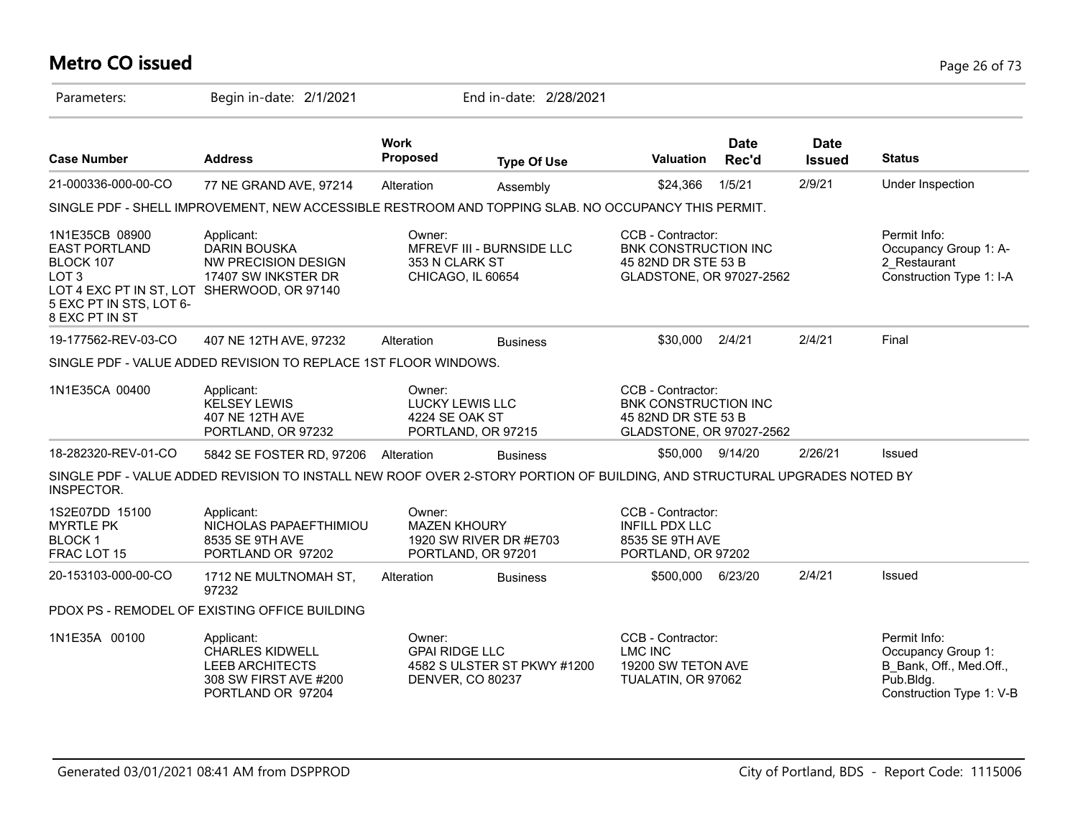# **Metro CO issued** Page 26 of 73

| Parameters:                                                                                                                                                        | Begin in-date: 2/1/2021                                                                                                  |                                                     | End in-date: 2/28/2021                       |                                                                                                     |                      |                              |                                                                                                        |
|--------------------------------------------------------------------------------------------------------------------------------------------------------------------|--------------------------------------------------------------------------------------------------------------------------|-----------------------------------------------------|----------------------------------------------|-----------------------------------------------------------------------------------------------------|----------------------|------------------------------|--------------------------------------------------------------------------------------------------------|
| <b>Case Number</b>                                                                                                                                                 | <b>Address</b>                                                                                                           | <b>Work</b><br>Proposed                             | <b>Type Of Use</b>                           | <b>Valuation</b>                                                                                    | <b>Date</b><br>Rec'd | <b>Date</b><br><b>Issued</b> | <b>Status</b>                                                                                          |
| 21-000336-000-00-CO                                                                                                                                                | 77 NE GRAND AVE, 97214                                                                                                   | Alteration                                          | Assembly                                     | \$24,366                                                                                            | 1/5/21               | 2/9/21                       | Under Inspection                                                                                       |
|                                                                                                                                                                    | SINGLE PDF - SHELL IMPROVEMENT, NEW ACCESSIBLE RESTROOM AND TOPPING SLAB. NO OCCUPANCY THIS PERMIT.                      |                                                     |                                              |                                                                                                     |                      |                              |                                                                                                        |
| 1N1E35CB 08900<br><b>EAST PORTLAND</b><br>BLOCK 107<br>LOT <sub>3</sub><br>LOT 4 EXC PT IN ST, LOT SHERWOOD, OR 97140<br>5 EXC PT IN STS, LOT 6-<br>8 EXC PT IN ST | Applicant:<br><b>DARIN BOUSKA</b><br>NW PRECISION DESIGN<br>17407 SW INKSTER DR                                          | Owner:<br>353 N CLARK ST<br>CHICAGO, IL 60654       | MFREVF III - BURNSIDE LLC                    | CCB - Contractor:<br><b>BNK CONSTRUCTION INC</b><br>45 82ND DR STE 53 B<br>GLADSTONE, OR 97027-2562 |                      |                              | Permit Info:<br>Occupancy Group 1: A-<br>2 Restaurant<br>Construction Type 1: I-A                      |
| 19-177562-REV-03-CO                                                                                                                                                | 407 NE 12TH AVE, 97232                                                                                                   | Alteration                                          | <b>Business</b>                              | \$30,000                                                                                            | 2/4/21               | 2/4/21                       | Final                                                                                                  |
|                                                                                                                                                                    | SINGLE PDF - VALUE ADDED REVISION TO REPLACE 1ST FLOOR WINDOWS.                                                          |                                                     |                                              |                                                                                                     |                      |                              |                                                                                                        |
| 1N1E35CA 00400                                                                                                                                                     | Applicant:<br><b>KELSEY LEWIS</b><br>407 NE 12TH AVE<br>PORTLAND, OR 97232                                               | Owner:<br><b>LUCKY LEWIS LLC</b><br>4224 SE OAK ST  | PORTLAND, OR 97215                           | CCB - Contractor:<br><b>BNK CONSTRUCTION INC</b><br>45 82ND DR STE 53 B<br>GLADSTONE, OR 97027-2562 |                      |                              |                                                                                                        |
| 18-282320-REV-01-CO                                                                                                                                                | 5842 SE FOSTER RD, 97206                                                                                                 | Alteration                                          | <b>Business</b>                              | \$50,000 9/14/20                                                                                    |                      | 2/26/21                      | Issued                                                                                                 |
| INSPECTOR.                                                                                                                                                         | SINGLE PDF - VALUE ADDED REVISION TO INSTALL NEW ROOF OVER 2-STORY PORTION OF BUILDING, AND STRUCTURAL UPGRADES NOTED BY |                                                     |                                              |                                                                                                     |                      |                              |                                                                                                        |
| 1S2E07DD 15100<br><b>MYRTLE PK</b><br><b>BLOCK1</b><br>FRAC LOT 15                                                                                                 | Applicant:<br>NICHOLAS PAPAEFTHIMIOU<br>8535 SE 9TH AVE<br>PORTLAND OR 97202                                             | Owner:<br><b>MAZEN KHOURY</b>                       | 1920 SW RIVER DR #E703<br>PORTLAND, OR 97201 | CCB - Contractor:<br><b>INFILL PDX LLC</b><br>8535 SE 9TH AVE<br>PORTLAND, OR 97202                 |                      |                              |                                                                                                        |
| 20-153103-000-00-CO                                                                                                                                                | 1712 NE MULTNOMAH ST,<br>97232                                                                                           | Alteration                                          | <b>Business</b>                              | \$500,000                                                                                           | 6/23/20              | 2/4/21                       | Issued                                                                                                 |
|                                                                                                                                                                    | PDOX PS - REMODEL OF EXISTING OFFICE BUILDING                                                                            |                                                     |                                              |                                                                                                     |                      |                              |                                                                                                        |
| 1N1E35A 00100                                                                                                                                                      | Applicant:<br><b>CHARLES KIDWELL</b><br><b>LEEB ARCHITECTS</b><br>308 SW FIRST AVE #200<br>PORTLAND OR 97204             | Owner:<br><b>GPAI RIDGE LLC</b><br>DENVER, CO 80237 | 4582 S ULSTER ST PKWY #1200                  | CCB - Contractor:<br><b>LMC INC</b><br>19200 SW TETON AVE<br>TUALATIN, OR 97062                     |                      |                              | Permit Info:<br>Occupancy Group 1:<br>B Bank, Off., Med.Off.,<br>Pub.Bldg.<br>Construction Type 1: V-B |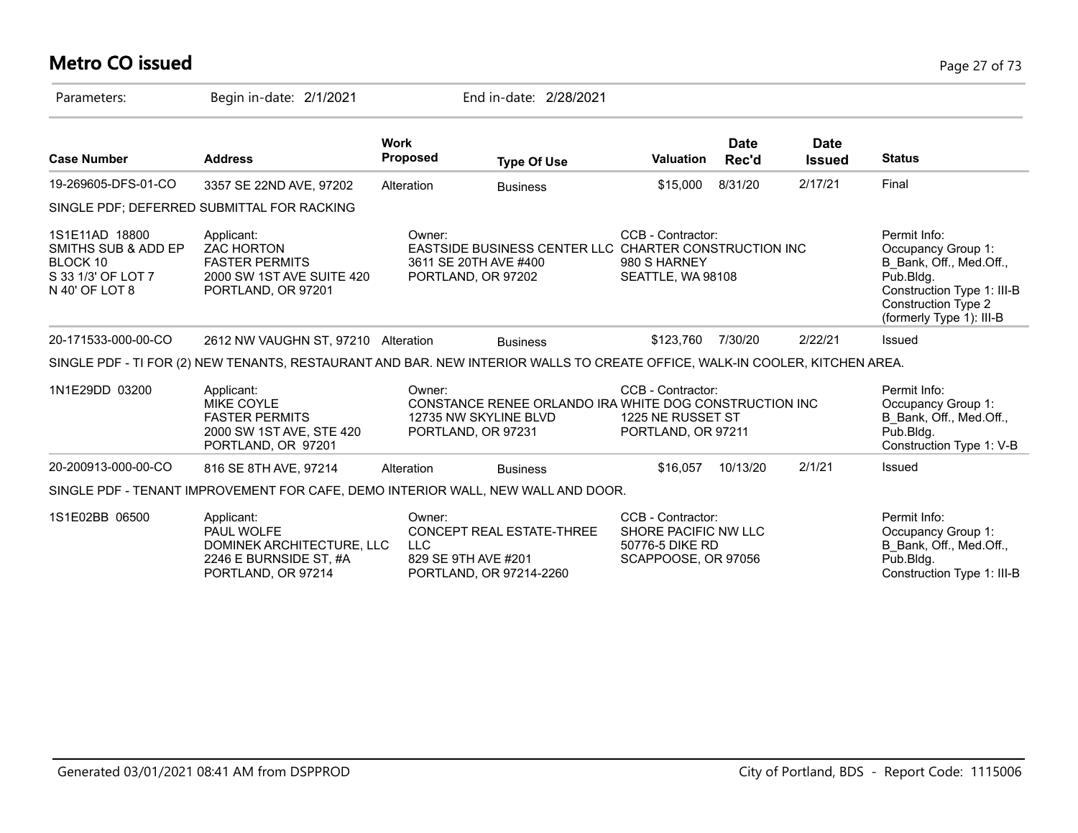# **Metro CO issued** Page 27 of 73

| Parameters:                                                                               | Begin in-date: 2/1/2021                                                                                                     |                         | End in-date: 2/28/2021                                                                                |                                                                                     |                      |                              |                                                                                                                                                             |
|-------------------------------------------------------------------------------------------|-----------------------------------------------------------------------------------------------------------------------------|-------------------------|-------------------------------------------------------------------------------------------------------|-------------------------------------------------------------------------------------|----------------------|------------------------------|-------------------------------------------------------------------------------------------------------------------------------------------------------------|
| <b>Case Number</b>                                                                        | <b>Address</b>                                                                                                              | <b>Work</b><br>Proposed | <b>Type Of Use</b>                                                                                    | Valuation                                                                           | <b>Date</b><br>Rec'd | <b>Date</b><br><b>Issued</b> | <b>Status</b>                                                                                                                                               |
| 19-269605-DFS-01-CO                                                                       | 3357 SE 22ND AVE, 97202                                                                                                     | Alteration              | <b>Business</b>                                                                                       | \$15,000                                                                            | 8/31/20              | 2/17/21                      | Final                                                                                                                                                       |
|                                                                                           | SINGLE PDF; DEFERRED SUBMITTAL FOR RACKING                                                                                  |                         |                                                                                                       |                                                                                     |                      |                              |                                                                                                                                                             |
| 1S1E11AD 18800<br>SMITHS SUB & ADD EP<br>BLOCK 10<br>S 33 1/3' OF LOT 7<br>N 40' OF LOT 8 | Applicant:<br><b>ZAC HORTON</b><br><b>FASTER PERMITS</b><br>2000 SW 1ST AVE SUITE 420<br>PORTLAND, OR 97201                 | Owner:                  | EASTSIDE BUSINESS CENTER LLC CHARTER CONSTRUCTION INC<br>3611 SE 20TH AVE #400<br>PORTLAND, OR 97202  | CCB - Contractor:<br>980 S HARNEY<br>SEATTLE, WA 98108                              |                      |                              | Permit Info:<br>Occupancy Group 1:<br>B Bank, Off., Med.Off.,<br>Pub.Bldg.<br>Construction Type 1: III-B<br>Construction Type 2<br>(formerly Type 1): III-B |
| 20-171533-000-00-CO                                                                       | 2612 NW VAUGHN ST. 97210 Alteration                                                                                         |                         | <b>Business</b>                                                                                       | \$123,760                                                                           | 7/30/20              | 2/22/21                      | <b>Issued</b>                                                                                                                                               |
|                                                                                           | SINGLE PDF - TI FOR (2) NEW TENANTS, RESTAURANT AND BAR. NEW INTERIOR WALLS TO CREATE OFFICE, WALK-IN COOLER, KITCHEN AREA. |                         |                                                                                                       |                                                                                     |                      |                              |                                                                                                                                                             |
| 1N1E29DD 03200                                                                            | Applicant:<br><b>MIKE COYLE</b><br><b>FASTER PERMITS</b><br>2000 SW 1ST AVE, STE 420<br>PORTLAND, OR 97201                  | Owner:                  | CONSTANCE RENEE ORLANDO IRA WHITE DOG CONSTRUCTION INC<br>12735 NW SKYLINE BLVD<br>PORTLAND, OR 97231 | CCB - Contractor:<br>1225 NE RUSSET ST<br>PORTLAND, OR 97211                        |                      |                              | Permit Info:<br>Occupancy Group 1:<br>B Bank, Off., Med.Off.,<br>Pub.Bldg.<br>Construction Type 1: V-B                                                      |
| 20-200913-000-00-CO                                                                       | 816 SE 8TH AVE, 97214                                                                                                       | Alteration              | <b>Business</b>                                                                                       | \$16,057                                                                            | 10/13/20             | 2/1/21                       | Issued                                                                                                                                                      |
|                                                                                           | SINGLE PDF - TENANT IMPROVEMENT FOR CAFE, DEMO INTERIOR WALL, NEW WALL AND DOOR.                                            |                         |                                                                                                       |                                                                                     |                      |                              |                                                                                                                                                             |
| 1S1E02BB 06500                                                                            | Applicant:<br>PAUL WOLFE<br>DOMINEK ARCHITECTURE, LLC<br>2246 E BURNSIDE ST, #A<br>PORTLAND, OR 97214                       | Owner:<br><b>LLC</b>    | CONCEPT REAL ESTATE-THREE<br>829 SE 9TH AVE #201<br>PORTLAND, OR 97214-2260                           | CCB - Contractor:<br>SHORE PACIFIC NW LLC<br>50776-5 DIKE RD<br>SCAPPOOSE, OR 97056 |                      |                              | Permit Info:<br>Occupancy Group 1:<br>B_Bank, Off., Med.Off.,<br>Pub.Bldg.<br>Construction Type 1: III-B                                                    |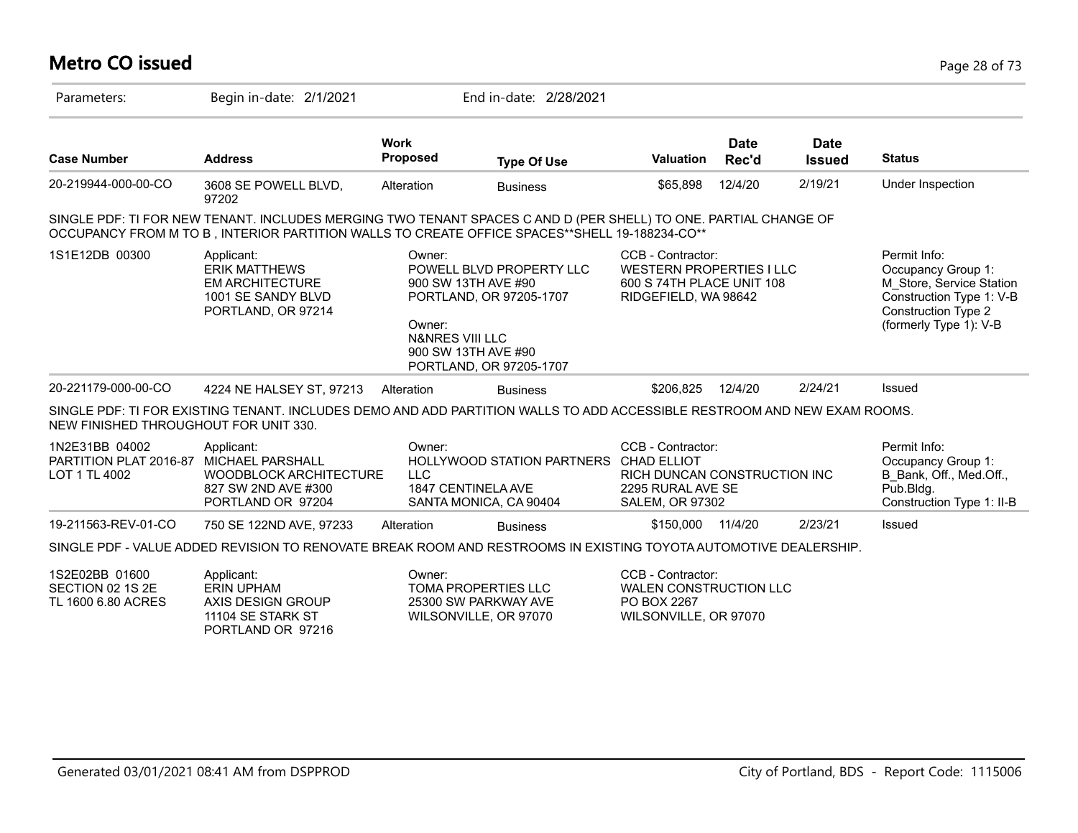# **Metro CO issued** Page 28 of 73

| Parameters:                                               | Begin in-date: 2/1/2021                                                                                                                                                                                          |                                | End in-date: 2/28/2021                                                                 |                                                                                                  |                      |                              |                                                                                                         |
|-----------------------------------------------------------|------------------------------------------------------------------------------------------------------------------------------------------------------------------------------------------------------------------|--------------------------------|----------------------------------------------------------------------------------------|--------------------------------------------------------------------------------------------------|----------------------|------------------------------|---------------------------------------------------------------------------------------------------------|
| <b>Case Number</b>                                        | <b>Address</b>                                                                                                                                                                                                   | <b>Work</b><br><b>Proposed</b> | <b>Type Of Use</b>                                                                     | <b>Valuation</b>                                                                                 | <b>Date</b><br>Rec'd | <b>Date</b><br><b>Issued</b> | <b>Status</b>                                                                                           |
| 20-219944-000-00-CO                                       | 3608 SE POWELL BLVD,<br>97202                                                                                                                                                                                    | Alteration                     | <b>Business</b>                                                                        | \$65,898                                                                                         | 12/4/20              | 2/19/21                      | Under Inspection                                                                                        |
|                                                           | SINGLE PDF: TI FOR NEW TENANT. INCLUDES MERGING TWO TENANT SPACES C AND D (PER SHELL) TO ONE. PARTIAL CHANGE OF<br>OCCUPANCY FROM M TO B, INTERIOR PARTITION WALLS TO CREATE OFFICE SPACES**SHELL 19-188234-CO** |                                |                                                                                        |                                                                                                  |                      |                              |                                                                                                         |
| 1S1E12DB 00300                                            | Permit Info:<br>Occupancy Group 1:<br>M Store, Service Station<br>Construction Type 1: V-B<br><b>Construction Type 2</b><br>(formerly Type 1): V-B                                                               |                                |                                                                                        |                                                                                                  |                      |                              |                                                                                                         |
| 20-221179-000-00-CO                                       | 4224 NE HALSEY ST, 97213                                                                                                                                                                                         | Alteration                     | <b>Business</b>                                                                        | \$206,825                                                                                        | 12/4/20              | 2/24/21                      | Issued                                                                                                  |
| NEW FINISHED THROUGHOUT FOR UNIT 330.                     | SINGLE PDF: TI FOR EXISTING TENANT. INCLUDES DEMO AND ADD PARTITION WALLS TO ADD ACCESSIBLE RESTROOM AND NEW EXAM ROOMS.                                                                                         |                                |                                                                                        |                                                                                                  |                      |                              |                                                                                                         |
| 1N2E31BB 04002<br>PARTITION PLAT 2016-87<br>LOT 1 TL 4002 | Applicant:<br><b>MICHAEL PARSHALL</b><br><b>WOODBLOCK ARCHITECTURE</b><br>827 SW 2ND AVE #300<br>PORTLAND OR 97204                                                                                               | Owner:<br><b>LLC</b>           | HOLLYWOOD STATION PARTNERS CHAD ELLIOT<br>1847 CENTINELA AVE<br>SANTA MONICA, CA 90404 | CCB - Contractor:<br>RICH DUNCAN CONSTRUCTION INC<br>2295 RURAL AVE SE<br><b>SALEM, OR 97302</b> |                      |                              | Permit Info:<br>Occupancy Group 1:<br>B Bank, Off., Med.Off.,<br>Pub.Bldg.<br>Construction Type 1: II-B |
| 19-211563-REV-01-CO                                       | 750 SE 122ND AVE, 97233                                                                                                                                                                                          | Alteration                     | <b>Business</b>                                                                        | \$150,000                                                                                        | 11/4/20              | 2/23/21                      | Issued                                                                                                  |
|                                                           | SINGLE PDF - VALUE ADDED REVISION TO RENOVATE BREAK ROOM AND RESTROOMS IN EXISTING TOYOTA AUTOMOTIVE DEALERSHIP.                                                                                                 |                                |                                                                                        |                                                                                                  |                      |                              |                                                                                                         |
| 1S2E02BB 01600<br>SECTION 02 1S 2E<br>TL 1600 6.80 ACRES  | Applicant:<br><b>ERIN UPHAM</b><br>AXIS DESIGN GROUP<br>11104 SE STARK ST<br>PORTLAND OR 97216                                                                                                                   | Owner:                         | TOMA PROPERTIES LLC<br>25300 SW PARKWAY AVE<br>WILSONVILLE, OR 97070                   | CCB - Contractor:<br><b>WALEN CONSTRUCTION LLC</b><br>PO BOX 2267<br>WILSONVILLE, OR 97070       |                      |                              |                                                                                                         |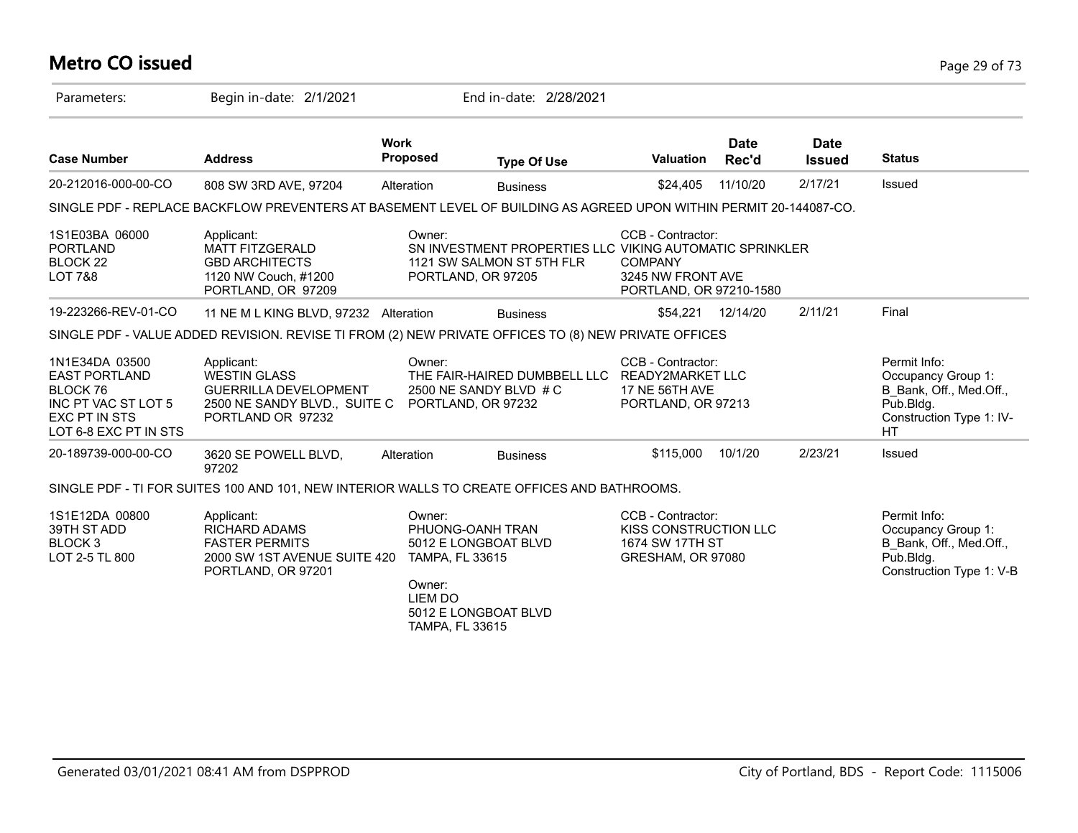# **Metro CO issued** Page 29 of 73

| Parameters:                                                                                                         | Begin in-date: 2/1/2021                                                                                           |                                                                                 | End in-date: 2/28/2021                                                                                     |                                                                                     |                      |                              |                                                                                                                     |
|---------------------------------------------------------------------------------------------------------------------|-------------------------------------------------------------------------------------------------------------------|---------------------------------------------------------------------------------|------------------------------------------------------------------------------------------------------------|-------------------------------------------------------------------------------------|----------------------|------------------------------|---------------------------------------------------------------------------------------------------------------------|
| <b>Case Number</b>                                                                                                  | <b>Address</b>                                                                                                    | <b>Work</b><br><b>Proposed</b>                                                  | <b>Type Of Use</b>                                                                                         | Valuation                                                                           | <b>Date</b><br>Rec'd | <b>Date</b><br><b>Issued</b> | <b>Status</b>                                                                                                       |
| 20-212016-000-00-CO                                                                                                 | 808 SW 3RD AVE, 97204                                                                                             | Alteration                                                                      | <b>Business</b>                                                                                            | \$24,405                                                                            | 11/10/20             | 2/17/21                      | Issued                                                                                                              |
|                                                                                                                     | SINGLE PDF - REPLACE BACKFLOW PREVENTERS AT BASEMENT LEVEL OF BUILDING AS AGREED UPON WITHIN PERMIT 20-144087-CO. |                                                                                 |                                                                                                            |                                                                                     |                      |                              |                                                                                                                     |
| 1S1E03BA 06000<br><b>PORTLAND</b><br>BLOCK 22<br><b>LOT 7&amp;8</b>                                                 | Applicant:<br><b>MATT FITZGERALD</b><br><b>GBD ARCHITECTS</b><br>1120 NW Couch, #1200<br>PORTLAND, OR 97209       | Owner:                                                                          | SN INVESTMENT PROPERTIES LLC VIKING AUTOMATIC SPRINKLER<br>1121 SW SALMON ST 5TH FLR<br>PORTLAND, OR 97205 | CCB - Contractor:<br><b>COMPANY</b><br>3245 NW FRONT AVE<br>PORTLAND, OR 97210-1580 |                      |                              |                                                                                                                     |
| 19-223266-REV-01-CO                                                                                                 | 11 NE M L KING BLVD, 97232 Alteration                                                                             |                                                                                 | <b>Business</b>                                                                                            |                                                                                     | \$54,221 12/14/20    | 2/11/21                      | Final                                                                                                               |
|                                                                                                                     | SINGLE PDF - VALUE ADDED REVISION. REVISE TI FROM (2) NEW PRIVATE OFFICES TO (8) NEW PRIVATE OFFICES              |                                                                                 |                                                                                                            |                                                                                     |                      |                              |                                                                                                                     |
| 1N1E34DA 03500<br><b>EAST PORTLAND</b><br>BLOCK 76<br>INC PT VAC ST LOT 5<br>EXC PT IN STS<br>LOT 6-8 EXC PT IN STS | Applicant:<br>WESTIN GLASS<br><b>GUERRILLA DEVELOPMENT</b><br>2500 NE SANDY BLVD., SUITE C<br>PORTLAND OR 97232   | Owner:                                                                          | THE FAIR-HAIRED DUMBBELL LLC<br>2500 NE SANDY BLVD # C<br>PORTLAND, OR 97232                               | CCB - Contractor:<br>READY2MARKET LLC<br>17 NE 56TH AVE<br>PORTLAND, OR 97213       |                      |                              | Permit Info:<br>Occupancy Group 1:<br>B Bank, Off., Med.Off.,<br>Pub.Bldg.<br>Construction Type 1: IV-<br><b>HT</b> |
| 20-189739-000-00-CO                                                                                                 | 3620 SE POWELL BLVD,<br>97202                                                                                     | Alteration                                                                      | <b>Business</b>                                                                                            | \$115,000                                                                           | 10/1/20              | 2/23/21                      | Issued                                                                                                              |
|                                                                                                                     | SINGLE PDF - TI FOR SUITES 100 AND 101, NEW INTERIOR WALLS TO CREATE OFFICES AND BATHROOMS.                       |                                                                                 |                                                                                                            |                                                                                     |                      |                              |                                                                                                                     |
| 1S1E12DA 00800<br>39TH ST ADD<br>BLOCK <sub>3</sub><br>LOT 2-5 TL 800                                               | Applicant:<br><b>RICHARD ADAMS</b><br><b>FASTER PERMITS</b><br>2000 SW 1ST AVENUE SUITE 420<br>PORTLAND, OR 97201 | Owner:<br><b>TAMPA, FL 33615</b><br>Owner:<br><b>LIEM DO</b><br>TAMPA, FL 33615 | PHUONG-OANH TRAN<br>5012 E LONGBOAT BLVD<br>5012 E LONGBOAT BLVD                                           | CCB - Contractor:<br>KISS CONSTRUCTION LLC<br>1674 SW 17TH ST<br>GRESHAM, OR 97080  |                      |                              | Permit Info:<br>Occupancy Group 1:<br>B_Bank, Off., Med.Off.,<br>Pub.Bldg.<br>Construction Type 1: V-B              |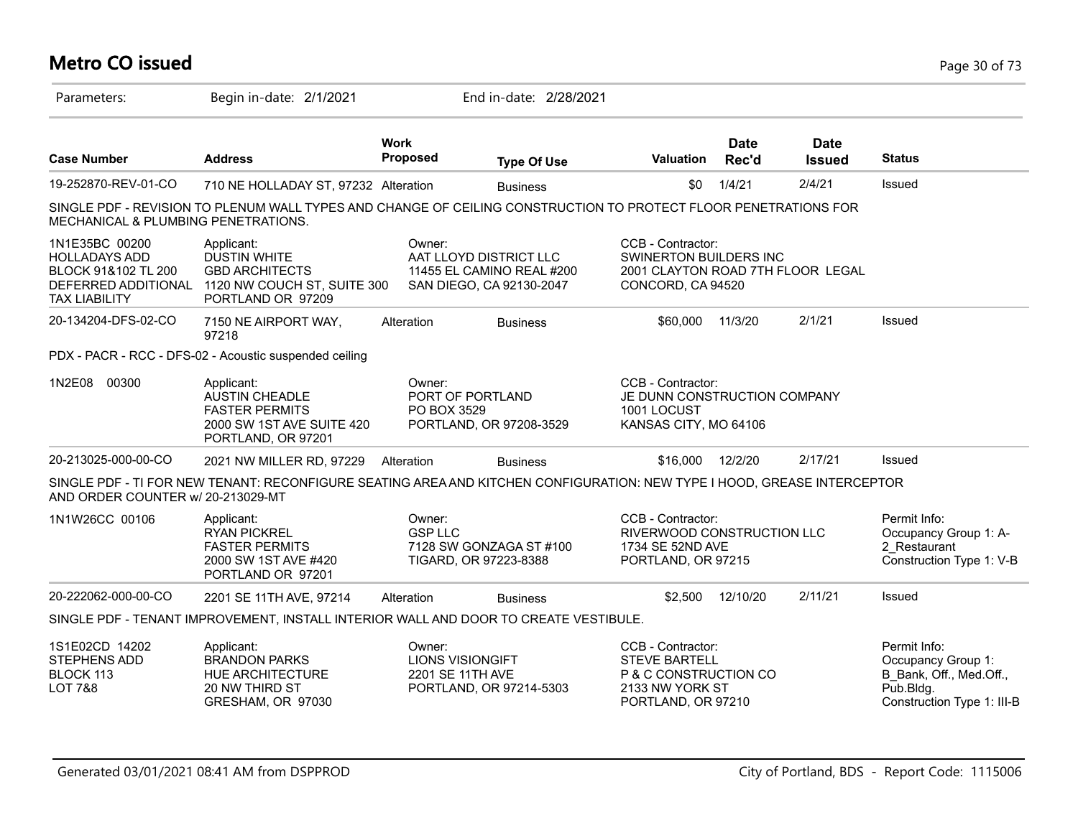# **Metro CO issued** Page 30 of 73

| Parameters:                                                                           | Begin in-date: 2/1/2021                                                                                                            |                                                                                  | End in-date: 2/28/2021    |                                                                                                             |                      |                              |                                                                                                          |
|---------------------------------------------------------------------------------------|------------------------------------------------------------------------------------------------------------------------------------|----------------------------------------------------------------------------------|---------------------------|-------------------------------------------------------------------------------------------------------------|----------------------|------------------------------|----------------------------------------------------------------------------------------------------------|
| <b>Case Number</b>                                                                    | <b>Address</b>                                                                                                                     | <b>Work</b><br>Proposed                                                          | <b>Type Of Use</b>        | <b>Valuation</b>                                                                                            | <b>Date</b><br>Rec'd | <b>Date</b><br><b>Issued</b> | <b>Status</b>                                                                                            |
| 19-252870-REV-01-CO                                                                   | 710 NE HOLLADAY ST, 97232 Alteration                                                                                               |                                                                                  | <b>Business</b>           | \$0                                                                                                         | 1/4/21               | 2/4/21                       | Issued                                                                                                   |
| MECHANICAL & PLUMBING PENETRATIONS.                                                   | SINGLE PDF - REVISION TO PLENUM WALL TYPES AND CHANGE OF CEILING CONSTRUCTION TO PROTECT FLOOR PENETRATIONS FOR                    |                                                                                  |                           |                                                                                                             |                      |                              |                                                                                                          |
| 1N1E35BC 00200<br><b>HOLLADAYS ADD</b><br>BLOCK 91&102 TL 200<br><b>TAX LIABILITY</b> | Applicant:<br><b>DUSTIN WHITE</b><br><b>GBD ARCHITECTS</b><br>DEFERRED ADDITIONAL 1120 NW COUCH ST, SUITE 300<br>PORTLAND OR 97209 | Owner:<br>AAT LLOYD DISTRICT LLC<br>SAN DIEGO, CA 92130-2047                     | 11455 EL CAMINO REAL #200 | CCB - Contractor:<br>SWINERTON BUILDERS INC<br>2001 CLAYTON ROAD 7TH FLOOR LEGAL<br>CONCORD, CA 94520       |                      |                              |                                                                                                          |
| 20-134204-DFS-02-CO                                                                   | 7150 NE AIRPORT WAY,<br>97218                                                                                                      | Alteration                                                                       | <b>Business</b>           | \$60,000                                                                                                    | 11/3/20              | 2/1/21                       | Issued                                                                                                   |
|                                                                                       | PDX - PACR - RCC - DFS-02 - Acoustic suspended ceiling                                                                             |                                                                                  |                           |                                                                                                             |                      |                              |                                                                                                          |
| 1N2E08 00300                                                                          | Applicant:<br><b>AUSTIN CHEADLE</b><br><b>FASTER PERMITS</b><br>2000 SW 1ST AVE SUITE 420<br>PORTLAND, OR 97201                    | Owner:<br>PORT OF PORTLAND<br>PO BOX 3529<br>PORTLAND, OR 97208-3529             |                           | CCB - Contractor:<br>JE DUNN CONSTRUCTION COMPANY<br>1001 LOCUST<br>KANSAS CITY, MO 64106                   |                      |                              |                                                                                                          |
| 20-213025-000-00-CO                                                                   | 2021 NW MILLER RD, 97229                                                                                                           | Alteration                                                                       | <b>Business</b>           | \$16,000                                                                                                    | 12/2/20              | 2/17/21                      | Issued                                                                                                   |
| AND ORDER COUNTER w/ 20-213029-MT                                                     | SINGLE PDF - TI FOR NEW TENANT: RECONFIGURE SEATING AREA AND KITCHEN CONFIGURATION: NEW TYPE I HOOD, GREASE INTERCEPTOR            |                                                                                  |                           |                                                                                                             |                      |                              |                                                                                                          |
| 1N1W26CC 00106                                                                        | Applicant:<br><b>RYAN PICKREL</b><br><b>FASTER PERMITS</b><br>2000 SW 1ST AVE #420<br>PORTLAND OR 97201                            | Owner:<br><b>GSP LLC</b><br>TIGARD, OR 97223-8388                                | 7128 SW GONZAGA ST #100   | CCB - Contractor:<br>RIVERWOOD CONSTRUCTION LLC<br>1734 SE 52ND AVE<br>PORTLAND, OR 97215                   |                      |                              | Permit Info:<br>Occupancy Group 1: A-<br>2 Restaurant<br>Construction Type 1: V-B                        |
| 20-222062-000-00-CO                                                                   | 2201 SE 11TH AVE, 97214                                                                                                            | Alteration                                                                       | <b>Business</b>           | \$2,500                                                                                                     | 12/10/20             | 2/11/21                      | Issued                                                                                                   |
|                                                                                       | SINGLE PDF - TENANT IMPROVEMENT, INSTALL INTERIOR WALL AND DOOR TO CREATE VESTIBULE.                                               |                                                                                  |                           |                                                                                                             |                      |                              |                                                                                                          |
| 1S1E02CD 14202<br>STEPHENS ADD<br>BLOCK 113<br><b>LOT 7&amp;8</b>                     | Applicant:<br><b>BRANDON PARKS</b><br>HUE ARCHITECTURE<br>20 NW THIRD ST<br>GRESHAM, OR 97030                                      | Owner:<br><b>LIONS VISIONGIFT</b><br>2201 SE 11TH AVE<br>PORTLAND, OR 97214-5303 |                           | CCB - Contractor:<br><b>STEVE BARTELL</b><br>P & C CONSTRUCTION CO<br>2133 NW YORK ST<br>PORTLAND, OR 97210 |                      |                              | Permit Info:<br>Occupancy Group 1:<br>B Bank, Off., Med.Off.,<br>Pub.Bldg.<br>Construction Type 1: III-B |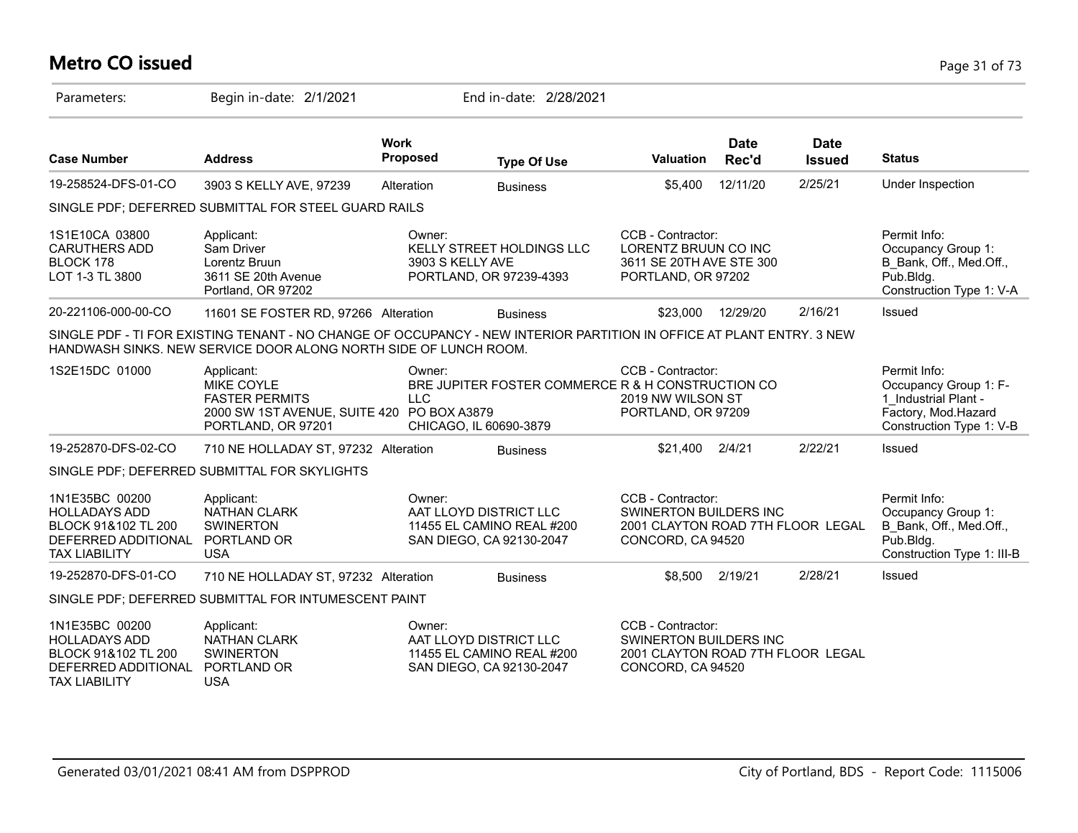# **Metro CO issued** Page 31 of 73

| Parameters:                                                                                                  | Begin in-date: 2/1/2021                                                                                                                                                                   |                                | End in-date: 2/28/2021                                                          |                                                                                                              |                      |                              |                                                                                                                  |
|--------------------------------------------------------------------------------------------------------------|-------------------------------------------------------------------------------------------------------------------------------------------------------------------------------------------|--------------------------------|---------------------------------------------------------------------------------|--------------------------------------------------------------------------------------------------------------|----------------------|------------------------------|------------------------------------------------------------------------------------------------------------------|
| <b>Case Number</b>                                                                                           | <b>Address</b>                                                                                                                                                                            | <b>Work</b><br><b>Proposed</b> | <b>Type Of Use</b>                                                              | <b>Valuation</b>                                                                                             | <b>Date</b><br>Rec'd | <b>Date</b><br><b>Issued</b> | <b>Status</b>                                                                                                    |
| 19-258524-DFS-01-CO                                                                                          | 3903 S KELLY AVE, 97239                                                                                                                                                                   | Alteration                     | <b>Business</b>                                                                 | \$5,400                                                                                                      | 12/11/20             | 2/25/21                      | Under Inspection                                                                                                 |
|                                                                                                              | SINGLE PDF; DEFERRED SUBMITTAL FOR STEEL GUARD RAILS                                                                                                                                      |                                |                                                                                 |                                                                                                              |                      |                              |                                                                                                                  |
| 1S1E10CA 03800<br><b>CARUTHERS ADD</b><br>BLOCK 178<br>LOT 1-3 TL 3800                                       | Applicant:<br>Sam Driver<br>Lorentz Bruun<br>3611 SE 20th Avenue<br>Portland, OR 97202                                                                                                    | Owner:<br>3903 S KELLY AVE     | KELLY STREET HOLDINGS LLC<br>PORTLAND, OR 97239-4393                            | CCB - Contractor:<br>LORENTZ BRUUN CO INC<br>3611 SE 20TH AVE STE 300<br>PORTLAND, OR 97202                  |                      |                              | Permit Info:<br>Occupancy Group 1:<br>B_Bank, Off., Med.Off.,<br>Pub.Bldg.<br>Construction Type 1: V-A           |
| 20-221106-000-00-CO                                                                                          | 11601 SE FOSTER RD, 97266 Alteration                                                                                                                                                      |                                | <b>Business</b>                                                                 | \$23,000                                                                                                     | 12/29/20             | 2/16/21                      | Issued                                                                                                           |
|                                                                                                              | SINGLE PDF - TI FOR EXISTING TENANT - NO CHANGE OF OCCUPANCY - NEW INTERIOR PARTITION IN OFFICE AT PLANT ENTRY. 3 NEW<br>HANDWASH SINKS. NEW SERVICE DOOR ALONG NORTH SIDE OF LUNCH ROOM. |                                |                                                                                 |                                                                                                              |                      |                              |                                                                                                                  |
| 1S2E15DC 01000                                                                                               | Applicant:<br><b>MIKE COYLE</b><br><b>FASTER PERMITS</b><br>2000 SW 1ST AVENUE, SUITE 420 PO BOX A3879<br>PORTLAND, OR 97201                                                              | Owner:<br><b>LLC</b>           | BRE JUPITER FOSTER COMMERCE R & H CONSTRUCTION CO<br>CHICAGO, IL 60690-3879     | CCB - Contractor:<br>2019 NW WILSON ST<br>PORTLAND, OR 97209                                                 |                      |                              | Permit Info:<br>Occupancy Group 1: F-<br>1 Industrial Plant -<br>Factory, Mod.Hazard<br>Construction Type 1: V-B |
| 19-252870-DFS-02-CO                                                                                          | 710 NE HOLLADAY ST, 97232 Alteration                                                                                                                                                      |                                | <b>Business</b>                                                                 | \$21,400                                                                                                     | 2/4/21               | 2/22/21                      | Issued                                                                                                           |
|                                                                                                              | SINGLE PDF; DEFERRED SUBMITTAL FOR SKYLIGHTS                                                                                                                                              |                                |                                                                                 |                                                                                                              |                      |                              |                                                                                                                  |
| 1N1E35BC 00200<br><b>HOLLADAYS ADD</b><br>BLOCK 91&102 TL 200<br>DEFERRED ADDITIONAL<br><b>TAX LIABILITY</b> | Applicant:<br>NATHAN CLARK<br><b>SWINERTON</b><br>PORTLAND OR<br><b>USA</b>                                                                                                               | Owner:                         | AAT LLOYD DISTRICT LLC<br>11455 EL CAMINO REAL #200<br>SAN DIEGO, CA 92130-2047 | CCB - Contractor:<br>SWINERTON BUILDERS INC<br>2001 CLAYTON ROAD 7TH FLOOR LEGAL<br>CONCORD, CA 94520        |                      |                              | Permit Info:<br>Occupancy Group 1:<br>B_Bank, Off., Med.Off.,<br>Pub.Bldg.<br>Construction Type 1: III-B         |
| 19-252870-DFS-01-CO                                                                                          | 710 NE HOLLADAY ST, 97232 Alteration                                                                                                                                                      |                                | <b>Business</b>                                                                 | \$8,500                                                                                                      | 2/19/21              | 2/28/21                      | Issued                                                                                                           |
|                                                                                                              | SINGLE PDF; DEFERRED SUBMITTAL FOR INTUMESCENT PAINT                                                                                                                                      |                                |                                                                                 |                                                                                                              |                      |                              |                                                                                                                  |
| 1N1E35BC 00200<br><b>HOLLADAYS ADD</b><br>BLOCK 91&102 TL 200<br>DEFERRED ADDITIONAL<br><b>TAX LIABILITY</b> | Applicant:<br><b>NATHAN CLARK</b><br><b>SWINERTON</b><br>PORTLAND OR<br><b>USA</b>                                                                                                        | Owner:                         | AAT LLOYD DISTRICT LLC<br>11455 EL CAMINO REAL #200<br>SAN DIEGO, CA 92130-2047 | CCB - Contractor:<br><b>SWINERTON BUILDERS INC</b><br>2001 CLAYTON ROAD 7TH FLOOR LEGAL<br>CONCORD, CA 94520 |                      |                              |                                                                                                                  |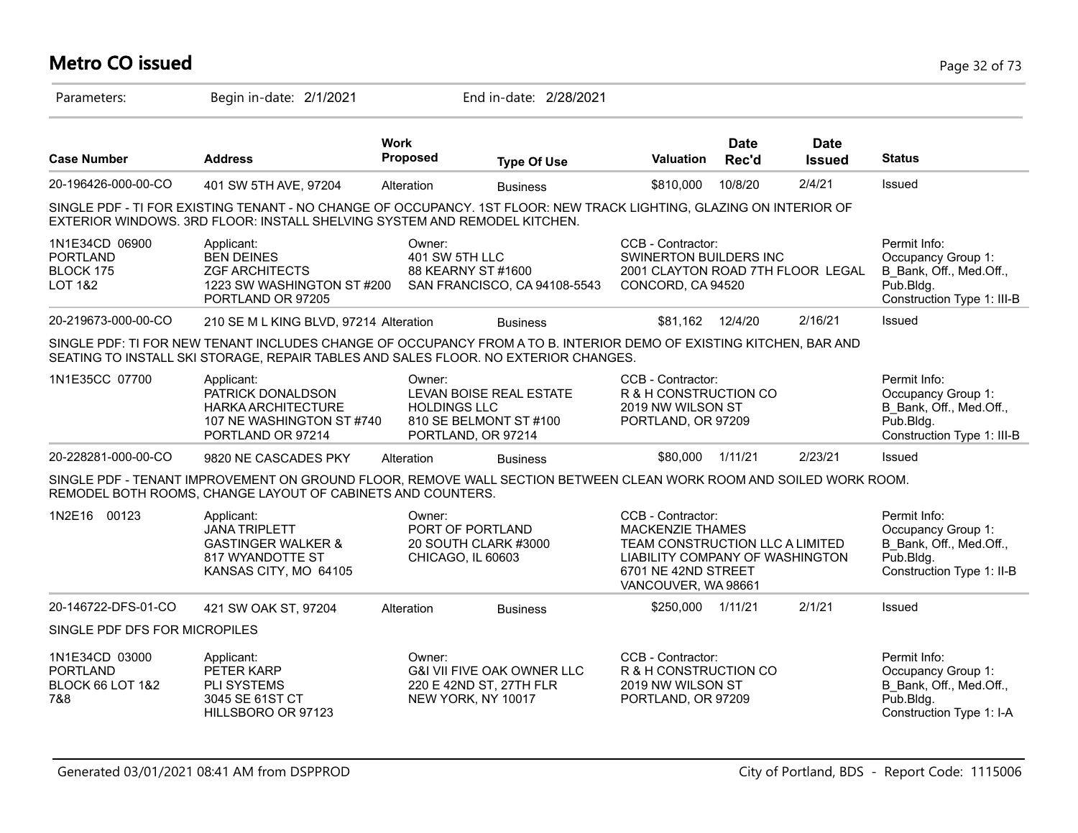# **Metro CO issued** Page 32 of 73

| Parameters:                                                             | Begin in-date: 2/1/2021                                                                                                                                                                                   |                                | End in-date: 2/28/2021                                                                 |                                                                                                                                                                  |                      |                                   |                                                                                                          |
|-------------------------------------------------------------------------|-----------------------------------------------------------------------------------------------------------------------------------------------------------------------------------------------------------|--------------------------------|----------------------------------------------------------------------------------------|------------------------------------------------------------------------------------------------------------------------------------------------------------------|----------------------|-----------------------------------|----------------------------------------------------------------------------------------------------------|
| <b>Case Number</b>                                                      | <b>Address</b>                                                                                                                                                                                            | <b>Work</b><br><b>Proposed</b> | <b>Type Of Use</b>                                                                     | Valuation                                                                                                                                                        | <b>Date</b><br>Rec'd | <b>Date</b><br><b>Issued</b>      | <b>Status</b>                                                                                            |
| 20-196426-000-00-CO                                                     | 401 SW 5TH AVE, 97204                                                                                                                                                                                     | Alteration                     | <b>Business</b>                                                                        | \$810,000                                                                                                                                                        | 10/8/20              | 2/4/21                            | Issued                                                                                                   |
|                                                                         | SINGLE PDF - TI FOR EXISTING TENANT - NO CHANGE OF OCCUPANCY. 1ST FLOOR: NEW TRACK LIGHTING, GLAZING ON INTERIOR OF<br>EXTERIOR WINDOWS. 3RD FLOOR: INSTALL SHELVING SYSTEM AND REMODEL KITCHEN.          |                                |                                                                                        |                                                                                                                                                                  |                      |                                   |                                                                                                          |
| 1N1E34CD 06900<br><b>PORTLAND</b><br>BLOCK 175<br><b>LOT 1&amp;2</b>    | Applicant:<br><b>BEN DEINES</b><br><b>ZGF ARCHITECTS</b><br>1223 SW WASHINGTON ST #200<br>PORTLAND OR 97205                                                                                               | Owner:<br>401 SW 5TH LLC       | 88 KEARNY ST #1600<br>SAN FRANCISCO, CA 94108-5543                                     | CCB - Contractor:<br>SWINERTON BUILDERS INC<br>CONCORD, CA 94520                                                                                                 |                      | 2001 CLAYTON ROAD 7TH FLOOR LEGAL | Permit Info:<br>Occupancy Group 1:<br>B_Bank, Off., Med.Off.,<br>Pub.Bldg.<br>Construction Type 1: III-B |
| 20-219673-000-00-CO                                                     | 210 SE M L KING BLVD, 97214 Alteration                                                                                                                                                                    |                                | <b>Business</b>                                                                        | \$81,162 12/4/20                                                                                                                                                 |                      | 2/16/21                           | Issued                                                                                                   |
|                                                                         | SINGLE PDF: TI FOR NEW TENANT INCLUDES CHANGE OF OCCUPANCY FROM A TO B. INTERIOR DEMO OF EXISTING KITCHEN, BAR AND<br>SEATING TO INSTALL SKI STORAGE, REPAIR TABLES AND SALES FLOOR. NO EXTERIOR CHANGES. |                                |                                                                                        |                                                                                                                                                                  |                      |                                   |                                                                                                          |
| 1N1E35CC 07700                                                          | Applicant:<br>PATRICK DONALDSON<br>HARKA ARCHITECTURE<br>107 NE WASHINGTON ST#740<br>PORTLAND OR 97214                                                                                                    | Owner:<br><b>HOLDINGS LLC</b>  | LEVAN BOISE REAL ESTATE<br>810 SE BELMONT ST #100<br>PORTLAND, OR 97214                | CCB - Contractor:<br>R & H CONSTRUCTION CO<br>2019 NW WILSON ST<br>PORTLAND, OR 97209                                                                            |                      |                                   | Permit Info:<br>Occupancy Group 1:<br>B Bank, Off., Med.Off.,<br>Pub.Bldg.<br>Construction Type 1: III-B |
| 20-228281-000-00-CO                                                     | 9820 NE CASCADES PKY                                                                                                                                                                                      | Alteration                     | <b>Business</b>                                                                        | \$80,000                                                                                                                                                         | 1/11/21              | 2/23/21                           | Issued                                                                                                   |
|                                                                         | SINGLE PDF - TENANT IMPROVEMENT ON GROUND FLOOR, REMOVE WALL SECTION BETWEEN CLEAN WORK ROOM AND SOILED WORK ROOM.<br>REMODEL BOTH ROOMS, CHANGE LAYOUT OF CABINETS AND COUNTERS.                         |                                |                                                                                        |                                                                                                                                                                  |                      |                                   |                                                                                                          |
| 1N2E16 00123                                                            | Applicant:<br><b>JANA TRIPLETT</b><br><b>GASTINGER WALKER &amp;</b><br>817 WYANDOTTE ST<br>KANSAS CITY, MO 64105                                                                                          | Owner:<br>CHICAGO, IL 60603    | PORT OF PORTLAND<br>20 SOUTH CLARK #3000                                               | CCB - Contractor:<br><b>MACKENZIE THAMES</b><br>TEAM CONSTRUCTION LLC A LIMITED<br>LIABILITY COMPANY OF WASHINGTON<br>6701 NE 42ND STREET<br>VANCOUVER, WA 98661 |                      |                                   | Permit Info:<br>Occupancy Group 1:<br>B Bank, Off., Med.Off.,<br>Pub.Bldg.<br>Construction Type 1: II-B  |
| 20-146722-DFS-01-CO                                                     | 421 SW OAK ST, 97204                                                                                                                                                                                      | Alteration                     | <b>Business</b>                                                                        | \$250,000 1/11/21                                                                                                                                                |                      | 2/1/21                            | Issued                                                                                                   |
| SINGLE PDF DFS FOR MICROPILES                                           |                                                                                                                                                                                                           |                                |                                                                                        |                                                                                                                                                                  |                      |                                   |                                                                                                          |
| 1N1E34CD 03000<br><b>PORTLAND</b><br><b>BLOCK 66 LOT 1&amp;2</b><br>7&8 | Applicant:<br>PETER KARP<br>PLI SYSTEMS<br>3045 SE 61ST CT<br>HILLSBORO OR 97123                                                                                                                          | Owner:                         | <b>G&amp;I VII FIVE OAK OWNER LLC</b><br>220 E 42ND ST, 27TH FLR<br>NEW YORK, NY 10017 | CCB - Contractor:<br>R & H CONSTRUCTION CO<br>2019 NW WILSON ST<br>PORTLAND, OR 97209                                                                            |                      |                                   | Permit Info:<br>Occupancy Group 1:<br>B Bank, Off., Med.Off.,<br>Pub.Bldg.<br>Construction Type 1: I-A   |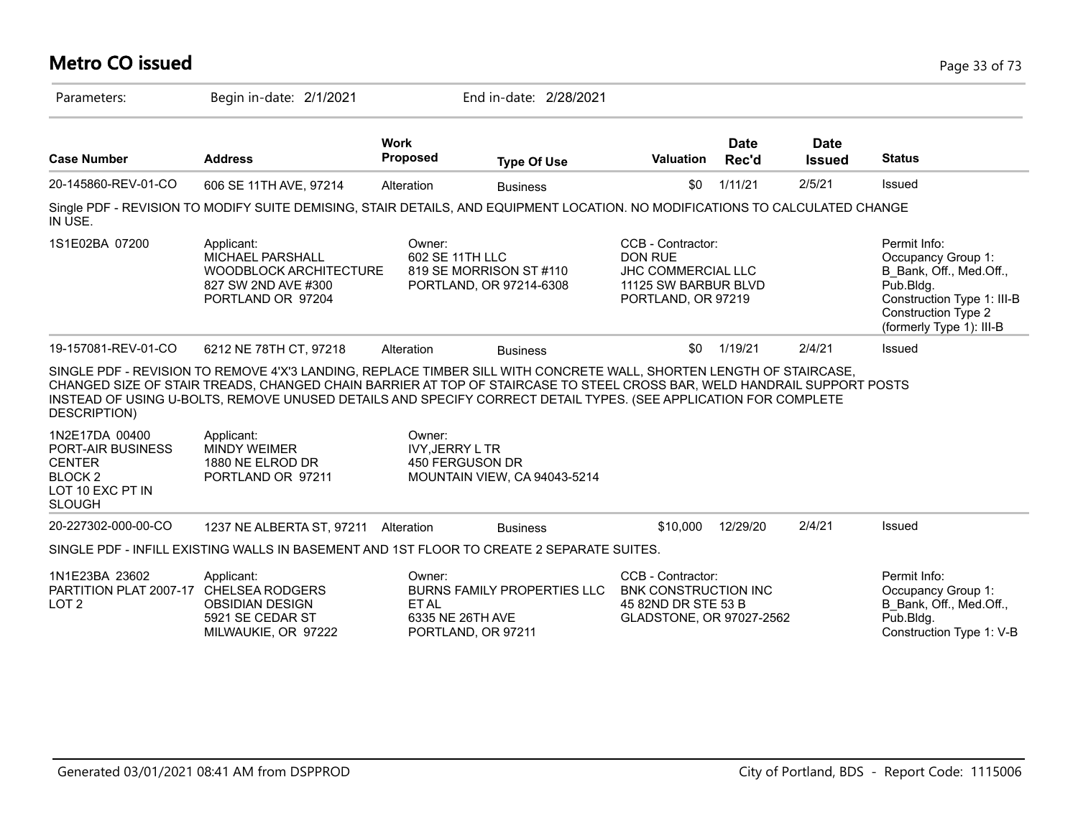### **Metro CO issued** Page 33 of 73 Parameters: Begin in-date: 2/1/2021 End in-date: 2/28/2021 **Work Case Number Address Proposed Type Of Use Valuation Status Date Rec'd Date Issued** 20-145860-REV-01-CO 606 SE 11TH AVE, 97214 Alteration Business 50 1/11/21 2/5/21 Issued Single PDF - REVISION TO MODIFY SUITE DEMISING, STAIR DETAILS, AND EQUIPMENT LOCATION. NO MODIFICATIONS TO CALCULATED CHANGE IN USE. 1S1E02BA 07200 Permit Info: Occupancy Group 1: B\_Bank, Off., Med.Off., Pub.Bldg. Construction Type 1: III-B Construction Type 2 (formerly Type 1): III-B CCB - Contractor: DON RUE JHC COMMERCIAL LLC 11125 SW BARBUR BLVD PORTLAND, OR 97219 Owner: 602 SE 11TH LLC 819 SE MORRISON ST #110 PORTLAND, OR 97214-6308 Applicant: MICHAEL PARSHALL WOODBLOCK ARCHITECTURE 827 SW 2ND AVE #300 PORTLAND OR 97204 19-157081-REV-01-CO 6212 NE 78TH CT, 97218 Alteration Business 50 1/19/21 2/4/21 Issued SINGLE PDF - REVISION TO REMOVE 4'X'3 LANDING, REPLACE TIMBER SILL WITH CONCRETE WALL, SHORTEN LENGTH OF STAIRCASE, CHANGED SIZE OF STAIR TREADS, CHANGED CHAIN BARRIER AT TOP OF STAIRCASE TO STEEL CROSS BAR, WELD HANDRAIL SUPPORT POSTS INSTEAD OF USING U-BOLTS, REMOVE UNUSED DETAILS AND SPECIFY CORRECT DETAIL TYPES. (SEE APPLICATION FOR COMPLETE DESCRIPTION) 1N2E17DA 00400 PORT-AIR BUSINESS **CENTER** BLOCK 2 LOT 10 EXC PT IN SLOUGH Owner: IVY,JERRY L TR 450 FERGUSON DR MOUNTAIN VIEW, CA 94043-5214 Applicant: MINDY WEIMER 1880 NE ELROD DR PORTLAND OR 97211 20-227302-000-00-CO 1237 NE ALBERTA ST, 97211 Alteration Business \$10,000 12/29/20 2/4/21 Issued SINGLE PDF - INFILL EXISTING WALLS IN BASEMENT AND 1ST FLOOR TO CREATE 2 SEPARATE SUITES. 1N1E23BA 23602 PARTITION PLAT 2007-17 CHELSEA RODGERS LOT 2 Permit Info: Occupancy Group 1: B\_Bank, Off., Med.Off., Pub.Bldg. Construction Type 1: V-B CCB - Contractor: BNK CONSTRUCTION INC 45 82ND DR STE 53 B GLADSTONE, OR 97027-2562 Owner: BURNS FAMILY PROPERTIES LLC ET AL 6335 NE 26TH AVE PORTLAND, OR 97211 Applicant: OBSIDIAN DESIGN 5921 SE CEDAR ST MILWAUKIE, OR 97222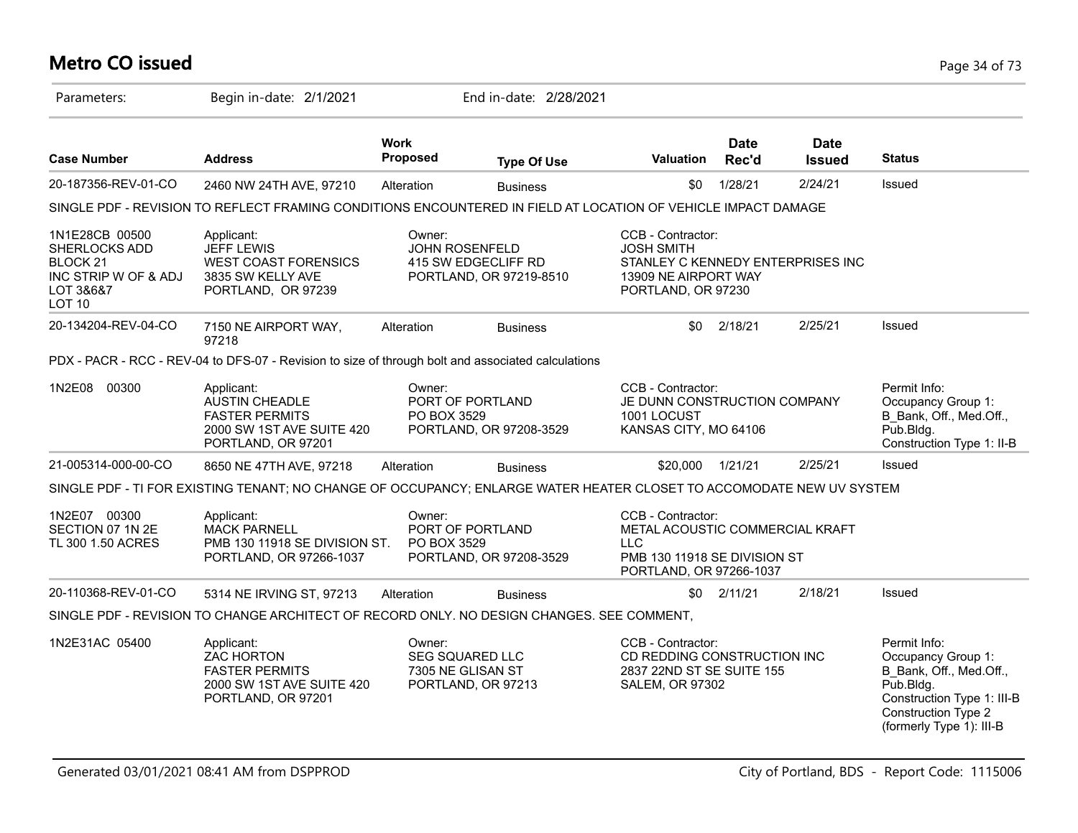# **Metro CO issued** Page 34 of 73

| Parameters:                                                                                                  | Begin in-date: 2/1/2021                                                                                              |                                | End in-date: 2/28/2021                                                  |                                                                                                                               |                      |                              |                                                                                                                                                                    |
|--------------------------------------------------------------------------------------------------------------|----------------------------------------------------------------------------------------------------------------------|--------------------------------|-------------------------------------------------------------------------|-------------------------------------------------------------------------------------------------------------------------------|----------------------|------------------------------|--------------------------------------------------------------------------------------------------------------------------------------------------------------------|
| <b>Case Number</b>                                                                                           | <b>Address</b>                                                                                                       | <b>Work</b><br><b>Proposed</b> | <b>Type Of Use</b>                                                      | <b>Valuation</b>                                                                                                              | <b>Date</b><br>Rec'd | <b>Date</b><br><b>Issued</b> | <b>Status</b>                                                                                                                                                      |
| 20-187356-REV-01-CO                                                                                          | 2460 NW 24TH AVE, 97210                                                                                              | Alteration                     | <b>Business</b>                                                         | \$0                                                                                                                           | 1/28/21              | 2/24/21                      | Issued                                                                                                                                                             |
|                                                                                                              | SINGLE PDF - REVISION TO REFLECT FRAMING CONDITIONS ENCOUNTERED IN FIELD AT LOCATION OF VEHICLE IMPACT DAMAGE        |                                |                                                                         |                                                                                                                               |                      |                              |                                                                                                                                                                    |
| 1N1E28CB 00500<br>SHERLOCKS ADD<br>BLOCK <sub>21</sub><br>INC STRIP W OF & ADJ<br>LOT 3&6&7<br><b>LOT 10</b> | Applicant:<br><b>JEFF LEWIS</b><br><b>WEST COAST FORENSICS</b><br>3835 SW KELLY AVE<br>PORTLAND, OR 97239            | Owner:                         | <b>JOHN ROSENFELD</b><br>415 SW EDGECLIFF RD<br>PORTLAND, OR 97219-8510 | CCB - Contractor:<br><b>JOSH SMITH</b><br>STANLEY C KENNEDY ENTERPRISES INC<br>13909 NE AIRPORT WAY<br>PORTLAND, OR 97230     |                      |                              |                                                                                                                                                                    |
| 20-134204-REV-04-CO                                                                                          | 7150 NE AIRPORT WAY,<br>97218                                                                                        | Alteration                     | <b>Business</b>                                                         | \$0                                                                                                                           | 2/18/21              | 2/25/21                      | Issued                                                                                                                                                             |
|                                                                                                              | PDX - PACR - RCC - REV-04 to DFS-07 - Revision to size of through bolt and associated calculations                   |                                |                                                                         |                                                                                                                               |                      |                              |                                                                                                                                                                    |
| 1N2E08 00300                                                                                                 | Applicant:<br><b>AUSTIN CHEADLE</b><br><b>FASTER PERMITS</b><br>2000 SW 1ST AVE SUITE 420<br>PORTLAND, OR 97201      | Owner:<br>PO BOX 3529          | PORT OF PORTLAND<br>PORTLAND, OR 97208-3529                             | CCB - Contractor:<br>JE DUNN CONSTRUCTION COMPANY<br>1001 LOCUST<br>KANSAS CITY, MO 64106                                     |                      |                              | Permit Info:<br>Occupancy Group 1:<br>B Bank, Off., Med.Off.,<br>Pub.Bldg.<br>Construction Type 1: II-B                                                            |
| 21-005314-000-00-CO                                                                                          | 8650 NE 47TH AVE, 97218                                                                                              | Alteration                     | <b>Business</b>                                                         | \$20,000                                                                                                                      | 1/21/21              | 2/25/21                      | Issued                                                                                                                                                             |
|                                                                                                              | SINGLE PDF - TI FOR EXISTING TENANT; NO CHANGE OF OCCUPANCY; ENLARGE WATER HEATER CLOSET TO ACCOMODATE NEW UV SYSTEM |                                |                                                                         |                                                                                                                               |                      |                              |                                                                                                                                                                    |
| 1N2E07 00300<br>SECTION 07 1N 2E<br>TL 300 1.50 ACRES                                                        | Applicant:<br><b>MACK PARNELL</b><br>PMB 130 11918 SE DIVISION ST.<br>PORTLAND, OR 97266-1037                        | Owner:<br>PO BOX 3529          | PORT OF PORTLAND<br>PORTLAND, OR 97208-3529                             | CCB - Contractor:<br>METAL ACOUSTIC COMMERCIAL KRAFT<br><b>LLC</b><br>PMB 130 11918 SE DIVISION ST<br>PORTLAND, OR 97266-1037 |                      |                              |                                                                                                                                                                    |
| 20-110368-REV-01-CO                                                                                          | 5314 NE IRVING ST, 97213                                                                                             | Alteration                     | <b>Business</b>                                                         | \$0                                                                                                                           | 2/11/21              | 2/18/21                      | Issued                                                                                                                                                             |
|                                                                                                              | SINGLE PDF - REVISION TO CHANGE ARCHITECT OF RECORD ONLY. NO DESIGN CHANGES. SEE COMMENT,                            |                                |                                                                         |                                                                                                                               |                      |                              |                                                                                                                                                                    |
| 1N2E31AC 05400                                                                                               | Applicant:<br><b>ZAC HORTON</b><br><b>FASTER PERMITS</b><br>2000 SW 1ST AVE SUITE 420<br>PORTLAND, OR 97201          | Owner:                         | <b>SEG SQUARED LLC</b><br>7305 NE GLISAN ST<br>PORTLAND, OR 97213       | CCB - Contractor:<br>CD REDDING CONSTRUCTION INC<br>2837 22ND ST SE SUITE 155<br><b>SALEM, OR 97302</b>                       |                      |                              | Permit Info:<br>Occupancy Group 1:<br>B Bank, Off., Med.Off.,<br>Pub.Bldg.<br>Construction Type 1: III-B<br><b>Construction Type 2</b><br>(formerly Type 1): III-B |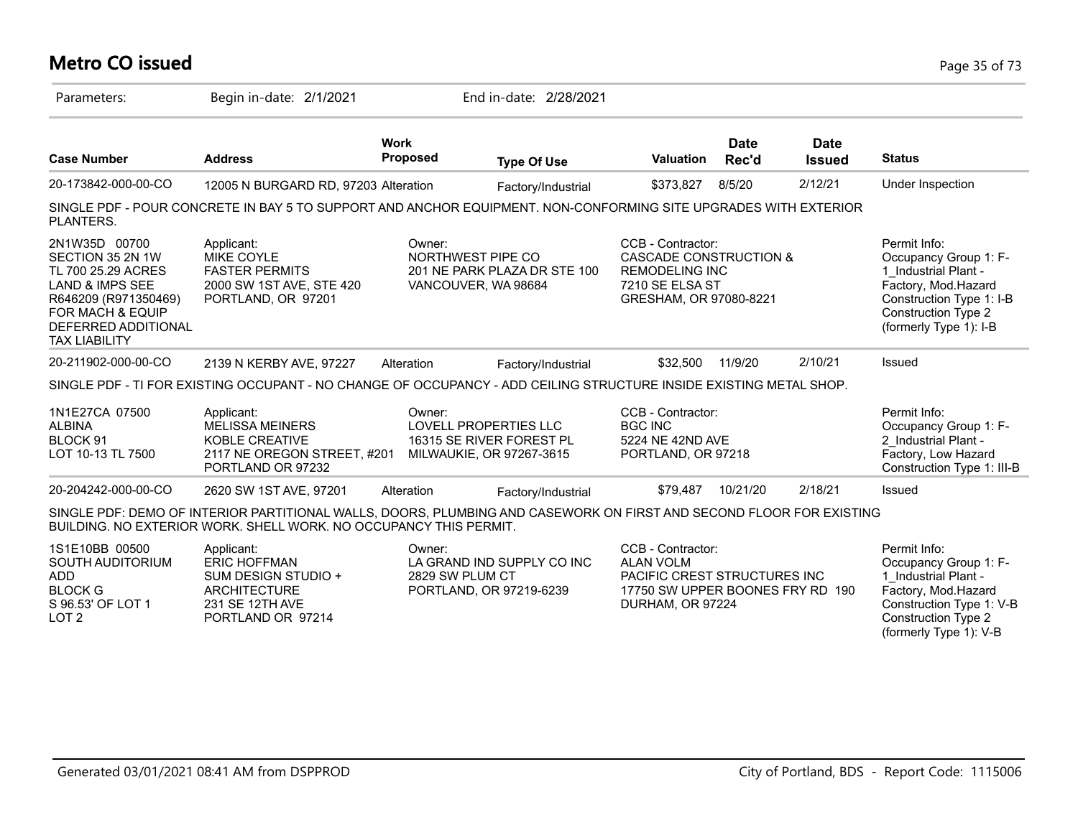### **Metro CO issued** Page 35 of 73

| Parameters:                                                                                                                                                                      | Begin in-date: 2/1/2021                                                                                                                                                                  |                                                             | End in-date: 2/28/2021       |                                                                                                                               |                      |                              |                                                                                                                                                                          |
|----------------------------------------------------------------------------------------------------------------------------------------------------------------------------------|------------------------------------------------------------------------------------------------------------------------------------------------------------------------------------------|-------------------------------------------------------------|------------------------------|-------------------------------------------------------------------------------------------------------------------------------|----------------------|------------------------------|--------------------------------------------------------------------------------------------------------------------------------------------------------------------------|
| <b>Case Number</b>                                                                                                                                                               | <b>Address</b>                                                                                                                                                                           | <b>Work</b><br><b>Proposed</b>                              | <b>Type Of Use</b>           | <b>Valuation</b>                                                                                                              | <b>Date</b><br>Rec'd | <b>Date</b><br><b>Issued</b> | <b>Status</b>                                                                                                                                                            |
| 20-173842-000-00-CO                                                                                                                                                              | 12005 N BURGARD RD, 97203 Alteration                                                                                                                                                     |                                                             | Factory/Industrial           | \$373,827                                                                                                                     | 8/5/20               | 2/12/21                      | Under Inspection                                                                                                                                                         |
| PLANTERS.                                                                                                                                                                        | SINGLE PDF - POUR CONCRETE IN BAY 5 TO SUPPORT AND ANCHOR EQUIPMENT. NON-CONFORMING SITE UPGRADES WITH EXTERIOR                                                                          |                                                             |                              |                                                                                                                               |                      |                              |                                                                                                                                                                          |
| 2N1W35D 00700<br>SECTION 35 2N 1W<br>TL 700 25.29 ACRES<br><b>LAND &amp; IMPS SEE</b><br>R646209 (R971350469)<br>FOR MACH & EQUIP<br>DEFERRED ADDITIONAL<br><b>TAX LIABILITY</b> | Applicant:<br><b>MIKE COYLE</b><br><b>FASTER PERMITS</b><br>2000 SW 1ST AVE, STE 420<br>PORTLAND, OR 97201                                                                               | Owner:<br>NORTHWEST PIPE CO<br>VANCOUVER, WA 98684          | 201 NE PARK PLAZA DR STE 100 | CCB - Contractor:<br>CASCADE CONSTRUCTION &<br><b>REMODELING INC</b><br>7210 SE ELSA ST<br>GRESHAM, OR 97080-8221             |                      |                              | Permit Info:<br>Occupancy Group 1: F-<br>1 Industrial Plant -<br>Factory, Mod.Hazard<br>Construction Type 1: I-B<br><b>Construction Type 2</b><br>(formerly Type 1): I-B |
| 20-211902-000-00-CO                                                                                                                                                              | 2139 N KERBY AVE, 97227                                                                                                                                                                  | Alteration                                                  | Factory/Industrial           | \$32,500                                                                                                                      | 11/9/20              | 2/10/21                      | Issued                                                                                                                                                                   |
|                                                                                                                                                                                  | SINGLE PDF - TI FOR EXISTING OCCUPANT - NO CHANGE OF OCCUPANCY - ADD CEILING STRUCTURE INSIDE EXISTING METAL SHOP.                                                                       |                                                             |                              |                                                                                                                               |                      |                              |                                                                                                                                                                          |
| 1N1E27CA 07500<br><b>ALBINA</b><br>BLOCK 91<br>LOT 10-13 TL 7500                                                                                                                 | Applicant:<br><b>MELISSA MEINERS</b><br>KOBLE CREATIVE<br>2117 NE OREGON STREET, #201<br>PORTLAND OR 97232                                                                               | Owner:<br>LOVELL PROPERTIES LLC<br>MILWAUKIE, OR 97267-3615 | 16315 SE RIVER FOREST PL     | CCB - Contractor:<br><b>BGC INC</b><br>5224 NE 42ND AVE<br>PORTLAND, OR 97218                                                 |                      |                              | Permit Info:<br>Occupancy Group 1: F-<br>2 Industrial Plant -<br>Factory, Low Hazard<br>Construction Type 1: III-B                                                       |
| 20-204242-000-00-CO                                                                                                                                                              | 2620 SW 1ST AVE, 97201                                                                                                                                                                   | Alteration                                                  | Factory/Industrial           | \$79.487                                                                                                                      | 10/21/20             | 2/18/21                      | Issued                                                                                                                                                                   |
|                                                                                                                                                                                  | SINGLE PDF: DEMO OF INTERIOR PARTITIONAL WALLS, DOORS, PLUMBING AND CASEWORK ON FIRST AND SECOND FLOOR FOR EXISTING<br>BUILDING. NO EXTERIOR WORK. SHELL WORK. NO OCCUPANCY THIS PERMIT. |                                                             |                              |                                                                                                                               |                      |                              |                                                                                                                                                                          |
| 1S1E10BB 00500<br>SOUTH AUDITORIUM<br><b>ADD</b><br><b>BLOCK G</b><br>S 96.53' OF LOT 1<br>LOT <sub>2</sub>                                                                      | Applicant:<br><b>ERIC HOFFMAN</b><br>SUM DESIGN STUDIO +<br><b>ARCHITECTURE</b><br>231 SE 12TH AVE<br>PORTLAND OR 97214                                                                  | Owner:<br>2829 SW PLUM CT<br>PORTLAND, OR 97219-6239        | LA GRAND IND SUPPLY CO INC   | CCB - Contractor:<br><b>ALAN VOLM</b><br>PACIFIC CREST STRUCTURES INC<br>17750 SW UPPER BOONES FRY RD 190<br>DURHAM, OR 97224 |                      |                              | Permit Info:<br>Occupancy Group 1: F-<br>1 Industrial Plant -<br>Factory, Mod.Hazard<br>Construction Type 1: V-B<br><b>Construction Type 2</b><br>(formerly Type 1): V-B |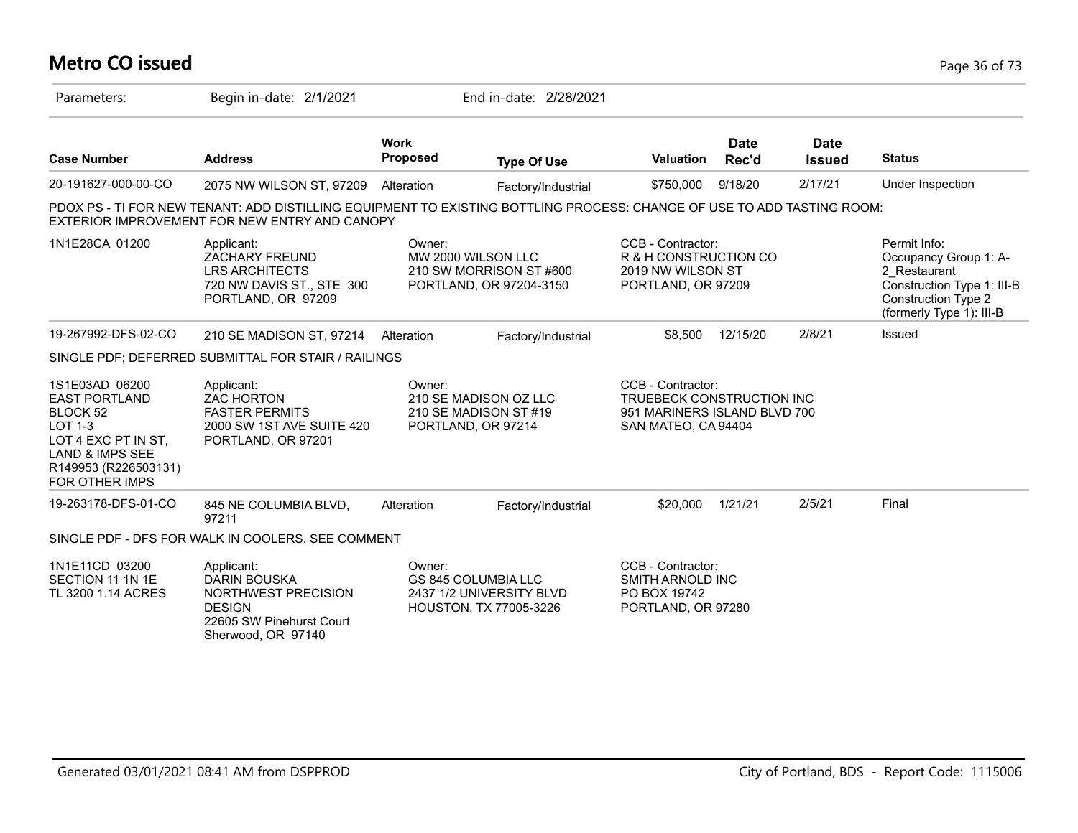# **Metro CO issued** Page 36 of 73

| Parameters:                                                                                                                                                         | Begin in-date: 2/1/2021                                                                                                                                                 |                                                                                | End in-date: 2/28/2021                                                    |                                                                                                       |                      |                              |                                                                                                                                               |
|---------------------------------------------------------------------------------------------------------------------------------------------------------------------|-------------------------------------------------------------------------------------------------------------------------------------------------------------------------|--------------------------------------------------------------------------------|---------------------------------------------------------------------------|-------------------------------------------------------------------------------------------------------|----------------------|------------------------------|-----------------------------------------------------------------------------------------------------------------------------------------------|
| <b>Case Number</b>                                                                                                                                                  | <b>Address</b>                                                                                                                                                          | <b>Work</b><br><b>Proposed</b>                                                 | <b>Type Of Use</b>                                                        | <b>Valuation</b>                                                                                      | <b>Date</b><br>Rec'd | <b>Date</b><br><b>Issued</b> | <b>Status</b>                                                                                                                                 |
| 20-191627-000-00-CO                                                                                                                                                 | 2075 NW WILSON ST, 97209                                                                                                                                                | Alteration                                                                     | Factory/Industrial                                                        | \$750,000                                                                                             | 9/18/20              | 2/17/21                      | Under Inspection                                                                                                                              |
|                                                                                                                                                                     | PDOX PS - TI FOR NEW TENANT: ADD DISTILLING EQUIPMENT TO EXISTING BOTTLING PROCESS: CHANGE OF USE TO ADD TASTING ROOM:<br>EXTERIOR IMPROVEMENT FOR NEW ENTRY AND CANOPY |                                                                                |                                                                           |                                                                                                       |                      |                              |                                                                                                                                               |
| 1N1E28CA 01200                                                                                                                                                      | Applicant:<br><b>ZACHARY FREUND</b><br><b>LRS ARCHITECTS</b><br>720 NW DAVIS ST., STE 300<br>PORTLAND, OR 97209                                                         | Owner:                                                                         | MW 2000 WILSON LLC<br>210 SW MORRISON ST #600<br>PORTLAND, OR 97204-3150  | CCB - Contractor:<br>R & H CONSTRUCTION CO<br>2019 NW WILSON ST<br>PORTLAND, OR 97209                 |                      |                              | Permit Info:<br>Occupancy Group 1: A-<br>2 Restaurant<br>Construction Type 1: III-B<br><b>Construction Type 2</b><br>(formerly Type 1): III-B |
| 19-267992-DFS-02-CO                                                                                                                                                 | 210 SE MADISON ST, 97214                                                                                                                                                | Alteration                                                                     | Factory/Industrial                                                        | \$8.500                                                                                               | 12/15/20             | 2/8/21                       | Issued                                                                                                                                        |
|                                                                                                                                                                     | SINGLE PDF; DEFERRED SUBMITTAL FOR STAIR / RAILINGS                                                                                                                     |                                                                                |                                                                           |                                                                                                       |                      |                              |                                                                                                                                               |
| 1S1E03AD 06200<br><b>EAST PORTLAND</b><br>BLOCK 52<br>LOT 1-3<br>LOT 4 EXC PT IN ST,<br><b>LAND &amp; IMPS SEE</b><br>R149953 (R226503131)<br><b>FOR OTHER IMPS</b> | Applicant:<br><b>ZAC HORTON</b><br><b>FASTER PERMITS</b><br>2000 SW 1ST AVE SUITE 420<br>PORTLAND, OR 97201                                                             | Owner:<br>210 SE MADISON OZ LLC<br>210 SE MADISON ST #19<br>PORTLAND, OR 97214 |                                                                           | CCB - Contractor:<br>TRUEBECK CONSTRUCTION INC<br>951 MARINERS ISLAND BLVD 700<br>SAN MATEO, CA 94404 |                      |                              |                                                                                                                                               |
| 19-263178-DFS-01-CO                                                                                                                                                 | 845 NE COLUMBIA BLVD,<br>97211                                                                                                                                          | Alteration                                                                     | Factory/Industrial                                                        | \$20,000                                                                                              | 1/21/21              | 2/5/21                       | Final                                                                                                                                         |
|                                                                                                                                                                     | SINGLE PDF - DFS FOR WALK IN COOLERS. SEE COMMENT                                                                                                                       |                                                                                |                                                                           |                                                                                                       |                      |                              |                                                                                                                                               |
| 1N1E11CD 03200<br>SECTION 11 1N 1E<br>TL 3200 1.14 ACRES                                                                                                            | Applicant:<br><b>DARIN BOUSKA</b><br>NORTHWEST PRECISION<br><b>DESIGN</b><br>22605 SW Pinehurst Court<br>Sherwood, OR 97140                                             | Owner:                                                                         | GS 845 COLUMBIA LLC<br>2437 1/2 UNIVERSITY BLVD<br>HOUSTON, TX 77005-3226 | CCB - Contractor:<br><b>SMITH ARNOLD INC</b><br>PO BOX 19742<br>PORTLAND, OR 97280                    |                      |                              |                                                                                                                                               |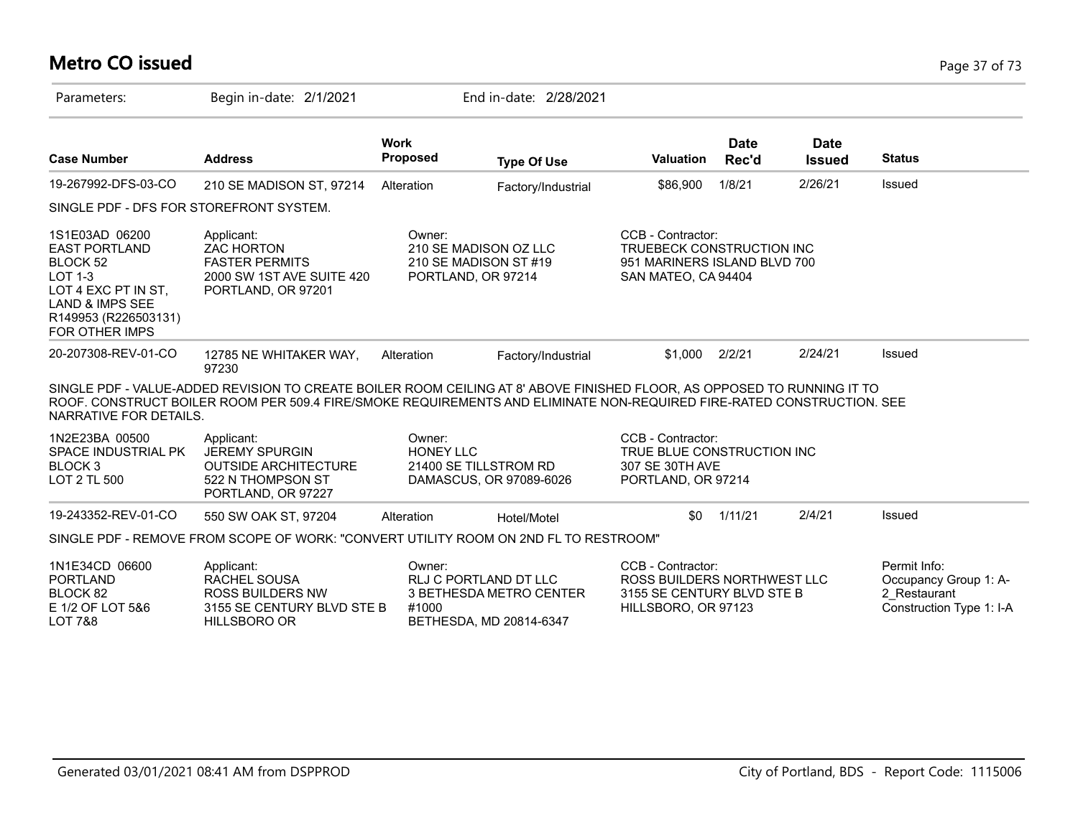# **Metro CO issued** Page 37 of 73

| Parameters:                                                                                                                                                                | Begin in-date: 2/1/2021                                                                                                                                                                                                                          |                                | End in-date: 2/28/2021                                                      |                                                                                                       |               |                              |                                                                                   |
|----------------------------------------------------------------------------------------------------------------------------------------------------------------------------|--------------------------------------------------------------------------------------------------------------------------------------------------------------------------------------------------------------------------------------------------|--------------------------------|-----------------------------------------------------------------------------|-------------------------------------------------------------------------------------------------------|---------------|------------------------------|-----------------------------------------------------------------------------------|
| <b>Case Number</b>                                                                                                                                                         | <b>Address</b>                                                                                                                                                                                                                                   | <b>Work</b><br><b>Proposed</b> | <b>Type Of Use</b>                                                          | <b>Valuation</b>                                                                                      | Date<br>Rec'd | <b>Date</b><br><b>Issued</b> | <b>Status</b>                                                                     |
| 19-267992-DFS-03-CO                                                                                                                                                        | 210 SE MADISON ST, 97214                                                                                                                                                                                                                         | Alteration                     | Factory/Industrial                                                          | \$86,900                                                                                              | 1/8/21        | 2/26/21                      | Issued                                                                            |
| SINGLE PDF - DFS FOR STOREFRONT SYSTEM.                                                                                                                                    |                                                                                                                                                                                                                                                  |                                |                                                                             |                                                                                                       |               |                              |                                                                                   |
| 1S1E03AD 06200<br><b>EAST PORTLAND</b><br>BLOCK 52<br><b>LOT 1-3</b><br>LOT 4 EXC PT IN ST.<br><b>LAND &amp; IMPS SEE</b><br>R149953 (R226503131)<br><b>FOR OTHER IMPS</b> | Applicant:<br><b>ZAC HORTON</b><br><b>FASTER PERMITS</b><br>2000 SW 1ST AVE SUITE 420<br>PORTLAND, OR 97201                                                                                                                                      | Owner:<br>PORTLAND, OR 97214   | 210 SE MADISON OZ LLC<br>210 SE MADISON ST #19                              | CCB - Contractor:<br>TRUEBECK CONSTRUCTION INC<br>951 MARINERS ISLAND BLVD 700<br>SAN MATEO, CA 94404 |               |                              |                                                                                   |
| 20-207308-REV-01-CO                                                                                                                                                        | 12785 NE WHITAKER WAY,<br>97230                                                                                                                                                                                                                  | Alteration                     | Factory/Industrial                                                          | \$1,000                                                                                               | 2/2/21        | 2/24/21                      | Issued                                                                            |
| NARRATIVE FOR DETAILS.                                                                                                                                                     | SINGLE PDF - VALUE-ADDED REVISION TO CREATE BOILER ROOM CEILING AT 8' ABOVE FINISHED FLOOR, AS OPPOSED TO RUNNING IT TO<br>ROOF. CONSTRUCT BOILER ROOM PER 509.4 FIRE/SMOKE REQUIREMENTS AND ELIMINATE NON-REQUIRED FIRE-RATED CONSTRUCTION. SEE |                                |                                                                             |                                                                                                       |               |                              |                                                                                   |
| 1N2E23BA 00500<br>SPACE INDUSTRIAL PK<br>BLOCK <sub>3</sub><br>LOT 2 TL 500                                                                                                | Applicant:<br><b>JEREMY SPURGIN</b><br><b>OUTSIDE ARCHITECTURE</b><br>522 N THOMPSON ST<br>PORTLAND, OR 97227                                                                                                                                    | Owner:<br><b>HONEY LLC</b>     | 21400 SE TILLSTROM RD<br>DAMASCUS, OR 97089-6026                            | CCB - Contractor:<br>TRUE BLUE CONSTRUCTION INC<br>307 SE 30TH AVE<br>PORTLAND, OR 97214              |               |                              |                                                                                   |
| 19-243352-REV-01-CO                                                                                                                                                        | 550 SW OAK ST, 97204                                                                                                                                                                                                                             | Alteration                     | Hotel/Motel                                                                 | \$0                                                                                                   | 1/11/21       | 2/4/21                       | Issued                                                                            |
|                                                                                                                                                                            | SINGLE PDF - REMOVE FROM SCOPE OF WORK: "CONVERT UTILITY ROOM ON 2ND FL TO RESTROOM"                                                                                                                                                             |                                |                                                                             |                                                                                                       |               |                              |                                                                                   |
| 1N1E34CD 06600<br><b>PORTLAND</b><br>BLOCK 82<br>E 1/2 OF LOT 5&6<br><b>LOT 7&amp;8</b>                                                                                    | Applicant:<br>RACHEL SOUSA<br><b>ROSS BUILDERS NW</b><br>3155 SE CENTURY BLVD STE B<br><b>HILLSBORO OR</b>                                                                                                                                       | Owner:<br>#1000                | RLJ C PORTLAND DT LLC<br>3 BETHESDA METRO CENTER<br>BETHESDA, MD 20814-6347 | CCB - Contractor:<br>ROSS BUILDERS NORTHWEST LLC<br>3155 SE CENTURY BLVD STE B<br>HILLSBORO, OR 97123 |               |                              | Permit Info:<br>Occupancy Group 1: A-<br>2 Restaurant<br>Construction Type 1: I-A |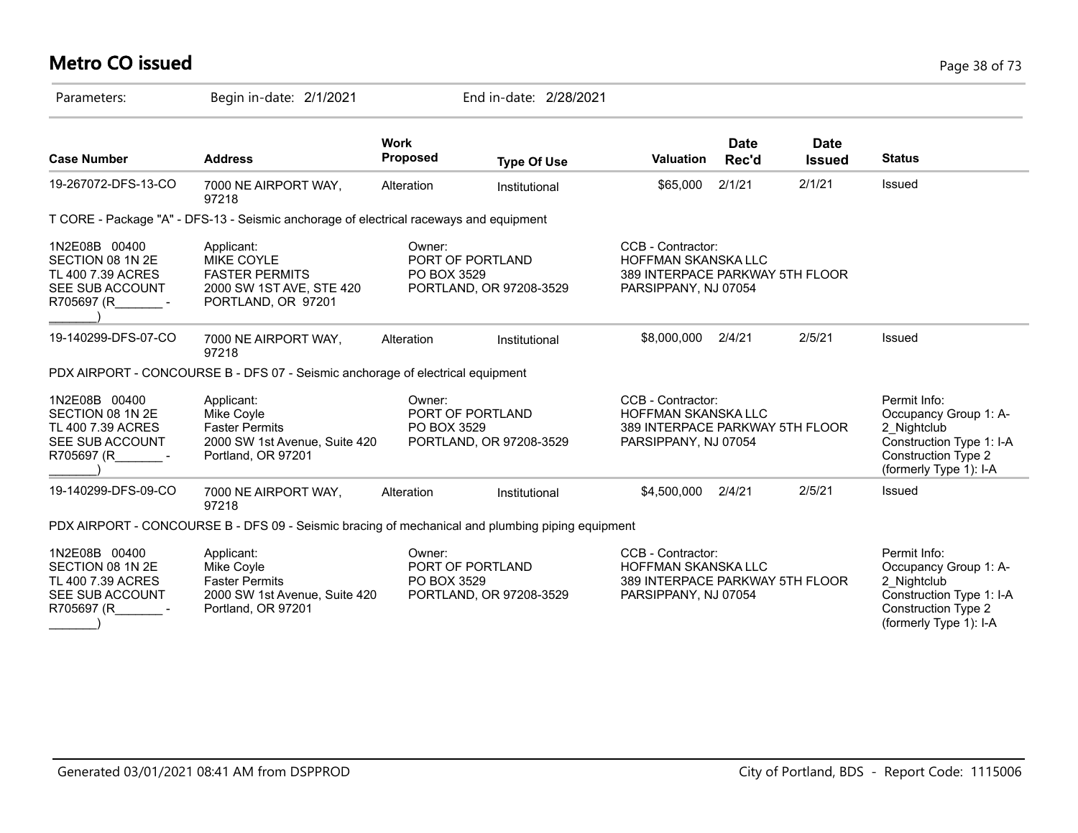# **Metro CO issued** Page 38 of 73

| Parameters:                                                                               | Begin in-date: 2/1/2021                                                                                    |                                | End in-date: 2/28/2021                      |                                                                                                            |                      |                              |                                                                                                                                          |
|-------------------------------------------------------------------------------------------|------------------------------------------------------------------------------------------------------------|--------------------------------|---------------------------------------------|------------------------------------------------------------------------------------------------------------|----------------------|------------------------------|------------------------------------------------------------------------------------------------------------------------------------------|
| <b>Case Number</b>                                                                        | <b>Address</b>                                                                                             | <b>Work</b><br><b>Proposed</b> | <b>Type Of Use</b>                          | <b>Valuation</b>                                                                                           | <b>Date</b><br>Rec'd | <b>Date</b><br><b>Issued</b> | <b>Status</b>                                                                                                                            |
| 19-267072-DFS-13-CO                                                                       | 7000 NE AIRPORT WAY,<br>97218                                                                              | Alteration                     | Institutional                               | \$65,000                                                                                                   | 2/1/21               | 2/1/21                       | Issued                                                                                                                                   |
|                                                                                           | T CORE - Package "A" - DFS-13 - Seismic anchorage of electrical raceways and equipment                     |                                |                                             |                                                                                                            |                      |                              |                                                                                                                                          |
| 1N2E08B 00400<br>SECTION 08 1N 2E<br>TL 400 7.39 ACRES<br>SEE SUB ACCOUNT<br>R705697 (R - | Applicant:<br><b>MIKE COYLE</b><br><b>FASTER PERMITS</b><br>2000 SW 1ST AVE, STE 420<br>PORTLAND, OR 97201 | Owner:<br>PO BOX 3529          | PORT OF PORTLAND<br>PORTLAND, OR 97208-3529 | CCB - Contractor:<br><b>HOFFMAN SKANSKA LLC</b><br>389 INTERPACE PARKWAY 5TH FLOOR<br>PARSIPPANY, NJ 07054 |                      |                              |                                                                                                                                          |
| 19-140299-DFS-07-CO                                                                       | 7000 NE AIRPORT WAY,<br>97218                                                                              | Alteration                     | Institutional                               | \$8,000,000                                                                                                | 2/4/21               | 2/5/21                       | Issued                                                                                                                                   |
|                                                                                           | PDX AIRPORT - CONCOURSE B - DFS 07 - Seismic anchorage of electrical equipment                             |                                |                                             |                                                                                                            |                      |                              |                                                                                                                                          |
| 1N2E08B 00400<br>SECTION 08 1N 2E<br>TL 400 7.39 ACRES<br>SEE SUB ACCOUNT<br>R705697 (R - | Applicant:<br>Mike Coyle<br><b>Faster Permits</b><br>2000 SW 1st Avenue, Suite 420<br>Portland, OR 97201   | Owner:<br>PO BOX 3529          | PORT OF PORTLAND<br>PORTLAND, OR 97208-3529 | CCB - Contractor:<br>HOFFMAN SKANSKA LLC<br>389 INTERPACE PARKWAY 5TH FLOOR<br>PARSIPPANY, NJ 07054        |                      |                              | Permit Info:<br>Occupancy Group 1: A-<br>2 Nightclub<br>Construction Type 1: I-A<br><b>Construction Type 2</b><br>(formerly Type 1): I-A |
| 19-140299-DFS-09-CO                                                                       | 7000 NE AIRPORT WAY,<br>97218                                                                              | Alteration                     | Institutional                               | \$4,500,000                                                                                                | 2/4/21               | 2/5/21                       | Issued                                                                                                                                   |
|                                                                                           | PDX AIRPORT - CONCOURSE B - DFS 09 - Seismic bracing of mechanical and plumbing piping equipment           |                                |                                             |                                                                                                            |                      |                              |                                                                                                                                          |
| 1N2E08B 00400<br>SECTION 08 1N 2E<br>TL 400 7.39 ACRES<br>SEE SUB ACCOUNT<br>R705697 (R   | Applicant:<br>Mike Coyle<br><b>Faster Permits</b><br>2000 SW 1st Avenue, Suite 420<br>Portland, OR 97201   | Owner:<br>PO BOX 3529          | PORT OF PORTLAND<br>PORTLAND, OR 97208-3529 | CCB - Contractor:<br><b>HOFFMAN SKANSKA LLC</b><br>389 INTERPACE PARKWAY 5TH FLOOR<br>PARSIPPANY, NJ 07054 |                      |                              | Permit Info:<br>Occupancy Group 1: A-<br>2 Nightclub<br>Construction Type 1: I-A<br><b>Construction Type 2</b><br>(formerly Type 1): I-A |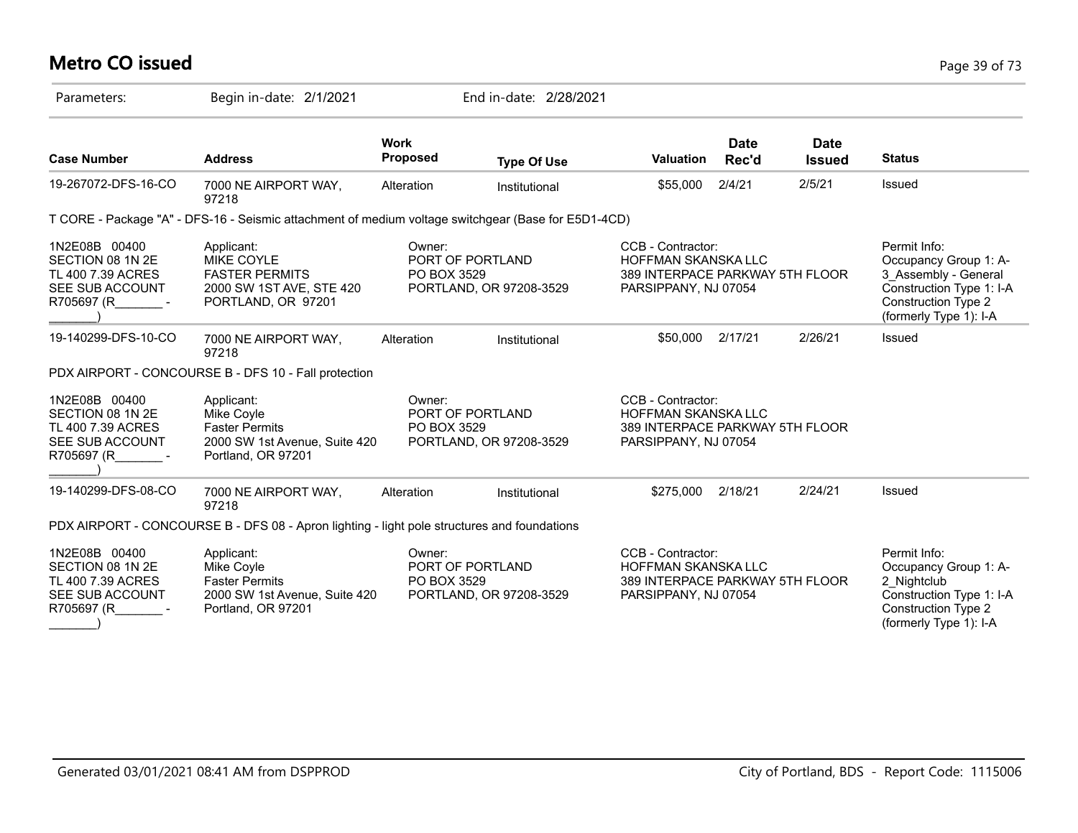# **Metro CO issued** Page 39 of 73

| Parameters:                                                                                      | Begin in-date: 2/1/2021                                                                                  |                                | End in-date: 2/28/2021                      |                                                                                                            |                      |                              |                                                                                                                                                   |
|--------------------------------------------------------------------------------------------------|----------------------------------------------------------------------------------------------------------|--------------------------------|---------------------------------------------|------------------------------------------------------------------------------------------------------------|----------------------|------------------------------|---------------------------------------------------------------------------------------------------------------------------------------------------|
| <b>Case Number</b>                                                                               | <b>Address</b>                                                                                           | <b>Work</b><br><b>Proposed</b> | <b>Type Of Use</b>                          | <b>Valuation</b>                                                                                           | <b>Date</b><br>Rec'd | <b>Date</b><br><b>Issued</b> | <b>Status</b>                                                                                                                                     |
| 19-267072-DFS-16-CO                                                                              | 7000 NE AIRPORT WAY,<br>97218                                                                            | Alteration                     | Institutional                               | \$55,000                                                                                                   | 2/4/21               | 2/5/21                       | <b>Issued</b>                                                                                                                                     |
|                                                                                                  | T CORE - Package "A" - DFS-16 - Seismic attachment of medium voltage switchgear (Base for E5D1-4CD)      |                                |                                             |                                                                                                            |                      |                              |                                                                                                                                                   |
| 1N2E08B 00400<br>SECTION 08 1N 2E<br>TL 400 7.39 ACRES<br><b>SEE SUB ACCOUNT</b><br>R705697 (R - | Applicant:<br>MIKE COYLE<br><b>FASTER PERMITS</b><br>2000 SW 1ST AVE, STE 420<br>PORTLAND, OR 97201      | Owner:<br>PO BOX 3529          | PORT OF PORTLAND<br>PORTLAND, OR 97208-3529 | CCB - Contractor:<br><b>HOFFMAN SKANSKA LLC</b><br>389 INTERPACE PARKWAY 5TH FLOOR<br>PARSIPPANY, NJ 07054 |                      |                              | Permit Info:<br>Occupancy Group 1: A-<br>3 Assembly - General<br>Construction Type 1: I-A<br><b>Construction Type 2</b><br>(formerly Type 1): I-A |
| 19-140299-DFS-10-CO                                                                              | 7000 NE AIRPORT WAY,<br>97218                                                                            | Alteration                     | Institutional                               | \$50,000                                                                                                   | 2/17/21              | 2/26/21                      | Issued                                                                                                                                            |
|                                                                                                  | PDX AIRPORT - CONCOURSE B - DFS 10 - Fall protection                                                     |                                |                                             |                                                                                                            |                      |                              |                                                                                                                                                   |
| 1N2E08B 00400<br>SECTION 08 1N 2E<br>TL 400 7.39 ACRES<br>SEE SUB ACCOUNT<br>R705697 (R          | Applicant:<br>Mike Coyle<br><b>Faster Permits</b><br>2000 SW 1st Avenue, Suite 420<br>Portland, OR 97201 | Owner:<br>PO BOX 3529          | PORT OF PORTLAND<br>PORTLAND, OR 97208-3529 | CCB - Contractor:<br>HOFFMAN SKANSKA LLC<br>389 INTERPACE PARKWAY 5TH FLOOR<br>PARSIPPANY, NJ 07054        |                      |                              |                                                                                                                                                   |
| 19-140299-DFS-08-CO                                                                              | 7000 NE AIRPORT WAY,<br>97218                                                                            | Alteration                     | Institutional                               | \$275,000                                                                                                  | 2/18/21              | 2/24/21                      | Issued                                                                                                                                            |
|                                                                                                  | PDX AIRPORT - CONCOURSE B - DFS 08 - Apron lighting - light pole structures and foundations              |                                |                                             |                                                                                                            |                      |                              |                                                                                                                                                   |
| 1N2E08B 00400<br>SECTION 08 1N 2E<br>TL 400 7.39 ACRES<br>SEE SUB ACCOUNT<br>R705697 (R          | Applicant:<br>Mike Coyle<br><b>Faster Permits</b><br>2000 SW 1st Avenue, Suite 420<br>Portland, OR 97201 | Owner:<br>PO BOX 3529          | PORT OF PORTLAND<br>PORTLAND, OR 97208-3529 | CCB - Contractor:<br><b>HOFFMAN SKANSKA LLC</b><br>389 INTERPACE PARKWAY 5TH FLOOR<br>PARSIPPANY, NJ 07054 |                      |                              | Permit Info:<br>Occupancy Group 1: A-<br>2 Nightclub<br>Construction Type 1: I-A<br><b>Construction Type 2</b><br>(formerly Type 1): I-A          |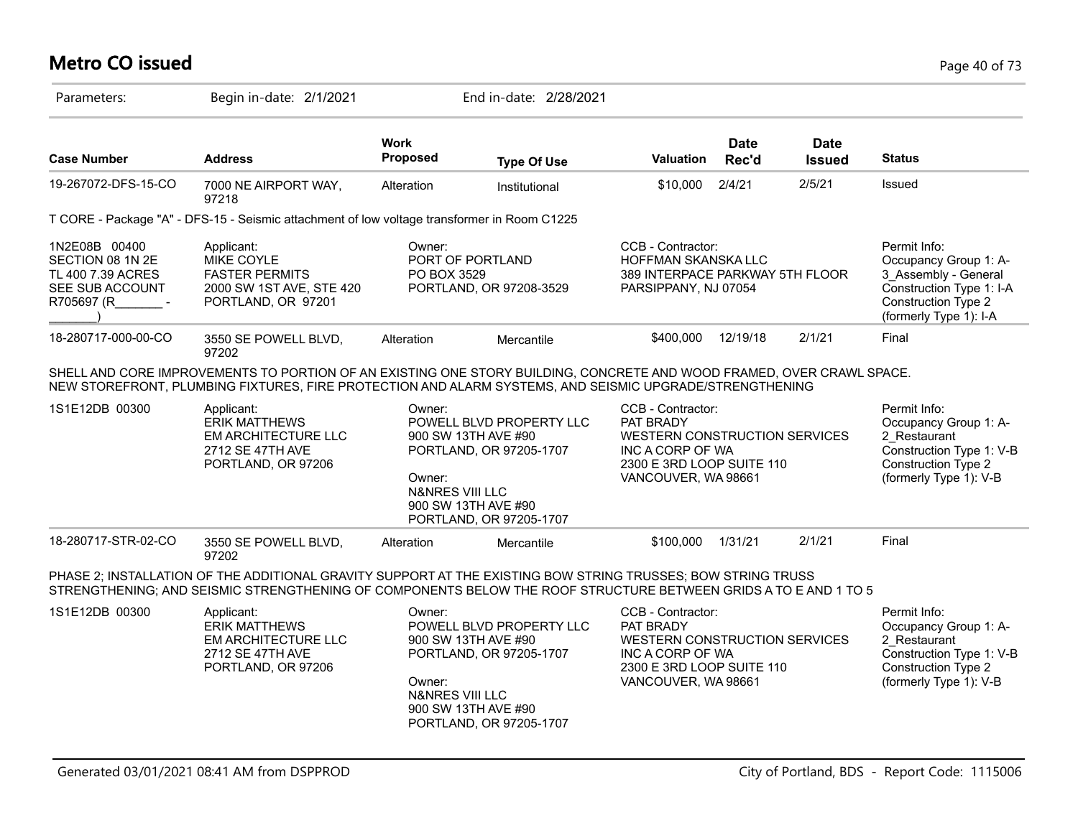# **Metro CO issued** Page 40 of 73

| Parameters:                                                                             | Begin in-date: 2/1/2021                                                                                                                                                                                                          |                                                | End in-date: 2/28/2021                                                                                                       |                                                                                                                                         |                      |                              |                                                                                                                                                   |
|-----------------------------------------------------------------------------------------|----------------------------------------------------------------------------------------------------------------------------------------------------------------------------------------------------------------------------------|------------------------------------------------|------------------------------------------------------------------------------------------------------------------------------|-----------------------------------------------------------------------------------------------------------------------------------------|----------------------|------------------------------|---------------------------------------------------------------------------------------------------------------------------------------------------|
| <b>Case Number</b>                                                                      | <b>Address</b>                                                                                                                                                                                                                   | Work<br><b>Proposed</b>                        | <b>Type Of Use</b>                                                                                                           | Valuation                                                                                                                               | <b>Date</b><br>Rec'd | <b>Date</b><br><b>Issued</b> | <b>Status</b>                                                                                                                                     |
| 19-267072-DFS-15-CO                                                                     | 7000 NE AIRPORT WAY,<br>97218                                                                                                                                                                                                    | Alteration                                     | Institutional                                                                                                                | \$10,000                                                                                                                                | 2/4/21               | 2/5/21                       | Issued                                                                                                                                            |
|                                                                                         | T CORE - Package "A" - DFS-15 - Seismic attachment of low voltage transformer in Room C1225                                                                                                                                      |                                                |                                                                                                                              |                                                                                                                                         |                      |                              |                                                                                                                                                   |
| 1N2E08B 00400<br>SECTION 08 1N 2E<br>TL 400 7.39 ACRES<br>SEE SUB ACCOUNT<br>R705697 (R | Applicant:<br>MIKE COYLE<br><b>FASTER PERMITS</b><br>2000 SW 1ST AVE, STE 420<br>PORTLAND, OR 97201                                                                                                                              | Owner:<br>PO BOX 3529                          | PORT OF PORTLAND<br>PORTLAND, OR 97208-3529                                                                                  | CCB - Contractor:<br>HOFFMAN SKANSKA LLC<br>389 INTERPACE PARKWAY 5TH FLOOR<br>PARSIPPANY, NJ 07054                                     |                      |                              | Permit Info:<br>Occupancy Group 1: A-<br>3 Assembly - General<br>Construction Type 1: I-A<br><b>Construction Type 2</b><br>(formerly Type 1): I-A |
| 18-280717-000-00-CO                                                                     | 3550 SE POWELL BLVD,<br>97202                                                                                                                                                                                                    | Alteration                                     | Mercantile                                                                                                                   | \$400,000                                                                                                                               | 12/19/18             | 2/1/21                       | Final                                                                                                                                             |
|                                                                                         | SHELL AND CORE IMPROVEMENTS TO PORTION OF AN EXISTING ONE STORY BUILDING, CONCRETE AND WOOD FRAMED, OVER CRAWL SPACE.<br>NEW STOREFRONT, PLUMBING FIXTURES, FIRE PROTECTION AND ALARM SYSTEMS, AND SEISMIC UPGRADE/STRENGTHENING |                                                |                                                                                                                              |                                                                                                                                         |                      |                              |                                                                                                                                                   |
| 1S1E12DB 00300                                                                          | Applicant:<br><b>ERIK MATTHEWS</b><br><b>EM ARCHITECTURE LLC</b><br>2712 SE 47TH AVE<br>PORTLAND, OR 97206                                                                                                                       | Owner:<br>Owner:<br><b>N&amp;NRES VIII LLC</b> | POWELL BLVD PROPERTY LLC<br>900 SW 13TH AVE #90<br>PORTLAND, OR 97205-1707<br>900 SW 13TH AVE #90<br>PORTLAND, OR 97205-1707 | CCB - Contractor:<br>PAT BRADY<br>WESTERN CONSTRUCTION SERVICES<br>INC A CORP OF WA<br>2300 E 3RD LOOP SUITE 110<br>VANCOUVER, WA 98661 |                      |                              | Permit Info:<br>Occupancy Group 1: A-<br>2 Restaurant<br>Construction Type 1: V-B<br>Construction Type 2<br>(formerly Type 1): V-B                |
| 18-280717-STR-02-CO                                                                     | 3550 SE POWELL BLVD,<br>97202                                                                                                                                                                                                    | Alteration                                     | Mercantile                                                                                                                   | \$100,000                                                                                                                               | 1/31/21              | 2/1/21                       | Final                                                                                                                                             |
|                                                                                         | PHASE 2; INSTALLATION OF THE ADDITIONAL GRAVITY SUPPORT AT THE EXISTING BOW STRING TRUSSES; BOW STRING TRUSS<br>STRENGTHENING; AND SEISMIC STRENGTHENING OF COMPONENTS BELOW THE ROOF STRUCTURE BETWEEN GRIDS A TO E AND 1 TO 5  |                                                |                                                                                                                              |                                                                                                                                         |                      |                              |                                                                                                                                                   |
| 1S1E12DB 00300                                                                          | Applicant:<br><b>ERIK MATTHEWS</b><br><b>EM ARCHITECTURE LLC</b><br>2712 SE 47TH AVE<br>PORTLAND, OR 97206                                                                                                                       | Owner:<br>Owner:<br><b>N&amp;NRES VIII LLC</b> | POWELL BLVD PROPERTY LLC<br>900 SW 13TH AVE #90<br>PORTLAND, OR 97205-1707<br>900 SW 13TH AVE #90<br>PORTLAND, OR 97205-1707 | CCB - Contractor:<br>PAT BRADY<br>WESTERN CONSTRUCTION SERVICES<br>INC A CORP OF WA<br>2300 E 3RD LOOP SUITE 110<br>VANCOUVER, WA 98661 |                      |                              | Permit Info:<br>Occupancy Group 1: A-<br>2 Restaurant<br>Construction Type 1: V-B<br><b>Construction Type 2</b><br>(formerly Type 1): V-B         |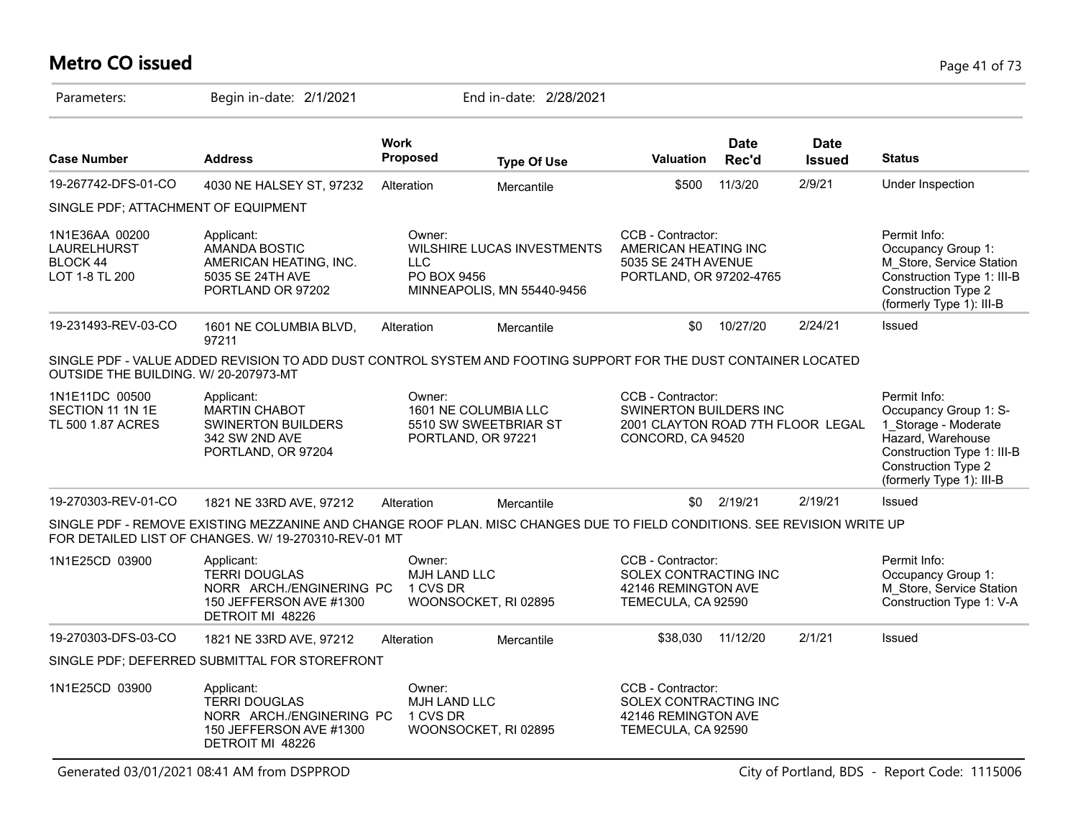# **Metro CO issued** Page 41 of 73

| Parameters:                                                 | Begin in-date: 2/1/2021                                                                                                                                                          |                                           | End in-date: 2/28/2021                                              |                                                                                                              |                      |                              |                                                                                                                                                                     |
|-------------------------------------------------------------|----------------------------------------------------------------------------------------------------------------------------------------------------------------------------------|-------------------------------------------|---------------------------------------------------------------------|--------------------------------------------------------------------------------------------------------------|----------------------|------------------------------|---------------------------------------------------------------------------------------------------------------------------------------------------------------------|
| <b>Case Number</b>                                          | <b>Address</b>                                                                                                                                                                   | <b>Work</b><br>Proposed                   | <b>Type Of Use</b>                                                  | <b>Valuation</b>                                                                                             | <b>Date</b><br>Rec'd | <b>Date</b><br><b>Issued</b> | <b>Status</b>                                                                                                                                                       |
| 19-267742-DFS-01-CO                                         | 4030 NE HALSEY ST, 97232                                                                                                                                                         | Alteration                                | Mercantile                                                          | \$500                                                                                                        | 11/3/20              | 2/9/21                       | Under Inspection                                                                                                                                                    |
| SINGLE PDF; ATTACHMENT OF EQUIPMENT                         |                                                                                                                                                                                  |                                           |                                                                     |                                                                                                              |                      |                              |                                                                                                                                                                     |
| 1N1E36AA 00200<br>LAURELHURST<br>BLOCK 44<br>LOT 1-8 TL 200 | Applicant:<br><b>AMANDA BOSTIC</b><br>AMERICAN HEATING, INC.<br>5035 SE 24TH AVE<br>PORTLAND OR 97202                                                                            | Owner:<br>LLC.<br>PO BOX 9456             | WILSHIRE LUCAS INVESTMENTS<br>MINNEAPOLIS, MN 55440-9456            | CCB - Contractor:<br>AMERICAN HEATING INC<br>5035 SE 24TH AVENUE<br>PORTLAND, OR 97202-4765                  |                      |                              | Permit Info:<br>Occupancy Group 1:<br>M_Store, Service Station<br>Construction Type 1: III-B<br><b>Construction Type 2</b><br>(formerly Type 1): III-B              |
| 19-231493-REV-03-CO                                         | 1601 NE COLUMBIA BLVD,<br>97211                                                                                                                                                  | Alteration                                | Mercantile                                                          | \$0                                                                                                          | 10/27/20             | 2/24/21                      | Issued                                                                                                                                                              |
| OUTSIDE THE BUILDING. W/ 20-207973-MT                       | SINGLE PDF - VALUE ADDED REVISION TO ADD DUST CONTROL SYSTEM AND FOOTING SUPPORT FOR THE DUST CONTAINER LOCATED                                                                  |                                           |                                                                     |                                                                                                              |                      |                              |                                                                                                                                                                     |
| 1N1E11DC 00500<br>SECTION 11 1N 1E<br>TL 500 1.87 ACRES     | Applicant:<br><b>MARTIN CHABOT</b><br><b>SWINERTON BUILDERS</b><br>342 SW 2ND AVE<br>PORTLAND, OR 97204                                                                          | Owner:                                    | 1601 NE COLUMBIA LLC<br>5510 SW SWEETBRIAR ST<br>PORTLAND, OR 97221 | CCB - Contractor:<br><b>SWINERTON BUILDERS INC</b><br>2001 CLAYTON ROAD 7TH FLOOR LEGAL<br>CONCORD, CA 94520 |                      |                              | Permit Info:<br>Occupancy Group 1: S-<br>1_Storage - Moderate<br>Hazard, Warehouse<br>Construction Type 1: III-B<br>Construction Type 2<br>(formerly Type 1): III-B |
| 19-270303-REV-01-CO                                         | 1821 NE 33RD AVE, 97212                                                                                                                                                          | Alteration                                | Mercantile                                                          | \$0                                                                                                          | 2/19/21              | 2/19/21                      | Issued                                                                                                                                                              |
|                                                             | SINGLE PDF - REMOVE EXISTING MEZZANINE AND CHANGE ROOF PLAN. MISC CHANGES DUE TO FIELD CONDITIONS. SEE REVISION WRITE UP<br>FOR DETAILED LIST OF CHANGES. W/ 19-270310-REV-01 MT |                                           |                                                                     |                                                                                                              |                      |                              |                                                                                                                                                                     |
| 1N1E25CD 03900                                              | Applicant:<br><b>TERRI DOUGLAS</b><br>NORR ARCH./ENGINERING PC<br>150 JEFFERSON AVE #1300<br>DETROIT MI 48226                                                                    | Owner:<br>MJH LAND LLC<br>1 CVS DR        | WOONSOCKET, RI 02895                                                | CCB - Contractor:<br>SOLEX CONTRACTING INC<br>42146 REMINGTON AVE<br>TEMECULA, CA 92590                      |                      |                              | Permit Info:<br>Occupancy Group 1:<br>M_Store, Service Station<br>Construction Type 1: V-A                                                                          |
| 19-270303-DFS-03-CO                                         | 1821 NE 33RD AVE, 97212                                                                                                                                                          | Alteration                                | Mercantile                                                          | \$38,030                                                                                                     | 11/12/20             | 2/1/21                       | Issued                                                                                                                                                              |
|                                                             | SINGLE PDF; DEFERRED SUBMITTAL FOR STOREFRONT                                                                                                                                    |                                           |                                                                     |                                                                                                              |                      |                              |                                                                                                                                                                     |
| 1N1E25CD 03900                                              | Applicant:<br><b>TERRI DOUGLAS</b><br>NORR ARCH./ENGINERING PC<br>150 JEFFERSON AVE #1300<br>DETROIT MI 48226                                                                    | Owner:<br><b>MJH LAND LLC</b><br>1 CVS DR | WOONSOCKET, RI 02895                                                | CCB - Contractor:<br>SOLEX CONTRACTING INC<br>42146 REMINGTON AVE<br>TEMECULA, CA 92590                      |                      |                              |                                                                                                                                                                     |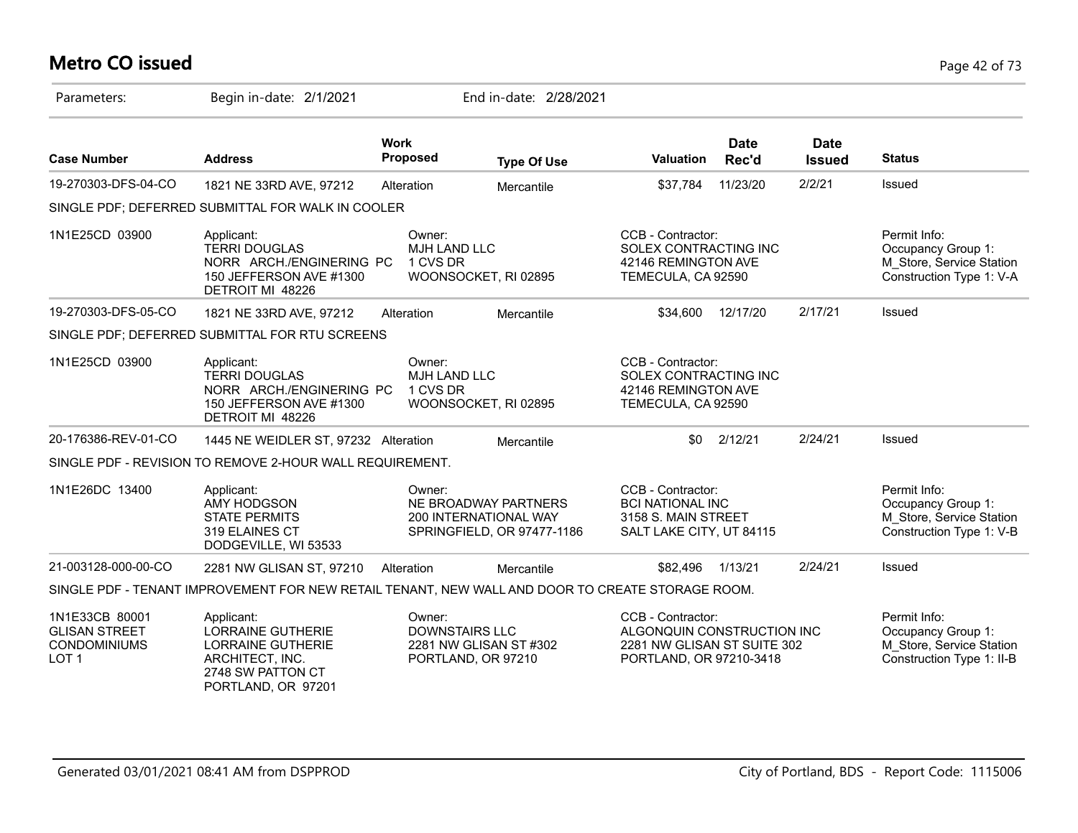# **Metro CO issued** Page 42 of 73

| Parameters:                                                                       | Begin in-date: 2/1/2021                                                                                                          |                                                                                 | End in-date: 2/28/2021                             |                                                                                                           |                      |                              |                                                                                             |
|-----------------------------------------------------------------------------------|----------------------------------------------------------------------------------------------------------------------------------|---------------------------------------------------------------------------------|----------------------------------------------------|-----------------------------------------------------------------------------------------------------------|----------------------|------------------------------|---------------------------------------------------------------------------------------------|
| <b>Case Number</b>                                                                | <b>Address</b>                                                                                                                   | <b>Work</b><br><b>Proposed</b>                                                  | <b>Type Of Use</b>                                 | Valuation                                                                                                 | <b>Date</b><br>Rec'd | <b>Date</b><br><b>Issued</b> | <b>Status</b>                                                                               |
| 19-270303-DFS-04-CO                                                               | 1821 NE 33RD AVE, 97212                                                                                                          | Alteration                                                                      | Mercantile                                         | \$37,784                                                                                                  | 11/23/20             | 2/2/21                       | Issued                                                                                      |
|                                                                                   | SINGLE PDF; DEFERRED SUBMITTAL FOR WALK IN COOLER                                                                                |                                                                                 |                                                    |                                                                                                           |                      |                              |                                                                                             |
| 1N1E25CD 03900                                                                    | Applicant:<br><b>TERRI DOUGLAS</b><br>NORR ARCH./ENGINERING PC<br>150 JEFFERSON AVE #1300<br>DETROIT MI 48226                    | Owner:<br>MJH LAND LLC<br>1 CVS DR<br>WOONSOCKET, RI 02895                      |                                                    | CCB - Contractor:<br>SOLEX CONTRACTING INC<br>42146 REMINGTON AVE<br>TEMECULA, CA 92590                   |                      |                              | Permit Info:<br>Occupancy Group 1:<br>M_Store, Service Station<br>Construction Type 1: V-A  |
| 19-270303-DFS-05-CO                                                               | 1821 NE 33RD AVE, 97212                                                                                                          | Alteration                                                                      | Mercantile                                         | \$34,600                                                                                                  | 12/17/20             | 2/17/21                      | Issued                                                                                      |
|                                                                                   | SINGLE PDF; DEFERRED SUBMITTAL FOR RTU SCREENS                                                                                   |                                                                                 |                                                    |                                                                                                           |                      |                              |                                                                                             |
| 1N1E25CD 03900                                                                    | Applicant:<br><b>TERRI DOUGLAS</b><br>NORR ARCH./ENGINERING PC<br>150 JEFFERSON AVE #1300<br>DETROIT MI 48226                    | Owner:<br>MJH LAND LLC<br>1 CVS DR<br>WOONSOCKET, RI 02895                      |                                                    | CCB - Contractor:<br>SOLEX CONTRACTING INC<br>42146 REMINGTON AVE<br>TEMECULA, CA 92590                   |                      |                              |                                                                                             |
| 20-176386-REV-01-CO                                                               | 1445 NE WEIDLER ST, 97232 Alteration                                                                                             |                                                                                 | Mercantile                                         | \$0                                                                                                       | 2/12/21              | 2/24/21                      | Issued                                                                                      |
|                                                                                   | SINGLE PDF - REVISION TO REMOVE 2-HOUR WALL REQUIREMENT.                                                                         |                                                                                 |                                                    |                                                                                                           |                      |                              |                                                                                             |
| 1N1E26DC 13400                                                                    | Applicant:<br><b>AMY HODGSON</b><br><b>STATE PERMITS</b><br>319 ELAINES CT<br>DODGEVILLE, WI 53533                               | Owner:<br>200 INTERNATIONAL WAY                                                 | NE BROADWAY PARTNERS<br>SPRINGFIELD, OR 97477-1186 | CCB - Contractor:<br><b>BCI NATIONAL INC</b><br>3158 S. MAIN STREET<br>SALT LAKE CITY, UT 84115           |                      |                              | Permit Info:<br>Occupancy Group 1:<br>M Store, Service Station<br>Construction Type 1: V-B  |
| 21-003128-000-00-CO                                                               | 2281 NW GLISAN ST, 97210                                                                                                         | Alteration                                                                      | Mercantile                                         | \$82,496                                                                                                  | 1/13/21              | 2/24/21                      | Issued                                                                                      |
|                                                                                   | SINGLE PDF - TENANT IMPROVEMENT FOR NEW RETAIL TENANT, NEW WALL AND DOOR TO CREATE STORAGE ROOM.                                 |                                                                                 |                                                    |                                                                                                           |                      |                              |                                                                                             |
| 1N1E33CB 80001<br><b>GLISAN STREET</b><br><b>CONDOMINIUMS</b><br>LOT <sub>1</sub> | Applicant:<br><b>LORRAINE GUTHERIE</b><br><b>LORRAINE GUTHERIE</b><br>ARCHITECT, INC.<br>2748 SW PATTON CT<br>PORTLAND, OR 97201 | Owner:<br><b>DOWNSTAIRS LLC</b><br>2281 NW GLISAN ST #302<br>PORTLAND, OR 97210 |                                                    | CCB - Contractor:<br>ALGONQUIN CONSTRUCTION INC<br>2281 NW GLISAN ST SUITE 302<br>PORTLAND, OR 97210-3418 |                      |                              | Permit Info:<br>Occupancy Group 1:<br>M_Store, Service Station<br>Construction Type 1: II-B |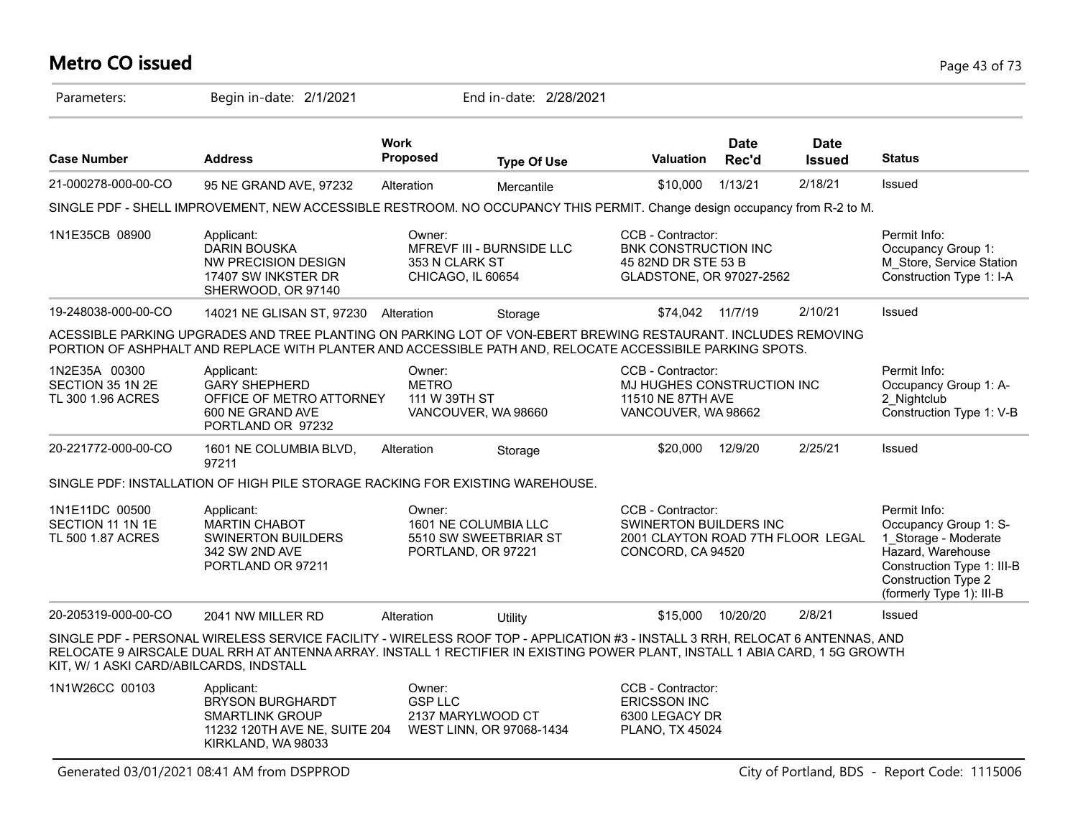# **Metro CO issued** Page 43 of 73

| Parameters:                                             | Begin in-date: 2/1/2021                                                                                                                                                                                                                                       |                                         | End in-date: 2/28/2021                                              |                                                                                                       |                      |                              |                                                                                                                                                                            |
|---------------------------------------------------------|---------------------------------------------------------------------------------------------------------------------------------------------------------------------------------------------------------------------------------------------------------------|-----------------------------------------|---------------------------------------------------------------------|-------------------------------------------------------------------------------------------------------|----------------------|------------------------------|----------------------------------------------------------------------------------------------------------------------------------------------------------------------------|
| <b>Case Number</b>                                      | <b>Address</b>                                                                                                                                                                                                                                                | <b>Work</b><br>Proposed                 | <b>Type Of Use</b>                                                  | <b>Valuation</b>                                                                                      | <b>Date</b><br>Rec'd | <b>Date</b><br><b>Issued</b> | <b>Status</b>                                                                                                                                                              |
| 21-000278-000-00-CO                                     | 95 NE GRAND AVE, 97232                                                                                                                                                                                                                                        | Alteration                              | Mercantile                                                          | \$10,000                                                                                              | 1/13/21              | 2/18/21                      | <b>Issued</b>                                                                                                                                                              |
|                                                         | SINGLE PDF - SHELL IMPROVEMENT, NEW ACCESSIBLE RESTROOM. NO OCCUPANCY THIS PERMIT. Change design occupancy from R-2 to M.                                                                                                                                     |                                         |                                                                     |                                                                                                       |                      |                              |                                                                                                                                                                            |
| 1N1E35CB 08900                                          | Applicant:<br><b>DARIN BOUSKA</b><br>NW PRECISION DESIGN<br>17407 SW INKSTER DR<br>SHERWOOD, OR 97140                                                                                                                                                         | Owner:<br>353 N CLARK ST                | MFREVF III - BURNSIDE LLC<br>CHICAGO, IL 60654                      | CCB - Contractor:<br>BNK CONSTRUCTION INC<br>45 82ND DR STE 53 B<br>GLADSTONE, OR 97027-2562          |                      |                              | Permit Info:<br>Occupancy Group 1:<br>M_Store, Service Station<br>Construction Type 1: I-A                                                                                 |
| 19-248038-000-00-CO                                     | 14021 NE GLISAN ST, 97230 Alteration                                                                                                                                                                                                                          |                                         | Storage                                                             | \$74,042 11/7/19                                                                                      |                      | 2/10/21                      | <b>Issued</b>                                                                                                                                                              |
|                                                         | ACESSIBLE PARKING UPGRADES AND TREE PLANTING ON PARKING LOT OF VON-EBERT BREWING RESTAURANT. INCLUDES REMOVING<br>PORTION OF ASHPHALT AND REPLACE WITH PLANTER AND ACCESSIBLE PATH AND, RELOCATE ACCESSIBILE PARKING SPOTS.                                   |                                         |                                                                     |                                                                                                       |                      |                              |                                                                                                                                                                            |
| 1N2E35A 00300<br>SECTION 35 1N 2E<br>TL 300 1.96 ACRES  | Applicant:<br><b>GARY SHEPHERD</b><br>OFFICE OF METRO ATTORNEY<br>600 NE GRAND AVE<br>PORTLAND OR 97232                                                                                                                                                       | Owner:<br><b>METRO</b><br>111 W 39TH ST | VANCOUVER, WA 98660                                                 | CCB - Contractor:<br>MJ HUGHES CONSTRUCTION INC<br>11510 NE 87TH AVE<br>VANCOUVER, WA 98662           |                      |                              | Permit Info:<br>Occupancy Group 1: A-<br>2 Nightclub<br>Construction Type 1: V-B                                                                                           |
| 20-221772-000-00-CO                                     | 1601 NE COLUMBIA BLVD,<br>97211                                                                                                                                                                                                                               | Alteration                              | Storage                                                             | \$20,000                                                                                              | 12/9/20              | 2/25/21                      | Issued                                                                                                                                                                     |
|                                                         | SINGLE PDF: INSTALLATION OF HIGH PILE STORAGE RACKING FOR EXISTING WAREHOUSE.                                                                                                                                                                                 |                                         |                                                                     |                                                                                                       |                      |                              |                                                                                                                                                                            |
| 1N1E11DC 00500<br>SECTION 11 1N 1E<br>TL 500 1.87 ACRES | Applicant:<br><b>MARTIN CHABOT</b><br><b>SWINERTON BUILDERS</b><br>342 SW 2ND AVE<br>PORTLAND OR 97211                                                                                                                                                        | Owner:                                  | 1601 NE COLUMBIA LLC<br>5510 SW SWEETBRIAR ST<br>PORTLAND, OR 97221 | CCB - Contractor:<br>SWINERTON BUILDERS INC<br>2001 CLAYTON ROAD 7TH FLOOR LEGAL<br>CONCORD, CA 94520 |                      |                              | Permit Info:<br>Occupancy Group 1: S-<br>1_Storage - Moderate<br>Hazard, Warehouse<br>Construction Type 1: III-B<br><b>Construction Type 2</b><br>(formerly Type 1): III-B |
| 20-205319-000-00-CO                                     | 2041 NW MILLER RD                                                                                                                                                                                                                                             | Alteration                              | Utility                                                             | \$15,000                                                                                              | 10/20/20             | 2/8/21                       | Issued                                                                                                                                                                     |
| KIT, W/ 1 ASKI CARD/ABILCARDS, INDSTALL                 | SINGLE PDF - PERSONAL WIRELESS SERVICE FACILITY - WIRELESS ROOF TOP - APPLICATION #3 - INSTALL 3 RRH, RELOCAT 6 ANTENNAS, AND<br>RELOCATE 9 AIRSCALE DUAL RRH AT ANTENNA ARRAY. INSTALL 1 RECTIFIER IN EXISTING POWER PLANT, INSTALL 1 ABIA CARD, 1 5G GROWTH |                                         |                                                                     |                                                                                                       |                      |                              |                                                                                                                                                                            |
| 1N1W26CC 00103                                          | Applicant:<br><b>BRYSON BURGHARDT</b><br><b>SMARTLINK GROUP</b><br>11232 120TH AVE NE, SUITE 204<br>KIRKLAND, WA 98033                                                                                                                                        | Owner:<br><b>GSP LLC</b>                | 2137 MARYLWOOD CT<br>WEST LINN, OR 97068-1434                       | CCB - Contractor:<br><b>ERICSSON INC</b><br>6300 LEGACY DR<br>PLANO, TX 45024                         |                      |                              |                                                                                                                                                                            |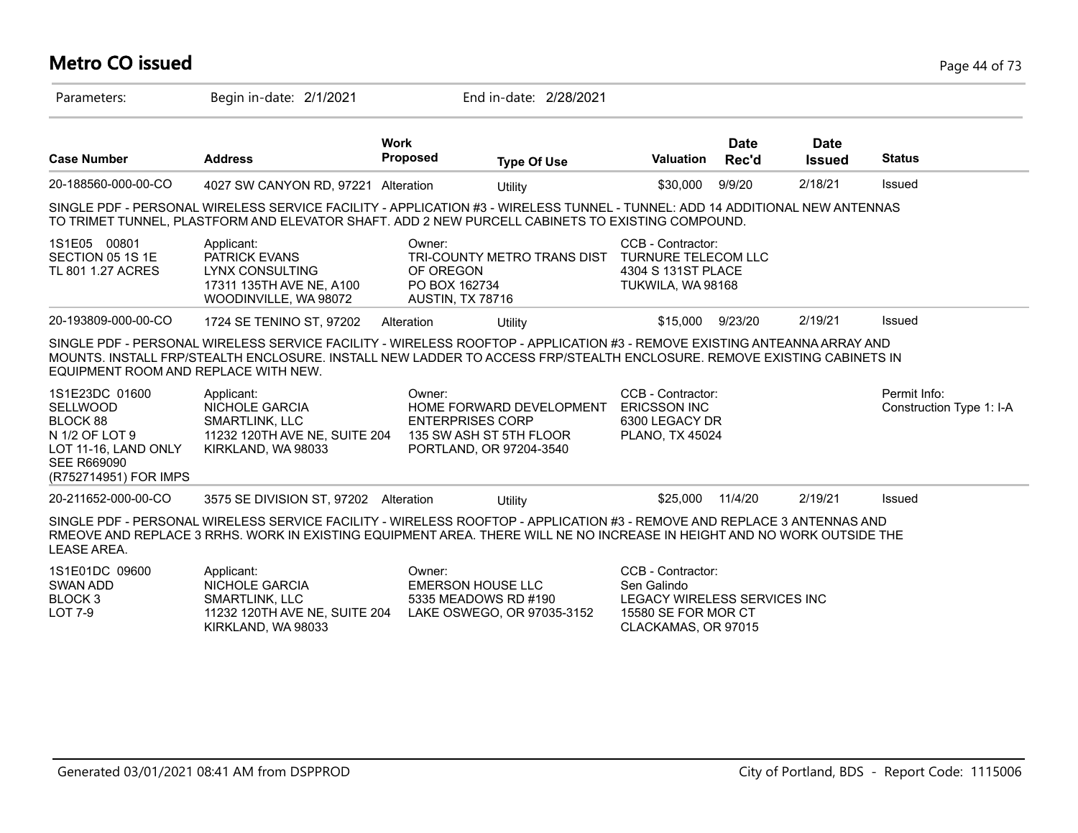### **Metro CO issued** Page 44 of 73

| Parameters:                                                                                                                            | Begin in-date: 2/1/2021                                                                                                                                                                                                                            |                                                            | End in-date: 2/28/2021                                                         |                                                                                                                |                      |                       |                                          |
|----------------------------------------------------------------------------------------------------------------------------------------|----------------------------------------------------------------------------------------------------------------------------------------------------------------------------------------------------------------------------------------------------|------------------------------------------------------------|--------------------------------------------------------------------------------|----------------------------------------------------------------------------------------------------------------|----------------------|-----------------------|------------------------------------------|
| <b>Case Number</b>                                                                                                                     | <b>Address</b>                                                                                                                                                                                                                                     | <b>Work</b><br><b>Proposed</b>                             | <b>Type Of Use</b>                                                             | <b>Valuation</b>                                                                                               | <b>Date</b><br>Rec'd | Date<br><b>Issued</b> | <b>Status</b>                            |
| 20-188560-000-00-CO                                                                                                                    | 4027 SW CANYON RD, 97221 Alteration                                                                                                                                                                                                                |                                                            | Utility                                                                        | \$30,000                                                                                                       | 9/9/20               | 2/18/21               | Issued                                   |
|                                                                                                                                        | SINGLE PDF - PERSONAL WIRELESS SERVICE FACILITY - APPLICATION #3 - WIRELESS TUNNEL - TUNNEL: ADD 14 ADDITIONAL NEW ANTENNAS<br>TO TRIMET TUNNEL, PLASTFORM AND ELEVATOR SHAFT. ADD 2 NEW PURCELL CABINETS TO EXISTING COMPOUND.                    |                                                            |                                                                                |                                                                                                                |                      |                       |                                          |
| 1S1E05 00801<br>SECTION 05 1S 1E<br>TL 801 1.27 ACRES                                                                                  | Applicant:<br><b>PATRICK EVANS</b><br>LYNX CONSULTING<br>17311 135TH AVE NE, A100<br>WOODINVILLE, WA 98072                                                                                                                                         | Owner:<br>OF OREGON<br>PO BOX 162734<br>AUSTIN, TX 78716   | TRI-COUNTY METRO TRANS DIST                                                    | CCB - Contractor:<br><b>TURNURE TELECOM LLC</b><br>4304 S 131ST PLACE<br>TUKWILA, WA 98168                     |                      |                       |                                          |
| 20-193809-000-00-CO                                                                                                                    | 1724 SE TENINO ST, 97202                                                                                                                                                                                                                           | Alteration                                                 | Utility                                                                        | \$15,000                                                                                                       | 9/23/20              | 2/19/21               | Issued                                   |
| EQUIPMENT ROOM AND REPLACE WITH NEW.                                                                                                   | SINGLE PDF - PERSONAL WIRELESS SERVICE FACILITY - WIRELESS ROOFTOP - APPLICATION #3 - REMOVE EXISTING ANTEANNA ARRAY AND<br>MOUNTS. INSTALL FRP/STEALTH ENCLOSURE. INSTALL NEW LADDER TO ACCESS FRP/STEALTH ENCLOSURE. REMOVE EXISTING CABINETS IN |                                                            |                                                                                |                                                                                                                |                      |                       |                                          |
| 1S1E23DC 01600<br><b>SELLWOOD</b><br>BLOCK 88<br>N 1/2 OF LOT 9<br>LOT 11-16, LAND ONLY<br><b>SEE R669090</b><br>(R752714951) FOR IMPS | Applicant:<br><b>NICHOLE GARCIA</b><br>SMARTLINK, LLC<br>11232 120TH AVE NE, SUITE 204<br>KIRKLAND, WA 98033                                                                                                                                       | Owner:<br><b>ENTERPRISES CORP</b>                          | HOME FORWARD DEVELOPMENT<br>135 SW ASH ST 5TH FLOOR<br>PORTLAND, OR 97204-3540 | CCB - Contractor:<br><b>ERICSSON INC</b><br>6300 LEGACY DR<br><b>PLANO, TX 45024</b>                           |                      |                       | Permit Info:<br>Construction Type 1: I-A |
| 20-211652-000-00-CO                                                                                                                    | 3575 SE DIVISION ST, 97202 Alteration                                                                                                                                                                                                              |                                                            | Utility                                                                        | \$25,000                                                                                                       | 11/4/20              | 2/19/21               | Issued                                   |
| <b>LEASE AREA.</b>                                                                                                                     | SINGLE PDF - PERSONAL WIRELESS SERVICE FACILITY - WIRELESS ROOFTOP - APPLICATION #3 - REMOVE AND REPLACE 3 ANTENNAS AND<br>RMEOVE AND REPLACE 3 RRHS. WORK IN EXISTING EQUIPMENT AREA. THERE WILL NE NO INCREASE IN HEIGHT AND NO WORK OUTSIDE THE |                                                            |                                                                                |                                                                                                                |                      |                       |                                          |
| 1S1E01DC 09600<br>SWAN ADD<br>BLOCK <sub>3</sub><br><b>LOT 7-9</b>                                                                     | Applicant:<br>NICHOLE GARCIA<br><b>SMARTLINK, LLC</b><br>11232 120TH AVE NE, SUITE 204<br>KIRKLAND, WA 98033                                                                                                                                       | Owner:<br><b>EMERSON HOUSE LLC</b><br>5335 MEADOWS RD #190 | LAKE OSWEGO, OR 97035-3152                                                     | CCB - Contractor:<br>Sen Galindo<br>LEGACY WIRELESS SERVICES INC<br>15580 SE FOR MOR CT<br>CLACKAMAS, OR 97015 |                      |                       |                                          |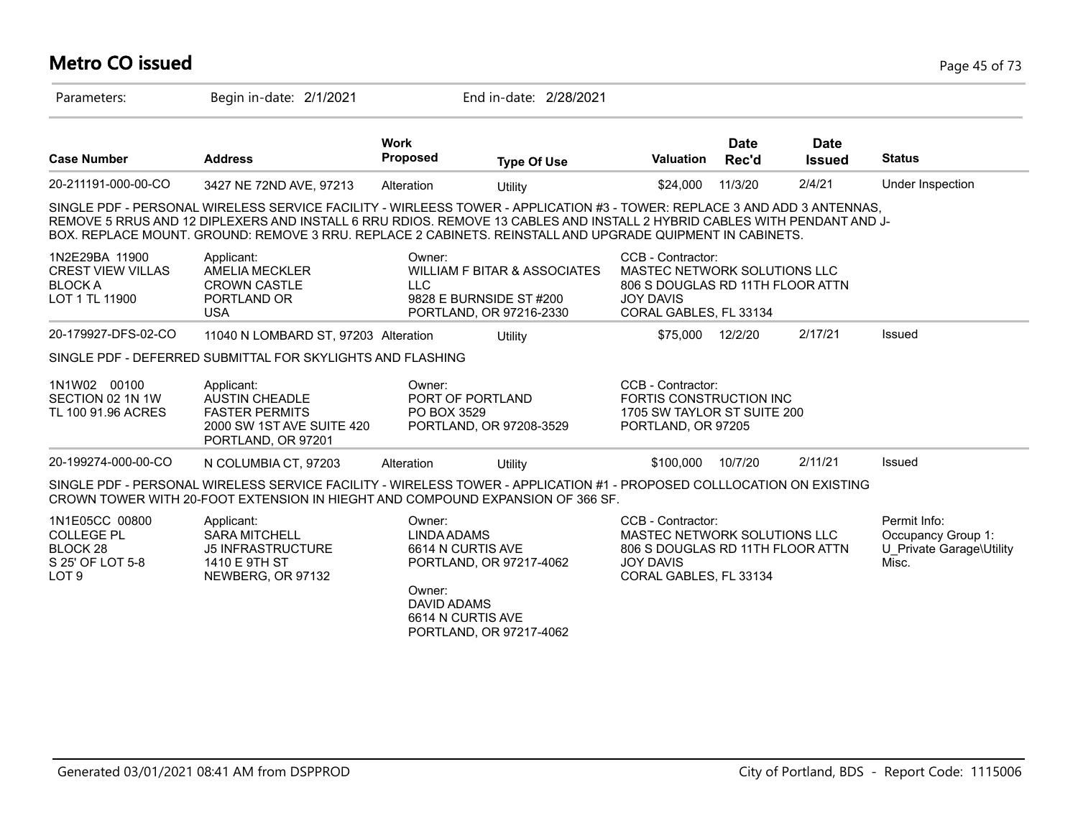# **Metro CO issued** Page 45 of 73

| Parameters:                                                                             | Begin in-date: 2/1/2021                                                                                                                                                                                                                                                                                                                                           |                                                                                                        | End in-date: 2/28/2021                                                                        |                                                                                                                                     |                      |                              |                                                                         |
|-----------------------------------------------------------------------------------------|-------------------------------------------------------------------------------------------------------------------------------------------------------------------------------------------------------------------------------------------------------------------------------------------------------------------------------------------------------------------|--------------------------------------------------------------------------------------------------------|-----------------------------------------------------------------------------------------------|-------------------------------------------------------------------------------------------------------------------------------------|----------------------|------------------------------|-------------------------------------------------------------------------|
| <b>Case Number</b>                                                                      | <b>Address</b>                                                                                                                                                                                                                                                                                                                                                    | <b>Work</b><br><b>Proposed</b>                                                                         | <b>Type Of Use</b>                                                                            | <b>Valuation</b>                                                                                                                    | <b>Date</b><br>Rec'd | <b>Date</b><br><b>Issued</b> | <b>Status</b>                                                           |
| 20-211191-000-00-CO                                                                     | 3427 NE 72ND AVE, 97213                                                                                                                                                                                                                                                                                                                                           | Alteration                                                                                             | Utility                                                                                       | \$24,000                                                                                                                            | 11/3/20              | 2/4/21                       | Under Inspection                                                        |
|                                                                                         | SINGLE PDF - PERSONAL WIRELESS SERVICE FACILITY - WIRLEESS TOWER - APPLICATION #3 - TOWER: REPLACE 3 AND ADD 3 ANTENNAS.<br>REMOVE 5 RRUS AND 12 DIPLEXERS AND INSTALL 6 RRU RDIOS. REMOVE 13 CABLES AND INSTALL 2 HYBRID CABLES WITH PENDANT AND J-<br>BOX. REPLACE MOUNT. GROUND: REMOVE 3 RRU. REPLACE 2 CABINETS. REINSTALL AND UPGRADE QUIPMENT IN CABINETS. |                                                                                                        |                                                                                               |                                                                                                                                     |                      |                              |                                                                         |
| 1N2E29BA 11900<br><b>CREST VIEW VILLAS</b><br><b>BLOCK A</b><br>LOT 1 TL 11900          | Applicant:<br><b>AMELIA MECKLER</b><br><b>CROWN CASTLE</b><br>PORTLAND OR<br><b>USA</b>                                                                                                                                                                                                                                                                           | Owner:<br><b>LLC</b>                                                                                   | <b>WILLIAM F BITAR &amp; ASSOCIATES</b><br>9828 E BURNSIDE ST #200<br>PORTLAND, OR 97216-2330 | CCB - Contractor:<br>MASTEC NETWORK SOLUTIONS LLC<br>806 S DOUGLAS RD 11TH FLOOR ATTN<br><b>JOY DAVIS</b><br>CORAL GABLES, FL 33134 |                      |                              |                                                                         |
| 20-179927-DFS-02-CO                                                                     | 11040 N LOMBARD ST, 97203 Alteration                                                                                                                                                                                                                                                                                                                              |                                                                                                        | Utility                                                                                       | \$75,000 12/2/20                                                                                                                    |                      | 2/17/21                      | Issued                                                                  |
|                                                                                         | SINGLE PDF - DEFERRED SUBMITTAL FOR SKYLIGHTS AND FLASHING                                                                                                                                                                                                                                                                                                        |                                                                                                        |                                                                                               |                                                                                                                                     |                      |                              |                                                                         |
| 1N1W02 00100<br>SECTION 02 1N 1W<br>TL 100 91.96 ACRES                                  | Applicant:<br><b>AUSTIN CHEADLE</b><br><b>FASTER PERMITS</b><br>2000 SW 1ST AVE SUITE 420<br>PORTLAND, OR 97201                                                                                                                                                                                                                                                   | Owner:<br>PO BOX 3529                                                                                  | PORT OF PORTLAND<br>PORTLAND, OR 97208-3529                                                   | CCB - Contractor:<br>FORTIS CONSTRUCTION INC<br>1705 SW TAYLOR ST SUITE 200<br>PORTLAND, OR 97205                                   |                      |                              |                                                                         |
| 20-199274-000-00-CO                                                                     | N COLUMBIA CT, 97203                                                                                                                                                                                                                                                                                                                                              | Alteration                                                                                             | Utility                                                                                       | \$100,000                                                                                                                           | 10/7/20              | 2/11/21                      | Issued                                                                  |
|                                                                                         | SINGLE PDF - PERSONAL WIRELESS SERVICE FACILITY - WIRELESS TOWER - APPLICATION #1 - PROPOSED COLLLOCATION ON EXISTING<br>CROWN TOWER WITH 20-FOOT EXTENSION IN HIEGHT AND COMPOUND EXPANSION OF 366 SF.                                                                                                                                                           |                                                                                                        |                                                                                               |                                                                                                                                     |                      |                              |                                                                         |
| 1N1E05CC 00800<br><b>COLLEGE PL</b><br>BLOCK 28<br>S 25' OF LOT 5-8<br>LOT <sub>9</sub> | Applicant:<br><b>SARA MITCHELL</b><br><b>J5 INFRASTRUCTURE</b><br>1410 E 9TH ST<br>NEWBERG, OR 97132                                                                                                                                                                                                                                                              | Owner:<br><b>LINDA ADAMS</b><br>6614 N CURTIS AVE<br>Owner:<br><b>DAVID ADAMS</b><br>6614 N CURTIS AVE | PORTLAND, OR 97217-4062<br>PORTLAND, OR 97217-4062                                            | CCB - Contractor:<br>MASTEC NETWORK SOLUTIONS LLC<br>806 S DOUGLAS RD 11TH FLOOR ATTN<br><b>JOY DAVIS</b><br>CORAL GABLES, FL 33134 |                      |                              | Permit Info:<br>Occupancy Group 1:<br>U Private Garage\Utility<br>Misc. |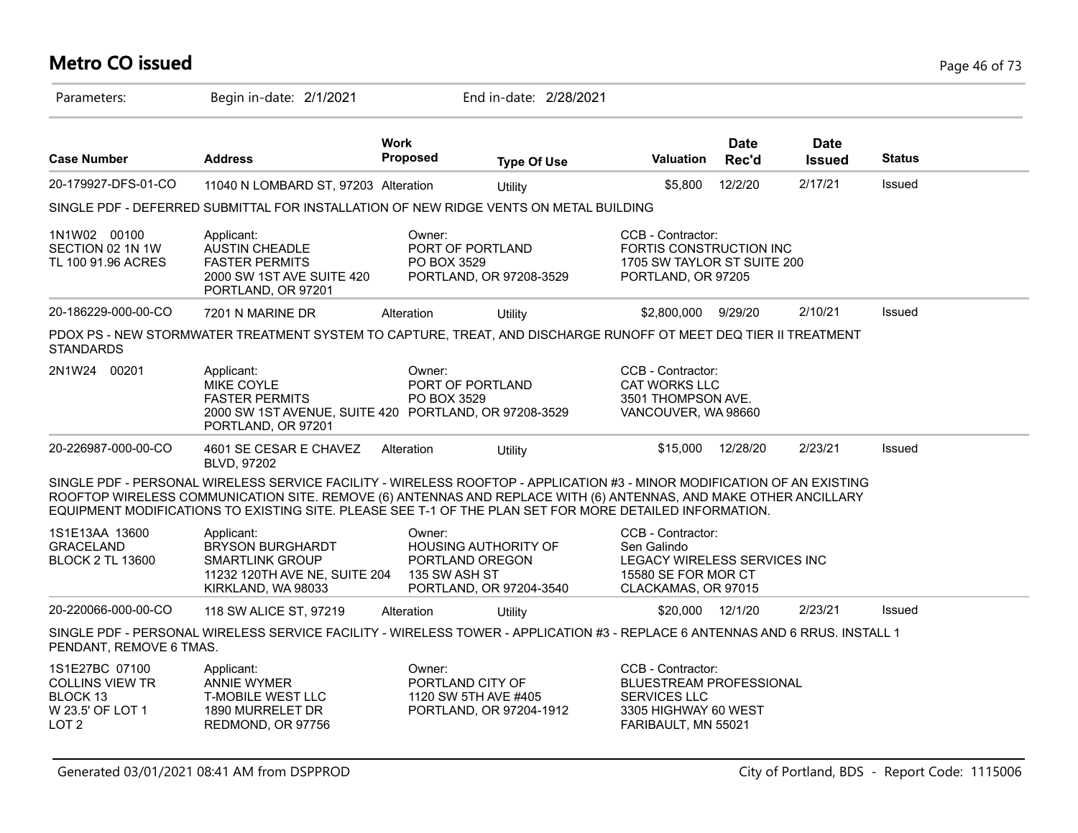# **Metro CO issued** Page 46 of 73

| Parameters:                                                                                  | Begin in-date: 2/1/2021                                                                                                                                                                                                                                                                                                                                |                         | End in-date: 2/28/2021                                                    |                                                                                                                    |                      |                              |               |  |
|----------------------------------------------------------------------------------------------|--------------------------------------------------------------------------------------------------------------------------------------------------------------------------------------------------------------------------------------------------------------------------------------------------------------------------------------------------------|-------------------------|---------------------------------------------------------------------------|--------------------------------------------------------------------------------------------------------------------|----------------------|------------------------------|---------------|--|
| <b>Case Number</b>                                                                           | <b>Address</b>                                                                                                                                                                                                                                                                                                                                         | <b>Work</b><br>Proposed | <b>Type Of Use</b>                                                        | <b>Valuation</b>                                                                                                   | <b>Date</b><br>Rec'd | <b>Date</b><br><b>Issued</b> | <b>Status</b> |  |
| 20-179927-DFS-01-CO                                                                          | 11040 N LOMBARD ST, 97203 Alteration                                                                                                                                                                                                                                                                                                                   |                         | Utility                                                                   | \$5,800                                                                                                            | 12/2/20              | 2/17/21                      | Issued        |  |
|                                                                                              | SINGLE PDF - DEFERRED SUBMITTAL FOR INSTALLATION OF NEW RIDGE VENTS ON METAL BUILDING                                                                                                                                                                                                                                                                  |                         |                                                                           |                                                                                                                    |                      |                              |               |  |
| 1N1W02 00100<br>SECTION 02 1N 1W<br>TL 100 91.96 ACRES                                       | Applicant:<br>AUSTIN CHEADLE<br><b>FASTER PERMITS</b><br>2000 SW 1ST AVE SUITE 420<br>PORTLAND, OR 97201                                                                                                                                                                                                                                               | Owner:<br>PO BOX 3529   | PORT OF PORTLAND<br>PORTLAND, OR 97208-3529                               | CCB - Contractor:<br>FORTIS CONSTRUCTION INC<br>1705 SW TAYLOR ST SUITE 200<br>PORTLAND, OR 97205                  |                      |                              |               |  |
| 20-186229-000-00-CO                                                                          | 7201 N MARINE DR                                                                                                                                                                                                                                                                                                                                       | Alteration              | Utility                                                                   | \$2,800,000                                                                                                        | 9/29/20              | 2/10/21                      | <b>Issued</b> |  |
| <b>STANDARDS</b>                                                                             | PDOX PS - NEW STORMWATER TREATMENT SYSTEM TO CAPTURE, TREAT, AND DISCHARGE RUNOFF OT MEET DEQ TIER II TREATMENT                                                                                                                                                                                                                                        |                         |                                                                           |                                                                                                                    |                      |                              |               |  |
| 2N1W24 00201                                                                                 | Applicant:<br>MIKE COYLE<br><b>FASTER PERMITS</b><br>2000 SW 1ST AVENUE, SUITE 420 PORTLAND, OR 97208-3529<br>PORTLAND, OR 97201                                                                                                                                                                                                                       | Owner:<br>PO BOX 3529   | PORT OF PORTLAND                                                          | CCB - Contractor:<br><b>CAT WORKS LLC</b><br>3501 THOMPSON AVE.<br>VANCOUVER, WA 98660                             |                      |                              |               |  |
| 20-226987-000-00-CO                                                                          | 4601 SE CESAR E CHAVEZ<br>BLVD, 97202                                                                                                                                                                                                                                                                                                                  | Alteration              | Utility                                                                   | \$15,000                                                                                                           | 12/28/20             | 2/23/21                      | Issued        |  |
|                                                                                              | SINGLE PDF - PERSONAL WIRELESS SERVICE FACILITY - WIRELESS ROOFTOP - APPLICATION #3 - MINOR MODIFICATION OF AN EXISTING<br>ROOFTOP WIRELESS COMMUNICATION SITE. REMOVE (6) ANTENNAS AND REPLACE WITH (6) ANTENNAS, AND MAKE OTHER ANCILLARY<br>EQUIPMENT MODIFICATIONS TO EXISTING SITE. PLEASE SEE T-1 OF THE PLAN SET FOR MORE DETAILED INFORMATION. |                         |                                                                           |                                                                                                                    |                      |                              |               |  |
| 1S1E13AA 13600<br><b>GRACELAND</b><br><b>BLOCK 2 TL 13600</b>                                | Applicant:<br><b>BRYSON BURGHARDT</b><br><b>SMARTLINK GROUP</b><br>11232 120TH AVE NE, SUITE 204<br>KIRKLAND, WA 98033                                                                                                                                                                                                                                 | Owner:<br>135 SW ASH ST | <b>HOUSING AUTHORITY OF</b><br>PORTLAND OREGON<br>PORTLAND, OR 97204-3540 | CCB - Contractor:<br>Sen Galindo<br>LEGACY WIRELESS SERVICES INC<br>15580 SE FOR MOR CT<br>CLACKAMAS, OR 97015     |                      |                              |               |  |
| 20-220066-000-00-CO                                                                          | 118 SW ALICE ST, 97219                                                                                                                                                                                                                                                                                                                                 | Alteration              | Utility                                                                   | \$20,000 12/1/20                                                                                                   |                      | 2/23/21                      | Issued        |  |
| PENDANT, REMOVE 6 TMAS.                                                                      | SINGLE PDF - PERSONAL WIRELESS SERVICE FACILITY - WIRELESS TOWER - APPLICATION #3 - REPLACE 6 ANTENNAS AND 6 RRUS. INSTALL 1                                                                                                                                                                                                                           |                         |                                                                           |                                                                                                                    |                      |                              |               |  |
| 1S1E27BC 07100<br><b>COLLINS VIEW TR</b><br>BLOCK 13<br>W 23.5' OF LOT 1<br>LOT <sub>2</sub> | Applicant:<br><b>ANNIE WYMER</b><br><b>T-MOBILE WEST LLC</b><br>1890 MURRELET DR<br>REDMOND, OR 97756                                                                                                                                                                                                                                                  | Owner:                  | PORTLAND CITY OF<br>1120 SW 5TH AVE #405<br>PORTLAND, OR 97204-1912       | CCB - Contractor:<br>BLUESTREAM PROFESSIONAL<br><b>SERVICES LLC</b><br>3305 HIGHWAY 60 WEST<br>FARIBAULT, MN 55021 |                      |                              |               |  |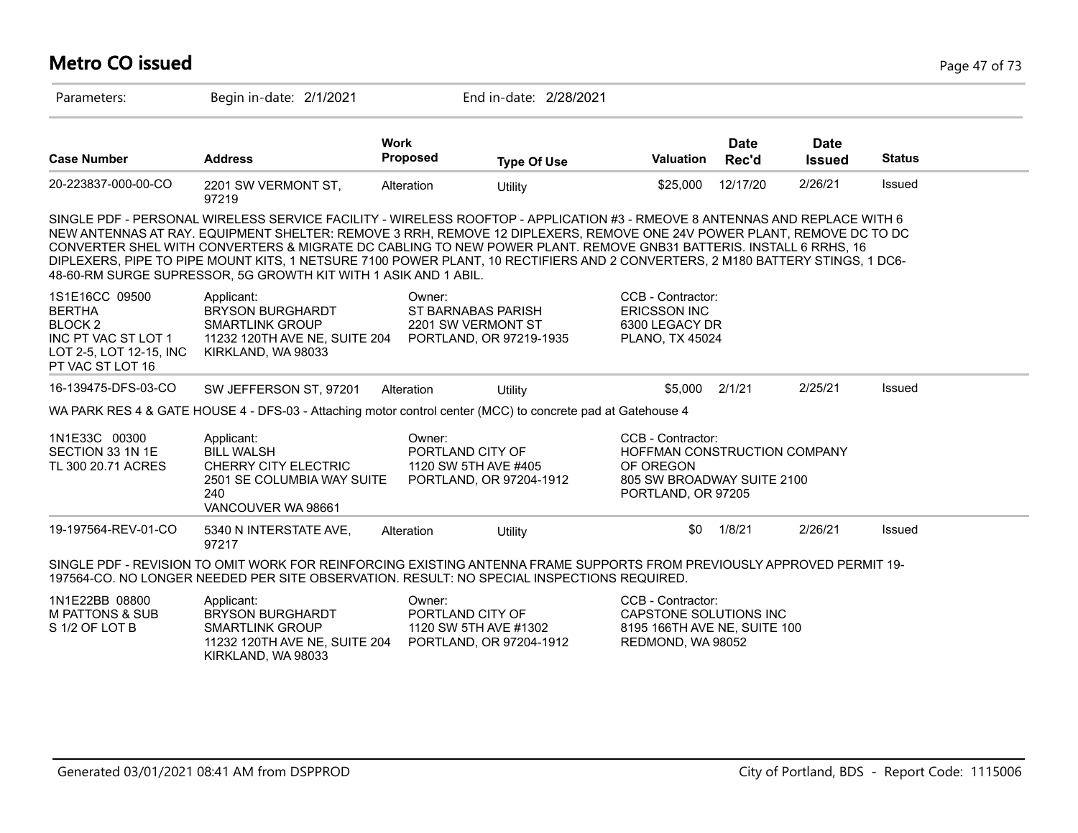### **Metro CO issued** Page 47 of 73

| Parameters:                                                                                                                 | Begin in-date: 2/1/2021                                                                                                                                                                                                                                                                                                                                                                                                                                                                                                                                                       |                                                                               | End in-date: 2/28/2021  |                                                                                                                    |                      |                              |               |
|-----------------------------------------------------------------------------------------------------------------------------|-------------------------------------------------------------------------------------------------------------------------------------------------------------------------------------------------------------------------------------------------------------------------------------------------------------------------------------------------------------------------------------------------------------------------------------------------------------------------------------------------------------------------------------------------------------------------------|-------------------------------------------------------------------------------|-------------------------|--------------------------------------------------------------------------------------------------------------------|----------------------|------------------------------|---------------|
| <b>Case Number</b>                                                                                                          | <b>Address</b>                                                                                                                                                                                                                                                                                                                                                                                                                                                                                                                                                                | <b>Work</b><br>Proposed                                                       | <b>Type Of Use</b>      | <b>Valuation</b>                                                                                                   | <b>Date</b><br>Rec'd | <b>Date</b><br><b>Issued</b> | <b>Status</b> |
| 20-223837-000-00-CO                                                                                                         | 2201 SW VERMONT ST,<br>97219                                                                                                                                                                                                                                                                                                                                                                                                                                                                                                                                                  | Alteration                                                                    | Utility                 | \$25,000                                                                                                           | 12/17/20             | 2/26/21                      | Issued        |
|                                                                                                                             | SINGLE PDF - PERSONAL WIRELESS SERVICE FACILITY - WIRELESS ROOFTOP - APPLICATION #3 - RMEOVE 8 ANTENNAS AND REPLACE WITH 6<br>NEW ANTENNAS AT RAY. EQUIPMENT SHELTER: REMOVE 3 RRH, REMOVE 12 DIPLEXERS, REMOVE ONE 24V POWER PLANT, REMOVE DC TO DC<br>CONVERTER SHEL WITH CONVERTERS & MIGRATE DC CABLING TO NEW POWER PLANT. REMOVE GNB31 BATTERIS. INSTALL 6 RRHS, 16<br>DIPLEXERS, PIPE TO PIPE MOUNT KITS, 1 NETSURE 7100 POWER PLANT, 10 RECTIFIERS AND 2 CONVERTERS, 2 M180 BATTERY STINGS, 1 DC6-<br>48-60-RM SURGE SUPRESSOR, 5G GROWTH KIT WITH 1 ASIK AND 1 ABIL. |                                                                               |                         |                                                                                                                    |                      |                              |               |
| 1S1E16CC 09500<br><b>BERTHA</b><br>BLOCK <sub>2</sub><br>INC PT VAC ST LOT 1<br>LOT 2-5, LOT 12-15, INC<br>PT VAC ST LOT 16 | Applicant:<br><b>BRYSON BURGHARDT</b><br><b>SMARTLINK GROUP</b><br>11232 120TH AVE NE, SUITE 204<br>KIRKLAND, WA 98033                                                                                                                                                                                                                                                                                                                                                                                                                                                        | Owner:<br>ST BARNABAS PARISH<br>2201 SW VERMONT ST<br>PORTLAND, OR 97219-1935 |                         | CCB - Contractor:<br><b>ERICSSON INC</b><br>6300 LEGACY DR<br><b>PLANO, TX 45024</b>                               |                      |                              |               |
| 16-139475-DFS-03-CO                                                                                                         | SW JEFFERSON ST, 97201                                                                                                                                                                                                                                                                                                                                                                                                                                                                                                                                                        | Alteration                                                                    | Utility                 | \$5,000                                                                                                            | 2/1/21               | 2/25/21                      | Issued        |
|                                                                                                                             | WA PARK RES 4 & GATE HOUSE 4 - DFS-03 - Attaching motor control center (MCC) to concrete pad at Gatehouse 4                                                                                                                                                                                                                                                                                                                                                                                                                                                                   |                                                                               |                         |                                                                                                                    |                      |                              |               |
| 1N1E33C 00300<br>SECTION 33 1N 1E<br>TL 300 20.71 ACRES                                                                     | Applicant:<br><b>BILL WALSH</b><br><b>CHERRY CITY ELECTRIC</b><br>2501 SE COLUMBIA WAY SUITE<br>240<br>VANCOUVER WA 98661                                                                                                                                                                                                                                                                                                                                                                                                                                                     | Owner:<br>PORTLAND CITY OF<br>1120 SW 5TH AVE #405                            | PORTLAND, OR 97204-1912 | CCB - Contractor:<br>HOFFMAN CONSTRUCTION COMPANY<br>OF OREGON<br>805 SW BROADWAY SUITE 2100<br>PORTLAND, OR 97205 |                      |                              |               |
| 19-197564-REV-01-CO                                                                                                         | 5340 N INTERSTATE AVE,<br>97217                                                                                                                                                                                                                                                                                                                                                                                                                                                                                                                                               | Alteration                                                                    | Utility                 | \$0                                                                                                                | 1/8/21               | 2/26/21                      | Issued        |
|                                                                                                                             | SINGLE PDF - REVISION TO OMIT WORK FOR REINFORCING EXISTING ANTENNA FRAME SUPPORTS FROM PREVIOUSLY APPROVED PERMIT 19-<br>197564-CO. NO LONGER NEEDED PER SITE OBSERVATION. RESULT: NO SPECIAL INSPECTIONS REQUIRED.                                                                                                                                                                                                                                                                                                                                                          |                                                                               |                         |                                                                                                                    |                      |                              |               |
| 1N1E22BB 08800<br><b>M PATTONS &amp; SUB</b><br>S 1/2 OF LOT B                                                              | Applicant:<br><b>BRYSON BURGHARDT</b><br><b>SMARTLINK GROUP</b><br>11232 120TH AVE NE, SUITE 204<br>KIRKLAND, WA 98033                                                                                                                                                                                                                                                                                                                                                                                                                                                        | Owner:<br>PORTLAND CITY OF<br>1120 SW 5TH AVE #1302                           | PORTLAND, OR 97204-1912 | CCB - Contractor:<br>CAPSTONE SOLUTIONS INC<br>8195 166TH AVE NE, SUITE 100<br>REDMOND, WA 98052                   |                      |                              |               |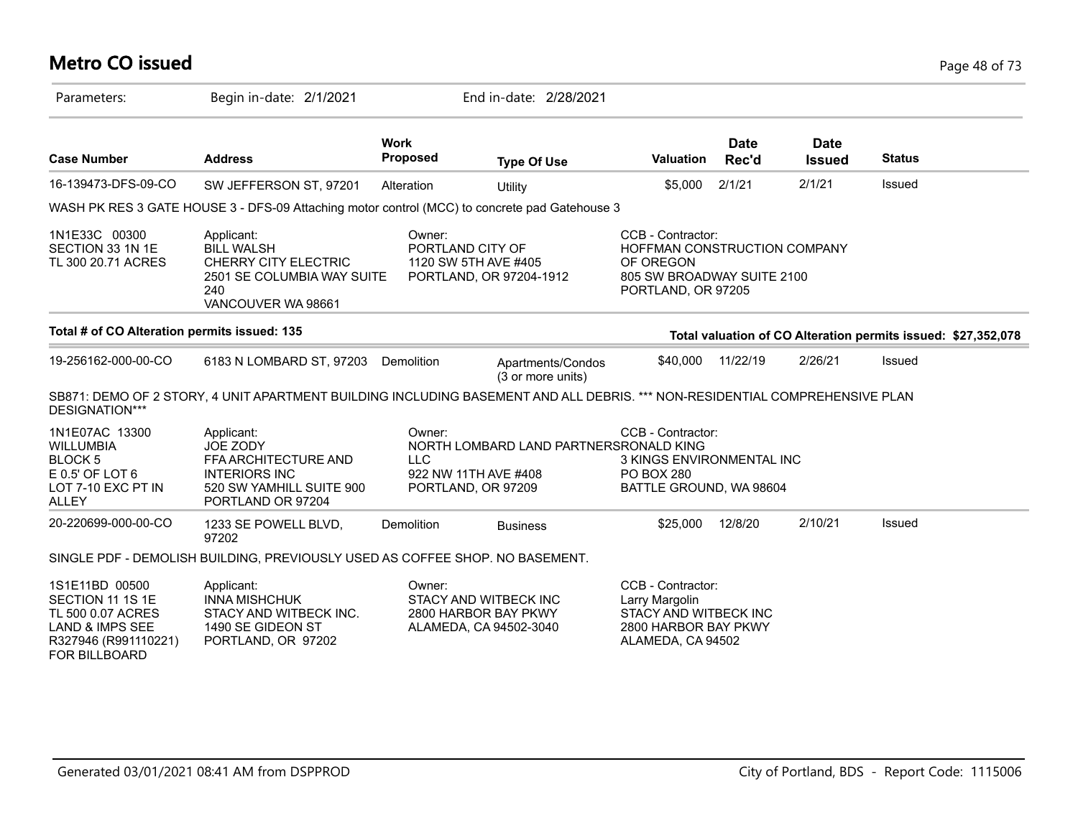### **Metro CO issued** Page 48 of 73

| Parameters:                                                                                                                    | Begin in-date: 2/1/2021                                                                                                     |                            | End in-date: 2/28/2021                                                               |                                                                                                                    |                      |                              |                                                               |
|--------------------------------------------------------------------------------------------------------------------------------|-----------------------------------------------------------------------------------------------------------------------------|----------------------------|--------------------------------------------------------------------------------------|--------------------------------------------------------------------------------------------------------------------|----------------------|------------------------------|---------------------------------------------------------------|
| <b>Case Number</b>                                                                                                             | <b>Address</b>                                                                                                              | <b>Work</b><br>Proposed    | <b>Type Of Use</b>                                                                   | <b>Valuation</b>                                                                                                   | <b>Date</b><br>Rec'd | <b>Date</b><br><b>Issued</b> | <b>Status</b>                                                 |
| 16-139473-DFS-09-CO                                                                                                            | SW JEFFERSON ST, 97201                                                                                                      | Alteration                 | Utility                                                                              | \$5,000                                                                                                            | 2/1/21               | 2/1/21                       | Issued                                                        |
|                                                                                                                                | WASH PK RES 3 GATE HOUSE 3 - DFS-09 Attaching motor control (MCC) to concrete pad Gatehouse 3                               |                            |                                                                                      |                                                                                                                    |                      |                              |                                                               |
| 1N1E33C 00300<br>SECTION 33 1N 1E<br>TL 300 20.71 ACRES                                                                        | Applicant:<br><b>BILL WALSH</b><br>CHERRY CITY ELECTRIC<br>2501 SE COLUMBIA WAY SUITE<br>240<br>VANCOUVER WA 98661          | Owner:<br>PORTLAND CITY OF | 1120 SW 5TH AVE #405<br>PORTLAND, OR 97204-1912                                      | CCB - Contractor:<br>HOFFMAN CONSTRUCTION COMPANY<br>OF OREGON<br>805 SW BROADWAY SUITE 2100<br>PORTLAND, OR 97205 |                      |                              |                                                               |
| Total # of CO Alteration permits issued: 135                                                                                   |                                                                                                                             |                            |                                                                                      |                                                                                                                    |                      |                              | Total valuation of CO Alteration permits issued: \$27,352,078 |
| 19-256162-000-00-CO                                                                                                            | 6183 N LOMBARD ST, 97203 Demolition                                                                                         |                            | Apartments/Condos<br>(3 or more units)                                               | \$40,000                                                                                                           | 11/22/19             | 2/26/21                      | Issued                                                        |
| DESIGNATION***                                                                                                                 | SB871: DEMO OF 2 STORY, 4 UNIT APARTMENT BUILDING INCLUDING BASEMENT AND ALL DEBRIS. *** NON-RESIDENTIAL COMPREHENSIVE PLAN |                            |                                                                                      |                                                                                                                    |                      |                              |                                                               |
| 1N1E07AC 13300<br><b>WILLUMBIA</b><br><b>BLOCK5</b><br>$E$ 0.5' OF LOT 6<br>LOT 7-10 EXC PT IN<br>ALLEY                        | Applicant:<br>JOE ZODY<br>FFA ARCHITECTURE AND<br><b>INTERIORS INC</b><br>520 SW YAMHILL SUITE 900<br>PORTLAND OR 97204     | Owner:<br><b>LLC</b>       | NORTH LOMBARD LAND PARTNERSRONALD KING<br>922 NW 11TH AVE #408<br>PORTLAND, OR 97209 | CCB - Contractor:<br>3 KINGS ENVIRONMENTAL INC<br><b>PO BOX 280</b><br>BATTLE GROUND, WA 98604                     |                      |                              |                                                               |
| 20-220699-000-00-CO                                                                                                            | 1233 SE POWELL BLVD.<br>97202                                                                                               | Demolition                 | <b>Business</b>                                                                      | \$25,000                                                                                                           | 12/8/20              | 2/10/21                      | Issued                                                        |
|                                                                                                                                | SINGLE PDF - DEMOLISH BUILDING, PREVIOUSLY USED AS COFFEE SHOP. NO BASEMENT.                                                |                            |                                                                                      |                                                                                                                    |                      |                              |                                                               |
| 1S1E11BD 00500<br>SECTION 11 1S 1E<br>TL 500 0.07 ACRES<br><b>LAND &amp; IMPS SEE</b><br>R327946 (R991110221)<br>FOR BILLBOARD | Applicant:<br><b>INNA MISHCHUK</b><br>STACY AND WITBECK INC.<br>1490 SE GIDEON ST<br>PORTLAND, OR 97202                     | Owner:                     | STACY AND WITBECK INC<br>2800 HARBOR BAY PKWY<br>ALAMEDA, CA 94502-3040              | CCB - Contractor:<br>Larry Margolin<br>STACY AND WITBECK INC<br>2800 HARBOR BAY PKWY<br>ALAMEDA, CA 94502          |                      |                              |                                                               |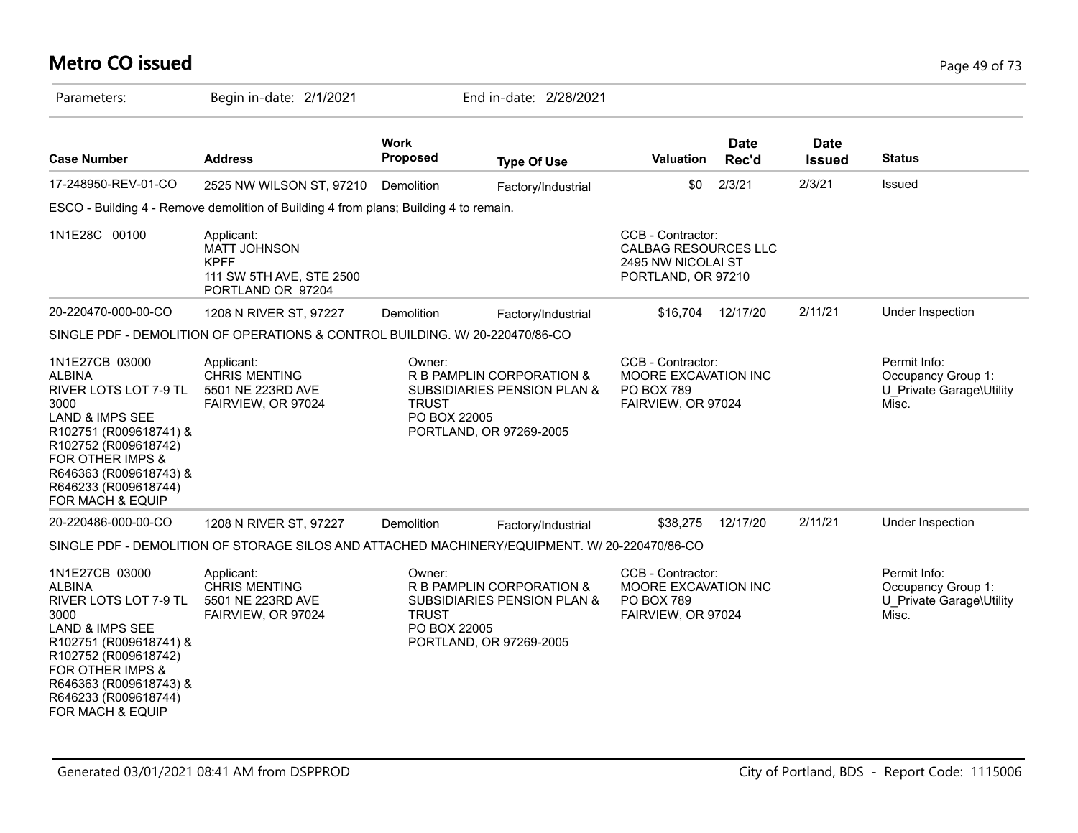### **Metro CO issued** Page 49 of 73

| Parameters:                                                                                                                                                                                                                                | Begin in-date: 2/1/2021                                                                       |                                        | End in-date: 2/28/2021                                                                         |                                                                                       |                      |                              |                                                                         |
|--------------------------------------------------------------------------------------------------------------------------------------------------------------------------------------------------------------------------------------------|-----------------------------------------------------------------------------------------------|----------------------------------------|------------------------------------------------------------------------------------------------|---------------------------------------------------------------------------------------|----------------------|------------------------------|-------------------------------------------------------------------------|
| <b>Case Number</b>                                                                                                                                                                                                                         | <b>Address</b>                                                                                | <b>Work</b><br>Proposed                | <b>Type Of Use</b>                                                                             | Valuation                                                                             | <b>Date</b><br>Rec'd | <b>Date</b><br><b>Issued</b> | <b>Status</b>                                                           |
| 17-248950-REV-01-CO                                                                                                                                                                                                                        | 2525 NW WILSON ST, 97210                                                                      | Demolition                             | Factory/Industrial                                                                             | \$0                                                                                   | 2/3/21               | 2/3/21                       | Issued                                                                  |
|                                                                                                                                                                                                                                            | ESCO - Building 4 - Remove demolition of Building 4 from plans; Building 4 to remain.         |                                        |                                                                                                |                                                                                       |                      |                              |                                                                         |
| 1N1E28C 00100                                                                                                                                                                                                                              | Applicant:<br>MATT JOHNSON<br><b>KPFF</b><br>111 SW 5TH AVE, STE 2500<br>PORTLAND OR 97204    |                                        |                                                                                                | CCB - Contractor:<br>CALBAG RESOURCES LLC<br>2495 NW NICOLAI ST<br>PORTLAND, OR 97210 |                      |                              |                                                                         |
| 20-220470-000-00-CO                                                                                                                                                                                                                        | 1208 N RIVER ST, 97227                                                                        | Demolition                             | Factory/Industrial                                                                             | \$16,704                                                                              | 12/17/20             | 2/11/21                      | Under Inspection                                                        |
|                                                                                                                                                                                                                                            | SINGLE PDF - DEMOLITION OF OPERATIONS & CONTROL BUILDING. W/ 20-220470/86-CO                  |                                        |                                                                                                |                                                                                       |                      |                              |                                                                         |
| 1N1E27CB 03000<br><b>ALBINA</b><br>RIVER LOTS LOT 7-9 TL<br>3000<br><b>LAND &amp; IMPS SEE</b><br>R102751 (R009618741) &<br>R102752 (R009618742)<br>FOR OTHER IMPS &<br>R646363 (R009618743) &<br>R646233 (R009618744)<br>FOR MACH & EQUIP | Applicant:<br><b>CHRIS MENTING</b><br>5501 NE 223RD AVE<br>FAIRVIEW, OR 97024                 | Owner:<br><b>TRUST</b><br>PO BOX 22005 | R B PAMPLIN CORPORATION &<br>SUBSIDIARIES PENSION PLAN &<br>PORTLAND, OR 97269-2005            | CCB - Contractor:<br>MOORE EXCAVATION INC<br><b>PO BOX 789</b><br>FAIRVIEW, OR 97024  |                      |                              | Permit Info:<br>Occupancy Group 1:<br>U Private Garage\Utility<br>Misc. |
| 20-220486-000-00-CO                                                                                                                                                                                                                        | 1208 N RIVER ST, 97227                                                                        | Demolition                             | Factory/Industrial                                                                             | \$38,275                                                                              | 12/17/20             | 2/11/21                      | Under Inspection                                                        |
|                                                                                                                                                                                                                                            | SINGLE PDF - DEMOLITION OF STORAGE SILOS AND ATTACHED MACHINERY/EQUIPMENT. W/ 20-220470/86-CO |                                        |                                                                                                |                                                                                       |                      |                              |                                                                         |
| 1N1E27CB 03000<br><b>ALBINA</b><br>RIVER LOTS LOT 7-9 TL<br>3000<br>LAND & IMPS SEE<br>R102751 (R009618741) &<br>R102752 (R009618742)<br>FOR OTHER IMPS &<br>R646363 (R009618743) &<br>R646233 (R009618744)<br>FOR MACH & EQUIP            | Applicant:<br><b>CHRIS MENTING</b><br>5501 NE 223RD AVE<br>FAIRVIEW, OR 97024                 | Owner:<br><b>TRUST</b><br>PO BOX 22005 | R B PAMPLIN CORPORATION &<br><b>SUBSIDIARIES PENSION PLAN &amp;</b><br>PORTLAND, OR 97269-2005 | CCB - Contractor:<br>MOORE EXCAVATION INC<br><b>PO BOX 789</b><br>FAIRVIEW, OR 97024  |                      |                              | Permit Info:<br>Occupancy Group 1:<br>U Private Garage\Utility<br>Misc. |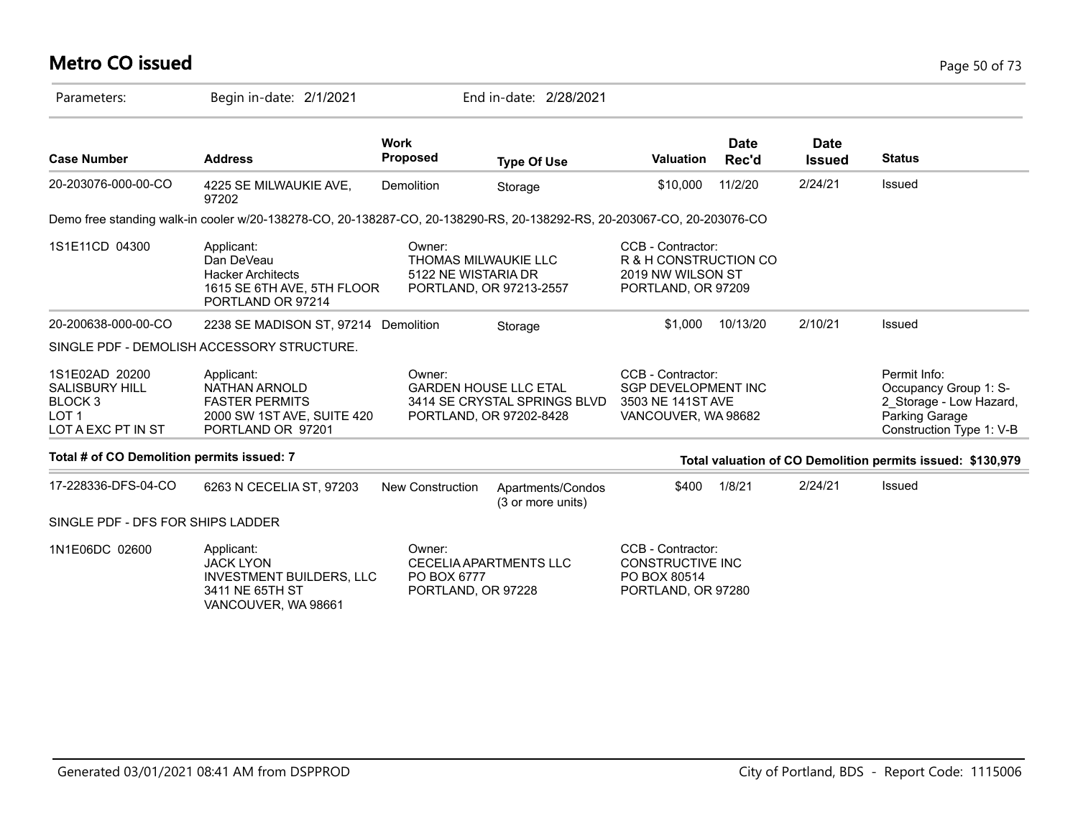# **Metro CO issued** Page 50 of 73

| Parameters:                                                                                             | Begin in-date: 2/1/2021                                                                                                |                                             | End in-date: 2/28/2021                                                                  |                                                                                             |                      |                       |                                                                                                                |
|---------------------------------------------------------------------------------------------------------|------------------------------------------------------------------------------------------------------------------------|---------------------------------------------|-----------------------------------------------------------------------------------------|---------------------------------------------------------------------------------------------|----------------------|-----------------------|----------------------------------------------------------------------------------------------------------------|
| <b>Case Number</b>                                                                                      | <b>Address</b>                                                                                                         | <b>Work</b><br><b>Proposed</b>              | <b>Type Of Use</b>                                                                      | <b>Valuation</b>                                                                            | <b>Date</b><br>Rec'd | Date<br><b>Issued</b> | <b>Status</b>                                                                                                  |
| 20-203076-000-00-CO                                                                                     | 4225 SE MILWAUKIE AVE,<br>97202                                                                                        | Demolition                                  | Storage                                                                                 | \$10,000                                                                                    | 11/2/20              | 2/24/21               | <b>Issued</b>                                                                                                  |
|                                                                                                         | Demo free standing walk-in cooler w/20-138278-CO, 20-138287-CO, 20-138290-RS, 20-138292-RS, 20-203067-CO, 20-203076-CO |                                             |                                                                                         |                                                                                             |                      |                       |                                                                                                                |
| 1S1E11CD 04300                                                                                          | Applicant:<br>Dan DeVeau<br><b>Hacker Architects</b><br>1615 SE 6TH AVE, 5TH FLOOR<br>PORTLAND OR 97214                | Owner:<br>5122 NE WISTARIA DR               | THOMAS MILWAUKIE LLC<br>PORTLAND, OR 97213-2557                                         | CCB - Contractor:<br>R & H CONSTRUCTION CO<br>2019 NW WILSON ST<br>PORTLAND, OR 97209       |                      |                       |                                                                                                                |
| 20-200638-000-00-CO                                                                                     | 2238 SE MADISON ST, 97214 Demolition                                                                                   |                                             | Storage                                                                                 | \$1,000                                                                                     | 10/13/20             | 2/10/21               | Issued                                                                                                         |
|                                                                                                         | SINGLE PDF - DEMOLISH ACCESSORY STRUCTURE.                                                                             |                                             |                                                                                         |                                                                                             |                      |                       |                                                                                                                |
| 1S1E02AD 20200<br><b>SALISBURY HILL</b><br>BLOCK <sub>3</sub><br>LOT <sub>1</sub><br>LOT A EXC PT IN ST | Applicant:<br><b>NATHAN ARNOLD</b><br><b>FASTER PERMITS</b><br>2000 SW 1ST AVE, SUITE 420<br>PORTLAND OR 97201         | Owner:                                      | <b>GARDEN HOUSE LLC ETAL</b><br>3414 SE CRYSTAL SPRINGS BLVD<br>PORTLAND, OR 97202-8428 | CCB - Contractor:<br><b>SGP DEVELOPMENT INC</b><br>3503 NE 141ST AVE<br>VANCOUVER, WA 98682 |                      |                       | Permit Info:<br>Occupancy Group 1: S-<br>2_Storage - Low Hazard,<br>Parking Garage<br>Construction Type 1: V-B |
| Total # of CO Demolition permits issued: 7                                                              |                                                                                                                        |                                             |                                                                                         |                                                                                             |                      |                       | Total valuation of CO Demolition permits issued: \$130,979                                                     |
| 17-228336-DFS-04-CO                                                                                     | 6263 N CECELIA ST, 97203                                                                                               | <b>New Construction</b>                     | Apartments/Condos<br>(3 or more units)                                                  | \$400                                                                                       | 1/8/21               | 2/24/21               | Issued                                                                                                         |
| SINGLE PDF - DFS FOR SHIPS LADDER                                                                       |                                                                                                                        |                                             |                                                                                         |                                                                                             |                      |                       |                                                                                                                |
| 1N1E06DC 02600                                                                                          | Applicant:<br><b>JACK LYON</b><br>INVESTMENT BUILDERS, LLC<br>3411 NE 65TH ST<br>VANCOUVER, WA 98661                   | Owner:<br>PO BOX 6777<br>PORTLAND, OR 97228 | <b>CECELIA APARTMENTS LLC</b>                                                           | CCB - Contractor:<br><b>CONSTRUCTIVE INC</b><br>PO BOX 80514<br>PORTLAND, OR 97280          |                      |                       |                                                                                                                |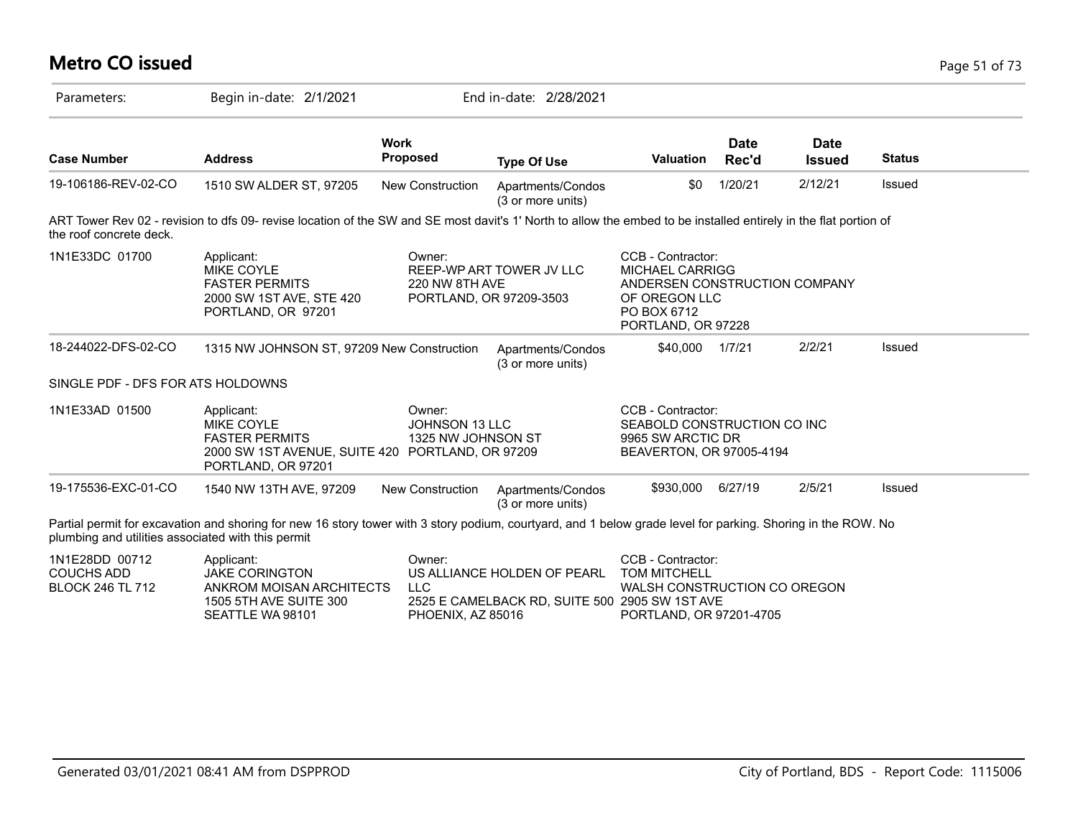| <b>Metro CO issued</b>                                         |                                                                                                                                                                  |                                                     |                                                                               |                                                                                                                                    |                      |                              |               | Page 51 of 73 |
|----------------------------------------------------------------|------------------------------------------------------------------------------------------------------------------------------------------------------------------|-----------------------------------------------------|-------------------------------------------------------------------------------|------------------------------------------------------------------------------------------------------------------------------------|----------------------|------------------------------|---------------|---------------|
| Parameters:                                                    | Begin in-date: 2/1/2021                                                                                                                                          |                                                     | End in-date: 2/28/2021                                                        |                                                                                                                                    |                      |                              |               |               |
| <b>Case Number</b>                                             | <b>Address</b>                                                                                                                                                   | <b>Work</b><br><b>Proposed</b>                      | <b>Type Of Use</b>                                                            | <b>Valuation</b>                                                                                                                   | <b>Date</b><br>Rec'd | <b>Date</b><br><b>Issued</b> | <b>Status</b> |               |
| 19-106186-REV-02-CO                                            | 1510 SW ALDER ST, 97205                                                                                                                                          | New Construction                                    | Apartments/Condos<br>(3 or more units)                                        | \$0                                                                                                                                | 1/20/21              | 2/12/21                      | Issued        |               |
| the roof concrete deck.                                        | ART Tower Rev 02 - revision to dfs 09- revise location of the SW and SE most davit's 1' North to allow the embed to be installed entirely in the flat portion of |                                                     |                                                                               |                                                                                                                                    |                      |                              |               |               |
| 1N1E33DC 01700                                                 | Applicant:<br>MIKE COYLE<br><b>FASTER PERMITS</b><br>2000 SW 1ST AVE, STE 420<br>PORTLAND, OR 97201                                                              | Owner:<br>220 NW 8TH AVE<br>PORTLAND, OR 97209-3503 | REEP-WP ART TOWER JV LLC                                                      | CCB - Contractor:<br><b>MICHAEL CARRIGG</b><br>ANDERSEN CONSTRUCTION COMPANY<br>OF OREGON LLC<br>PO BOX 6712<br>PORTLAND, OR 97228 |                      |                              |               |               |
| 18-244022-DFS-02-CO                                            | 1315 NW JOHNSON ST, 97209 New Construction                                                                                                                       |                                                     | Apartments/Condos<br>(3 or more units)                                        | \$40,000                                                                                                                           | 1/7/21               | 2/2/21                       | Issued        |               |
| SINGLE PDF - DFS FOR ATS HOLDOWNS                              |                                                                                                                                                                  |                                                     |                                                                               |                                                                                                                                    |                      |                              |               |               |
| 1N1E33AD 01500                                                 | Applicant:<br><b>MIKE COYLE</b><br><b>FASTER PERMITS</b><br>2000 SW 1ST AVENUE, SUITE 420 PORTLAND, OR 97209<br>PORTLAND, OR 97201                               | Owner:<br>JOHNSON 13 LLC<br>1325 NW JOHNSON ST      |                                                                               | CCB - Contractor:<br>SEABOLD CONSTRUCTION CO INC<br>9965 SW ARCTIC DR<br>BEAVERTON, OR 97005-4194                                  |                      |                              |               |               |
| 19-175536-EXC-01-CO                                            | 1540 NW 13TH AVE, 97209                                                                                                                                          | New Construction                                    | Apartments/Condos<br>(3 or more units)                                        | \$930,000                                                                                                                          | 6/27/19              | 2/5/21                       | Issued        |               |
| plumbing and utilities associated with this permit             | Partial permit for excavation and shoring for new 16 story tower with 3 story podium, courtyard, and 1 below grade level for parking. Shoring in the ROW. No     |                                                     |                                                                               |                                                                                                                                    |                      |                              |               |               |
| 1N1E28DD 00712<br><b>COUCHS ADD</b><br><b>BLOCK 246 TL 712</b> | Applicant:<br><b>JAKE CORINGTON</b><br>ANKROM MOISAN ARCHITECTS<br>1505 5TH AVE SUITE 300<br>SEATTLE WA 98101                                                    | Owner:<br><b>LLC</b><br>PHOENIX, AZ 85016           | US ALLIANCE HOLDEN OF PEARL<br>2525 E CAMELBACK RD, SUITE 500 2905 SW 1ST AVE | CCB - Contractor:<br><b>TOM MITCHELL</b><br>WALSH CONSTRUCTION CO OREGON<br>PORTLAND, OR 97201-4705                                |                      |                              |               |               |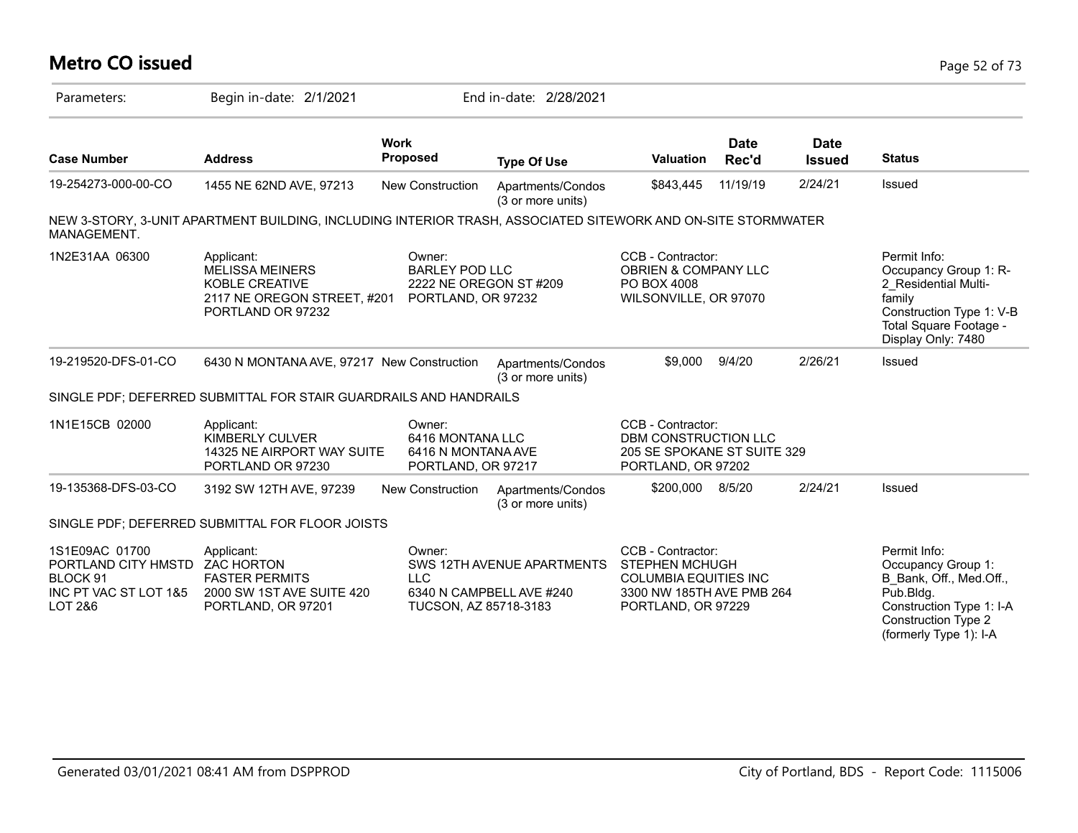# **Metro CO issued** Page 52 of 73

| Parameters:                                                                                                            | Begin in-date: 2/1/2021                                                                                           |                                                                                 | End in-date: 2/28/2021                                 |                                                                                                                               |                      |                              |                                                                                                                                                                |
|------------------------------------------------------------------------------------------------------------------------|-------------------------------------------------------------------------------------------------------------------|---------------------------------------------------------------------------------|--------------------------------------------------------|-------------------------------------------------------------------------------------------------------------------------------|----------------------|------------------------------|----------------------------------------------------------------------------------------------------------------------------------------------------------------|
| <b>Case Number</b>                                                                                                     | <b>Address</b>                                                                                                    | <b>Work</b><br><b>Proposed</b>                                                  | <b>Type Of Use</b>                                     | <b>Valuation</b>                                                                                                              | <b>Date</b><br>Rec'd | <b>Date</b><br><b>Issued</b> | <b>Status</b>                                                                                                                                                  |
| 19-254273-000-00-CO                                                                                                    | 1455 NE 62ND AVE, 97213                                                                                           | <b>New Construction</b>                                                         | Apartments/Condos<br>(3 or more units)                 | \$843,445                                                                                                                     | 11/19/19             | 2/24/21                      | Issued                                                                                                                                                         |
| MANAGEMENT.                                                                                                            | NEW 3-STORY, 3-UNIT APARTMENT BUILDING, INCLUDING INTERIOR TRASH, ASSOCIATED SITEWORK AND ON-SITE STORMWATER      |                                                                                 |                                                        |                                                                                                                               |                      |                              |                                                                                                                                                                |
| 1N2E31AA 06300                                                                                                         | Applicant:<br><b>MELISSA MEINERS</b><br><b>KOBLE CREATIVE</b><br>2117 NE OREGON STREET, #201<br>PORTLAND OR 97232 | Owner:<br><b>BARLEY POD LLC</b><br>2222 NE OREGON ST #209<br>PORTLAND, OR 97232 |                                                        | CCB - Contractor:<br>OBRIEN & COMPANY LLC<br>PO BOX 4008<br>WILSONVILLE, OR 97070                                             |                      |                              | Permit Info:<br>Occupancy Group 1: R-<br>2 Residential Multi-<br>family<br>Construction Type 1: V-B<br>Total Square Footage -<br>Display Only: 7480            |
| 19-219520-DFS-01-CO                                                                                                    | 6430 N MONTANA AVE, 97217 New Construction                                                                        |                                                                                 | Apartments/Condos<br>(3 or more units)                 | \$9,000                                                                                                                       | 9/4/20               | 2/26/21                      | Issued                                                                                                                                                         |
|                                                                                                                        | SINGLE PDF; DEFERRED SUBMITTAL FOR STAIR GUARDRAILS AND HANDRAILS                                                 |                                                                                 |                                                        |                                                                                                                               |                      |                              |                                                                                                                                                                |
| 1N1E15CB 02000                                                                                                         | Applicant:<br><b>KIMBERLY CULVER</b><br>14325 NE AIRPORT WAY SUITE<br>PORTLAND OR 97230                           | Owner:<br>6416 MONTANA LLC<br>6416 N MONTANA AVE<br>PORTLAND, OR 97217          |                                                        | CCB - Contractor:<br>DBM CONSTRUCTION LLC<br>205 SE SPOKANE ST SUITE 329<br>PORTLAND, OR 97202                                |                      |                              |                                                                                                                                                                |
| 19-135368-DFS-03-CO                                                                                                    | 3192 SW 12TH AVE, 97239                                                                                           | New Construction                                                                | Apartments/Condos<br>(3 or more units)                 | \$200,000                                                                                                                     | 8/5/20               | 2/24/21                      | Issued                                                                                                                                                         |
|                                                                                                                        | SINGLE PDF; DEFERRED SUBMITTAL FOR FLOOR JOISTS                                                                   |                                                                                 |                                                        |                                                                                                                               |                      |                              |                                                                                                                                                                |
| 1S1E09AC 01700<br>PORTLAND CITY HMSTD ZAC HORTON<br>BLOCK <sub>91</sub><br>INC PT VAC ST LOT 1&5<br><b>LOT 2&amp;6</b> | Applicant:<br><b>FASTER PERMITS</b><br>2000 SW 1ST AVE SUITE 420<br>PORTLAND, OR 97201                            | Owner:<br><b>LLC</b><br>TUCSON, AZ 85718-3183                                   | SWS 12TH AVENUE APARTMENTS<br>6340 N CAMPBELL AVE #240 | CCB - Contractor:<br><b>STEPHEN MCHUGH</b><br><b>COLUMBIA EQUITIES INC</b><br>3300 NW 185TH AVE PMB 264<br>PORTLAND, OR 97229 |                      |                              | Permit Info:<br>Occupancy Group 1:<br>B Bank, Off., Med.Off.,<br>Pub.Bldg.<br>Construction Type 1: I-A<br><b>Construction Type 2</b><br>(formerly Type 1): I-A |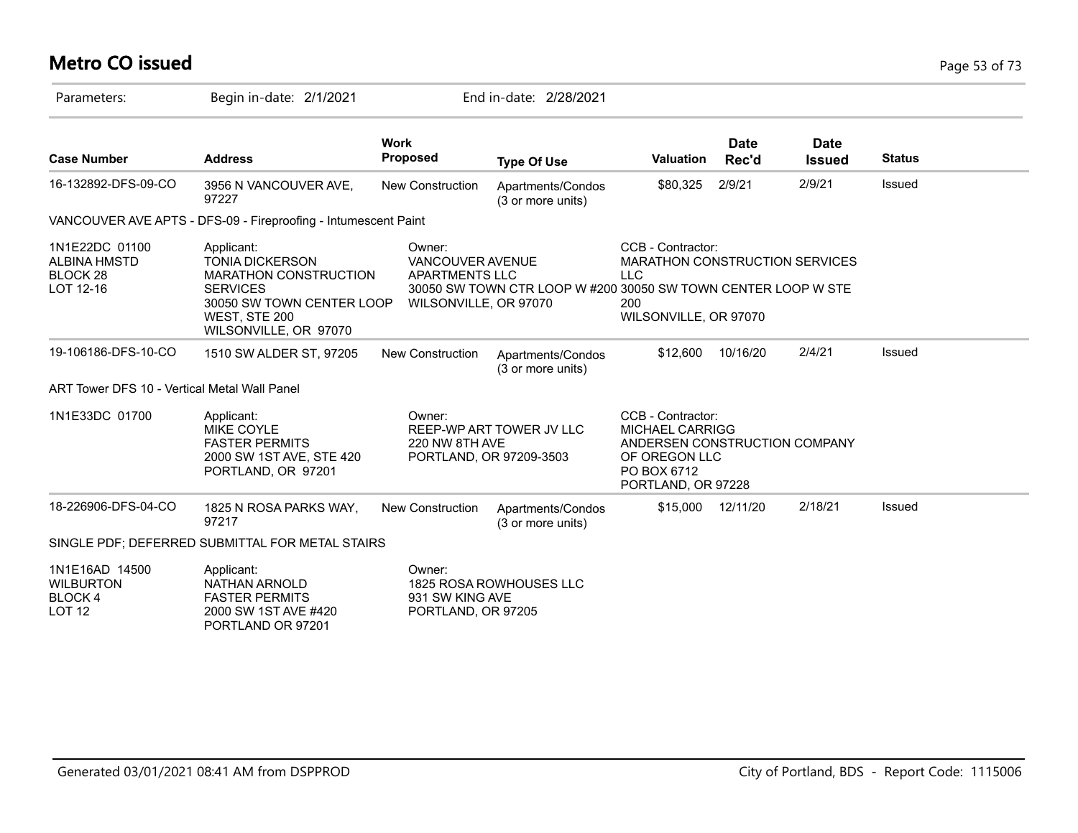# **Metro CO issued** Page 53 of 73

| Parameters:                                                               | Begin in-date: 2/1/2021                                                                                                                                        |                                                                       | End in-date: 2/28/2021                                        |                                                                                                                                    |                      |                              |               |
|---------------------------------------------------------------------------|----------------------------------------------------------------------------------------------------------------------------------------------------------------|-----------------------------------------------------------------------|---------------------------------------------------------------|------------------------------------------------------------------------------------------------------------------------------------|----------------------|------------------------------|---------------|
| <b>Case Number</b>                                                        | <b>Address</b>                                                                                                                                                 | <b>Work</b><br><b>Proposed</b>                                        | <b>Type Of Use</b>                                            | <b>Valuation</b>                                                                                                                   | <b>Date</b><br>Rec'd | <b>Date</b><br><b>Issued</b> | <b>Status</b> |
| 16-132892-DFS-09-CO                                                       | 3956 N VANCOUVER AVE,<br>97227                                                                                                                                 | New Construction                                                      | Apartments/Condos<br>(3 or more units)                        | \$80,325                                                                                                                           | 2/9/21               | 2/9/21                       | <b>Issued</b> |
|                                                                           | VANCOUVER AVE APTS - DFS-09 - Fireproofing - Intumescent Paint                                                                                                 |                                                                       |                                                               |                                                                                                                                    |                      |                              |               |
| 1N1E22DC 01100<br><b>ALBINA HMSTD</b><br>BLOCK <sub>28</sub><br>LOT 12-16 | Applicant:<br><b>TONIA DICKERSON</b><br><b>MARATHON CONSTRUCTION</b><br><b>SERVICES</b><br>30050 SW TOWN CENTER LOOP<br>WEST, STE 200<br>WILSONVILLE, OR 97070 | Owner:<br>VANCOUVER AVENUE<br>APARTMENTS LLC<br>WILSONVILLE, OR 97070 | 30050 SW TOWN CTR LOOP W #200 30050 SW TOWN CENTER LOOP W STE | CCB - Contractor:<br>MARATHON CONSTRUCTION SERVICES<br><b>LLC</b><br>200<br>WILSONVILLE, OR 97070                                  |                      |                              |               |
| 19-106186-DFS-10-CO                                                       | 1510 SW ALDER ST, 97205                                                                                                                                        | <b>New Construction</b>                                               | Apartments/Condos<br>(3 or more units)                        | \$12,600                                                                                                                           | 10/16/20             | 2/4/21                       | Issued        |
| ART Tower DFS 10 - Vertical Metal Wall Panel                              |                                                                                                                                                                |                                                                       |                                                               |                                                                                                                                    |                      |                              |               |
| 1N1E33DC 01700                                                            | Applicant:<br><b>MIKE COYLE</b><br><b>FASTER PERMITS</b><br>2000 SW 1ST AVE, STE 420<br>PORTLAND, OR 97201                                                     | Owner:<br>220 NW 8TH AVE                                              | REEP-WP ART TOWER JV LLC<br>PORTLAND, OR 97209-3503           | CCB - Contractor:<br><b>MICHAEL CARRIGG</b><br>ANDERSEN CONSTRUCTION COMPANY<br>OF OREGON LLC<br>PO BOX 6712<br>PORTLAND, OR 97228 |                      |                              |               |
| 18-226906-DFS-04-CO                                                       | 1825 N ROSA PARKS WAY,<br>97217                                                                                                                                | <b>New Construction</b>                                               | Apartments/Condos<br>(3 or more units)                        | \$15,000                                                                                                                           | 12/11/20             | 2/18/21                      | Issued        |
|                                                                           | SINGLE PDF; DEFERRED SUBMITTAL FOR METAL STAIRS                                                                                                                |                                                                       |                                                               |                                                                                                                                    |                      |                              |               |
| 1N1E16AD 14500<br><b>WILBURTON</b><br>BLOCK 4<br><b>LOT 12</b>            | Applicant:<br>NATHAN ARNOLD<br><b>FASTER PERMITS</b><br>2000 SW 1ST AVE #420<br>PORTLAND OR 97201                                                              | Owner:<br>931 SW KING AVE<br>PORTLAND, OR 97205                       | 1825 ROSA ROWHOUSES LLC                                       |                                                                                                                                    |                      |                              |               |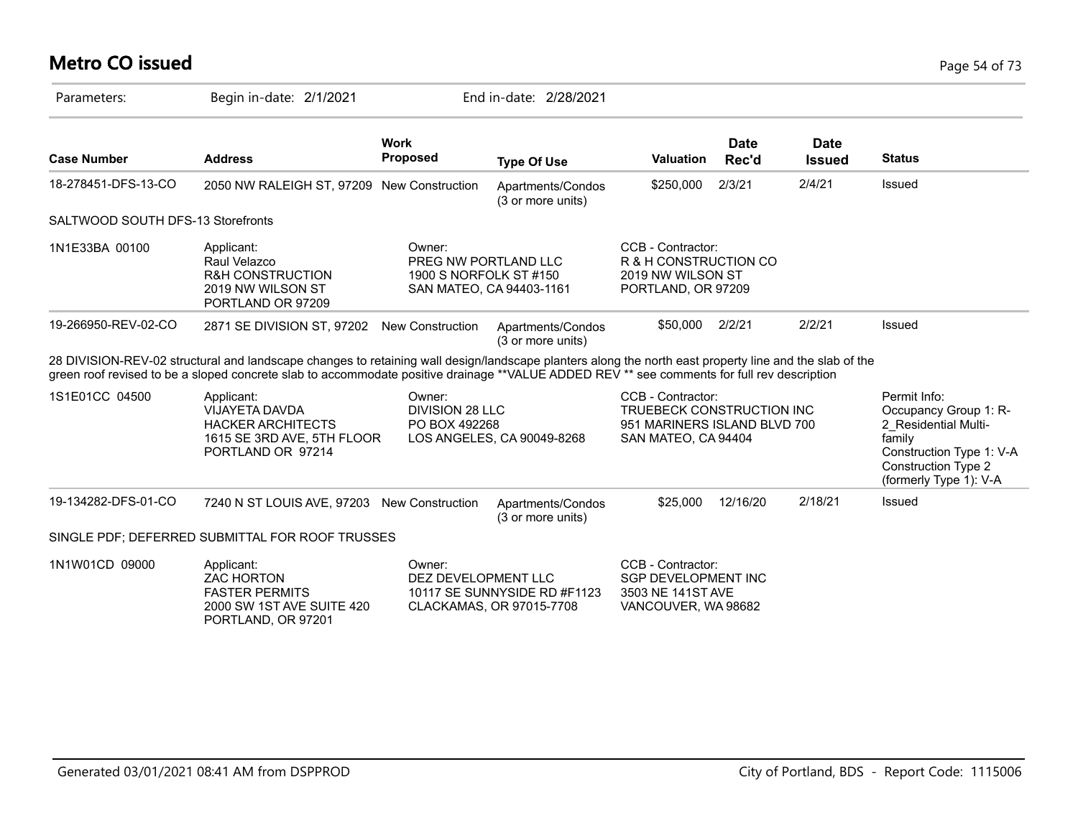# **Metro CO issued** Page 54 of 73

| Parameters:                       | Begin in-date: 2/1/2021                                                                                                                                                                                                                                                                               |                                                          | End in-date: 2/28/2021                                   |                                                                                                       |                      |                              |                                                                                                                                                             |
|-----------------------------------|-------------------------------------------------------------------------------------------------------------------------------------------------------------------------------------------------------------------------------------------------------------------------------------------------------|----------------------------------------------------------|----------------------------------------------------------|-------------------------------------------------------------------------------------------------------|----------------------|------------------------------|-------------------------------------------------------------------------------------------------------------------------------------------------------------|
| <b>Case Number</b>                | <b>Address</b>                                                                                                                                                                                                                                                                                        | <b>Work</b><br><b>Proposed</b>                           | <b>Type Of Use</b>                                       | <b>Valuation</b>                                                                                      | <b>Date</b><br>Rec'd | <b>Date</b><br><b>Issued</b> | <b>Status</b>                                                                                                                                               |
| 18-278451-DFS-13-CO               | 2050 NW RALEIGH ST, 97209 New Construction                                                                                                                                                                                                                                                            |                                                          | Apartments/Condos<br>(3 or more units)                   | \$250,000                                                                                             | 2/3/21               | 2/4/21                       | Issued                                                                                                                                                      |
| SALTWOOD SOUTH DFS-13 Storefronts |                                                                                                                                                                                                                                                                                                       |                                                          |                                                          |                                                                                                       |                      |                              |                                                                                                                                                             |
| 1N1E33BA 00100                    | Applicant:<br>Raul Velazco<br><b>R&amp;H CONSTRUCTION</b><br>2019 NW WILSON ST<br>PORTLAND OR 97209                                                                                                                                                                                                   | Owner:<br>PREG NW PORTLAND LLC<br>1900 S NORFOLK ST #150 | SAN MATEO, CA 94403-1161                                 | CCB - Contractor:<br>R & H CONSTRUCTION CO<br>2019 NW WILSON ST<br>PORTLAND, OR 97209                 |                      |                              |                                                                                                                                                             |
| 19-266950-REV-02-CO               | 2871 SE DIVISION ST, 97202 New Construction                                                                                                                                                                                                                                                           |                                                          | Apartments/Condos<br>(3 or more units)                   | \$50,000                                                                                              | 2/2/21               | 2/2/21                       | Issued                                                                                                                                                      |
|                                   | 28 DIVISION-REV-02 structural and landscape changes to retaining wall design/landscape planters along the north east property line and the slab of the<br>green roof revised to be a sloped concrete slab to accommodate positive drainage **VALUE ADDED REV ** see comments for full rev description |                                                          |                                                          |                                                                                                       |                      |                              |                                                                                                                                                             |
| 1S1E01CC 04500                    | Applicant:<br>VIJAYETA DAVDA<br><b>HACKER ARCHITECTS</b><br>1615 SE 3RD AVE, 5TH FLOOR<br>PORTLAND OR 97214                                                                                                                                                                                           | Owner:<br>DIVISION 28 LLC<br>PO BOX 492268               | LOS ANGELES, CA 90049-8268                               | CCB - Contractor:<br>TRUEBECK CONSTRUCTION INC<br>951 MARINERS ISLAND BLVD 700<br>SAN MATEO, CA 94404 |                      |                              | Permit Info:<br>Occupancy Group 1: R-<br>2 Residential Multi-<br>family<br>Construction Type 1: V-A<br><b>Construction Type 2</b><br>(formerly Type 1): V-A |
| 19-134282-DFS-01-CO               | 7240 N ST LOUIS AVE, 97203 New Construction                                                                                                                                                                                                                                                           |                                                          | Apartments/Condos<br>(3 or more units)                   | \$25,000                                                                                              | 12/16/20             | 2/18/21                      | Issued                                                                                                                                                      |
|                                   | SINGLE PDF; DEFERRED SUBMITTAL FOR ROOF TRUSSES                                                                                                                                                                                                                                                       |                                                          |                                                          |                                                                                                       |                      |                              |                                                                                                                                                             |
| 1N1W01CD 09000                    | Applicant:<br><b>ZAC HORTON</b><br><b>FASTER PERMITS</b><br>2000 SW 1ST AVE SUITE 420<br>PORTLAND, OR 97201                                                                                                                                                                                           | Owner:<br>DEZ DEVELOPMENT LLC                            | 10117 SE SUNNYSIDE RD #F1123<br>CLACKAMAS, OR 97015-7708 | CCB - Contractor:<br><b>SGP DEVELOPMENT INC</b><br>3503 NE 141ST AVE<br>VANCOUVER, WA 98682           |                      |                              |                                                                                                                                                             |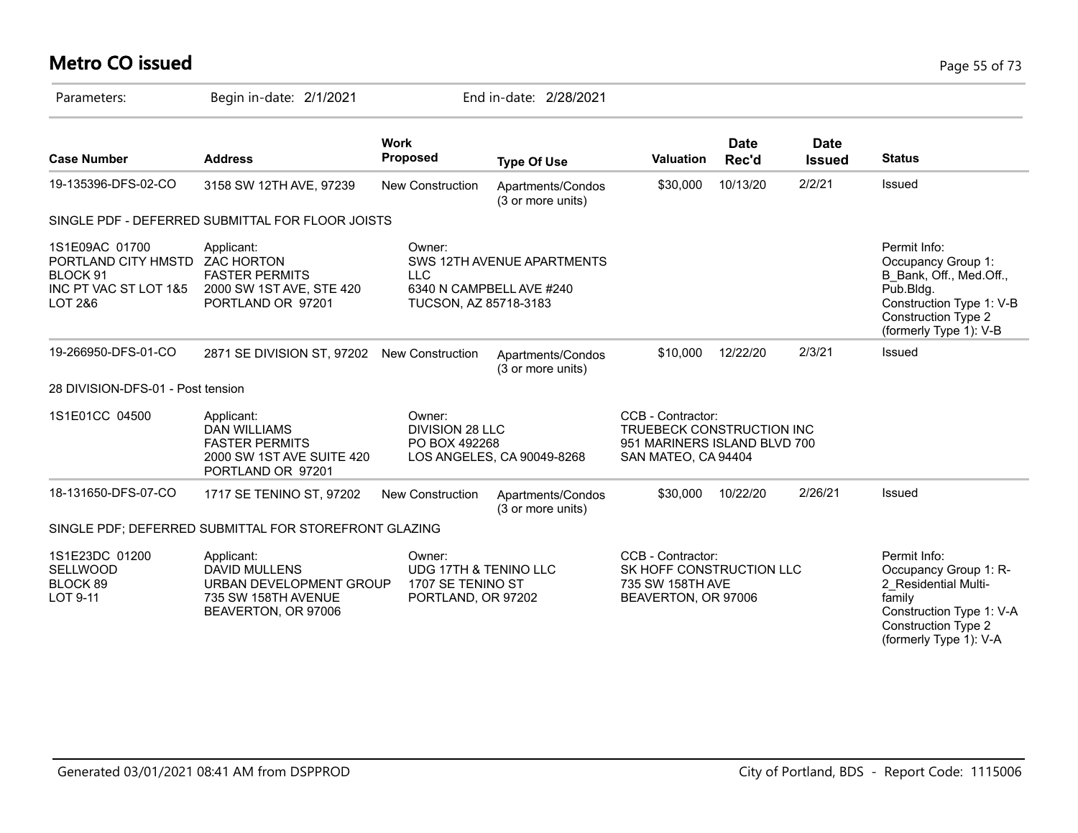# **Metro CO issued** Page 55 of 73

| Parameters:                                                                           | Begin in-date: 2/1/2021                                                                                     |                                                                                       | End in-date: 2/28/2021                                 |                                                                                                       |                      |                              |                                                                                                                                                         |
|---------------------------------------------------------------------------------------|-------------------------------------------------------------------------------------------------------------|---------------------------------------------------------------------------------------|--------------------------------------------------------|-------------------------------------------------------------------------------------------------------|----------------------|------------------------------|---------------------------------------------------------------------------------------------------------------------------------------------------------|
| <b>Case Number</b>                                                                    | <b>Address</b>                                                                                              | <b>Work</b><br>Proposed                                                               | <b>Type Of Use</b>                                     | Valuation                                                                                             | <b>Date</b><br>Rec'd | <b>Date</b><br><b>Issued</b> | <b>Status</b>                                                                                                                                           |
| 19-135396-DFS-02-CO                                                                   | 3158 SW 12TH AVE, 97239                                                                                     | <b>New Construction</b>                                                               | Apartments/Condos<br>(3 or more units)                 | \$30,000                                                                                              | 10/13/20             | 2/2/21                       | Issued                                                                                                                                                  |
|                                                                                       | SINGLE PDF - DEFERRED SUBMITTAL FOR FLOOR JOISTS                                                            |                                                                                       |                                                        |                                                                                                       |                      |                              |                                                                                                                                                         |
| 1S1E09AC 01700<br>PORTLAND CITY HMSTD<br>BLOCK 91<br>INC PT VAC ST LOT 1&5<br>LOT 2&6 | Applicant:<br><b>ZAC HORTON</b><br><b>FASTER PERMITS</b><br>2000 SW 1ST AVE, STE 420<br>PORTLAND OR 97201   | Owner:<br><b>LLC</b><br>TUCSON, AZ 85718-3183                                         | SWS 12TH AVENUE APARTMENTS<br>6340 N CAMPBELL AVE #240 |                                                                                                       |                      |                              | Permit Info:<br>Occupancy Group 1:<br>B Bank, Off., Med.Off.,<br>Pub.Bldg.<br>Construction Type 1: V-B<br>Construction Type 2<br>(formerly Type 1): V-B |
| 19-266950-DFS-01-CO                                                                   | 2871 SE DIVISION ST, 97202 New Construction                                                                 |                                                                                       | Apartments/Condos<br>(3 or more units)                 | \$10,000                                                                                              | 12/22/20             | 2/3/21                       | Issued                                                                                                                                                  |
| 28 DIVISION-DFS-01 - Post tension                                                     |                                                                                                             |                                                                                       |                                                        |                                                                                                       |                      |                              |                                                                                                                                                         |
| 1S1E01CC 04500                                                                        | Applicant:<br>DAN WILLIAMS<br><b>FASTER PERMITS</b><br>2000 SW 1ST AVE SUITE 420<br>PORTLAND OR 97201       | Owner:<br><b>DIVISION 28 LLC</b><br>PO BOX 492268                                     | LOS ANGELES, CA 90049-8268                             | CCB - Contractor:<br>TRUEBECK CONSTRUCTION INC<br>951 MARINERS ISLAND BLVD 700<br>SAN MATEO, CA 94404 |                      |                              |                                                                                                                                                         |
| 18-131650-DFS-07-CO                                                                   | 1717 SE TENINO ST, 97202                                                                                    | <b>New Construction</b>                                                               | Apartments/Condos<br>(3 or more units)                 | \$30,000                                                                                              | 10/22/20             | 2/26/21                      | Issued                                                                                                                                                  |
|                                                                                       | SINGLE PDF; DEFERRED SUBMITTAL FOR STOREFRONT GLAZING                                                       |                                                                                       |                                                        |                                                                                                       |                      |                              |                                                                                                                                                         |
| 1S1E23DC 01200<br><b>SELLWOOD</b><br>BLOCK 89<br>LOT 9-11                             | Applicant:<br><b>DAVID MULLENS</b><br>URBAN DEVELOPMENT GROUP<br>735 SW 158TH AVENUE<br>BEAVERTON, OR 97006 | Owner:<br><b>UDG 17TH &amp; TENINO LLC</b><br>1707 SE TENINO ST<br>PORTLAND, OR 97202 |                                                        | CCB - Contractor:<br>SK HOFF CONSTRUCTION LLC<br>735 SW 158TH AVE<br>BEAVERTON, OR 97006              |                      |                              | Permit Info:<br>Occupancy Group 1: R-<br>2 Residential Multi-<br>family<br>Construction Type 1: V-A<br>Construction Type 2<br>(formerly Type 1): V-A    |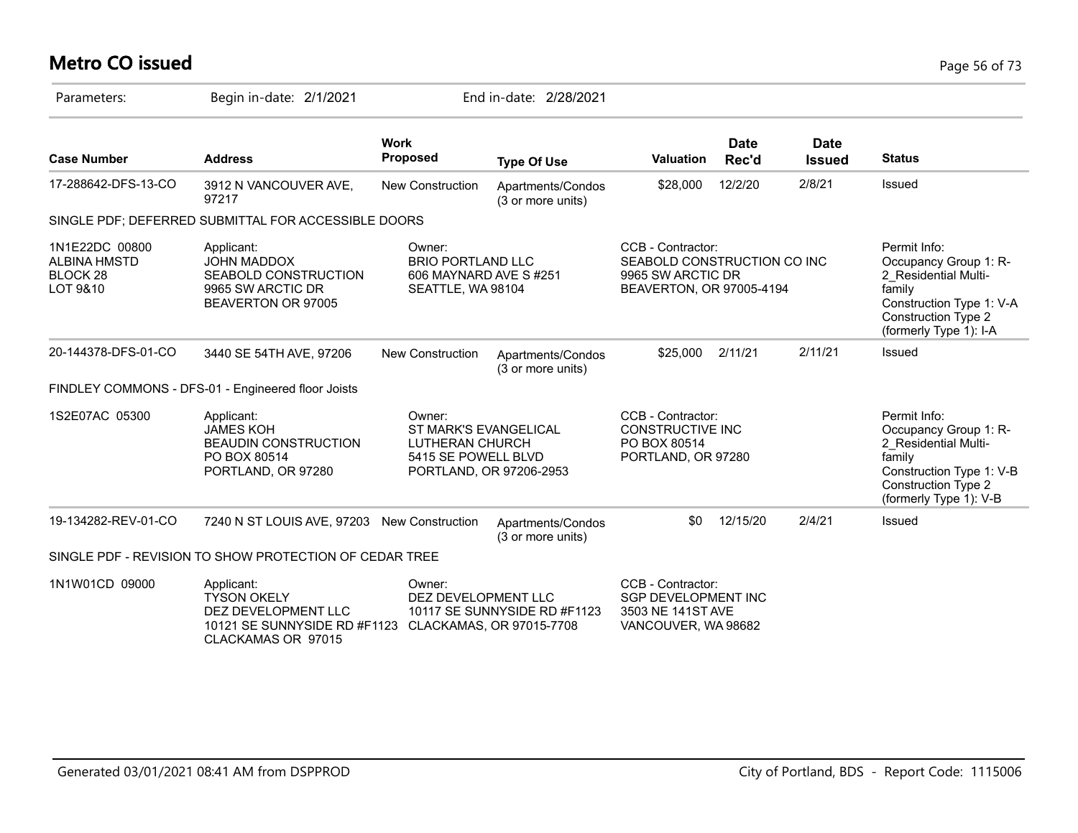# **Metro CO issued** Page 56 of 73

| Parameters:                                                              | Begin in-date: 2/1/2021                                                                                       |                                                                                  | End in-date: 2/28/2021                                   |                                                                                                   |                      |                              |                                                                                                                                                             |
|--------------------------------------------------------------------------|---------------------------------------------------------------------------------------------------------------|----------------------------------------------------------------------------------|----------------------------------------------------------|---------------------------------------------------------------------------------------------------|----------------------|------------------------------|-------------------------------------------------------------------------------------------------------------------------------------------------------------|
| <b>Case Number</b>                                                       | <b>Address</b>                                                                                                | <b>Work</b><br><b>Proposed</b>                                                   | <b>Type Of Use</b>                                       | <b>Valuation</b>                                                                                  | <b>Date</b><br>Rec'd | <b>Date</b><br><b>Issued</b> | <b>Status</b>                                                                                                                                               |
| 17-288642-DFS-13-CO                                                      | 3912 N VANCOUVER AVE,<br>97217                                                                                | <b>New Construction</b>                                                          | Apartments/Condos<br>(3 or more units)                   | \$28,000                                                                                          | 12/2/20              | 2/8/21                       | Issued                                                                                                                                                      |
|                                                                          | SINGLE PDF; DEFERRED SUBMITTAL FOR ACCESSIBLE DOORS                                                           |                                                                                  |                                                          |                                                                                                   |                      |                              |                                                                                                                                                             |
| 1N1E22DC 00800<br><b>ALBINA HMSTD</b><br>BLOCK <sub>28</sub><br>LOT 9&10 | Applicant:<br><b>JOHN MADDOX</b><br>SEABOLD CONSTRUCTION<br>9965 SW ARCTIC DR<br>BEAVERTON OR 97005           | Owner:<br><b>BRIO PORTLAND LLC</b><br>606 MAYNARD AVE S#251<br>SEATTLE, WA 98104 |                                                          | CCB - Contractor:<br>SEABOLD CONSTRUCTION CO INC<br>9965 SW ARCTIC DR<br>BEAVERTON, OR 97005-4194 |                      |                              | Permit Info:<br>Occupancy Group 1: R-<br>2_Residential Multi-<br>family<br>Construction Type 1: V-A<br>Construction Type 2<br>(formerly Type 1): I-A        |
| 20-144378-DFS-01-CO                                                      | 3440 SE 54TH AVE, 97206                                                                                       | New Construction                                                                 | Apartments/Condos<br>(3 or more units)                   | \$25,000                                                                                          | 2/11/21              | 2/11/21                      | Issued                                                                                                                                                      |
|                                                                          | FINDLEY COMMONS - DFS-01 - Engineered floor Joists                                                            |                                                                                  |                                                          |                                                                                                   |                      |                              |                                                                                                                                                             |
| 1S2E07AC 05300                                                           | Applicant:<br><b>JAMES KOH</b><br><b>BEAUDIN CONSTRUCTION</b><br>PO BOX 80514<br>PORTLAND, OR 97280           | Owner:<br><b>ST MARK'S EVANGELICAL</b><br>LUTHERAN CHURCH<br>5415 SE POWELL BLVD | PORTLAND, OR 97206-2953                                  | CCB - Contractor:<br><b>CONSTRUCTIVE INC</b><br>PO BOX 80514<br>PORTLAND, OR 97280                |                      |                              | Permit Info:<br>Occupancy Group 1: R-<br>2_Residential Multi-<br>family<br>Construction Type 1: V-B<br><b>Construction Type 2</b><br>(formerly Type 1): V-B |
| 19-134282-REV-01-CO                                                      | 7240 N ST LOUIS AVE, 97203 New Construction                                                                   |                                                                                  | Apartments/Condos<br>(3 or more units)                   | \$0                                                                                               | 12/15/20             | 2/4/21                       | Issued                                                                                                                                                      |
|                                                                          | SINGLE PDF - REVISION TO SHOW PROTECTION OF CEDAR TREE                                                        |                                                                                  |                                                          |                                                                                                   |                      |                              |                                                                                                                                                             |
| 1N1W01CD 09000                                                           | Applicant:<br><b>TYSON OKELY</b><br>DEZ DEVELOPMENT LLC<br>10121 SE SUNNYSIDE RD #F1123<br>CLACKAMAS OR 97015 | Owner:<br>DEZ DEVELOPMENT LLC                                                    | 10117 SE SUNNYSIDE RD #F1123<br>CLACKAMAS, OR 97015-7708 | CCB - Contractor:<br><b>SGP DEVELOPMENT INC</b><br>3503 NE 141ST AVE<br>VANCOUVER, WA 98682       |                      |                              |                                                                                                                                                             |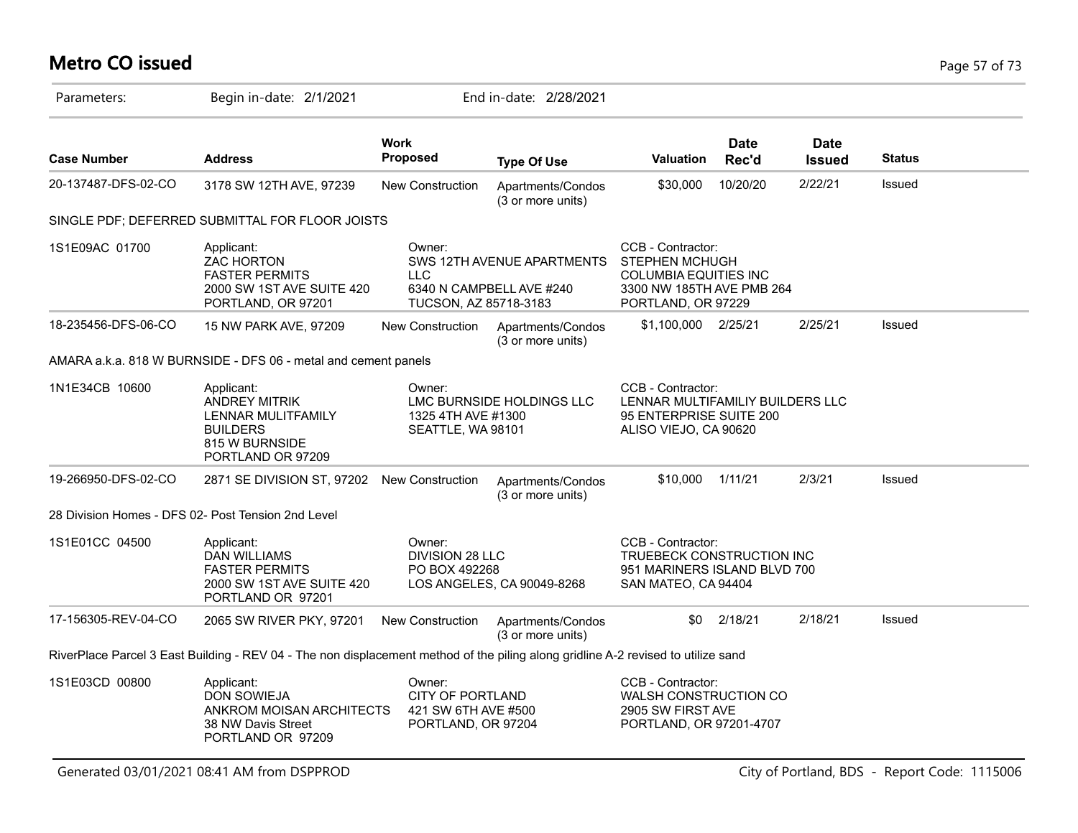# **Metro CO issued** Page 57 of 73

| Parameters:         | Begin in-date: 2/1/2021                                                                                                           |                                                                         | End in-date: 2/28/2021                                 |                                                                                                                               |                      |                              |               |  |
|---------------------|-----------------------------------------------------------------------------------------------------------------------------------|-------------------------------------------------------------------------|--------------------------------------------------------|-------------------------------------------------------------------------------------------------------------------------------|----------------------|------------------------------|---------------|--|
| <b>Case Number</b>  | <b>Address</b>                                                                                                                    | Work<br>Proposed                                                        | <b>Type Of Use</b>                                     | <b>Valuation</b>                                                                                                              | <b>Date</b><br>Rec'd | <b>Date</b><br><b>Issued</b> | <b>Status</b> |  |
| 20-137487-DFS-02-CO | 3178 SW 12TH AVE, 97239                                                                                                           | <b>New Construction</b>                                                 | Apartments/Condos<br>(3 or more units)                 | \$30,000                                                                                                                      | 10/20/20             | 2/22/21                      | Issued        |  |
|                     | SINGLE PDF; DEFERRED SUBMITTAL FOR FLOOR JOISTS                                                                                   |                                                                         |                                                        |                                                                                                                               |                      |                              |               |  |
| 1S1E09AC 01700      | Applicant:<br><b>ZAC HORTON</b><br><b>FASTER PERMITS</b><br>2000 SW 1ST AVE SUITE 420<br>PORTLAND, OR 97201                       | Owner:<br><b>LLC</b><br>TUCSON, AZ 85718-3183                           | SWS 12TH AVENUE APARTMENTS<br>6340 N CAMPBELL AVE #240 | CCB - Contractor:<br><b>STEPHEN MCHUGH</b><br><b>COLUMBIA EQUITIES INC</b><br>3300 NW 185TH AVE PMB 264<br>PORTLAND, OR 97229 |                      |                              |               |  |
| 18-235456-DFS-06-CO | 15 NW PARK AVE, 97209                                                                                                             | New Construction                                                        | Apartments/Condos<br>(3 or more units)                 | \$1,100,000 2/25/21                                                                                                           |                      | 2/25/21                      | Issued        |  |
|                     | AMARA a.k.a. 818 W BURNSIDE - DFS 06 - metal and cement panels                                                                    |                                                                         |                                                        |                                                                                                                               |                      |                              |               |  |
| 1N1E34CB 10600      | Applicant:<br><b>ANDREY MITRIK</b><br>LENNAR MULITFAMILY<br><b>BUILDERS</b><br>815 W BURNSIDE<br>PORTLAND OR 97209                | Owner:<br>1325 4TH AVE #1300<br>SEATTLE, WA 98101                       | LMC BURNSIDE HOLDINGS LLC                              | CCB - Contractor:<br>LENNAR MULTIFAMILIY BUILDERS LLC<br>95 ENTERPRISE SUITE 200<br>ALISO VIEJO, CA 90620                     |                      |                              |               |  |
| 19-266950-DFS-02-CO | 2871 SE DIVISION ST, 97202 New Construction                                                                                       |                                                                         | Apartments/Condos<br>(3 or more units)                 | \$10,000                                                                                                                      | 1/11/21              | 2/3/21                       | Issued        |  |
|                     | 28 Division Homes - DFS 02- Post Tension 2nd Level                                                                                |                                                                         |                                                        |                                                                                                                               |                      |                              |               |  |
| 1S1E01CC 04500      | Applicant:<br><b>DAN WILLIAMS</b><br><b>FASTER PERMITS</b><br>2000 SW 1ST AVE SUITE 420<br>PORTLAND OR 97201                      | Owner:<br>DIVISION 28 LLC<br>PO BOX 492268                              | LOS ANGELES, CA 90049-8268                             | CCB - Contractor:<br>TRUEBECK CONSTRUCTION INC<br>951 MARINERS ISLAND BLVD 700<br>SAN MATEO, CA 94404                         |                      |                              |               |  |
| 17-156305-REV-04-CO | 2065 SW RIVER PKY, 97201                                                                                                          | <b>New Construction</b>                                                 | Apartments/Condos<br>(3 or more units)                 | \$0                                                                                                                           | 2/18/21              | 2/18/21                      | Issued        |  |
|                     | RiverPlace Parcel 3 East Building - REV 04 - The non displacement method of the piling along gridline A-2 revised to utilize sand |                                                                         |                                                        |                                                                                                                               |                      |                              |               |  |
| 1S1E03CD 00800      | Applicant:<br><b>DON SOWIEJA</b><br>ANKROM MOISAN ARCHITECTS<br>38 NW Davis Street<br>PORTLAND OR 97209                           | Owner:<br>CITY OF PORTLAND<br>421 SW 6TH AVE #500<br>PORTLAND, OR 97204 |                                                        | CCB - Contractor:<br><b>WALSH CONSTRUCTION CO</b><br>2905 SW FIRST AVE<br>PORTLAND, OR 97201-4707                             |                      |                              |               |  |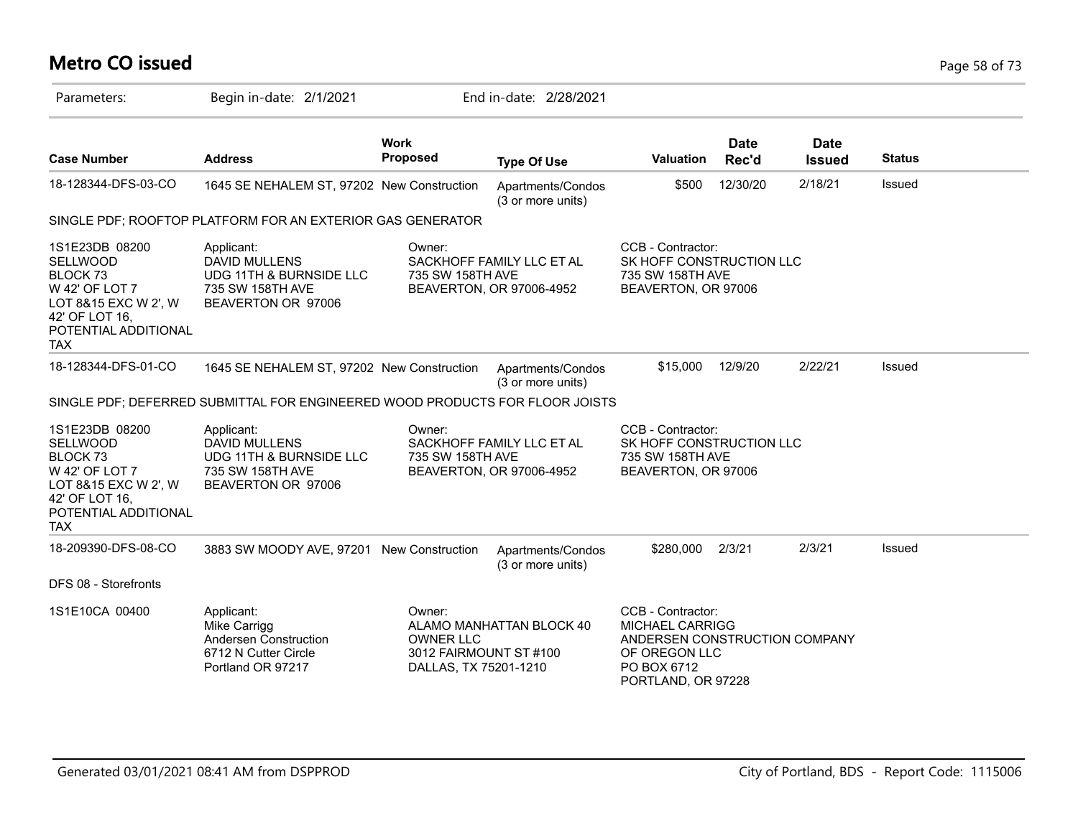# **Metro CO issued** Page 58 of 73

| Parameters:                                                                                                                                         | Begin in-date: 2/1/2021                                                                                 |                                                                               | End in-date: 2/28/2021                                |                                                                                                                                    |                      |                              |               |
|-----------------------------------------------------------------------------------------------------------------------------------------------------|---------------------------------------------------------------------------------------------------------|-------------------------------------------------------------------------------|-------------------------------------------------------|------------------------------------------------------------------------------------------------------------------------------------|----------------------|------------------------------|---------------|
| <b>Case Number</b>                                                                                                                                  | <b>Address</b>                                                                                          | <b>Work</b><br>Proposed                                                       | <b>Type Of Use</b>                                    | Valuation                                                                                                                          | <b>Date</b><br>Rec'd | <b>Date</b><br><b>Issued</b> | <b>Status</b> |
| 18-128344-DFS-03-CO                                                                                                                                 | 1645 SE NEHALEM ST, 97202 New Construction                                                              |                                                                               | Apartments/Condos<br>(3 or more units)                | \$500                                                                                                                              | 12/30/20             | 2/18/21                      | Issued        |
|                                                                                                                                                     | SINGLE PDF; ROOFTOP PLATFORM FOR AN EXTERIOR GAS GENERATOR                                              |                                                                               |                                                       |                                                                                                                                    |                      |                              |               |
| 1S1E23DB 08200<br>SELLWOOD<br>BLOCK <sub>73</sub><br>W 42' OF LOT 7<br>LOT 8&15 EXC W 2', W<br>42' OF LOT 16,<br>POTENTIAL ADDITIONAL<br><b>TAX</b> | Applicant:<br><b>DAVID MULLENS</b><br>UDG 11TH & BURNSIDE LLC<br>735 SW 158TH AVE<br>BEAVERTON OR 97006 | Owner:<br>735 SW 158TH AVE                                                    | SACKHOFF FAMILY LLC ET AL<br>BEAVERTON, OR 97006-4952 | CCB - Contractor:<br>SK HOFF CONSTRUCTION LLC<br>735 SW 158TH AVE<br>BEAVERTON, OR 97006                                           |                      |                              |               |
| 18-128344-DFS-01-CO                                                                                                                                 | 1645 SE NEHALEM ST, 97202 New Construction                                                              |                                                                               | Apartments/Condos<br>(3 or more units)                | \$15,000                                                                                                                           | 12/9/20              | 2/22/21                      | Issued        |
|                                                                                                                                                     | SINGLE PDF; DEFERRED SUBMITTAL FOR ENGINEERED WOOD PRODUCTS FOR FLOOR JOISTS                            |                                                                               |                                                       |                                                                                                                                    |                      |                              |               |
| 1S1E23DB 08200<br>SELLWOOD<br>BLOCK <sub>73</sub><br>W 42' OF LOT 7<br>LOT 8&15 EXC W 2', W<br>42' OF LOT 16,<br>POTENTIAL ADDITIONAL<br><b>TAX</b> | Applicant:<br><b>DAVID MULLENS</b><br>UDG 11TH & BURNSIDE LLC<br>735 SW 158TH AVE<br>BEAVERTON OR 97006 | Owner:<br>735 SW 158TH AVE                                                    | SACKHOFF FAMILY LLC ET AL<br>BEAVERTON, OR 97006-4952 | CCB - Contractor:<br>SK HOFF CONSTRUCTION LLC<br>735 SW 158TH AVE<br>BEAVERTON, OR 97006                                           |                      |                              |               |
| 18-209390-DFS-08-CO                                                                                                                                 | 3883 SW MOODY AVE, 97201 New Construction                                                               |                                                                               | Apartments/Condos<br>(3 or more units)                | \$280,000                                                                                                                          | 2/3/21               | 2/3/21                       | Issued        |
| DFS 08 - Storefronts                                                                                                                                |                                                                                                         |                                                                               |                                                       |                                                                                                                                    |                      |                              |               |
| 1S1E10CA 00400                                                                                                                                      | Applicant:<br>Mike Carrigg<br>Andersen Construction<br>6712 N Cutter Circle<br>Portland OR 97217        | Owner:<br><b>OWNER LLC</b><br>3012 FAIRMOUNT ST #100<br>DALLAS, TX 75201-1210 | ALAMO MANHATTAN BLOCK 40                              | CCB - Contractor:<br><b>MICHAEL CARRIGG</b><br>ANDERSEN CONSTRUCTION COMPANY<br>OF OREGON LLC<br>PO BOX 6712<br>PORTLAND, OR 97228 |                      |                              |               |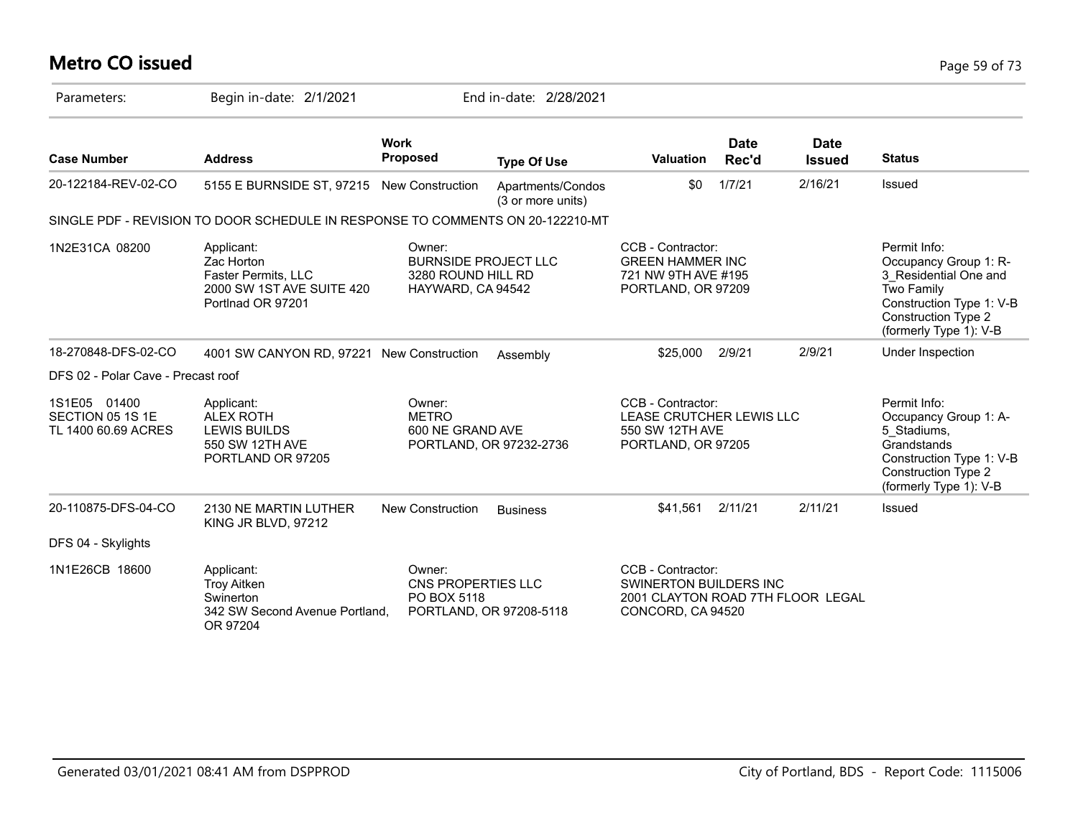# **Metro CO issued** Page 59 of 73

| Parameters:                                             | Begin in-date: 2/1/2021                                                                           |                                                                                  | End in-date: 2/28/2021                 |                                                                                                       |                      |                              |                                                                                                                                                                  |
|---------------------------------------------------------|---------------------------------------------------------------------------------------------------|----------------------------------------------------------------------------------|----------------------------------------|-------------------------------------------------------------------------------------------------------|----------------------|------------------------------|------------------------------------------------------------------------------------------------------------------------------------------------------------------|
| <b>Case Number</b>                                      | <b>Address</b>                                                                                    | <b>Work</b><br><b>Proposed</b>                                                   | <b>Type Of Use</b>                     | <b>Valuation</b>                                                                                      | <b>Date</b><br>Rec'd | <b>Date</b><br><b>Issued</b> | <b>Status</b>                                                                                                                                                    |
| 20-122184-REV-02-CO                                     | 5155 E BURNSIDE ST, 97215 New Construction                                                        |                                                                                  | Apartments/Condos<br>(3 or more units) | \$0                                                                                                   | 1/7/21               | 2/16/21                      | Issued                                                                                                                                                           |
|                                                         | SINGLE PDF - REVISION TO DOOR SCHEDULE IN RESPONSE TO COMMENTS ON 20-122210-MT                    |                                                                                  |                                        |                                                                                                       |                      |                              |                                                                                                                                                                  |
| 1N2E31CA 08200                                          | Applicant:<br>Zac Horton<br>Faster Permits, LLC<br>2000 SW 1ST AVE SUITE 420<br>Portlnad OR 97201 | Owner:<br><b>BURNSIDE PROJECT LLC</b><br>3280 ROUND HILL RD<br>HAYWARD, CA 94542 |                                        | CCB - Contractor:<br><b>GREEN HAMMER INC</b><br>721 NW 9TH AVE #195<br>PORTLAND, OR 97209             |                      |                              | Permit Info:<br>Occupancy Group 1: R-<br>3 Residential One and<br>Two Family<br>Construction Type 1: V-B<br><b>Construction Type 2</b><br>(formerly Type 1): V-B |
| 18-270848-DFS-02-CO                                     | 4001 SW CANYON RD, 97221 New Construction                                                         |                                                                                  | Assembly                               | \$25,000                                                                                              | 2/9/21               | 2/9/21                       | Under Inspection                                                                                                                                                 |
| DFS 02 - Polar Cave - Precast roof                      |                                                                                                   |                                                                                  |                                        |                                                                                                       |                      |                              |                                                                                                                                                                  |
| 1S1E05 01400<br>SECTION 05 1S 1E<br>TL 1400 60.69 ACRES | Applicant:<br><b>ALEX ROTH</b><br><b>LEWIS BUILDS</b><br>550 SW 12TH AVE<br>PORTLAND OR 97205     | Owner:<br><b>METRO</b><br>600 NE GRAND AVE                                       | PORTLAND, OR 97232-2736                | CCB - Contractor:<br>LEASE CRUTCHER LEWIS LLC<br>550 SW 12TH AVE<br>PORTLAND, OR 97205                |                      |                              | Permit Info:<br>Occupancy Group 1: A-<br>5 Stadiums,<br>Grandstands<br>Construction Type 1: V-B<br>Construction Type 2<br>(formerly Type 1): V-B                 |
| 20-110875-DFS-04-CO                                     | 2130 NE MARTIN LUTHER<br>KING JR BLVD, 97212                                                      | New Construction                                                                 | <b>Business</b>                        | \$41,561                                                                                              | 2/11/21              | 2/11/21                      | Issued                                                                                                                                                           |
| DFS 04 - Skylights                                      |                                                                                                   |                                                                                  |                                        |                                                                                                       |                      |                              |                                                                                                                                                                  |
| 1N1E26CB 18600                                          | Applicant:<br><b>Troy Aitken</b><br>Swinerton<br>342 SW Second Avenue Portland.<br>OR 97204       | Owner:<br>CNS PROPERTIES LLC<br>PO BOX 5118                                      | PORTLAND, OR 97208-5118                | CCB - Contractor:<br>SWINERTON BUILDERS INC<br>2001 CLAYTON ROAD 7TH FLOOR LEGAL<br>CONCORD, CA 94520 |                      |                              |                                                                                                                                                                  |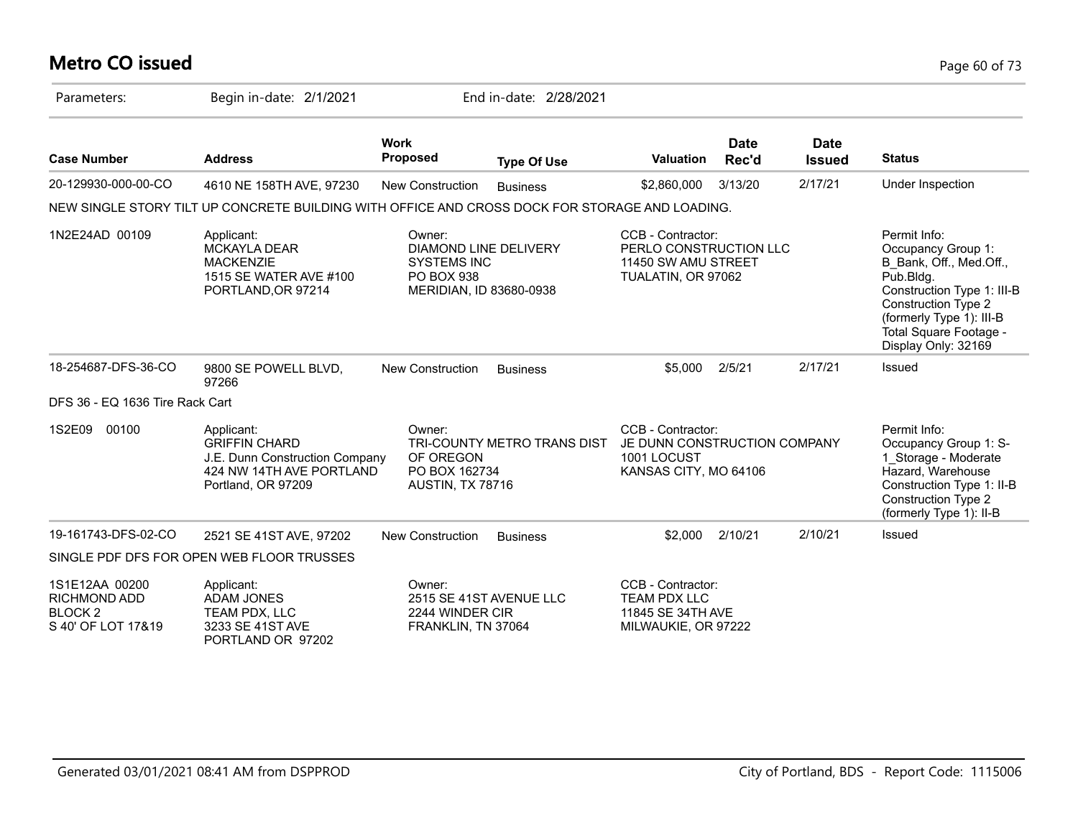# **Metro CO issued** Page 60 of 73

| Parameters:                                                                       | Begin in-date: 2/1/2021                                                                                                |                                                                                                              | End in-date: 2/28/2021      |                                                                                           |                      |                              |                                                                                                                                                                                                                     |
|-----------------------------------------------------------------------------------|------------------------------------------------------------------------------------------------------------------------|--------------------------------------------------------------------------------------------------------------|-----------------------------|-------------------------------------------------------------------------------------------|----------------------|------------------------------|---------------------------------------------------------------------------------------------------------------------------------------------------------------------------------------------------------------------|
| <b>Case Number</b>                                                                | <b>Address</b>                                                                                                         | <b>Work</b><br><b>Proposed</b>                                                                               | <b>Type Of Use</b>          | <b>Valuation</b>                                                                          | <b>Date</b><br>Rec'd | <b>Date</b><br><b>Issued</b> | <b>Status</b>                                                                                                                                                                                                       |
| 20-129930-000-00-CO                                                               | 4610 NE 158TH AVE, 97230                                                                                               | New Construction                                                                                             | <b>Business</b>             | \$2,860,000                                                                               | 3/13/20              | 2/17/21                      | Under Inspection                                                                                                                                                                                                    |
|                                                                                   | NEW SINGLE STORY TILT UP CONCRETE BUILDING WITH OFFICE AND CROSS DOCK FOR STORAGE AND LOADING.                         |                                                                                                              |                             |                                                                                           |                      |                              |                                                                                                                                                                                                                     |
| 1N2E24AD 00109                                                                    | Applicant:<br><b>MCKAYLA DEAR</b><br><b>MACKENZIE</b><br>1515 SE WATER AVE #100<br>PORTLAND, OR 97214                  | Owner:<br><b>DIAMOND LINE DELIVERY</b><br><b>SYSTEMS INC</b><br><b>PO BOX 938</b><br>MERIDIAN, ID 83680-0938 |                             | CCB - Contractor:<br>PERLO CONSTRUCTION LLC<br>11450 SW AMU STREET<br>TUALATIN, OR 97062  |                      |                              | Permit Info:<br>Occupancy Group 1:<br>B_Bank, Off., Med.Off.,<br>Pub.Bldg.<br>Construction Type 1: III-B<br><b>Construction Type 2</b><br>(formerly Type 1): III-B<br>Total Square Footage -<br>Display Only: 32169 |
| 18-254687-DFS-36-CO                                                               | 9800 SE POWELL BLVD,<br>97266                                                                                          | New Construction                                                                                             | <b>Business</b>             | \$5,000                                                                                   | 2/5/21               | 2/17/21                      | Issued                                                                                                                                                                                                              |
| DFS 36 - EQ 1636 Tire Rack Cart                                                   |                                                                                                                        |                                                                                                              |                             |                                                                                           |                      |                              |                                                                                                                                                                                                                     |
| 1S2E09<br>00100                                                                   | Applicant:<br><b>GRIFFIN CHARD</b><br>J.E. Dunn Construction Company<br>424 NW 14TH AVE PORTLAND<br>Portland, OR 97209 | Owner:<br>OF OREGON<br>PO BOX 162734<br>AUSTIN, TX 78716                                                     | TRI-COUNTY METRO TRANS DIST | CCB - Contractor:<br>JE DUNN CONSTRUCTION COMPANY<br>1001 LOCUST<br>KANSAS CITY, MO 64106 |                      |                              | Permit Info:<br>Occupancy Group 1: S-<br>1_Storage - Moderate<br>Hazard, Warehouse<br>Construction Type 1: II-B<br><b>Construction Type 2</b><br>(formerly Type 1): II-B                                            |
| 19-161743-DFS-02-CO                                                               | 2521 SE 41ST AVE, 97202                                                                                                | <b>New Construction</b>                                                                                      | <b>Business</b>             | \$2,000                                                                                   | 2/10/21              | 2/10/21                      | Issued                                                                                                                                                                                                              |
|                                                                                   | SINGLE PDF DFS FOR OPEN WEB FLOOR TRUSSES                                                                              |                                                                                                              |                             |                                                                                           |                      |                              |                                                                                                                                                                                                                     |
| 1S1E12AA 00200<br><b>RICHMOND ADD</b><br>BLOCK <sub>2</sub><br>S 40' OF LOT 17&19 | Applicant:<br><b>ADAM JONES</b><br>TEAM PDX, LLC<br>3233 SE 41ST AVE<br>PORTLAND OR 97202                              | Owner:<br>2244 WINDER CIR<br>FRANKLIN, TN 37064                                                              | 2515 SE 41ST AVENUE LLC     | CCB - Contractor:<br><b>TEAM PDX LLC</b><br>11845 SE 34TH AVE<br>MILWAUKIE, OR 97222      |                      |                              |                                                                                                                                                                                                                     |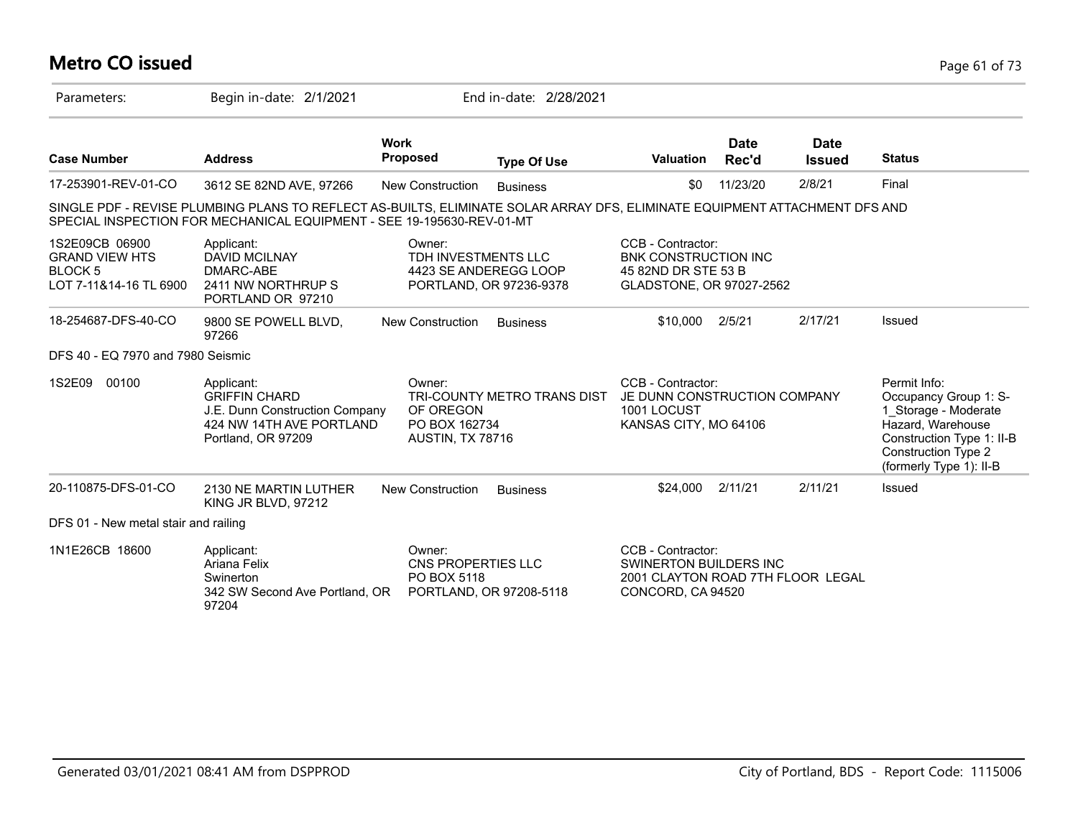# **Metro CO issued** Page 61 of 73

| Parameters:                                                                         | Begin in-date: 2/1/2021                                                                                                                                                                             |                                                                        | End in-date: 2/28/2021      |                                                                                                       |                      |                              |                                                                                                                                                                          |
|-------------------------------------------------------------------------------------|-----------------------------------------------------------------------------------------------------------------------------------------------------------------------------------------------------|------------------------------------------------------------------------|-----------------------------|-------------------------------------------------------------------------------------------------------|----------------------|------------------------------|--------------------------------------------------------------------------------------------------------------------------------------------------------------------------|
| <b>Case Number</b>                                                                  | <b>Address</b>                                                                                                                                                                                      | <b>Work</b><br><b>Proposed</b>                                         | <b>Type Of Use</b>          | <b>Valuation</b>                                                                                      | <b>Date</b><br>Rec'd | <b>Date</b><br><b>Issued</b> | <b>Status</b>                                                                                                                                                            |
| 17-253901-REV-01-CO                                                                 | 3612 SE 82ND AVE, 97266                                                                                                                                                                             | New Construction                                                       | <b>Business</b>             | \$0                                                                                                   | 11/23/20             | 2/8/21                       | Final                                                                                                                                                                    |
|                                                                                     | SINGLE PDF - REVISE PLUMBING PLANS TO REFLECT AS-BUILTS, ELIMINATE SOLAR ARRAY DFS, ELIMINATE EQUIPMENT ATTACHMENT DFS AND<br>SPECIAL INSPECTION FOR MECHANICAL EQUIPMENT - SEE 19-195630-REV-01-MT |                                                                        |                             |                                                                                                       |                      |                              |                                                                                                                                                                          |
| 1S2E09CB 06900<br><b>GRAND VIEW HTS</b><br><b>BLOCK 5</b><br>LOT 7-11&14-16 TL 6900 | Applicant:<br><b>DAVID MCILNAY</b><br>DMARC-ABE<br>2411 NW NORTHRUP S<br>PORTLAND OR 97210                                                                                                          | Owner:<br>TDH INVESTMENTS LLC<br>4423 SE ANDEREGG LOOP                 | PORTLAND, OR 97236-9378     | CCB - Contractor:<br><b>BNK CONSTRUCTION INC</b><br>45 82ND DR STE 53 B<br>GLADSTONE, OR 97027-2562   |                      |                              |                                                                                                                                                                          |
| 18-254687-DFS-40-CO                                                                 | 9800 SE POWELL BLVD,<br>97266                                                                                                                                                                       | <b>New Construction</b>                                                | <b>Business</b>             | \$10,000                                                                                              | 2/5/21               | 2/17/21                      | Issued                                                                                                                                                                   |
| DFS 40 - EQ 7970 and 7980 Seismic                                                   |                                                                                                                                                                                                     |                                                                        |                             |                                                                                                       |                      |                              |                                                                                                                                                                          |
| 1S2E09<br>00100                                                                     | Applicant:<br><b>GRIFFIN CHARD</b><br>J.E. Dunn Construction Company<br>424 NW 14TH AVE PORTLAND<br>Portland, OR 97209                                                                              | Owner:<br>OF OREGON<br>PO BOX 162734<br>AUSTIN, TX 78716               | TRI-COUNTY METRO TRANS DIST | CCB - Contractor:<br>JE DUNN CONSTRUCTION COMPANY<br>1001 LOCUST<br>KANSAS CITY, MO 64106             |                      |                              | Permit Info:<br>Occupancy Group 1: S-<br>1 Storage - Moderate<br>Hazard, Warehouse<br>Construction Type 1: II-B<br><b>Construction Type 2</b><br>(formerly Type 1): II-B |
| 20-110875-DFS-01-CO                                                                 | 2130 NE MARTIN LUTHER<br>KING JR BLVD, 97212                                                                                                                                                        | New Construction                                                       | <b>Business</b>             | \$24,000                                                                                              | 2/11/21              | 2/11/21                      | Issued                                                                                                                                                                   |
| DFS 01 - New metal stair and railing                                                |                                                                                                                                                                                                     |                                                                        |                             |                                                                                                       |                      |                              |                                                                                                                                                                          |
| 1N1E26CB 18600                                                                      | Applicant:<br>Ariana Felix<br>Swinerton<br>342 SW Second Ave Portland, OR<br>97204                                                                                                                  | Owner:<br>CNS PROPERTIES LLC<br>PO BOX 5118<br>PORTLAND, OR 97208-5118 |                             | CCB - Contractor:<br>SWINERTON BUILDERS INC<br>2001 CLAYTON ROAD 7TH FLOOR LEGAL<br>CONCORD, CA 94520 |                      |                              |                                                                                                                                                                          |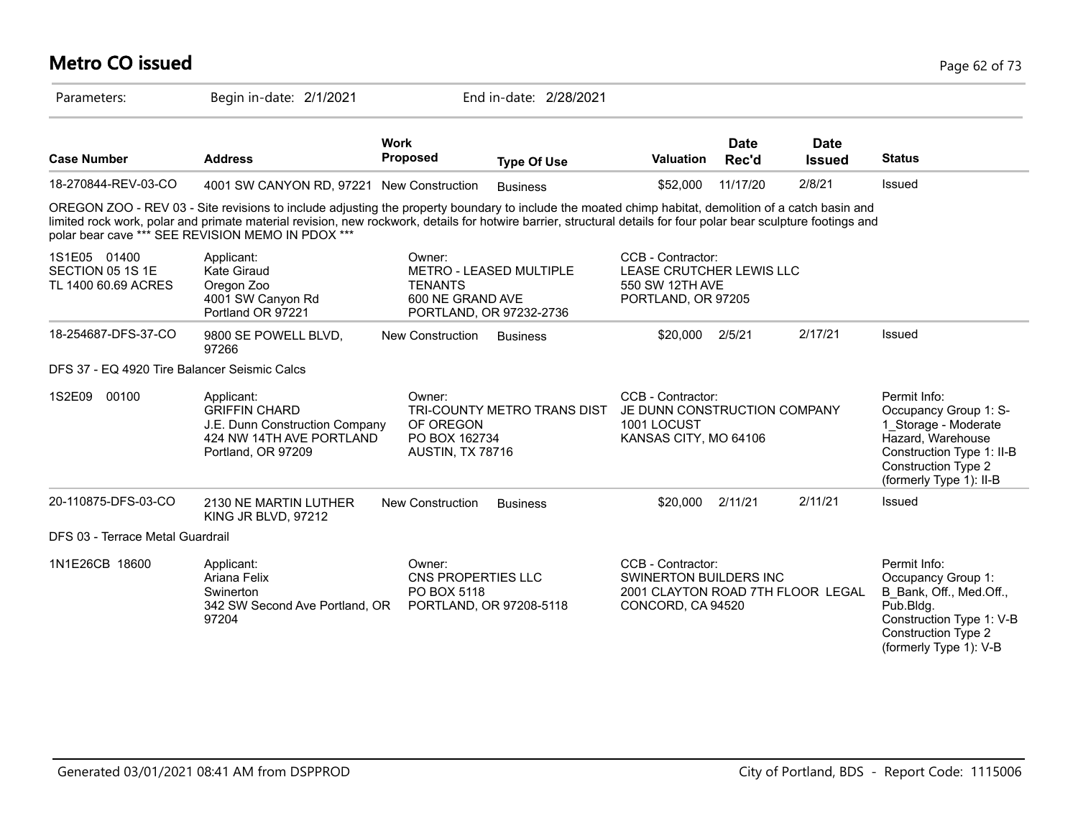### **Metro CO issued** Page 62 of 73 Parameters: Begin in-date: 2/1/2021 End in-date: 2/28/2021 **Work Case Number Address Proposed Type Of Use Valuation Status Date Rec'd Date Issued** 18-270844-REV-03-CO 4001 SW CANYON RD, 97221 New Construction Business \$52,000 11/17/20 2/8/21 Issued OREGON ZOO - REV 03 - Site revisions to include adjusting the property boundary to include the moated chimp habitat, demolition of a catch basin and limited rock work, polar and primate material revision, new rockwork, details for hotwire barrier, structural details for four polar bear sculpture footings and polar bear cave \*\*\* SEE REVISION MEMO IN PDOX \*\*\* 1S1E05 01400 SECTION 05 1S 1E TL 1400 60.69 ACRES CCB - Contractor: LEASE CRUTCHER LEWIS LLC 550 SW 12TH AVE PORTLAND, OR 97205 Owner: METRO - LEASED MULTIPLE **TENANTS** 600 NE GRAND AVE PORTLAND, OR 97232-2736 Applicant: Kate Giraud Oregon Zoo 4001 SW Canyon Rd Portland OR 97221 18-254687-DFS-37-CO 9800 SE POWELL BLVD, 97266 New Construction Business  $$20,000$   $2/5/21$  2/17/21 Issued DFS 37 - EQ 4920 Tire Balancer Seismic Calcs 1S2E09 00100 Permit Info: Occupancy Group 1: S-1\_Storage - Moderate Hazard, Warehouse Construction Type 1: II-B Construction Type 2 (formerly Type 1): II-B CCB - Contractor: JE DUNN CONSTRUCTION COMPANY 1001 LOCUST KANSAS CITY, MO 64106 Owner: TRI-COUNTY METRO TRANS DIST OF OREGON PO BOX 162734 AUSTIN, TX 78716 Applicant: GRIFFIN CHARD J.E. Dunn Construction Company 424 NW 14TH AVF PORTI AND Portland, OR 97209 20-110875-DFS-03-CO 2130 NE MARTIN LUTHER KING JR BLVD, 97212 New Construction Business **\$20,000** 2/11/21 2/11/21 Issued DFS 03 - Terrace Metal Guardrail 1N1E26CB 18600 Applicant: CD Owner: CCB - Contractor: Permit Info: Occupancy Group 1: B\_Bank, Off., Med.Off., Pub.Bldg. Construction Type 1: V-B Construction Type 2 (formerly Type 1): V-B CCB - Contractor: SWINERTON BUILDERS INC 2001 CLAYTON ROAD 7TH FLOOR LEGAL CONCORD, CA 94520 Owner: CNS PROPERTIES LLC PO BOX 5118 342 SW Second Ave Portland, OR PORTLAND, OR 97208-5118 Applicant: Ariana Felix **Swinerton** 97204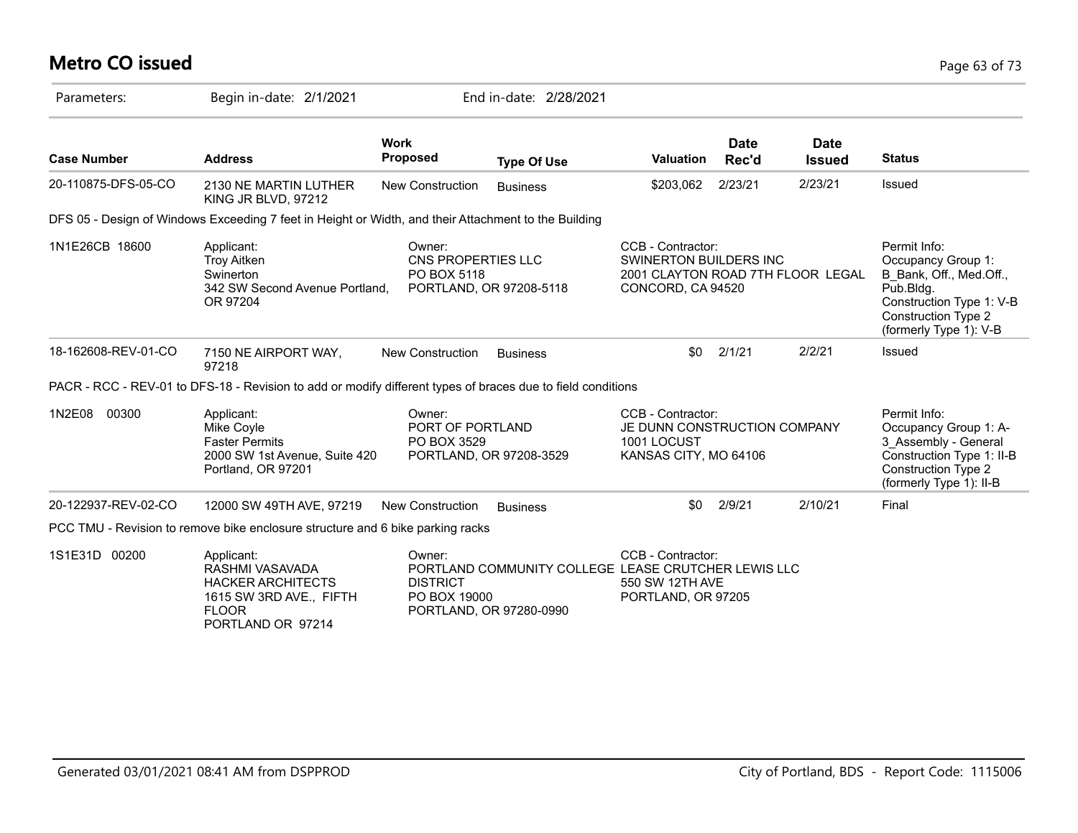# **Metro CO issued** Page 63 of 73

| Parameters:         | Begin in-date: 2/1/2021                                                                                                   |                                             | End in-date: 2/28/2021                                                         |                                                                                           |                      |                                   |                                                                                                                                                                |
|---------------------|---------------------------------------------------------------------------------------------------------------------------|---------------------------------------------|--------------------------------------------------------------------------------|-------------------------------------------------------------------------------------------|----------------------|-----------------------------------|----------------------------------------------------------------------------------------------------------------------------------------------------------------|
| <b>Case Number</b>  | <b>Address</b>                                                                                                            | <b>Work</b><br><b>Proposed</b>              | <b>Type Of Use</b>                                                             | <b>Valuation</b>                                                                          | <b>Date</b><br>Rec'd | <b>Date</b><br><b>Issued</b>      | <b>Status</b>                                                                                                                                                  |
| 20-110875-DFS-05-CO | 2130 NE MARTIN LUTHER<br>KING JR BLVD, 97212                                                                              | <b>New Construction</b>                     | <b>Business</b>                                                                | \$203,062                                                                                 | 2/23/21              | 2/23/21                           | Issued                                                                                                                                                         |
|                     | DFS 05 - Design of Windows Exceeding 7 feet in Height or Width, and their Attachment to the Building                      |                                             |                                                                                |                                                                                           |                      |                                   |                                                                                                                                                                |
| 1N1E26CB 18600      | Applicant:<br><b>Troy Aitken</b><br>Swinerton<br>342 SW Second Avenue Portland,<br>OR 97204                               | Owner:<br>CNS PROPERTIES LLC<br>PO BOX 5118 | PORTLAND, OR 97208-5118                                                        | CCB - Contractor:<br><b>SWINERTON BUILDERS INC</b><br>CONCORD, CA 94520                   |                      | 2001 CLAYTON ROAD 7TH FLOOR LEGAL | Permit Info:<br>Occupancy Group 1:<br>B Bank, Off., Med.Off.,<br>Pub.Bldg.<br>Construction Type 1: V-B<br><b>Construction Type 2</b><br>(formerly Type 1): V-B |
| 18-162608-REV-01-CO | 7150 NE AIRPORT WAY,<br>97218                                                                                             | <b>New Construction</b>                     | <b>Business</b>                                                                | \$0                                                                                       | 2/1/21               | 2/2/21                            | Issued                                                                                                                                                         |
|                     | PACR - RCC - REV-01 to DFS-18 - Revision to add or modify different types of braces due to field conditions               |                                             |                                                                                |                                                                                           |                      |                                   |                                                                                                                                                                |
| 00300<br>1N2E08     | Applicant:<br>Mike Coyle<br><b>Faster Permits</b><br>2000 SW 1st Avenue, Suite 420<br>Portland, OR 97201                  | Owner:<br>PORT OF PORTLAND<br>PO BOX 3529   | PORTLAND, OR 97208-3529                                                        | CCB - Contractor:<br>JE DUNN CONSTRUCTION COMPANY<br>1001 LOCUST<br>KANSAS CITY, MO 64106 |                      |                                   | Permit Info:<br>Occupancy Group 1: A-<br>3 Assembly - General<br>Construction Type 1: II-B<br>Construction Type 2<br>(formerly Type 1): II-B                   |
| 20-122937-REV-02-CO | 12000 SW 49TH AVE, 97219                                                                                                  | <b>New Construction</b>                     | <b>Business</b>                                                                | \$0                                                                                       | 2/9/21               | 2/10/21                           | Final                                                                                                                                                          |
|                     | PCC TMU - Revision to remove bike enclosure structure and 6 bike parking racks                                            |                                             |                                                                                |                                                                                           |                      |                                   |                                                                                                                                                                |
| 1S1E31D 00200       | Applicant:<br>RASHMI VASAVADA<br><b>HACKER ARCHITECTS</b><br>1615 SW 3RD AVE., FIFTH<br><b>FLOOR</b><br>PORTLAND OR 97214 | Owner:<br><b>DISTRICT</b><br>PO BOX 19000   | PORTLAND COMMUNITY COLLEGE LEASE CRUTCHER LEWIS LLC<br>PORTLAND, OR 97280-0990 | CCB - Contractor:<br>550 SW 12TH AVE<br>PORTLAND, OR 97205                                |                      |                                   |                                                                                                                                                                |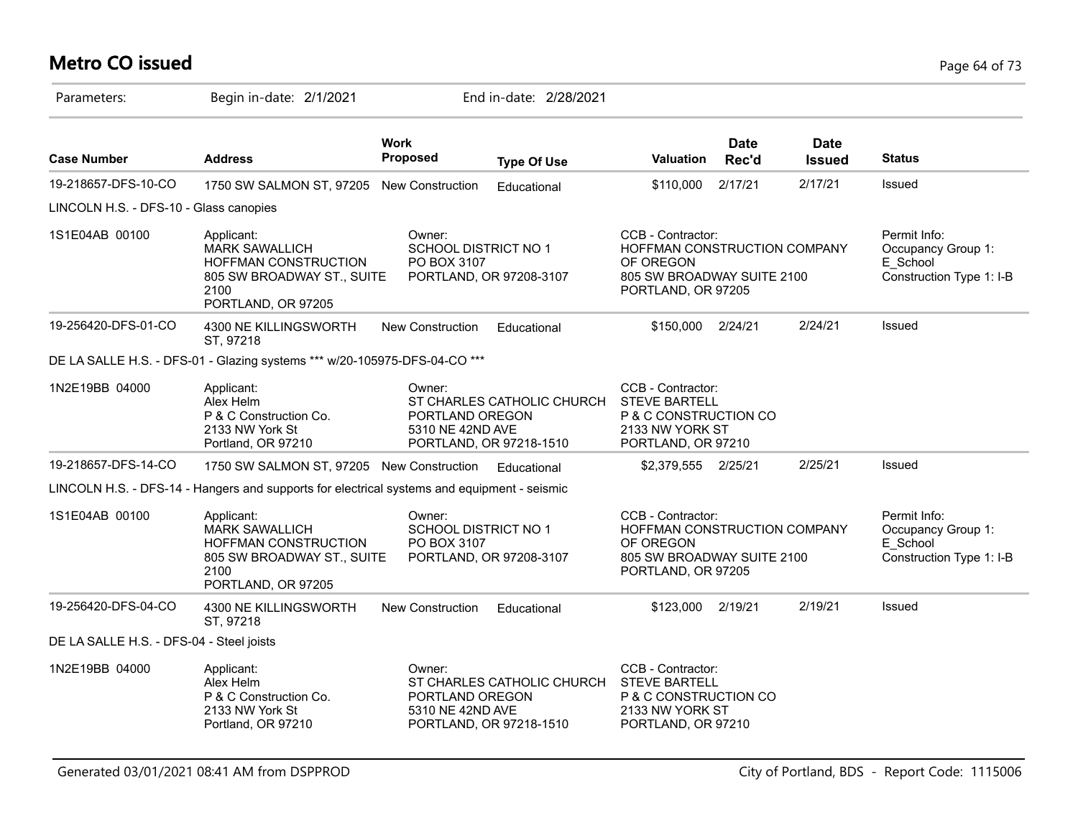# **Metro CO issued** Page 64 of 73

| Parameters:                              | Begin in-date: 2/1/2021                                                                                                        |                                                                          | End in-date: 2/28/2021                                |                                                                                                                    |                      |                              |                                                                            |
|------------------------------------------|--------------------------------------------------------------------------------------------------------------------------------|--------------------------------------------------------------------------|-------------------------------------------------------|--------------------------------------------------------------------------------------------------------------------|----------------------|------------------------------|----------------------------------------------------------------------------|
| <b>Case Number</b>                       | <b>Address</b>                                                                                                                 | <b>Work</b><br>Proposed                                                  | <b>Type Of Use</b>                                    | Valuation                                                                                                          | <b>Date</b><br>Rec'd | <b>Date</b><br><b>Issued</b> | <b>Status</b>                                                              |
| 19-218657-DFS-10-CO                      | 1750 SW SALMON ST, 97205 New Construction                                                                                      |                                                                          | Educational                                           | \$110,000                                                                                                          | 2/17/21              | 2/17/21                      | Issued                                                                     |
| LINCOLN H.S. - DFS-10 - Glass canopies   |                                                                                                                                |                                                                          |                                                       |                                                                                                                    |                      |                              |                                                                            |
| 1S1E04AB 00100                           | Applicant:<br><b>MARK SAWALLICH</b><br><b>HOFFMAN CONSTRUCTION</b><br>805 SW BROADWAY ST., SUITE<br>2100<br>PORTLAND, OR 97205 | Owner:<br>SCHOOL DISTRICT NO 1<br>PO BOX 3107                            | PORTLAND, OR 97208-3107                               | CCB - Contractor:<br>HOFFMAN CONSTRUCTION COMPANY<br>OF OREGON<br>805 SW BROADWAY SUITE 2100<br>PORTLAND, OR 97205 |                      |                              | Permit Info:<br>Occupancy Group 1:<br>E_School<br>Construction Type 1: I-B |
| 19-256420-DFS-01-CO                      | 4300 NE KILLINGSWORTH<br>ST, 97218                                                                                             | <b>New Construction</b>                                                  | Educational                                           | \$150,000                                                                                                          | 2/24/21              | 2/24/21                      | Issued                                                                     |
|                                          | DE LA SALLE H.S. - DFS-01 - Glazing systems *** w/20-105975-DFS-04-CO ***                                                      |                                                                          |                                                       |                                                                                                                    |                      |                              |                                                                            |
| 1N2E19BB 04000                           | Applicant:<br>Alex Helm<br>P & C Construction Co.<br>2133 NW York St<br>Portland, OR 97210                                     | Owner:<br>PORTLAND OREGON<br>5310 NE 42ND AVE                            | ST CHARLES CATHOLIC CHURCH<br>PORTLAND, OR 97218-1510 | CCB - Contractor:<br><b>STEVE BARTELL</b><br>P & C CONSTRUCTION CO<br>2133 NW YORK ST<br>PORTLAND, OR 97210        |                      |                              |                                                                            |
| 19-218657-DFS-14-CO                      | 1750 SW SALMON ST, 97205 New Construction                                                                                      |                                                                          | Educational                                           | \$2,379,555 2/25/21                                                                                                |                      | 2/25/21                      | Issued                                                                     |
|                                          | LINCOLN H.S. - DFS-14 - Hangers and supports for electrical systems and equipment - seismic                                    |                                                                          |                                                       |                                                                                                                    |                      |                              |                                                                            |
| 1S1E04AB 00100                           | Applicant:<br><b>MARK SAWALLICH</b><br>HOFFMAN CONSTRUCTION<br>805 SW BROADWAY ST., SUITE<br>2100<br>PORTLAND, OR 97205        | Owner:<br>SCHOOL DISTRICT NO 1<br>PO BOX 3107<br>PORTLAND, OR 97208-3107 |                                                       | CCB - Contractor:<br>HOFFMAN CONSTRUCTION COMPANY<br>OF OREGON<br>805 SW BROADWAY SUITE 2100<br>PORTLAND, OR 97205 |                      |                              | Permit Info:<br>Occupancy Group 1:<br>E School<br>Construction Type 1: I-B |
| 19-256420-DFS-04-CO                      | 4300 NE KILLINGSWORTH<br>ST, 97218                                                                                             | New Construction                                                         | Educational                                           | \$123,000                                                                                                          | 2/19/21              | 2/19/21                      | Issued                                                                     |
| DE LA SALLE H.S. - DFS-04 - Steel joists |                                                                                                                                |                                                                          |                                                       |                                                                                                                    |                      |                              |                                                                            |
| 1N2E19BB 04000                           | Applicant:<br>Alex Helm<br>P & C Construction Co.<br>2133 NW York St<br>Portland, OR 97210                                     | Owner:<br>PORTLAND OREGON<br>5310 NE 42ND AVE                            | ST CHARLES CATHOLIC CHURCH<br>PORTLAND, OR 97218-1510 | CCB - Contractor:<br><b>STEVE BARTELL</b><br>P & C CONSTRUCTION CO<br>2133 NW YORK ST<br>PORTLAND, OR 97210        |                      |                              |                                                                            |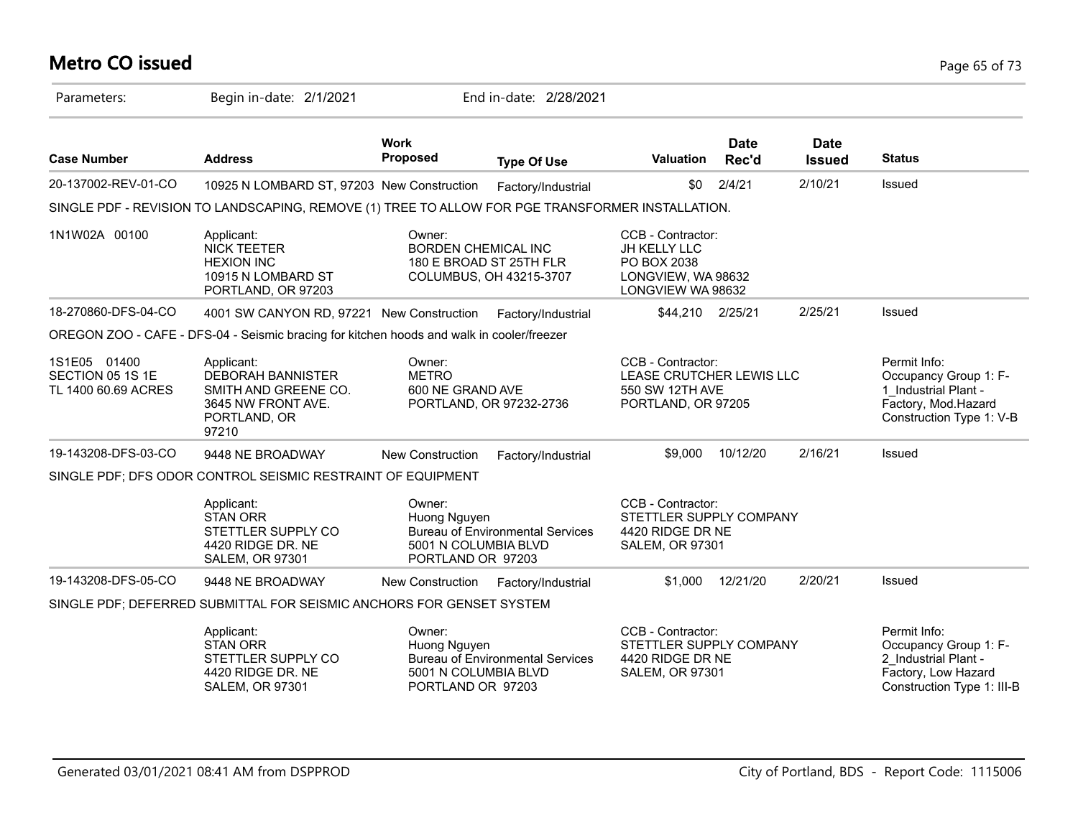# **Metro CO issued** Page 65 of 73

| Parameters:                                             | Begin in-date: 2/1/2021                                                                                       |                                                                     | End in-date: 2/28/2021                             |                                                                                                    |                      |                              |                                                                                                                    |
|---------------------------------------------------------|---------------------------------------------------------------------------------------------------------------|---------------------------------------------------------------------|----------------------------------------------------|----------------------------------------------------------------------------------------------------|----------------------|------------------------------|--------------------------------------------------------------------------------------------------------------------|
| <b>Case Number</b>                                      | <b>Address</b>                                                                                                | <b>Work</b><br><b>Proposed</b>                                      | <b>Type Of Use</b>                                 | <b>Valuation</b>                                                                                   | <b>Date</b><br>Rec'd | <b>Date</b><br><b>Issued</b> | <b>Status</b>                                                                                                      |
| 20-137002-REV-01-CO                                     | 10925 N LOMBARD ST, 97203 New Construction                                                                    |                                                                     | Factory/Industrial                                 | \$0                                                                                                | 2/4/21               | 2/10/21                      | Issued                                                                                                             |
|                                                         | SINGLE PDF - REVISION TO LANDSCAPING, REMOVE (1) TREE TO ALLOW FOR PGE TRANSFORMER INSTALLATION.              |                                                                     |                                                    |                                                                                                    |                      |                              |                                                                                                                    |
| 1N1W02A 00100                                           | Applicant:<br><b>NICK TEETER</b><br><b>HEXION INC</b><br>10915 N LOMBARD ST<br>PORTLAND, OR 97203             | Owner:<br><b>BORDEN CHEMICAL INC</b>                                | 180 E BROAD ST 25TH FLR<br>COLUMBUS, OH 43215-3707 | CCB - Contractor:<br><b>JH KELLY LLC</b><br>PO BOX 2038<br>LONGVIEW, WA 98632<br>LONGVIEW WA 98632 |                      |                              |                                                                                                                    |
| 18-270860-DFS-04-CO                                     | 4001 SW CANYON RD, 97221 New Construction                                                                     |                                                                     | Factory/Industrial                                 | \$44,210 2/25/21                                                                                   |                      | 2/25/21                      | Issued                                                                                                             |
|                                                         | OREGON ZOO - CAFE - DFS-04 - Seismic bracing for kitchen hoods and walk in cooler/freezer                     |                                                                     |                                                    |                                                                                                    |                      |                              |                                                                                                                    |
| 1S1E05 01400<br>SECTION 05 1S 1E<br>TL 1400 60.69 ACRES | Applicant:<br><b>DEBORAH BANNISTER</b><br>SMITH AND GREENE CO.<br>3645 NW FRONT AVE.<br>PORTLAND, OR<br>97210 | Owner:<br><b>METRO</b><br>600 NE GRAND AVE                          | PORTLAND, OR 97232-2736                            | CCB - Contractor:<br>LEASE CRUTCHER LEWIS LLC<br>550 SW 12TH AVE<br>PORTLAND, OR 97205             |                      |                              | Permit Info:<br>Occupancy Group 1: F-<br>1 Industrial Plant -<br>Factory, Mod.Hazard<br>Construction Type 1: V-B   |
| 19-143208-DFS-03-CO                                     | 9448 NE BROADWAY                                                                                              | <b>New Construction</b>                                             | Factory/Industrial                                 | \$9,000                                                                                            | 10/12/20             | 2/16/21                      | Issued                                                                                                             |
|                                                         | SINGLE PDF; DFS ODOR CONTROL SEISMIC RESTRAINT OF EQUIPMENT                                                   |                                                                     |                                                    |                                                                                                    |                      |                              |                                                                                                                    |
|                                                         | Applicant:<br><b>STAN ORR</b><br>STETTLER SUPPLY CO<br>4420 RIDGE DR. NE<br><b>SALEM, OR 97301</b>            | Owner:<br>Huong Nguyen<br>5001 N COLUMBIA BLVD<br>PORTLAND OR 97203 | <b>Bureau of Environmental Services</b>            | CCB - Contractor:<br>STETTLER SUPPLY COMPANY<br>4420 RIDGE DR NE<br><b>SALEM, OR 97301</b>         |                      |                              |                                                                                                                    |
| 19-143208-DFS-05-CO                                     | 9448 NE BROADWAY                                                                                              | <b>New Construction</b>                                             | Factory/Industrial                                 |                                                                                                    | \$1,000 12/21/20     | 2/20/21                      | Issued                                                                                                             |
|                                                         | SINGLE PDF; DEFERRED SUBMITTAL FOR SEISMIC ANCHORS FOR GENSET SYSTEM                                          |                                                                     |                                                    |                                                                                                    |                      |                              |                                                                                                                    |
|                                                         | Applicant:<br><b>STAN ORR</b><br>STETTLER SUPPLY CO<br>4420 RIDGE DR. NE<br><b>SALEM, OR 97301</b>            | Owner:<br>Huong Nguyen<br>5001 N COLUMBIA BLVD<br>PORTLAND OR 97203 | <b>Bureau of Environmental Services</b>            | CCB - Contractor:<br>STETTLER SUPPLY COMPANY<br>4420 RIDGE DR NE<br><b>SALEM, OR 97301</b>         |                      |                              | Permit Info:<br>Occupancy Group 1: F-<br>2 Industrial Plant -<br>Factory, Low Hazard<br>Construction Type 1: III-B |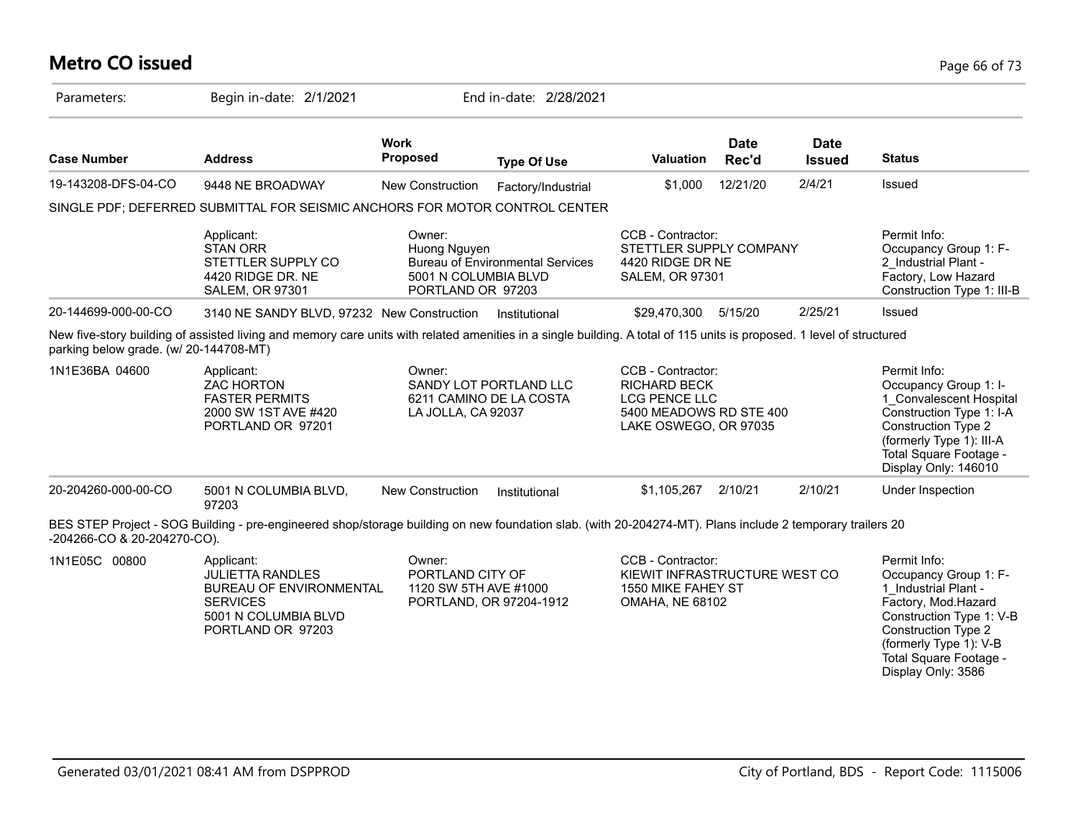### **Metro CO issued** Page 66 of 73

| Parameters:                            | Begin in-date: 2/1/2021                                                                                                                                               |                                                                     | End in-date: 2/28/2021                            |                                                                                                                      |                      |                              |                                                                                                                                                                                                                          |
|----------------------------------------|-----------------------------------------------------------------------------------------------------------------------------------------------------------------------|---------------------------------------------------------------------|---------------------------------------------------|----------------------------------------------------------------------------------------------------------------------|----------------------|------------------------------|--------------------------------------------------------------------------------------------------------------------------------------------------------------------------------------------------------------------------|
| <b>Case Number</b>                     | <b>Address</b>                                                                                                                                                        | <b>Work</b><br><b>Proposed</b>                                      | <b>Type Of Use</b>                                | <b>Valuation</b>                                                                                                     | <b>Date</b><br>Rec'd | <b>Date</b><br><b>Issued</b> | <b>Status</b>                                                                                                                                                                                                            |
| 19-143208-DFS-04-CO                    | 9448 NE BROADWAY                                                                                                                                                      | New Construction                                                    | Factory/Industrial                                | \$1,000                                                                                                              | 12/21/20             | 2/4/21                       | Issued                                                                                                                                                                                                                   |
|                                        | SINGLE PDF; DEFERRED SUBMITTAL FOR SEISMIC ANCHORS FOR MOTOR CONTROL CENTER                                                                                           |                                                                     |                                                   |                                                                                                                      |                      |                              |                                                                                                                                                                                                                          |
|                                        | Applicant:<br><b>STAN ORR</b><br>STETTLER SUPPLY CO<br>4420 RIDGE DR. NE<br><b>SALEM, OR 97301</b>                                                                    | Owner:<br>Huong Nguyen<br>5001 N COLUMBIA BLVD<br>PORTLAND OR 97203 | <b>Bureau of Environmental Services</b>           | CCB - Contractor:<br>STETTLER SUPPLY COMPANY<br>4420 RIDGE DR NE<br><b>SALEM, OR 97301</b>                           |                      |                              | Permit Info:<br>Occupancy Group 1: F-<br>2 Industrial Plant -<br>Factory, Low Hazard<br>Construction Type 1: III-B                                                                                                       |
| 20-144699-000-00-CO                    | 3140 NE SANDY BLVD, 97232 New Construction                                                                                                                            |                                                                     | Institutional                                     | \$29,470,300                                                                                                         | 5/15/20              | 2/25/21                      | Issued                                                                                                                                                                                                                   |
| parking below grade. (w/ 20-144708-MT) | New five-story building of assisted living and memory care units with related amenities in a single building. A total of 115 units is proposed. 1 level of structured |                                                                     |                                                   |                                                                                                                      |                      |                              |                                                                                                                                                                                                                          |
| 1N1E36BA 04600                         | Applicant:<br><b>ZAC HORTON</b><br><b>FASTER PERMITS</b><br>2000 SW 1ST AVE #420<br>PORTLAND OR 97201                                                                 | Owner:<br>LA JOLLA, CA 92037                                        | SANDY LOT PORTLAND LLC<br>6211 CAMINO DE LA COSTA | CCB - Contractor:<br><b>RICHARD BECK</b><br><b>LCG PENCE LLC</b><br>5400 MEADOWS RD STE 400<br>LAKE OSWEGO, OR 97035 |                      |                              | Permit Info:<br>Occupancy Group 1: I-<br>1 Convalescent Hospital<br>Construction Type 1: I-A<br><b>Construction Type 2</b><br>(formerly Type 1): III-A<br>Total Square Footage -<br>Display Only: 146010                 |
| 20-204260-000-00-CO                    | 5001 N COLUMBIA BLVD,<br>97203                                                                                                                                        | <b>New Construction</b>                                             | Institutional                                     | \$1,105,267                                                                                                          | 2/10/21              | 2/10/21                      | Under Inspection                                                                                                                                                                                                         |
| -204266-CO & 20-204270-CO).            | BES STEP Project - SOG Building - pre-engineered shop/storage building on new foundation slab. (with 20-204274-MT). Plans include 2 temporary trailers 20             |                                                                     |                                                   |                                                                                                                      |                      |                              |                                                                                                                                                                                                                          |
| 1N1E05C 00800                          | Applicant:<br><b>JULIETTA RANDLES</b><br><b>BUREAU OF ENVIRONMENTAL</b><br><b>SERVICES</b><br>5001 N COLUMBIA BLVD<br>PORTLAND OR 97203                               | Owner:<br>PORTLAND CITY OF<br>1120 SW 5TH AVE #1000                 | PORTLAND, OR 97204-1912                           | CCB - Contractor:<br>KIEWIT INFRASTRUCTURE WEST CO<br>1550 MIKE FAHEY ST<br><b>OMAHA, NE 68102</b>                   |                      |                              | Permit Info:<br>Occupancy Group 1: F-<br>1 Industrial Plant -<br>Factory, Mod.Hazard<br>Construction Type 1: V-B<br><b>Construction Type 2</b><br>(formerly Type 1): V-B<br>Total Square Footage -<br>Display Only: 3586 |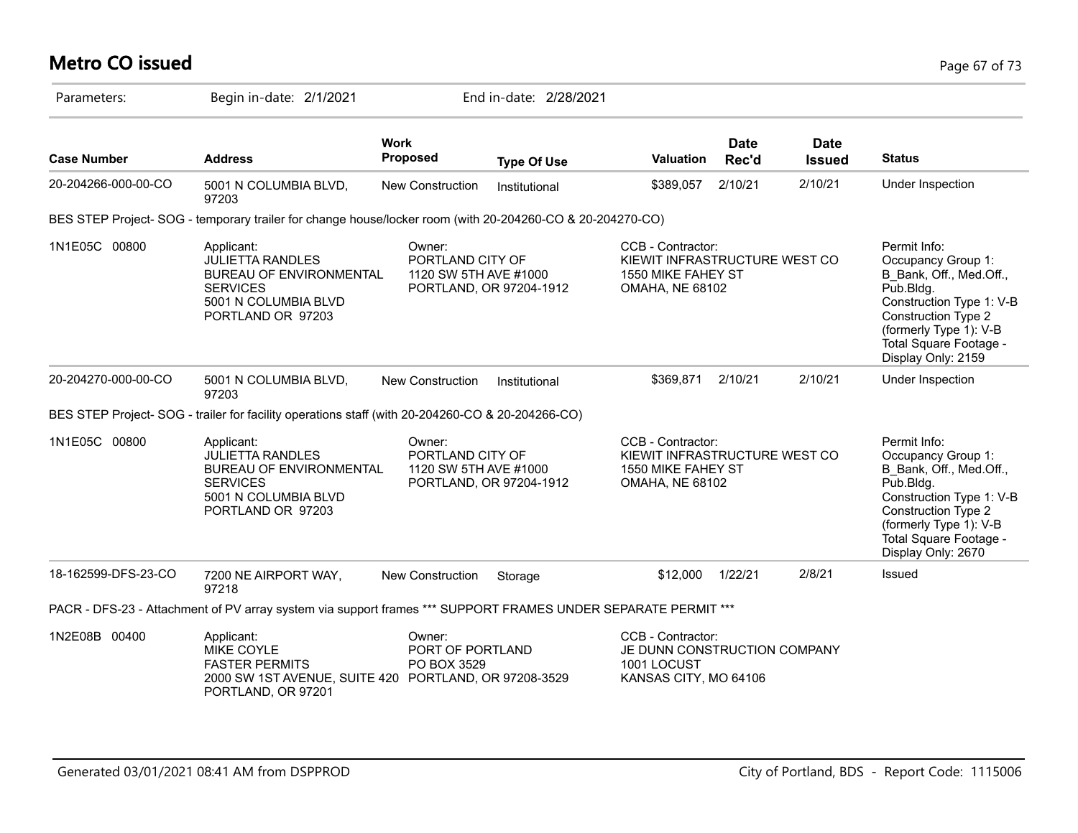# **Metro CO issued** Page 67 of 73

| Parameters:         | Begin in-date: 2/1/2021                                                                                                                 |                                                                                | End in-date: 2/28/2021  |                                                                                                    |               |                              |                                                                                                                                                                                                                |
|---------------------|-----------------------------------------------------------------------------------------------------------------------------------------|--------------------------------------------------------------------------------|-------------------------|----------------------------------------------------------------------------------------------------|---------------|------------------------------|----------------------------------------------------------------------------------------------------------------------------------------------------------------------------------------------------------------|
| <b>Case Number</b>  | <b>Address</b>                                                                                                                          | <b>Work</b><br><b>Proposed</b>                                                 | <b>Type Of Use</b>      | <b>Valuation</b>                                                                                   | Date<br>Rec'd | <b>Date</b><br><b>Issued</b> | <b>Status</b>                                                                                                                                                                                                  |
| 20-204266-000-00-CO | 5001 N COLUMBIA BLVD,<br>97203                                                                                                          | <b>New Construction</b>                                                        | Institutional           | \$389,057                                                                                          | 2/10/21       | 2/10/21                      | Under Inspection                                                                                                                                                                                               |
|                     | BES STEP Project-SOG - temporary trailer for change house/locker room (with 20-204260-CO & 20-204270-CO)                                |                                                                                |                         |                                                                                                    |               |                              |                                                                                                                                                                                                                |
| 1N1E05C 00800       | Applicant:<br><b>JULIETTA RANDLES</b><br><b>BUREAU OF ENVIRONMENTAL</b><br><b>SERVICES</b><br>5001 N COLUMBIA BLVD<br>PORTLAND OR 97203 | Owner:<br>PORTLAND CITY OF<br>1120 SW 5TH AVE #1000                            | PORTLAND, OR 97204-1912 | CCB - Contractor:<br>KIEWIT INFRASTRUCTURE WEST CO<br>1550 MIKE FAHEY ST<br><b>OMAHA, NE 68102</b> |               |                              | Permit Info:<br>Occupancy Group 1:<br>B Bank, Off., Med.Off.,<br>Pub.Bldg.<br>Construction Type 1: V-B<br><b>Construction Type 2</b><br>(formerly Type 1): V-B<br>Total Square Footage -<br>Display Only: 2159 |
| 20-204270-000-00-CO | 5001 N COLUMBIA BLVD,<br>97203                                                                                                          | <b>New Construction</b>                                                        | Institutional           | \$369,871                                                                                          | 2/10/21       | 2/10/21                      | Under Inspection                                                                                                                                                                                               |
|                     | BES STEP Project-SOG - trailer for facility operations staff (with 20-204260-CO & 20-204266-CO)                                         |                                                                                |                         |                                                                                                    |               |                              |                                                                                                                                                                                                                |
| 1N1E05C 00800       | Applicant:<br><b>JULIETTA RANDLES</b><br><b>BUREAU OF ENVIRONMENTAL</b><br><b>SERVICES</b><br>5001 N COLUMBIA BLVD<br>PORTLAND OR 97203 | Owner:<br>PORTLAND CITY OF<br>1120 SW 5TH AVE #1000<br>PORTLAND, OR 97204-1912 |                         | CCB - Contractor:<br>KIEWIT INFRASTRUCTURE WEST CO<br>1550 MIKE FAHEY ST<br><b>OMAHA, NE 68102</b> |               |                              | Permit Info:<br>Occupancy Group 1:<br>B Bank, Off., Med.Off.,<br>Pub.Bldg.<br>Construction Type 1: V-B<br>Construction Type 2<br>(formerly Type 1): V-B<br>Total Square Footage -<br>Display Only: 2670        |
| 18-162599-DFS-23-CO | 7200 NE AIRPORT WAY,<br>97218                                                                                                           | <b>New Construction</b>                                                        | Storage                 | \$12,000                                                                                           | 1/22/21       | 2/8/21                       | Issued                                                                                                                                                                                                         |
|                     | PACR - DFS-23 - Attachment of PV array system via support frames *** SUPPORT FRAMES UNDER SEPARATE PERMIT ***                           |                                                                                |                         |                                                                                                    |               |                              |                                                                                                                                                                                                                |
| 1N2E08B 00400       | Applicant:<br>MIKE COYLE<br><b>FASTER PERMITS</b><br>2000 SW 1ST AVENUE, SUITE 420 PORTLAND, OR 97208-3529<br>PORTLAND, OR 97201        | Owner:<br>PORT OF PORTLAND<br>PO BOX 3529                                      |                         | CCB - Contractor:<br>JE DUNN CONSTRUCTION COMPANY<br>1001 LOCUST<br>KANSAS CITY, MO 64106          |               |                              |                                                                                                                                                                                                                |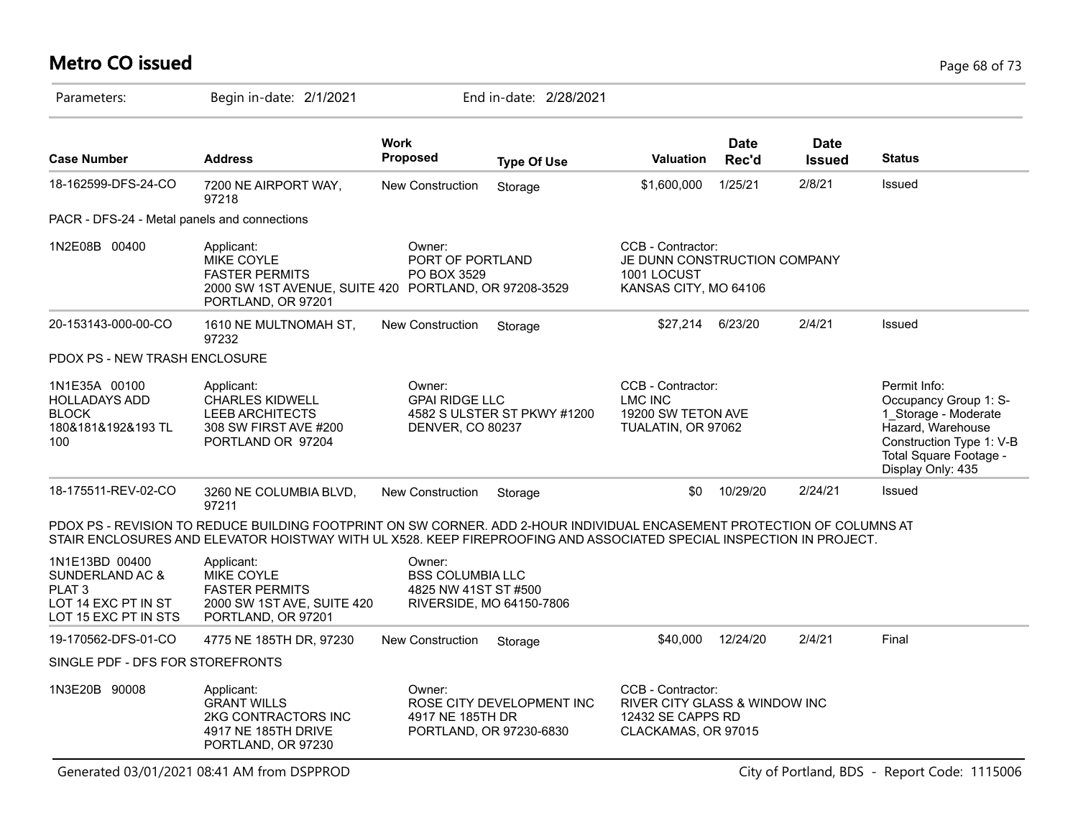# **Metro CO issued** Page 68 of 73

| Parameters:                                                                                           | Begin in-date: 2/1/2021                                                                                                                                                                                                                         |                                                                                       | End in-date: 2/28/2021      |                                                                                                |                      |                              |                                                                                                                                                               |
|-------------------------------------------------------------------------------------------------------|-------------------------------------------------------------------------------------------------------------------------------------------------------------------------------------------------------------------------------------------------|---------------------------------------------------------------------------------------|-----------------------------|------------------------------------------------------------------------------------------------|----------------------|------------------------------|---------------------------------------------------------------------------------------------------------------------------------------------------------------|
| <b>Case Number</b>                                                                                    | <b>Address</b>                                                                                                                                                                                                                                  | <b>Work</b><br>Proposed                                                               | <b>Type Of Use</b>          | <b>Valuation</b>                                                                               | <b>Date</b><br>Rec'd | <b>Date</b><br><b>Issued</b> | <b>Status</b>                                                                                                                                                 |
| 18-162599-DFS-24-CO                                                                                   | 7200 NE AIRPORT WAY,<br>97218                                                                                                                                                                                                                   | <b>New Construction</b>                                                               | Storage                     | \$1,600,000                                                                                    | 1/25/21              | 2/8/21                       | Issued                                                                                                                                                        |
| PACR - DFS-24 - Metal panels and connections                                                          |                                                                                                                                                                                                                                                 |                                                                                       |                             |                                                                                                |                      |                              |                                                                                                                                                               |
| 1N2E08B 00400                                                                                         | Applicant:<br>MIKE COYLE<br><b>FASTER PERMITS</b><br>2000 SW 1ST AVENUE, SUITE 420 PORTLAND, OR 97208-3529<br>PORTLAND, OR 97201                                                                                                                | Owner:<br>PORT OF PORTLAND<br>PO BOX 3529                                             |                             | CCB - Contractor:<br>JE DUNN CONSTRUCTION COMPANY<br>1001 LOCUST<br>KANSAS CITY, MO 64106      |                      |                              |                                                                                                                                                               |
| 20-153143-000-00-CO                                                                                   | 1610 NE MULTNOMAH ST,<br>97232                                                                                                                                                                                                                  | New Construction                                                                      | Storage                     | \$27,214                                                                                       | 6/23/20              | 2/4/21                       | Issued                                                                                                                                                        |
| PDOX PS - NEW TRASH ENCLOSURE                                                                         |                                                                                                                                                                                                                                                 |                                                                                       |                             |                                                                                                |                      |                              |                                                                                                                                                               |
| 1N1E35A 00100<br><b>HOLLADAYS ADD</b><br><b>BLOCK</b><br>180&181&192&193 TL<br>100                    | Applicant:<br><b>CHARLES KIDWELL</b><br><b>LEEB ARCHITECTS</b><br>308 SW FIRST AVE #200<br>PORTLAND OR 97204                                                                                                                                    | Owner:<br><b>GPAI RIDGE LLC</b><br>DENVER, CO 80237                                   | 4582 S ULSTER ST PKWY #1200 | CCB - Contractor:<br><b>LMC INC</b><br>19200 SW TETON AVE<br>TUALATIN, OR 97062                |                      |                              | Permit Info:<br>Occupancy Group 1: S-<br>1 Storage - Moderate<br>Hazard, Warehouse<br>Construction Type 1: V-B<br>Total Square Footage -<br>Display Only: 435 |
| 18-175511-REV-02-CO                                                                                   | 3260 NE COLUMBIA BLVD,<br>97211                                                                                                                                                                                                                 | New Construction                                                                      | Storage                     | \$0                                                                                            | 10/29/20             | 2/24/21                      | Issued                                                                                                                                                        |
|                                                                                                       | PDOX PS - REVISION TO REDUCE BUILDING FOOTPRINT ON SW CORNER. ADD 2-HOUR INDIVIDUAL ENCASEMENT PROTECTION OF COLUMNS AT<br>STAIR ENCLOSURES AND ELEVATOR HOISTWAY WITH UL X528. KEEP FIREPROOFING AND ASSOCIATED SPECIAL INSPECTION IN PROJECT. |                                                                                       |                             |                                                                                                |                      |                              |                                                                                                                                                               |
| 1N1E13BD 00400<br>SUNDERLAND AC &<br>PLAT <sub>3</sub><br>LOT 14 EXC PT IN ST<br>LOT 15 EXC PT IN STS | Applicant:<br><b>MIKE COYLE</b><br><b>FASTER PERMITS</b><br>2000 SW 1ST AVE, SUITE 420<br>PORTLAND, OR 97201                                                                                                                                    | Owner:<br><b>BSS COLUMBIA LLC</b><br>4825 NW 41ST ST #500<br>RIVERSIDE, MO 64150-7806 |                             |                                                                                                |                      |                              |                                                                                                                                                               |
| 19-170562-DFS-01-CO                                                                                   | 4775 NE 185TH DR, 97230                                                                                                                                                                                                                         | <b>New Construction</b>                                                               | Storage                     | \$40,000                                                                                       | 12/24/20             | 2/4/21                       | Final                                                                                                                                                         |
| SINGLE PDF - DFS FOR STOREFRONTS                                                                      |                                                                                                                                                                                                                                                 |                                                                                       |                             |                                                                                                |                      |                              |                                                                                                                                                               |
| 1N3E20B 90008                                                                                         | Applicant:<br><b>GRANT WILLS</b><br><b>2KG CONTRACTORS INC</b><br>4917 NE 185TH DRIVE<br>PORTLAND, OR 97230                                                                                                                                     | Owner:<br>4917 NE 185TH DR<br>PORTLAND, OR 97230-6830                                 | ROSE CITY DEVELOPMENT INC   | CCB - Contractor:<br>RIVER CITY GLASS & WINDOW INC<br>12432 SE CAPPS RD<br>CLACKAMAS, OR 97015 |                      |                              |                                                                                                                                                               |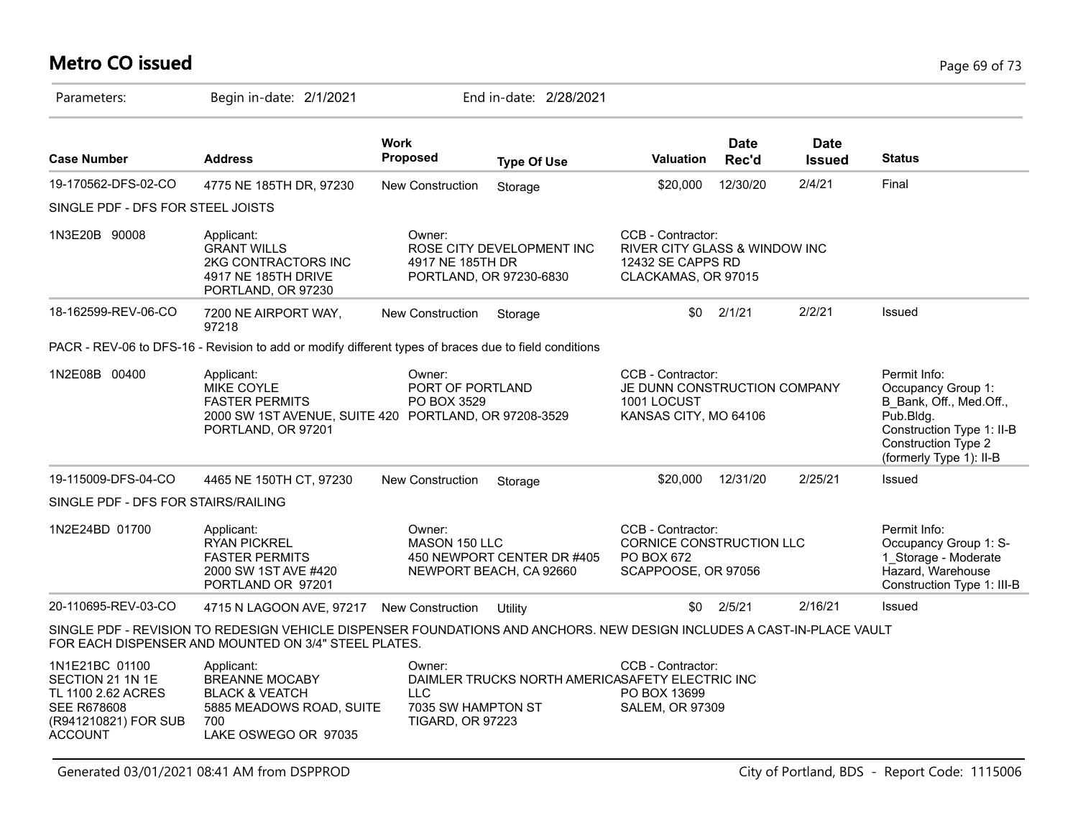# **Metro CO issued** Page 69 of 73

| Parameters:                                                                                                              | Begin in-date: 2/1/2021                                                                                                                                                        |                                                                       | End in-date: 2/28/2021                                |                                                                                                |                      |                              |                                                                                                                                                                  |
|--------------------------------------------------------------------------------------------------------------------------|--------------------------------------------------------------------------------------------------------------------------------------------------------------------------------|-----------------------------------------------------------------------|-------------------------------------------------------|------------------------------------------------------------------------------------------------|----------------------|------------------------------|------------------------------------------------------------------------------------------------------------------------------------------------------------------|
| <b>Case Number</b>                                                                                                       | <b>Address</b>                                                                                                                                                                 | <b>Work</b><br>Proposed                                               | <b>Type Of Use</b>                                    | <b>Valuation</b>                                                                               | <b>Date</b><br>Rec'd | <b>Date</b><br><b>Issued</b> | <b>Status</b>                                                                                                                                                    |
| 19-170562-DFS-02-CO                                                                                                      | 4775 NE 185TH DR, 97230                                                                                                                                                        | <b>New Construction</b>                                               | Storage                                               | \$20,000                                                                                       | 12/30/20             | 2/4/21                       | Final                                                                                                                                                            |
| SINGLE PDF - DFS FOR STEEL JOISTS                                                                                        |                                                                                                                                                                                |                                                                       |                                                       |                                                                                                |                      |                              |                                                                                                                                                                  |
| 1N3E20B 90008                                                                                                            | Applicant:<br><b>GRANT WILLS</b><br>2KG CONTRACTORS INC<br>4917 NE 185TH DRIVE<br>PORTLAND, OR 97230                                                                           | Owner:<br>4917 NE 185TH DR                                            | ROSE CITY DEVELOPMENT INC<br>PORTLAND, OR 97230-6830  | CCB - Contractor:<br>RIVER CITY GLASS & WINDOW INC<br>12432 SE CAPPS RD<br>CLACKAMAS, OR 97015 |                      |                              |                                                                                                                                                                  |
| 18-162599-REV-06-CO                                                                                                      | 7200 NE AIRPORT WAY,<br>97218                                                                                                                                                  | New Construction                                                      | Storage                                               | \$0                                                                                            | 2/1/21               | 2/2/21                       | Issued                                                                                                                                                           |
|                                                                                                                          | PACR - REV-06 to DFS-16 - Revision to add or modify different types of braces due to field conditions                                                                          |                                                                       |                                                       |                                                                                                |                      |                              |                                                                                                                                                                  |
| 1N2E08B 00400                                                                                                            | Applicant:<br><b>MIKE COYLE</b><br><b>FASTER PERMITS</b><br>2000 SW 1ST AVENUE, SUITE 420 PORTLAND, OR 97208-3529<br>PORTLAND, OR 97201                                        | Owner:<br>PORT OF PORTLAND<br>PO BOX 3529                             |                                                       | CCB - Contractor:<br>JE DUNN CONSTRUCTION COMPANY<br>1001 LOCUST<br>KANSAS CITY, MO 64106      |                      |                              | Permit Info:<br>Occupancy Group 1:<br>B_Bank, Off., Med.Off.,<br>Pub.Bldg.<br>Construction Type 1: II-B<br><b>Construction Type 2</b><br>(formerly Type 1): II-B |
| 19-115009-DFS-04-CO                                                                                                      | 4465 NE 150TH CT, 97230                                                                                                                                                        | New Construction                                                      | Storage                                               | \$20,000                                                                                       | 12/31/20             | 2/25/21                      | Issued                                                                                                                                                           |
| SINGLE PDF - DFS FOR STAIRS/RAILING                                                                                      |                                                                                                                                                                                |                                                                       |                                                       |                                                                                                |                      |                              |                                                                                                                                                                  |
| 1N2E24BD 01700                                                                                                           | Applicant:<br><b>RYAN PICKREL</b><br><b>FASTER PERMITS</b><br>2000 SW 1ST AVE #420<br>PORTLAND OR 97201                                                                        | Owner:<br>MASON 150 LLC                                               | 450 NEWPORT CENTER DR #405<br>NEWPORT BEACH, CA 92660 | CCB - Contractor:<br>CORNICE CONSTRUCTION LLC<br>PO BOX 672<br>SCAPPOOSE, OR 97056             |                      |                              | Permit Info:<br>Occupancy Group 1: S-<br>1 Storage - Moderate<br>Hazard, Warehouse<br>Construction Type 1: III-B                                                 |
| 20-110695-REV-03-CO                                                                                                      | 4715 N LAGOON AVE, 97217 New Construction                                                                                                                                      |                                                                       | Utility                                               |                                                                                                | $$0$ $2/5/21$        | 2/16/21                      | Issued                                                                                                                                                           |
|                                                                                                                          | SINGLE PDF - REVISION TO REDESIGN VEHICLE DISPENSER FOUNDATIONS AND ANCHORS. NEW DESIGN INCLUDES A CAST-IN-PLACE VAULT<br>FOR EACH DISPENSER AND MOUNTED ON 3/4" STEEL PLATES. |                                                                       |                                                       |                                                                                                |                      |                              |                                                                                                                                                                  |
| 1N1E21BC 01100<br>SECTION 21 1N 1E<br>TL 1100 2.62 ACRES<br><b>SEE R678608</b><br>(R941210821) FOR SUB<br><b>ACCOUNT</b> | Applicant:<br><b>BREANNE MOCABY</b><br><b>BLACK &amp; VEATCH</b><br>5885 MEADOWS ROAD, SUITE<br>700<br>LAKE OSWEGO OR 97035                                                    | Owner:<br><b>LLC</b><br>7035 SW HAMPTON ST<br><b>TIGARD, OR 97223</b> | DAIMLER TRUCKS NORTH AMERICASAFETY ELECTRIC INC       | CCB - Contractor:<br>PO BOX 13699<br><b>SALEM, OR 97309</b>                                    |                      |                              |                                                                                                                                                                  |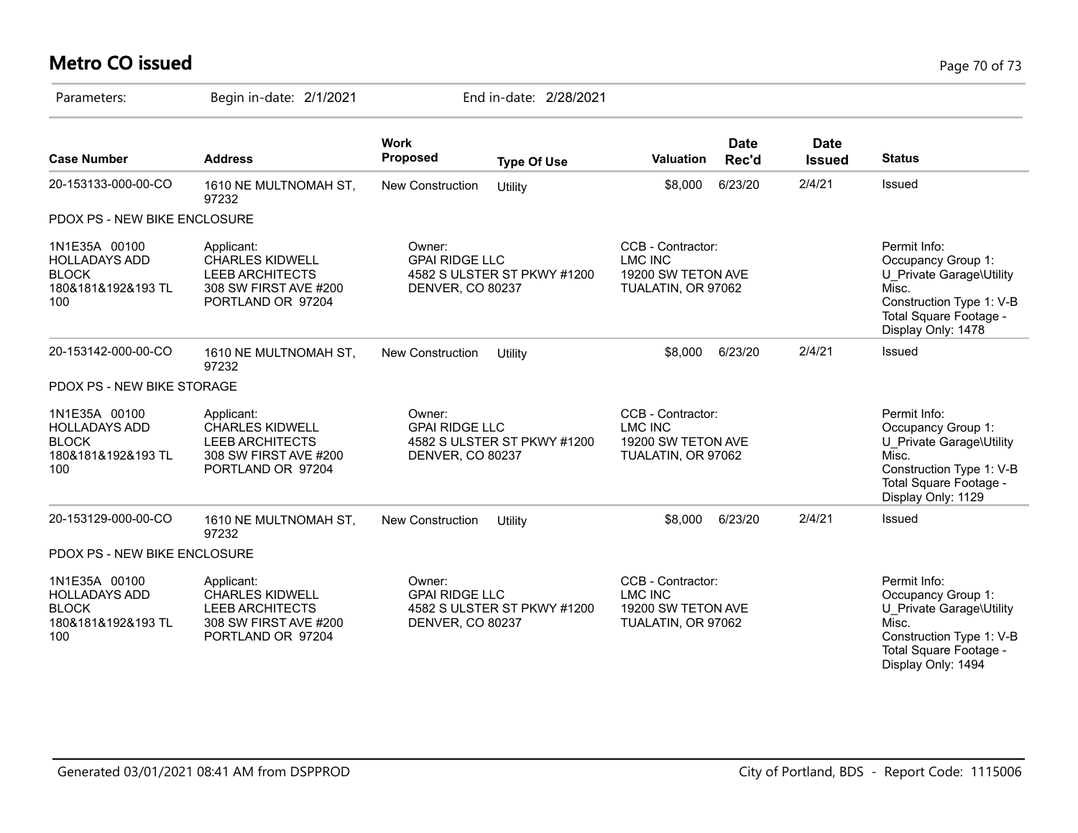# **Metro CO issued** Page 70 of 73

| Parameters:                                                                        | Begin in-date: 2/1/2021                                                                                      |                                                                                    | End in-date: 2/28/2021      |                                                                                 |                      |                              |                                                                                                                                                     |
|------------------------------------------------------------------------------------|--------------------------------------------------------------------------------------------------------------|------------------------------------------------------------------------------------|-----------------------------|---------------------------------------------------------------------------------|----------------------|------------------------------|-----------------------------------------------------------------------------------------------------------------------------------------------------|
| <b>Case Number</b>                                                                 | <b>Address</b>                                                                                               | <b>Work</b><br><b>Proposed</b>                                                     | <b>Type Of Use</b>          | <b>Valuation</b>                                                                | <b>Date</b><br>Rec'd | <b>Date</b><br><b>Issued</b> | <b>Status</b>                                                                                                                                       |
| 20-153133-000-00-CO                                                                | 1610 NE MULTNOMAH ST,<br>97232                                                                               | <b>New Construction</b>                                                            | Utility                     | \$8,000                                                                         | 6/23/20              | 2/4/21                       | Issued                                                                                                                                              |
| PDOX PS - NEW BIKE ENCLOSURE                                                       |                                                                                                              |                                                                                    |                             |                                                                                 |                      |                              |                                                                                                                                                     |
| 1N1E35A 00100<br><b>HOLLADAYS ADD</b><br><b>BLOCK</b><br>180&181&192&193 TL<br>100 | Applicant:<br><b>CHARLES KIDWELL</b><br><b>LEEB ARCHITECTS</b><br>308 SW FIRST AVE #200<br>PORTLAND OR 97204 | Owner:<br><b>GPAI RIDGE LLC</b><br><b>DENVER, CO 80237</b>                         | 4582 S ULSTER ST PKWY #1200 | CCB - Contractor:<br><b>LMC INC</b><br>19200 SW TETON AVE<br>TUALATIN, OR 97062 |                      |                              | Permit Info:<br>Occupancy Group 1:<br>U Private Garage\Utility<br>Misc.<br>Construction Type 1: V-B<br>Total Square Footage -<br>Display Only: 1478 |
| 20-153142-000-00-CO                                                                | 1610 NE MULTNOMAH ST,<br>97232                                                                               | <b>New Construction</b>                                                            | Utility                     | \$8,000                                                                         | 6/23/20              | 2/4/21                       | Issued                                                                                                                                              |
| PDOX PS - NEW BIKE STORAGE                                                         |                                                                                                              |                                                                                    |                             |                                                                                 |                      |                              |                                                                                                                                                     |
| 1N1E35A 00100<br><b>HOLLADAYS ADD</b><br><b>BLOCK</b><br>180&181&192&193 TL<br>100 | Applicant:<br><b>CHARLES KIDWELL</b><br>LEEB ARCHITECTS<br>308 SW FIRST AVE #200<br>PORTLAND OR 97204        | Owner:<br><b>GPAI RIDGE LLC</b><br>4582 S ULSTER ST PKWY #1200<br>DENVER, CO 80237 |                             | CCB - Contractor:<br><b>LMC INC</b><br>19200 SW TETON AVE<br>TUALATIN, OR 97062 |                      |                              | Permit Info:<br>Occupancy Group 1:<br>U Private Garage\Utility<br>Misc.<br>Construction Type 1: V-B<br>Total Square Footage -<br>Display Only: 1129 |
| 20-153129-000-00-CO                                                                | 1610 NE MULTNOMAH ST,<br>97232                                                                               | <b>New Construction</b>                                                            | Utility                     | \$8,000                                                                         | 6/23/20              | 2/4/21                       | <b>Issued</b>                                                                                                                                       |
| PDOX PS - NEW BIKE ENCLOSURE                                                       |                                                                                                              |                                                                                    |                             |                                                                                 |                      |                              |                                                                                                                                                     |
| 1N1E35A 00100<br><b>HOLLADAYS ADD</b><br><b>BLOCK</b><br>180&181&192&193 TL<br>100 | Applicant:<br><b>CHARLES KIDWELL</b><br><b>LEEB ARCHITECTS</b><br>308 SW FIRST AVE #200<br>PORTLAND OR 97204 | Owner:<br><b>GPAI RIDGE LLC</b><br>DENVER, CO 80237                                | 4582 S ULSTER ST PKWY #1200 | CCB - Contractor:<br><b>LMC INC</b><br>19200 SW TETON AVE<br>TUALATIN, OR 97062 |                      |                              | Permit Info:<br>Occupancy Group 1:<br>U Private Garage\Utility<br>Misc.<br>Construction Type 1: V-B<br>Total Square Footage -<br>Display Only: 1494 |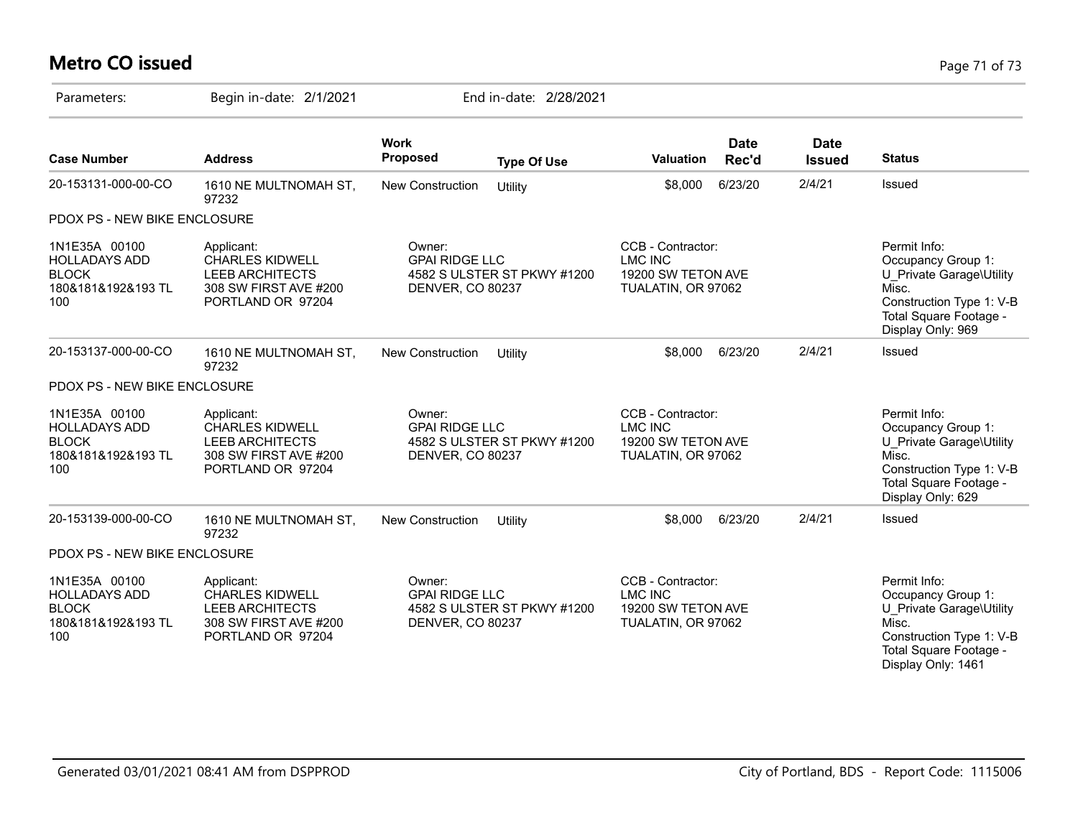# **Metro CO issued** Page 71 of 73

| Parameters:                                                                        | Begin in-date: 2/1/2021                                                                                      |                                                                                           | End in-date: 2/28/2021      |                                                                                 |                      |                              |                                                                                                                                                     |
|------------------------------------------------------------------------------------|--------------------------------------------------------------------------------------------------------------|-------------------------------------------------------------------------------------------|-----------------------------|---------------------------------------------------------------------------------|----------------------|------------------------------|-----------------------------------------------------------------------------------------------------------------------------------------------------|
| <b>Case Number</b>                                                                 | <b>Address</b>                                                                                               | <b>Work</b><br><b>Proposed</b>                                                            | <b>Type Of Use</b>          | <b>Valuation</b>                                                                | <b>Date</b><br>Rec'd | <b>Date</b><br><b>Issued</b> | <b>Status</b>                                                                                                                                       |
| 20-153131-000-00-CO                                                                | 1610 NE MULTNOMAH ST,<br>97232                                                                               | <b>New Construction</b>                                                                   | Utility                     | \$8,000                                                                         | 6/23/20              | 2/4/21                       | Issued                                                                                                                                              |
| PDOX PS - NEW BIKE ENCLOSURE                                                       |                                                                                                              |                                                                                           |                             |                                                                                 |                      |                              |                                                                                                                                                     |
| 1N1E35A 00100<br><b>HOLLADAYS ADD</b><br><b>BLOCK</b><br>180&181&192&193 TL<br>100 | Applicant:<br><b>CHARLES KIDWELL</b><br><b>LEEB ARCHITECTS</b><br>308 SW FIRST AVE #200<br>PORTLAND OR 97204 | Owner:<br><b>GPAI RIDGE LLC</b><br>DENVER, CO 80237                                       | 4582 S ULSTER ST PKWY #1200 | CCB - Contractor:<br><b>LMC INC</b><br>19200 SW TETON AVE<br>TUALATIN, OR 97062 |                      |                              | Permit Info:<br>Occupancy Group 1:<br>U Private Garage\Utility<br>Misc.<br>Construction Type 1: V-B<br>Total Square Footage -<br>Display Only: 969  |
| 20-153137-000-00-CO                                                                | 1610 NE MULTNOMAH ST,<br>97232                                                                               | <b>New Construction</b>                                                                   | Utility                     | \$8,000                                                                         | 6/23/20              | 2/4/21                       | Issued                                                                                                                                              |
| PDOX PS - NEW BIKE ENCLOSURE                                                       |                                                                                                              |                                                                                           |                             |                                                                                 |                      |                              |                                                                                                                                                     |
| 1N1E35A 00100<br><b>HOLLADAYS ADD</b><br><b>BLOCK</b><br>180&181&192&193 TL<br>100 | Applicant:<br><b>CHARLES KIDWELL</b><br><b>LEEB ARCHITECTS</b><br>308 SW FIRST AVE #200<br>PORTLAND OR 97204 | Owner:<br><b>GPAI RIDGE LLC</b><br>4582 S ULSTER ST PKWY #1200<br><b>DENVER, CO 80237</b> |                             | CCB - Contractor:<br><b>LMC INC</b><br>19200 SW TETON AVE<br>TUALATIN, OR 97062 |                      |                              | Permit Info:<br>Occupancy Group 1:<br>U Private Garage\Utility<br>Misc.<br>Construction Type 1: V-B<br>Total Square Footage -<br>Display Only: 629  |
| 20-153139-000-00-CO                                                                | 1610 NE MULTNOMAH ST,<br>97232                                                                               | New Construction                                                                          | Utility                     | \$8,000                                                                         | 6/23/20              | 2/4/21                       | Issued                                                                                                                                              |
| PDOX PS - NEW BIKE ENCLOSURE                                                       |                                                                                                              |                                                                                           |                             |                                                                                 |                      |                              |                                                                                                                                                     |
| 1N1E35A 00100<br><b>HOLLADAYS ADD</b><br><b>BLOCK</b><br>180&181&192&193 TL<br>100 | Applicant:<br><b>CHARLES KIDWELL</b><br><b>LEEB ARCHITECTS</b><br>308 SW FIRST AVE #200<br>PORTLAND OR 97204 | Owner:<br><b>GPAI RIDGE LLC</b><br>DENVER, CO 80237                                       | 4582 S ULSTER ST PKWY #1200 | CCB - Contractor:<br><b>LMC INC</b><br>19200 SW TETON AVE<br>TUALATIN, OR 97062 |                      |                              | Permit Info:<br>Occupancy Group 1:<br>U Private Garage\Utility<br>Misc.<br>Construction Type 1: V-B<br>Total Square Footage -<br>Display Only: 1461 |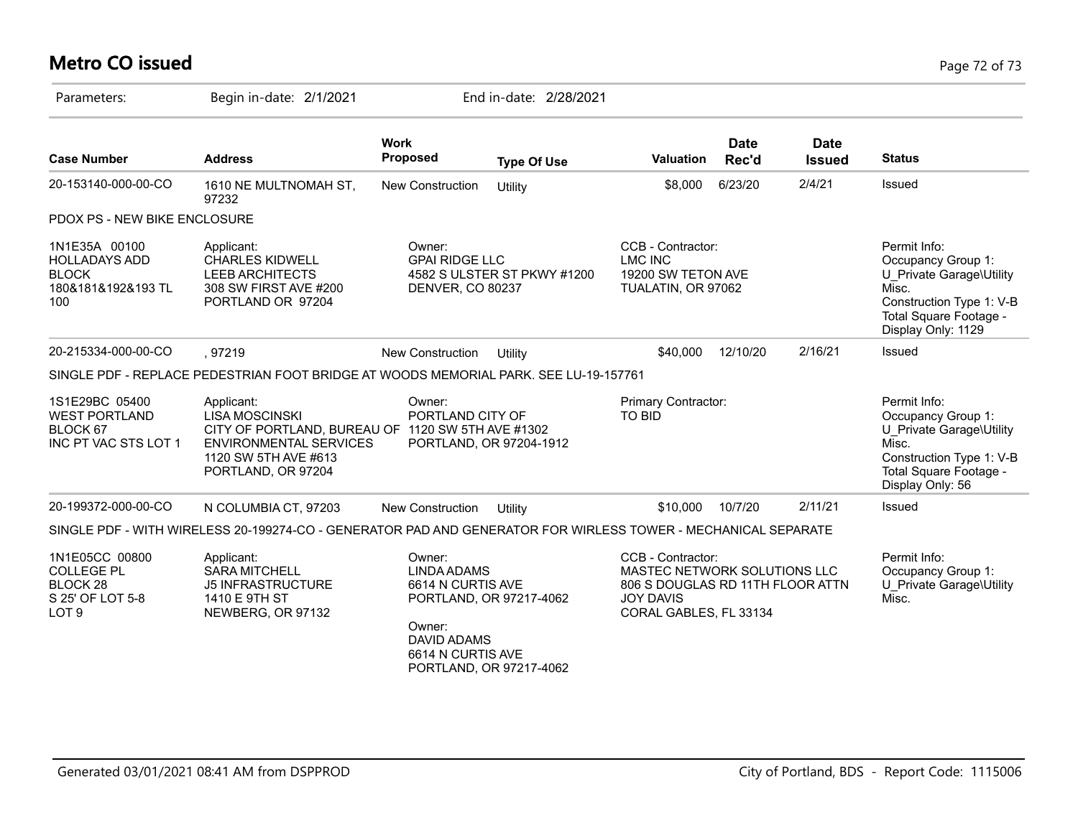# **Metro CO issued** Page 72 of 73

| Parameters:                                                                                    | Begin in-date: 2/1/2021                                                                                                                                                 |                                                                                                        | End in-date: 2/28/2021                             |                                                                                                                                     |                      |                              |                                                                                                                                                     |
|------------------------------------------------------------------------------------------------|-------------------------------------------------------------------------------------------------------------------------------------------------------------------------|--------------------------------------------------------------------------------------------------------|----------------------------------------------------|-------------------------------------------------------------------------------------------------------------------------------------|----------------------|------------------------------|-----------------------------------------------------------------------------------------------------------------------------------------------------|
| <b>Case Number</b>                                                                             | <b>Address</b>                                                                                                                                                          | <b>Work</b><br><b>Proposed</b>                                                                         | <b>Type Of Use</b>                                 | <b>Valuation</b>                                                                                                                    | <b>Date</b><br>Rec'd | <b>Date</b><br><b>Issued</b> | <b>Status</b>                                                                                                                                       |
| 20-153140-000-00-CO                                                                            | 1610 NE MULTNOMAH ST,<br>97232                                                                                                                                          | <b>New Construction</b>                                                                                | Utility                                            | \$8,000                                                                                                                             | 6/23/20              | 2/4/21                       | Issued                                                                                                                                              |
| PDOX PS - NEW BIKE ENCLOSURE                                                                   |                                                                                                                                                                         |                                                                                                        |                                                    |                                                                                                                                     |                      |                              |                                                                                                                                                     |
| 1N1E35A 00100<br><b>HOLLADAYS ADD</b><br><b>BLOCK</b><br>180&181&192&193 TL<br>100             | Applicant:<br><b>CHARLES KIDWELL</b><br>LEEB ARCHITECTS<br>308 SW FIRST AVE #200<br>PORTLAND OR 97204                                                                   | Owner:<br><b>GPAI RIDGE LLC</b><br>DENVER, CO 80237                                                    | 4582 S ULSTER ST PKWY #1200                        | CCB - Contractor:<br><b>LMC INC</b><br>19200 SW TETON AVE<br>TUALATIN, OR 97062                                                     |                      |                              | Permit Info:<br>Occupancy Group 1:<br>U Private Garage\Utility<br>Misc.<br>Construction Type 1: V-B<br>Total Square Footage -<br>Display Only: 1129 |
| 20-215334-000-00-CO                                                                            | , 97219                                                                                                                                                                 | New Construction                                                                                       | Utility                                            | \$40,000                                                                                                                            | 12/10/20             | 2/16/21                      | Issued                                                                                                                                              |
|                                                                                                | SINGLE PDF - REPLACE PEDESTRIAN FOOT BRIDGE AT WOODS MEMORIAL PARK. SEE LU-19-157761                                                                                    |                                                                                                        |                                                    |                                                                                                                                     |                      |                              |                                                                                                                                                     |
| 1S1E29BC 05400<br><b>WEST PORTLAND</b><br>BLOCK 67<br>INC PT VAC STS LOT 1                     | Applicant:<br><b>LISA MOSCINSKI</b><br>CITY OF PORTLAND, BUREAU OF 1120 SW 5TH AVE #1302<br><b>ENVIRONMENTAL SERVICES</b><br>1120 SW 5TH AVE #613<br>PORTLAND, OR 97204 | Owner:<br>PORTLAND CITY OF                                                                             | PORTLAND, OR 97204-1912                            | Primary Contractor:<br><b>TO BID</b>                                                                                                |                      |                              | Permit Info:<br>Occupancy Group 1:<br>U_Private Garage\Utility<br>Misc.<br>Construction Type 1: V-B<br>Total Square Footage -<br>Display Only: 56   |
| 20-199372-000-00-CO                                                                            | N COLUMBIA CT, 97203                                                                                                                                                    | <b>New Construction</b>                                                                                | Utility                                            | \$10,000                                                                                                                            | 10/7/20              | 2/11/21                      | Issued                                                                                                                                              |
|                                                                                                | SINGLE PDF - WITH WIRELESS 20-199274-CO - GENERATOR PAD AND GENERATOR FOR WIRLESS TOWER - MECHANICAL SEPARATE                                                           |                                                                                                        |                                                    |                                                                                                                                     |                      |                              |                                                                                                                                                     |
| 1N1E05CC 00800<br><b>COLLEGE PL</b><br><b>BLOCK 28</b><br>S 25' OF LOT 5-8<br>LOT <sub>9</sub> | Applicant:<br><b>SARA MITCHELL</b><br><b>J5 INFRASTRUCTURE</b><br>1410 E 9TH ST<br>NEWBERG, OR 97132                                                                    | Owner:<br><b>LINDA ADAMS</b><br>6614 N CURTIS AVE<br>Owner:<br><b>DAVID ADAMS</b><br>6614 N CURTIS AVE | PORTLAND, OR 97217-4062<br>PORTLAND, OR 97217-4062 | CCB - Contractor:<br>MASTEC NETWORK SOLUTIONS LLC<br>806 S DOUGLAS RD 11TH FLOOR ATTN<br><b>JOY DAVIS</b><br>CORAL GABLES, FL 33134 |                      |                              | Permit Info:<br>Occupancy Group 1:<br>U Private Garage\Utility<br>Misc.                                                                             |